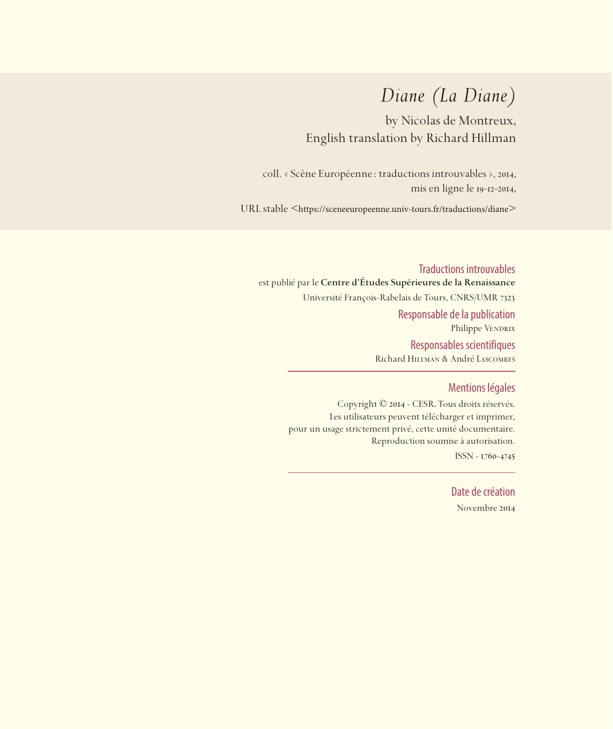# *Diane (La Diane)*

by Nicolas de Montreux, English translation by Richard Hillman

coll. « Scène Européenne: traductions introuvables », 2014, mis en ligne le 19-12-2014,

URL stable <https://sceneeuropeenne.univ-tours.fr/traductions/diane>

Traductions introuvables est publié par le **Centre d'Études Supérieures de la Renaissance**  Université François-Rabelais de Tours, CNRS/UMR 7323 Responsable de la publication Philippe VENDRIX Responsables scientifiques Richard Hillman & André Lascombes

### Mentions légales

Copyright © 2014 - CESR. Tous droits réservés. Les utilisateurs peuvent télécharger et imprimer, pour un usage strictement privé, cette unité documentaire. Reproduction soumise à autorisation. ISSN - 1760-4745

> Date de création Novembre 2014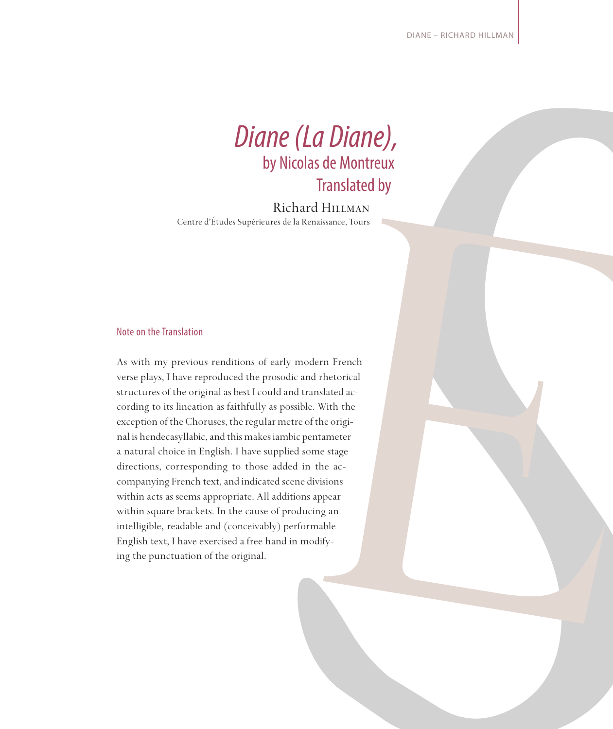

Richard Hillman Centre d'Études Supérieures de la Renaissance, Tours

#### Note on the Translation

As with my previous renditions of early modern French verse plays, I have reproduced the prosodic and rhetorical structures of the original as best I could and translated according to its lineation as faithfully as possible. With the exception of the Choruses, the regular metre of the original is hendecasyllabic, and this makes iambic pentameter a natural choice in English. I have supplied some stage directions, corresponding to those added in the accompanying French text, and indicated scene divisions within acts as seems appropriate. All additions appear within square brackets. In the cause of producing an intelligible, readable and (conceivably) performable English text, I have exercised a free hand in modifying the punctuation of the original.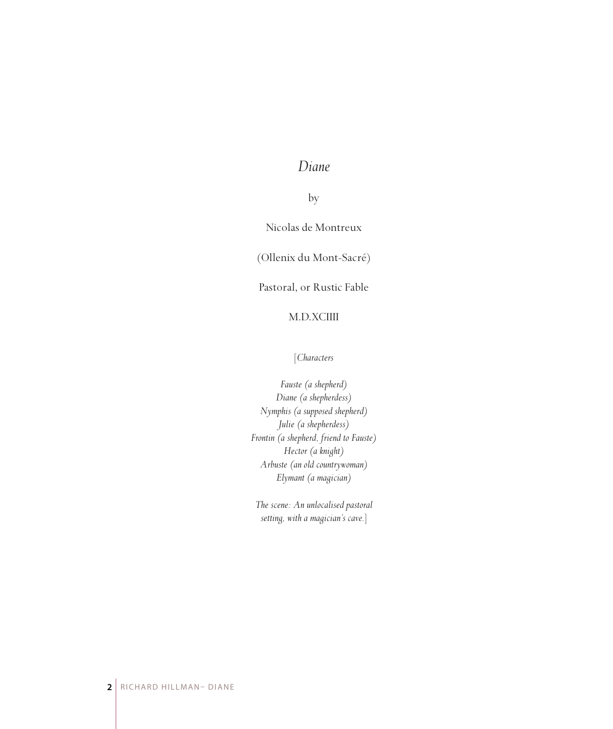## *Diane*

by

Nicolas de Montreux

(Ollenix du Mont-Sacré)

Pastoral, or Rustic Fable

### M.D.XCIIII

#### [*Characters*

*Fauste (a shepherd) Diane (a shepherdess) Nymphis (a supposed shepherd) Julie (a shepherdess) Frontin (a shepherd, friend to Fauste) Hector (a knight) Arbuste (an old countrywoman) Elymant (a magician)*

*The scene: An unlocalised pastoral setting, with a magician's cave.*]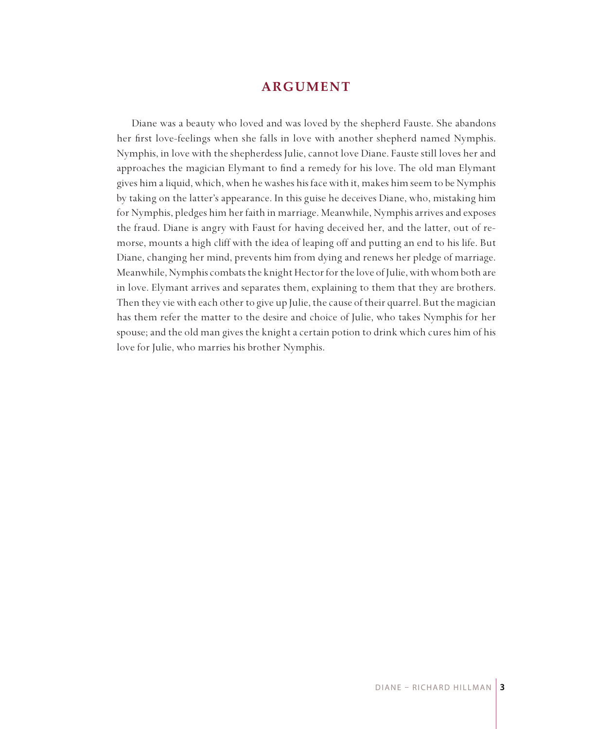## **ARGUMENT**

Diane was a beauty who loved and was loved by the shepherd Fauste. She abandons her first love-feelings when she falls in love with another shepherd named Nymphis. Nymphis, in love with the shepherdess Julie, cannot love Diane. Fauste still loves her and approaches the magician Elymant to find a remedy for his love. The old man Elymant gives him a liquid, which, when he washes his face with it, makes him seem to be Nymphis by taking on the latter's appearance. In this guise he deceives Diane, who, mistaking him for Nymphis, pledges him her faith in marriage. Meanwhile, Nymphis arrives and exposes the fraud. Diane is angry with Faust for having deceived her, and the latter, out of remorse, mounts a high cliff with the idea of leaping off and putting an end to his life. But Diane, changing her mind, prevents him from dying and renews her pledge of marriage. Meanwhile, Nymphis combats the knight Hector for the love of Julie, with whom both are in love. Elymant arrives and separates them, explaining to them that they are brothers. Then they vie with each other to give up Julie, the cause of their quarrel. But the magician has them refer the matter to the desire and choice of Julie, who takes Nymphis for her spouse; and the old man gives the knight a certain potion to drink which cures him of his love for Julie, who marries his brother Nymphis.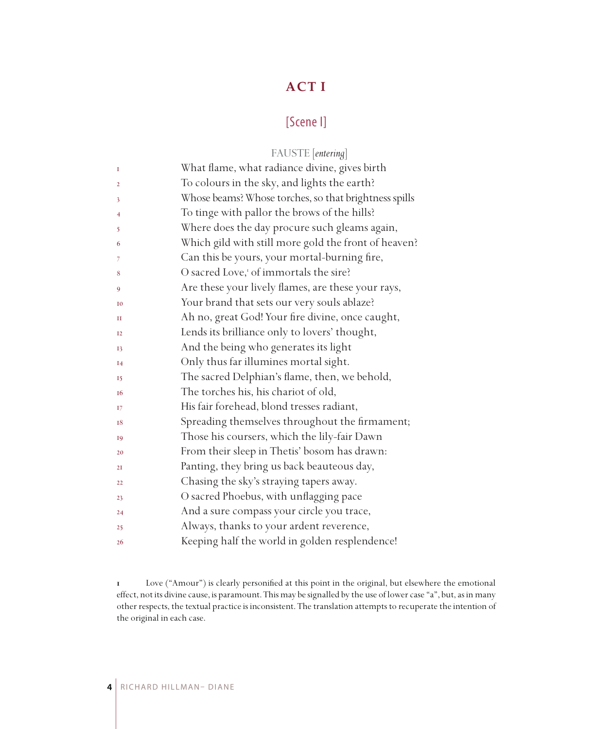## **ACT I**

## [Scene I]

|                | FAUSTE [entering]                                     |
|----------------|-------------------------------------------------------|
| I              | What flame, what radiance divine, gives birth         |
| $\overline{2}$ | To colours in the sky, and lights the earth?          |
| 3              | Whose beams? Whose torches, so that brightness spills |
| 4              | To tinge with pallor the brows of the hills?          |
| 5              | Where does the day procure such gleams again,         |
| 6              | Which gild with still more gold the front of heaven?  |
| 7              | Can this be yours, your mortal-burning fire,          |
| 8              | O sacred Love, <sup>1</sup> of immortals the sire?    |
| 9              | Are these your lively flames, are these your rays,    |
| <b>I0</b>      | Your brand that sets our very souls ablaze?           |
| П              | Ah no, great God! Your fire divine, once caught,      |
| $_{12}$        | Lends its brilliance only to lovers' thought,         |
| 13             | And the being who generates its light                 |
| I4             | Only thus far illumines mortal sight.                 |
| 15             | The sacred Delphian's flame, then, we behold,         |
| 16             | The torches his, his chariot of old,                  |
| 17             | His fair forehead, blond tresses radiant,             |
| 18             | Spreading themselves throughout the firmament;        |
| 19             | Those his coursers, which the lily-fair Dawn          |
| 20             | From their sleep in Thetis' bosom has drawn:          |
| 2I             | Panting, they bring us back beauteous day,            |
| 22             | Chasing the sky's straying tapers away.               |
| 23             | O sacred Phoebus, with unflagging pace                |
| 24             | And a sure compass your circle you trace,             |
| 25             | Always, thanks to your ardent reverence,              |
| 26             | Keeping half the world in golden resplendence!        |

 Love ("Amour") is clearly personified at this point in the original, but elsewhere the emotional effect, not its divine cause, is paramount. This may be signalled by the use of lower case "a", but, as in many other respects, the textual practice is inconsistent. The translation attempts to recuperate the intention of the original in each case.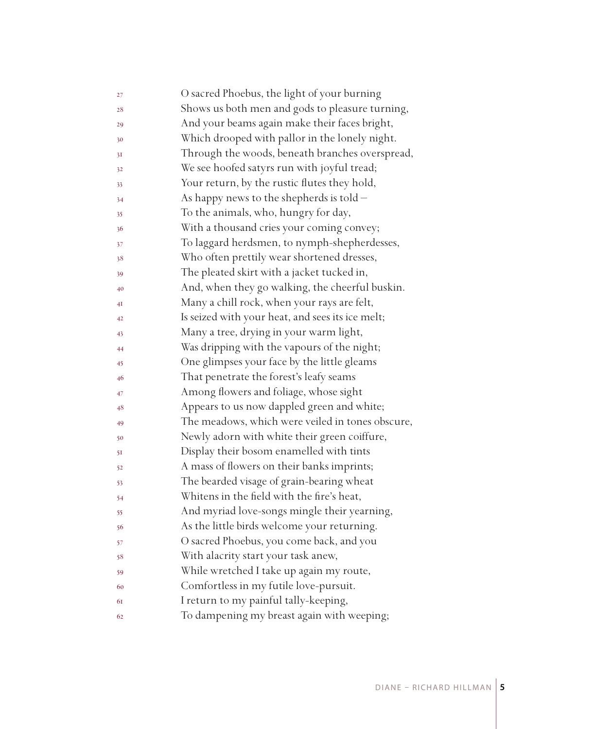| 27 | O sacred Phoebus, the light of your burning      |
|----|--------------------------------------------------|
| 28 | Shows us both men and gods to pleasure turning,  |
| 29 | And your beams again make their faces bright,    |
| 30 | Which drooped with pallor in the lonely night.   |
| 31 | Through the woods, beneath branches overspread,  |
| 32 | We see hoofed satyrs run with joyful tread;      |
| 33 | Your return, by the rustic flutes they hold,     |
| 34 | As happy news to the shepherds is told -         |
| 35 | To the animals, who, hungry for day,             |
| 36 | With a thousand cries your coming convey;        |
| 37 | To laggard herdsmen, to nymph-shepherdesses,     |
| 38 | Who often prettily wear shortened dresses,       |
| 39 | The pleated skirt with a jacket tucked in,       |
| 40 | And, when they go walking, the cheerful buskin.  |
| 4Ι | Many a chill rock, when your rays are felt,      |
| 42 | Is seized with your heat, and sees its ice melt; |
| 43 | Many a tree, drying in your warm light,          |
| 44 | Was dripping with the vapours of the night;      |
| 45 | One glimpses your face by the little gleams      |
| 46 | That penetrate the forest's leafy seams          |
| 47 | Among flowers and foliage, whose sight           |
| 48 | Appears to us now dappled green and white;       |
| 49 | The meadows, which were veiled in tones obscure, |
| 50 | Newly adorn with white their green coiffure,     |
| 51 | Display their bosom enamelled with tints         |
| 52 | A mass of flowers on their banks imprints;       |
| 53 | The bearded visage of grain-bearing wheat        |
| 54 | Whitens in the field with the fire's heat,       |
| 55 | And myriad love-songs mingle their yearning,     |
| 56 | As the little birds welcome your returning.      |
| 57 | O sacred Phoebus, you come back, and you         |
| 58 | With alacrity start your task anew,              |
| 59 | While wretched I take up again my route,         |
| 60 | Comfortless in my futile love-pursuit.           |
| 61 | I return to my painful tally-keeping,            |
| 62 | To dampening my breast again with weeping;       |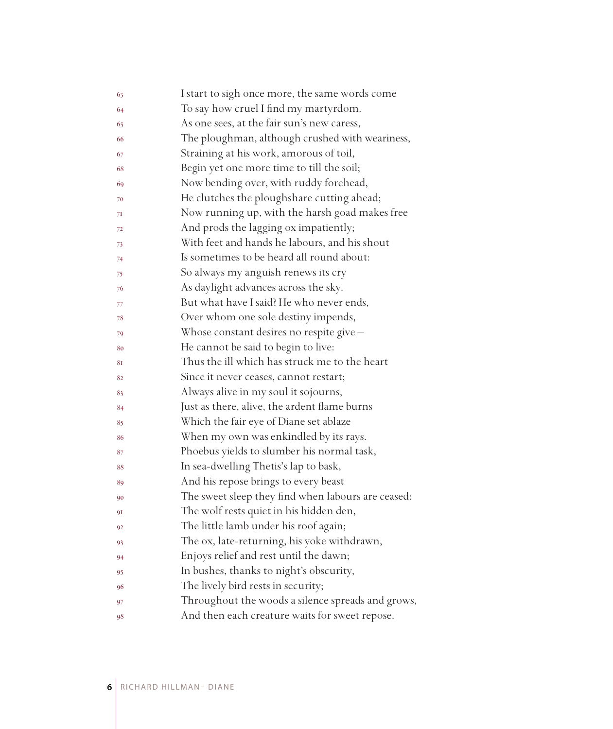| 63 | I start to sigh once more, the same words come     |
|----|----------------------------------------------------|
| 64 | To say how cruel I find my martyrdom.              |
| 65 | As one sees, at the fair sun's new caress,         |
| 66 | The ploughman, although crushed with weariness,    |
| 67 | Straining at his work, amorous of toil,            |
| 68 | Begin yet one more time to till the soil;          |
| 69 | Now bending over, with ruddy forehead,             |
| 70 | He clutches the ploughshare cutting ahead;         |
| 71 | Now running up, with the harsh goad makes free     |
| 72 | And prods the lagging ox impatiently;              |
| 73 | With feet and hands he labours, and his shout      |
| 74 | Is sometimes to be heard all round about:          |
| 75 | So always my anguish renews its cry                |
| 76 | As daylight advances across the sky.               |
| 77 | But what have I said? He who never ends,           |
| 78 | Over whom one sole destiny impends,                |
| 79 | Whose constant desires no respite give -           |
| 80 | He cannot be said to begin to live:                |
| 81 | Thus the ill which has struck me to the heart      |
| 82 | Since it never ceases, cannot restart;             |
| 83 | Always alive in my soul it sojourns,               |
| 84 | Just as there, alive, the ardent flame burns       |
| 85 | Which the fair eye of Diane set ablaze             |
| 86 | When my own was enkindled by its rays.             |
| 87 | Phoebus yields to slumber his normal task,         |
| 88 | In sea-dwelling Thetis's lap to bask,              |
| 89 | And his repose brings to every beast               |
| 90 | The sweet sleep they find when labours are ceased: |
| 91 | The wolf rests quiet in his hidden den,            |
| 92 | The little lamb under his roof again;              |
| 93 | The ox, late-returning, his yoke withdrawn,        |
| 94 | Enjoys relief and rest until the dawn;             |
| 95 | In bushes, thanks to night's obscurity,            |
| 96 | The lively bird rests in security;                 |
| 97 | Throughout the woods a silence spreads and grows,  |
| 98 | And then each creature waits for sweet repose.     |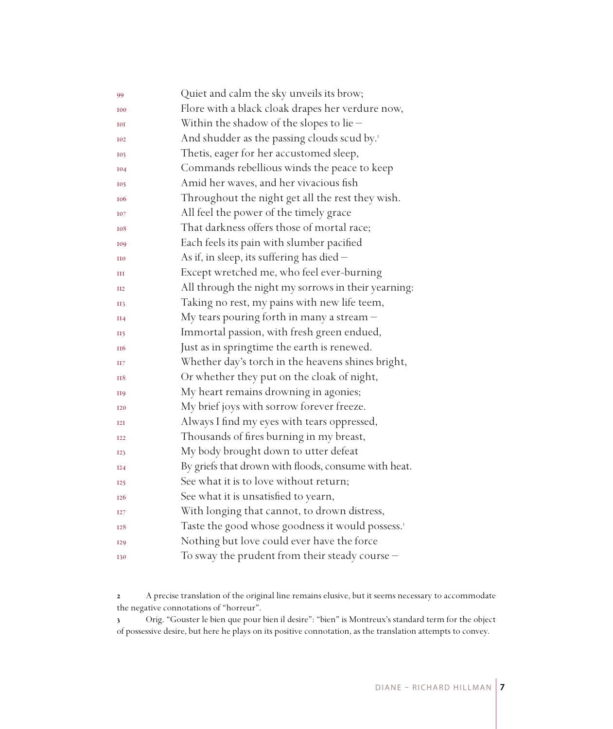| 99              | Quiet and calm the sky unveils its brow;                     |
|-----------------|--------------------------------------------------------------|
| <b>I00</b>      | Flore with a black cloak drapes her verdure now,             |
| <b>I0I</b>      | Within the shadow of the slopes to lie $-$                   |
| <b>I02</b>      | And shudder as the passing clouds scud by. <sup>2</sup>      |
| 103             | Thetis, eager for her accustomed sleep,                      |
| <b>I04</b>      | Commands rebellious winds the peace to keep                  |
| <b>I05</b>      | Amid her waves, and her vivacious fish                       |
| <b>106</b>      | Throughout the night get all the rest they wish.             |
| <b>I07</b>      | All feel the power of the timely grace                       |
| 108             | That darkness offers those of mortal race;                   |
| 109             | Each feels its pain with slumber pacified                    |
| II <sub>0</sub> | As if, in sleep, its suffering has died -                    |
| Ш               | Except wretched me, who feel ever-burning                    |
| II2             | All through the night my sorrows in their yearning:          |
| <b>II3</b>      | Taking no rest, my pains with new life teem,                 |
| II4             | My tears pouring forth in many a stream -                    |
| <b>II5</b>      | Immortal passion, with fresh green endued,                   |
| II <sub>6</sub> | Just as in springtime the earth is renewed.                  |
| H7              | Whether day's torch in the heavens shines bright,            |
| <b>H8</b>       | Or whether they put on the cloak of night,                   |
| <b>H9</b>       | My heart remains drowning in agonies;                        |
| <b>I20</b>      | My brief joys with sorrow forever freeze.                    |
| I2I             | Always I find my eyes with tears oppressed,                  |
| <b>I22</b>      | Thousands of fires burning in my breast,                     |
| <b>I23</b>      | My body brought down to utter defeat                         |
| I24             | By griefs that drown with floods, consume with heat.         |
| 125             | See what it is to love without return;                       |
| I <sub>26</sub> | See what it is unsatisfied to yearn,                         |
| I27             | With longing that cannot, to drown distress,                 |
| <b>I28</b>      | Taste the good whose goodness it would possess. <sup>3</sup> |
| <b>I29</b>      | Nothing but love could ever have the force                   |
| <b>I30</b>      | To sway the prudent from their steady course -               |

 A precise translation of the original line remains elusive, but it seems necessary to accommodate the negative connotations of "horreur".

 Orig. "Gouster le bien que pour bien il desire": "bien" is Montreux's standard term for the object of possessive desire, but here he plays on its positive connotation, as the translation attempts to convey.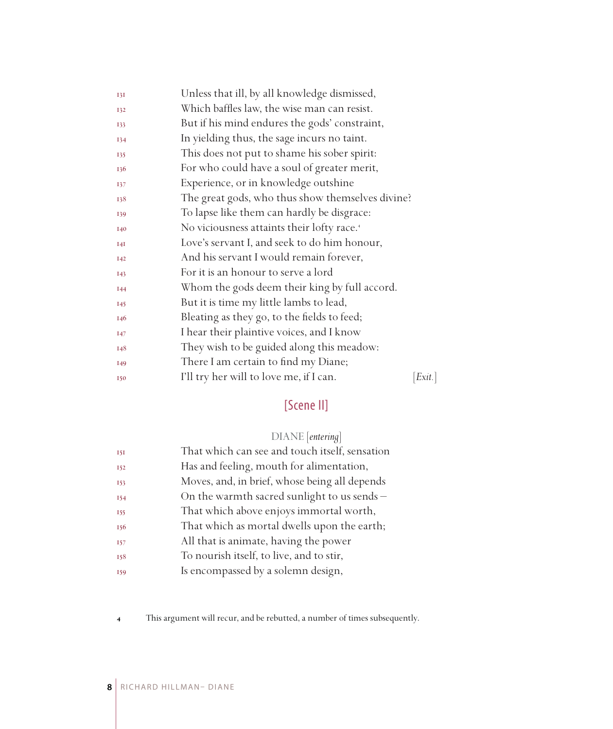| I3I             | Unless that ill, by all knowledge dismissed,           |       |
|-----------------|--------------------------------------------------------|-------|
| 132             | Which baffles law, the wise man can resist.            |       |
| 133             | But if his mind endures the gods' constraint,          |       |
| 134             | In yielding thus, the sage incurs no taint.            |       |
| 135             | This does not put to shame his sober spirit:           |       |
| 136             | For who could have a soul of greater merit,            |       |
| 137             | Experience, or in knowledge outshine                   |       |
| 138             | The great gods, who thus show themselves divine?       |       |
| 139             | To lapse like them can hardly be disgrace:             |       |
| I40             | No viciousness attaints their lofty race. <sup>4</sup> |       |
| I4I             | Love's servant I, and seek to do him honour,           |       |
| <b>I42</b>      | And his servant I would remain forever,                |       |
| <b>I43</b>      | For it is an honour to serve a lord                    |       |
| <b>I44</b>      | Whom the gods deem their king by full accord.          |       |
| <b>I45</b>      | But it is time my little lambs to lead,                |       |
| 146             | Bleating as they go, to the fields to feed;            |       |
| <b>147</b>      | I hear their plaintive voices, and I know              |       |
| 148             | They wish to be guided along this meadow:              |       |
| I <sub>49</sub> | There I am certain to find my Diane;                   |       |
| <b>I50</b>      | I'll try her will to love me, if I can.                | Exit. |

## [Scene II]

## DIANE [*entering*]

| <b>151</b> | That which can see and touch itself, sensation |
|------------|------------------------------------------------|
| <b>I52</b> | Has and feeling, mouth for alimentation,       |
| 153        | Moves, and, in brief, whose being all depends  |
| 154        | On the warmth sacred sunlight to us sends $-$  |
| 155        | That which above enjoys immortal worth,        |
| 156        | That which as mortal dwells upon the earth;    |
| <b>157</b> | All that is animate, having the power          |
| 158        | To nourish itself, to live, and to stir,       |
| 159        | Is encompassed by a solemn design,             |

This argument will recur, and be rebutted, a number of times subsequently.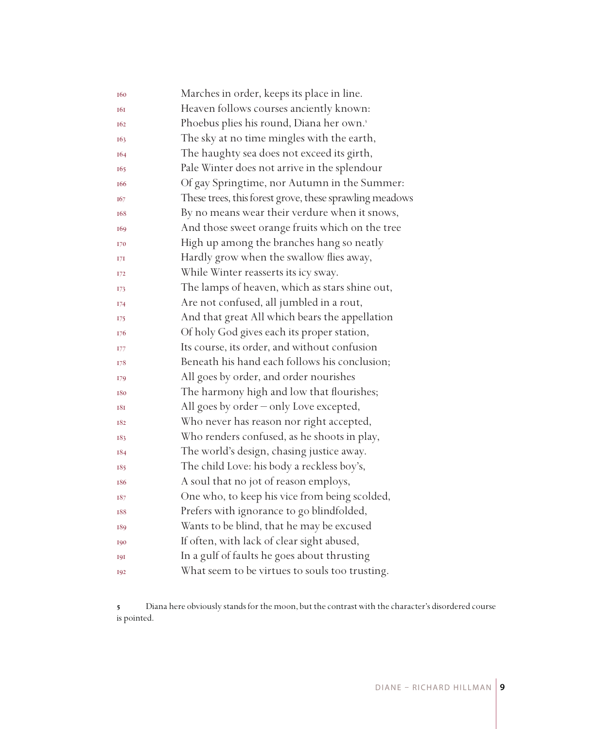| 160        | Marches in order, keeps its place in line.              |
|------------|---------------------------------------------------------|
| 161        | Heaven follows courses anciently known:                 |
| 162        | Phoebus plies his round, Diana her own.'                |
| 163        | The sky at no time mingles with the earth,              |
| 164        | The haughty sea does not exceed its girth,              |
| 165        | Pale Winter does not arrive in the splendour            |
| 166        | Of gay Springtime, nor Autumn in the Summer:            |
| 167        | These trees, this forest grove, these sprawling meadows |
| 168        | By no means wear their verdure when it snows,           |
| 169        | And those sweet orange fruits which on the tree         |
| 170        | High up among the branches hang so neatly               |
| 17I        | Hardly grow when the swallow flies away,                |
| 172        | While Winter reasserts its icy sway.                    |
| 173        | The lamps of heaven, which as stars shine out,          |
| 174        | Are not confused, all jumbled in a rout,                |
| 175        | And that great All which bears the appellation          |
| 176        | Of holy God gives each its proper station,              |
| 177        | Its course, its order, and without confusion            |
| 178        | Beneath his hand each follows his conclusion;           |
| 179        | All goes by order, and order nourishes                  |
| 180        | The harmony high and low that flourishes;               |
| 181        | All goes by order - only Love excepted,                 |
| 182        | Who never has reason nor right accepted,                |
| 183        | Who renders confused, as he shoots in play,             |
| 184        | The world's design, chasing justice away.               |
| 185        | The child Love: his body a reckless boy's,              |
| 186        | A soul that no jot of reason employs,                   |
| 187        | One who, to keep his vice from being scolded,           |
| 188        | Prefers with ignorance to go blindfolded,               |
| 189        | Wants to be blind, that he may be excused               |
| 190        | If often, with lack of clear sight abused,              |
| <b>191</b> | In a gulf of faults he goes about thrusting             |
| 192        | What seem to be virtues to souls too trusting.          |

 Diana here obviously stands for the moon, but the contrast with the character's disordered course is pointed.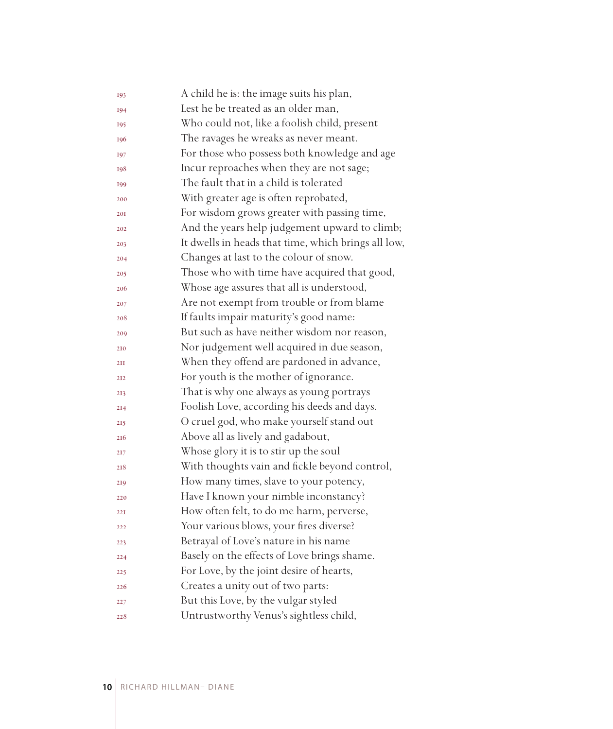| 193             | A child he is: the image suits his plan,            |
|-----------------|-----------------------------------------------------|
| 194             | Lest he be treated as an older man,                 |
| 195             | Who could not, like a foolish child, present        |
| 196             | The ravages he wreaks as never meant.               |
| 197             | For those who possess both knowledge and age        |
| 198             | Incur reproaches when they are not sage;            |
| 199             | The fault that in a child is tolerated              |
| 200             | With greater age is often reprobated,               |
| 201             | For wisdom grows greater with passing time,         |
| 202             | And the years help judgement upward to climb;       |
| 203             | It dwells in heads that time, which brings all low, |
| 204             | Changes at last to the colour of snow.              |
| 205             | Those who with time have acquired that good,        |
| 206             | Whose age assures that all is understood,           |
| 207             | Are not exempt from trouble or from blame           |
| 208             | If faults impair maturity's good name:              |
| 209             | But such as have neither wisdom nor reason,         |
| 210             | Nor judgement well acquired in due season,          |
| 2II             | When they offend are pardoned in advance,           |
| 212             | For youth is the mother of ignorance.               |
| 213             | That is why one always as young portrays            |
| 2I <sub>4</sub> | Foolish Love, according his deeds and days.         |
| 215             | O cruel god, who make yourself stand out            |
| 216             | Above all as lively and gadabout,                   |
| 217             | Whose glory it is to stir up the soul               |
| 218             | With thoughts vain and fickle beyond control,       |
| 219             | How many times, slave to your potency,              |
| 220             | Have I known your nimble inconstancy?               |
| 221             | How often felt, to do me harm, perverse,            |
| 222             | Your various blows, your fires diverse?             |
| 223             | Betrayal of Love's nature in his name               |
| 224             | Basely on the effects of Love brings shame.         |
| 225             | For Love, by the joint desire of hearts,            |
| 226             | Creates a unity out of two parts:                   |
| 227             | But this Love, by the vulgar styled                 |
| 228             | Untrustworthy Venus's sightless child,              |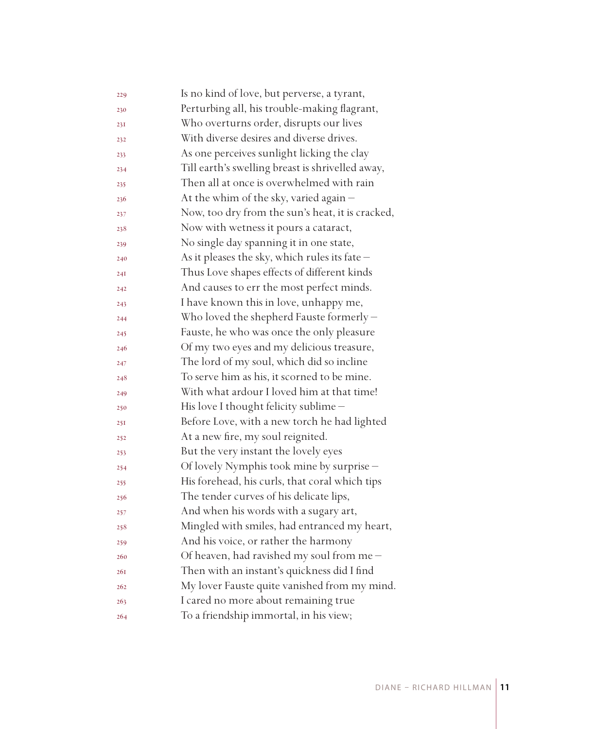| 229        | Is no kind of love, but perverse, a tyrant,      |
|------------|--------------------------------------------------|
| 230        | Perturbing all, his trouble-making flagrant,     |
| 231        | Who overturns order, disrupts our lives          |
| 232        | With diverse desires and diverse drives.         |
| 233        | As one perceives sunlight licking the clay       |
| 234        | Till earth's swelling breast is shrivelled away, |
| 235        | Then all at once is overwhelmed with rain        |
| 236        | At the whim of the sky, varied again -           |
| 237        | Now, too dry from the sun's heat, it is cracked, |
| 238        | Now with wetness it pours a cataract,            |
| 239        | No single day spanning it in one state,          |
| 240        | As it pleases the sky, which rules its fate -    |
| 24I        | Thus Love shapes effects of different kinds      |
| 242        | And causes to err the most perfect minds.        |
| 243        | I have known this in love, unhappy me,           |
| 244        | Who loved the shepherd Fauste formerly -         |
| 245        | Fauste, he who was once the only pleasure        |
| 246        | Of my two eyes and my delicious treasure,        |
| 247        | The lord of my soul, which did so incline        |
| 248        | To serve him as his, it scorned to be mine.      |
| 249        | With what ardour I loved him at that time!       |
| 250        | His love I thought felicity sublime -            |
| 25I        | Before Love, with a new torch he had lighted     |
| 252        | At a new fire, my soul reignited.                |
| 253        | But the very instant the lovely eyes             |
| 254        | Of lovely Nymphis took mine by surprise -        |
| 255        | His forehead, his curls, that coral which tips   |
| 256        | The tender curves of his delicate lips,          |
| 257        | And when his words with a sugary art,            |
| 258        | Mingled with smiles, had entranced my heart,     |
| 259        | And his voice, or rather the harmony             |
| 260        | Of heaven, had ravished my soul from me $-$      |
| <b>26I</b> | Then with an instant's quickness did I find      |
| 262        | My lover Fauste quite vanished from my mind.     |
| 263        | I cared no more about remaining true             |
| 264        | To a friendship immortal, in his view;           |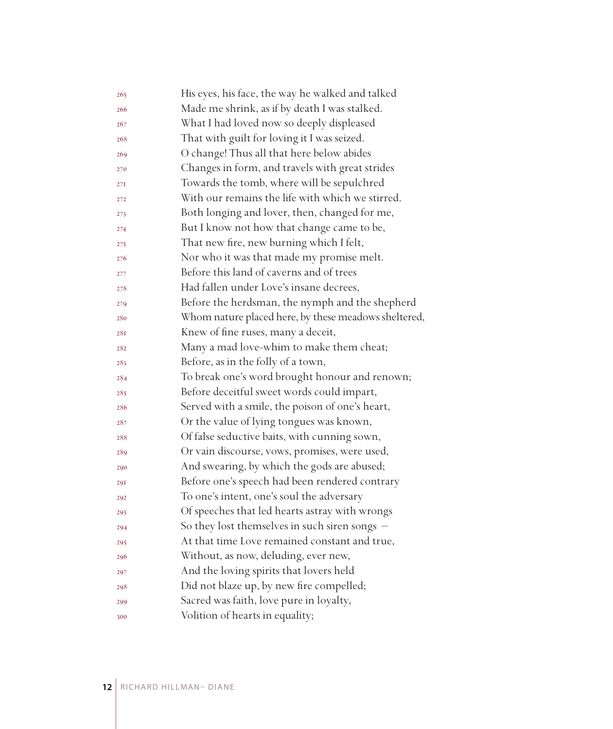| 265 | His eyes, his face, the way he walked and talked     |
|-----|------------------------------------------------------|
| 266 | Made me shrink, as if by death I was stalked.        |
| 267 | What I had loved now so deeply displeased            |
| 268 | That with guilt for loving it I was seized.          |
| 269 | O change! Thus all that here below abides            |
| 270 | Changes in form, and travels with great strides      |
| 27I | Towards the tomb, where will be sepulchred           |
| 272 | With our remains the life with which we stirred.     |
| 273 | Both longing and lover, then, changed for me,        |
| 274 | But I know not how that change came to be,           |
| 275 | That new fire, new burning which I felt,             |
| 276 | Nor who it was that made my promise melt.            |
| 277 | Before this land of caverns and of trees             |
| 278 | Had fallen under Love's insane decrees,              |
| 279 | Before the herdsman, the nymph and the shepherd      |
| 280 | Whom nature placed here, by these meadows sheltered, |
| 28I | Knew of fine ruses, many a deceit,                   |
| 282 | Many a mad love-whim to make them cheat;             |
| 283 | Before, as in the folly of a town,                   |
| 284 | To break one's word brought honour and renown;       |
| 285 | Before deceitful sweet words could impart,           |
| 286 | Served with a smile, the poison of one's heart,      |
| 287 | Or the value of lying tongues was known,             |
| 288 | Of false seductive baits, with cunning sown,         |
| 289 | Or vain discourse, vows, promises, were used,        |
| 290 | And swearing, by which the gods are abused;          |
| 29I | Before one's speech had been rendered contrary       |
| 292 | To one's intent, one's soul the adversary            |
| 293 | Of speeches that led hearts astray with wrongs       |
| 294 | So they lost themselves in such siren songs -        |
| 295 | At that time Love remained constant and true,        |
| 296 | Without, as now, deluding, ever new,                 |
| 297 | And the loving spirits that lovers held              |
| 298 | Did not blaze up, by new fire compelled;             |
| 299 | Sacred was faith, love pure in loyalty,              |
| 300 | Volition of hearts in equality;                      |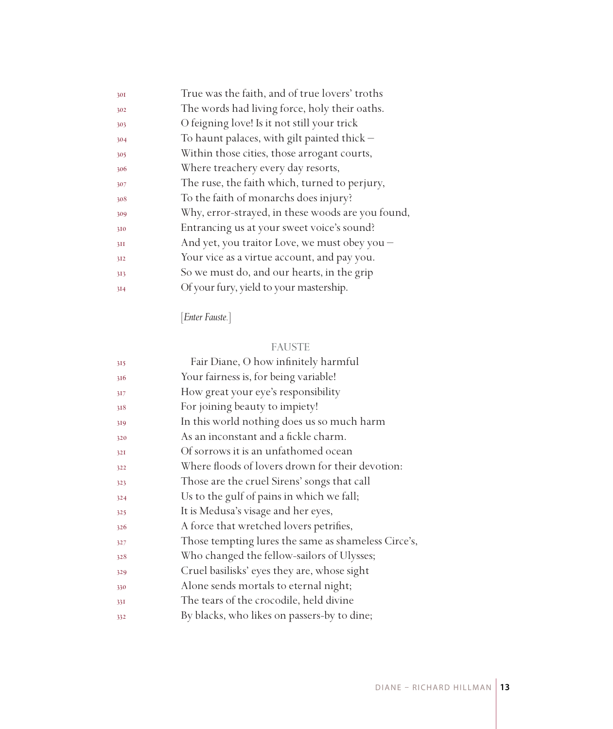| True was the faith, and of true lovers' troths    |
|---------------------------------------------------|
| The words had living force, holy their oaths.     |
| O feigning love! Is it not still your trick       |
| To haunt palaces, with gilt painted thick $-$     |
| Within those cities, those arrogant courts,       |
| Where treachery every day resorts,                |
| The ruse, the faith which, turned to perjury,     |
| To the faith of monarchs does injury?             |
| Why, error-strayed, in these woods are you found, |
| Entrancing us at your sweet voice's sound?        |
| And yet, you traitor Love, we must obey you -     |
| Your vice as a virtue account, and pay you.       |
| So we must do, and our hearts, in the grip        |
| Of your fury, yield to your mastership.           |
|                                                   |

[*Enter Fauste.*]

## FAUSTE

| 315 | Fair Diane, O how infinitely harmful                |
|-----|-----------------------------------------------------|
| 316 | Your fairness is, for being variable!               |
| 317 | How great your eye's responsibility                 |
| 318 | For joining beauty to impiety!                      |
| 319 | In this world nothing does us so much harm          |
| 320 | As an inconstant and a fickle charm.                |
| 32I | Of sorrows it is an unfathomed ocean                |
| 322 | Where floods of lovers drown for their devotion:    |
| 323 | Those are the cruel Sirens' songs that call         |
| 324 | Us to the gulf of pains in which we fall;           |
| 325 | It is Medusa's visage and her eyes,                 |
| 326 | A force that wretched lovers petrifies,             |
| 327 | Those tempting lures the same as shameless Circe's, |
| 328 | Who changed the fellow-sailors of Ulysses;          |
| 329 | Cruel basilisks' eyes they are, whose sight         |
| 330 | Alone sends mortals to eternal night;               |
| 33I | The tears of the crocodile, held divine             |
| 332 | By blacks, who likes on passers-by to dine;         |
|     |                                                     |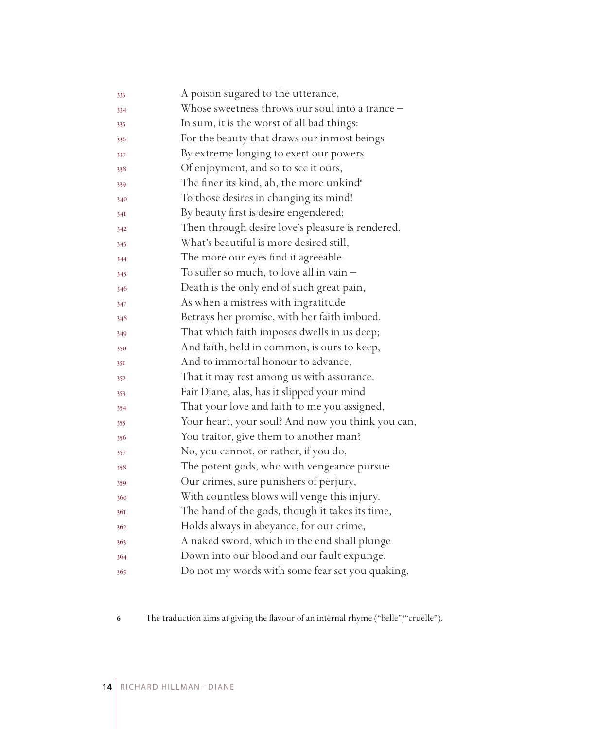| 333 | A poison sugared to the utterance,                   |
|-----|------------------------------------------------------|
| 334 | Whose sweetness throws our soul into a trance -      |
| 335 | In sum, it is the worst of all bad things:           |
| 336 | For the beauty that draws our inmost beings          |
| 337 | By extreme longing to exert our powers               |
| 338 | Of enjoyment, and so to see it ours,                 |
| 339 | The finer its kind, ah, the more unkind <sup>®</sup> |
| 340 | To those desires in changing its mind!               |
| 34I | By beauty first is desire engendered;                |
| 342 | Then through desire love's pleasure is rendered.     |
| 343 | What's beautiful is more desired still,              |
| 344 | The more our eyes find it agreeable.                 |
| 345 | To suffer so much, to love all in vain $-$           |
| 346 | Death is the only end of such great pain,            |
| 347 | As when a mistress with ingratitude                  |
| 348 | Betrays her promise, with her faith imbued.          |
| 349 | That which faith imposes dwells in us deep;          |
| 350 | And faith, held in common, is ours to keep,          |
| 351 | And to immortal honour to advance,                   |
| 352 | That it may rest among us with assurance.            |
| 353 | Fair Diane, alas, has it slipped your mind           |
| 354 | That your love and faith to me you assigned,         |
| 355 | Your heart, your soul? And now you think you can,    |
| 356 | You traitor, give them to another man?               |
| 357 | No, you cannot, or rather, if you do,                |
| 358 | The potent gods, who with vengeance pursue           |
| 359 | Our crimes, sure punishers of perjury,               |
| 360 | With countless blows will venge this injury.         |
| 361 | The hand of the gods, though it takes its time,      |
| 362 | Holds always in abeyance, for our crime,             |
| 363 | A naked sword, which in the end shall plunge         |
| 364 | Down into our blood and our fault expunge.           |
| 365 | Do not my words with some fear set you quaking,      |

The traduction aims at giving the flavour of an internal rhyme ("belle"/"cruelle").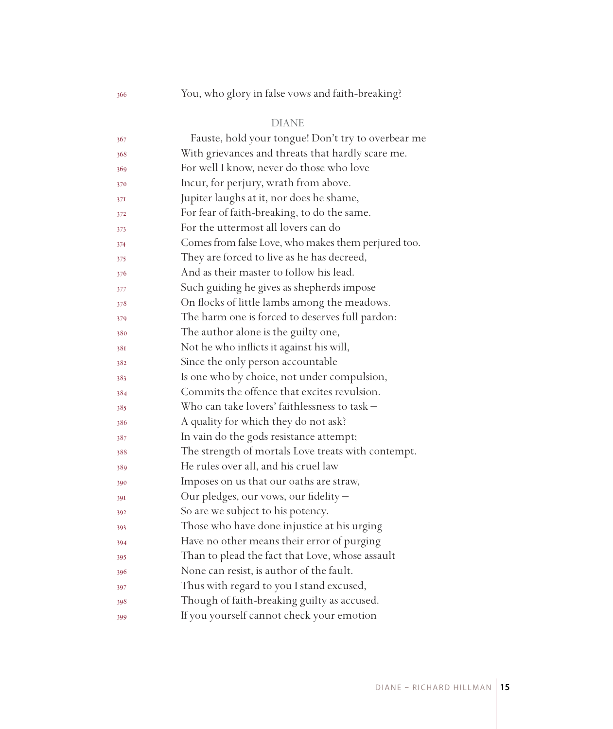## You, who glory in false vows and faith-breaking?

### DIANE

| 367 | Fauste, hold your tongue! Don't try to overbear me  |
|-----|-----------------------------------------------------|
| 368 | With grievances and threats that hardly scare me.   |
| 369 | For well I know, never do those who love            |
| 370 | Incur, for perjury, wrath from above.               |
| 37I | Jupiter laughs at it, nor does he shame,            |
| 372 | For fear of faith-breaking, to do the same.         |
| 373 | For the uttermost all lovers can do                 |
| 374 | Comes from false Love, who makes them perjured too. |
| 375 | They are forced to live as he has decreed,          |
| 376 | And as their master to follow his lead.             |
| 377 | Such guiding he gives as shepherds impose           |
| 378 | On flocks of little lambs among the meadows.        |
| 379 | The harm one is forced to deserves full pardon:     |
| 380 | The author alone is the guilty one,                 |
| 381 | Not he who inflicts it against his will,            |
| 382 | Since the only person accountable                   |
| 383 | Is one who by choice, not under compulsion,         |
| 384 | Commits the offence that excites revulsion.         |
| 385 | Who can take lovers' faithlessness to task -        |
| 386 | A quality for which they do not ask?                |
| 387 | In vain do the gods resistance attempt;             |
| 388 | The strength of mortals Love treats with contempt.  |
| 389 | He rules over all, and his cruel law                |
| 390 | Imposes on us that our oaths are straw,             |
| 39I | Our pledges, our vows, our fidelity -               |
| 392 | So are we subject to his potency.                   |
| 393 | Those who have done injustice at his urging         |
| 394 | Have no other means their error of purging          |
| 395 | Than to plead the fact that Love, whose assault     |
| 396 | None can resist, is author of the fault.            |
| 397 | Thus with regard to you I stand excused,            |
| 398 | Though of faith-breaking guilty as accused.         |
| 399 | If you yourself cannot check your emotion           |
|     |                                                     |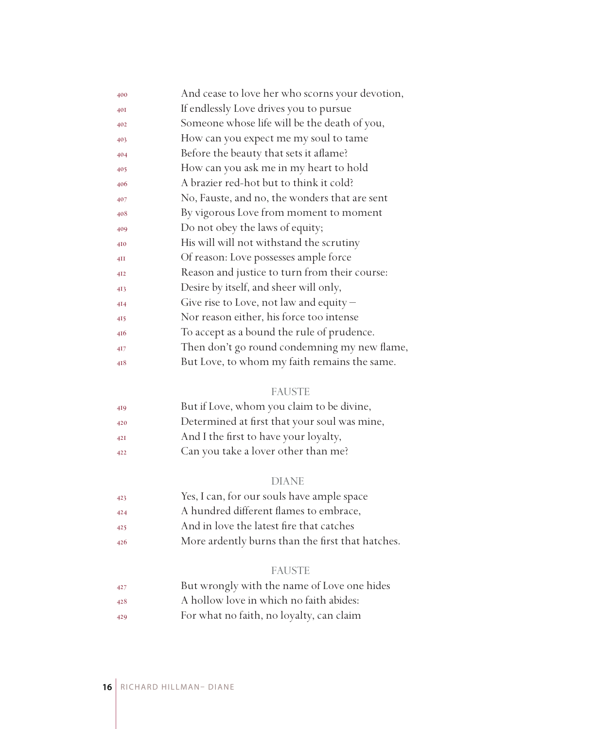| 400 | And cease to love her who scorns your devotion, |
|-----|-------------------------------------------------|
| 40I | If endlessly Love drives you to pursue          |
| 402 | Someone whose life will be the death of you,    |
| 403 | How can you expect me my soul to tame           |
| 404 | Before the beauty that sets it aflame?          |
| 405 | How can you ask me in my heart to hold          |
| 406 | A brazier red-hot but to think it cold?         |
| 407 | No, Fauste, and no, the wonders that are sent   |
| 408 | By vigorous Love from moment to moment          |
| 409 | Do not obey the laws of equity;                 |
| 410 | His will will not withstand the scrutiny        |
| 4II | Of reason: Love possesses ample force           |
| 412 | Reason and justice to turn from their course:   |
| 413 | Desire by itself, and sheer will only,          |
| 414 | Give rise to Love, not law and equity $-$       |
| 415 | Nor reason either, his force too intense        |
| 416 | To accept as a bound the rule of prudence.      |
| 417 | Then don't go round condemning my new flame,    |
| 418 | But Love, to whom my faith remains the same.    |

#### FAUSTE

| 419 | But if Love, whom you claim to be divine,    |
|-----|----------------------------------------------|
| 420 | Determined at first that your soul was mine, |
| 42I | And I the first to have your loyalty,        |
| 422 | Can you take a lover other than me?          |

#### DIANE

- Yes, I can, for our souls have ample space
- A hundred different flames to embrace,
- And in love the latest fire that catches
- More ardently burns than the first that hatches.

#### FAUSTE

- But wrongly with the name of Love one hides
- A hollow love in which no faith abides:
- For what no faith, no loyalty, can claim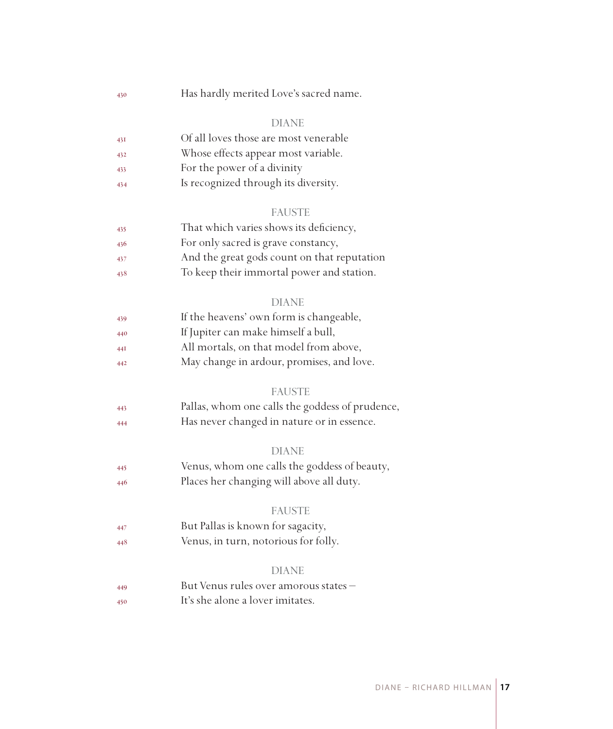Has hardly merited Love's sacred name.

#### DIANE

| 43I | Of all loves those are most venerable |
|-----|---------------------------------------|
|     |                                       |

- Whose effects appear most variable.
- For the power of a divinity
- Is recognized through its diversity.

#### FAUSTE

| 435 | That which varies shows its deficiency,     |
|-----|---------------------------------------------|
| 436 | For only sacred is grave constancy,         |
| 437 | And the great gods count on that reputation |

To keep their immortal power and station.

#### DIANE

| 439 | If the heavens' own form is changeable, |
|-----|-----------------------------------------|
| 440 | If Jupiter can make himself a bull,     |

- All mortals, on that model from above,
- May change in ardour, promises, and love.

#### **FAUSTE**

 Pallas, whom one calls the goddess of prudence, Has never changed in nature or in essence.

#### DIANE

 Venus, whom one calls the goddess of beauty, Places her changing will above all duty.

#### FAUSTE

- But Pallas is known for sagacity,
- Venus, in turn, notorious for folly.

#### DIANE

 But Venus rules over amorous states – It's she alone a lover imitates.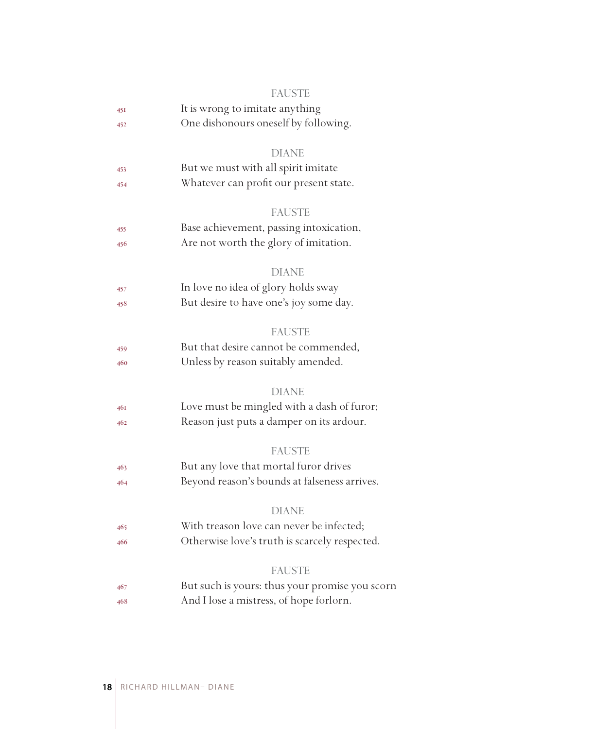|     | <b>FAUSTE</b>                                  |
|-----|------------------------------------------------|
| 45I | It is wrong to imitate anything                |
| 452 | One dishonours oneself by following.           |
|     | <b>DIANE</b>                                   |
| 453 | But we must with all spirit imitate            |
| 454 | Whatever can profit our present state.         |
|     | <b>FAUSTE</b>                                  |
| 455 | Base achievement, passing intoxication,        |
| 456 | Are not worth the glory of imitation.          |
|     | <b>DIANE</b>                                   |
| 457 | In love no idea of glory holds sway            |
| 458 | But desire to have one's joy some day.         |
|     | <b>FAUSTE</b>                                  |
| 459 | But that desire cannot be commended,           |
| 460 | Unless by reason suitably amended.             |
|     | <b>DIANE</b>                                   |
| 46I | Love must be mingled with a dash of furor;     |
| 462 | Reason just puts a damper on its ardour.       |
|     | <b>FAUSTE</b>                                  |
| 463 | But any love that mortal furor drives          |
| 464 | Beyond reason's bounds at falseness arrives.   |
|     | <b>DIANE</b>                                   |
| 465 | With treason love can never be infected;       |
| 466 | Otherwise love's truth is scarcely respected.  |
|     | <b>FAUSTE</b>                                  |
| 467 | But such is yours: thus your promise you scorn |
| 468 | And I lose a mistress, of hope forlorn.        |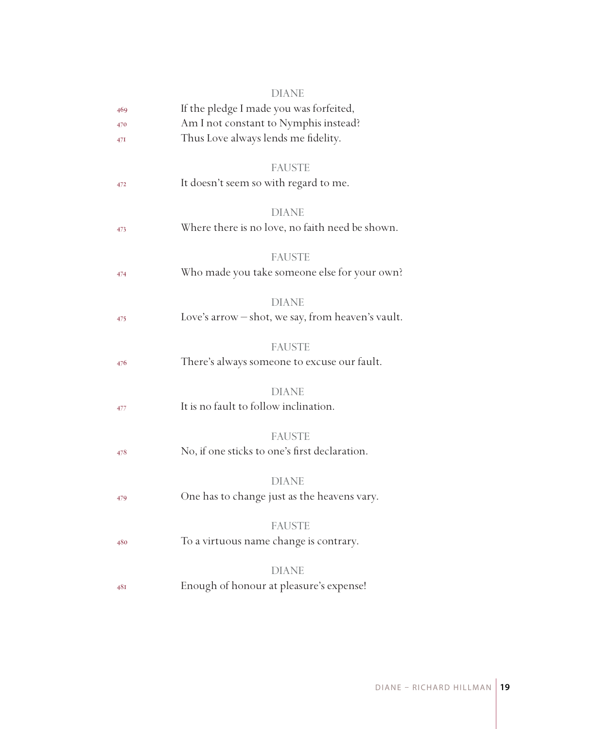|     | DIANE                                             |
|-----|---------------------------------------------------|
| 469 | If the pledge I made you was forfeited,           |
| 470 | Am I not constant to Nymphis instead?             |
| 47I | Thus Love always lends me fidelity.               |
|     |                                                   |
|     | <b>FAUSTE</b>                                     |
| 472 | It doesn't seem so with regard to me.             |
|     |                                                   |
|     | <b>DIANE</b>                                      |
| 473 | Where there is no love, no faith need be shown.   |
|     |                                                   |
|     | <b>FAUSTE</b>                                     |
| 474 | Who made you take someone else for your own?      |
|     | <b>DIANE</b>                                      |
| 475 | Love's arrow - shot, we say, from heaven's vault. |
|     |                                                   |
|     | <b>FAUSTE</b>                                     |
| 476 | There's always someone to excuse our fault.       |
|     |                                                   |
|     | <b>DIANE</b>                                      |
| 477 | It is no fault to follow inclination.             |
|     |                                                   |
|     | <b>FAUSTE</b>                                     |
| 478 | No, if one sticks to one's first declaration.     |
|     |                                                   |
|     | <b>DIANE</b>                                      |
| 479 | One has to change just as the heavens vary.       |
|     |                                                   |
|     | <b>FAUSTE</b>                                     |
| 480 | To a virtuous name change is contrary.            |
|     | <b>DIANE</b>                                      |
| 48I | Enough of honour at pleasure's expense!           |
|     |                                                   |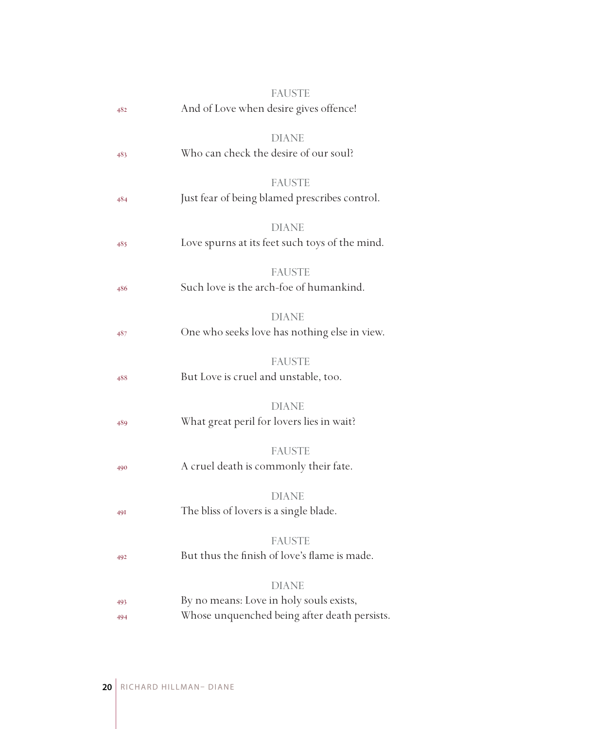| 482        | <b>FAUSTE</b><br>And of Love when desire gives offence!                                                 |
|------------|---------------------------------------------------------------------------------------------------------|
| 483        | <b>DIANE</b><br>Who can check the desire of our soul?                                                   |
| 484        | <b>FAUSTE</b><br>Just fear of being blamed prescribes control.                                          |
| 485        | <b>DIANE</b><br>Love spurns at its feet such toys of the mind.                                          |
| 486        | <b>FAUSTE</b><br>Such love is the arch-foe of humankind.                                                |
| 487        | <b>DIANE</b><br>One who seeks love has nothing else in view.                                            |
| 488        | <b>FAUSTE</b><br>But Love is cruel and unstable, too.                                                   |
| 489        | <b>DIANE</b><br>What great peril for lovers lies in wait?                                               |
| 490        | <b>FAUSTE</b><br>A cruel death is commonly their fate.                                                  |
| <b>49I</b> | <b>DIANE</b><br>The bliss of lovers is a single blade.                                                  |
| 492        | <b>FAUSTE</b><br>But thus the finish of love's flame is made.                                           |
| 493<br>494 | <b>DIANE</b><br>By no means: Love in holy souls exists,<br>Whose unquenched being after death persists. |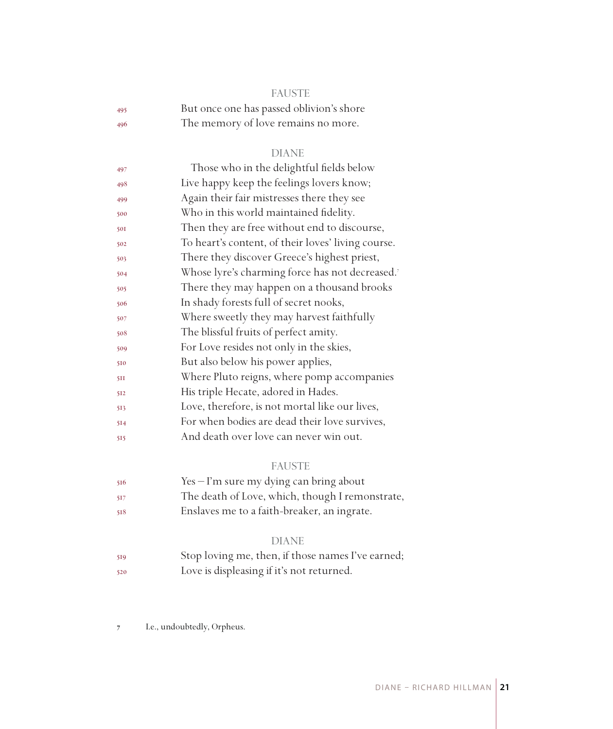|     | <b>FAUSTE</b>                            |
|-----|------------------------------------------|
| 495 | But once one has passed oblivion's shore |
| 496 | The memory of love remains no more.      |

#### DIANE

| Those who in the delightful fields below           |
|----------------------------------------------------|
| Live happy keep the feelings lovers know;          |
| Again their fair mistresses there they see         |
| Who in this world maintained fidelity.             |
| Then they are free without end to discourse,       |
| To heart's content, of their loves' living course. |
| There they discover Greece's highest priest,       |
| Whose lyre's charming force has not decreased.7    |
| There they may happen on a thousand brooks         |
| In shady forests full of secret nooks,             |
| Where sweetly they may harvest faithfully          |
| The blissful fruits of perfect amity.              |
| For Love resides not only in the skies,            |
| But also below his power applies,                  |
| Where Pluto reigns, where pomp accompanies         |
| His triple Hecate, adored in Hades.                |
| Love, therefore, is not mortal like our lives,     |
| For when bodies are dead their love survives,      |
| And death over love can never win out.             |
|                                                    |

### FAUSTE

| 516  | $Yes - I'm sure my dying can bring about$       |
|------|-------------------------------------------------|
| -517 | The death of Love, which, though I remonstrate, |
| 518  | Enslaves me to a faith-breaker, an ingrate.     |

#### DIANE

 Stop loving me, then, if those names I've earned; Love is displeasing if it's not returned.

 I.e., undoubtedly, Orpheus.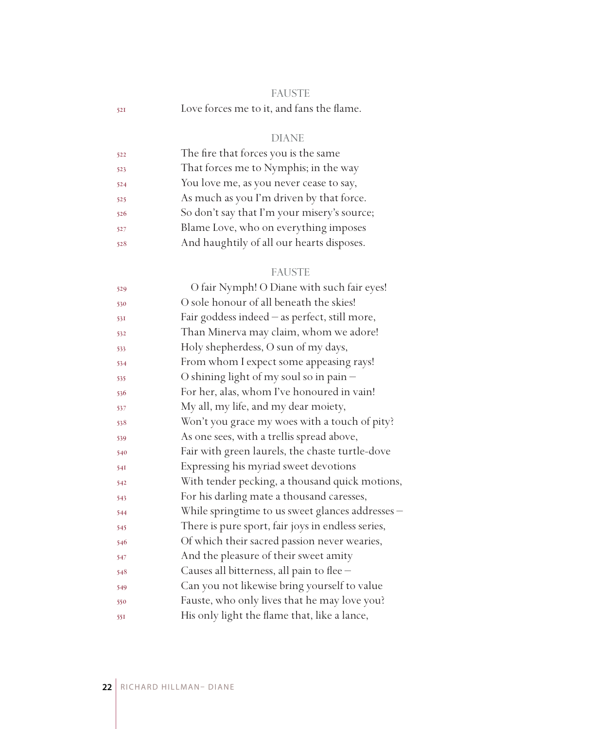|     | <b>FAUSTE</b>                             |  |
|-----|-------------------------------------------|--|
| 521 | Love forces me to it, and fans the flame. |  |

## DIANE

| 522 | The fire that forces you is the same        |
|-----|---------------------------------------------|
| 523 | That forces me to Nymphis; in the way       |
| 524 | You love me, as you never cease to say,     |
| 525 | As much as you I'm driven by that force.    |
| 526 | So don't say that I'm your misery's source; |
| 527 | Blame Love, who on everything imposes       |
| 528 | And haughtily of all our hearts disposes.   |

## FAUSTE

| 529 | O fair Nymph! O Diane with such fair eyes!        |
|-----|---------------------------------------------------|
| 530 | O sole honour of all beneath the skies!           |
| 531 | Fair goddess indeed - as perfect, still more,     |
| 532 | Than Minerva may claim, whom we adore!            |
| 533 | Holy shepherdess, O sun of my days,               |
| 534 | From whom I expect some appeasing rays!           |
| 535 | O shining light of my soul so in pain -           |
| 536 | For her, alas, whom I've honoured in vain!        |
| 537 | My all, my life, and my dear moiety,              |
| 538 | Won't you grace my woes with a touch of pity?     |
| 539 | As one sees, with a trellis spread above,         |
| 540 | Fair with green laurels, the chaste turtle-dove   |
| 54I | Expressing his myriad sweet devotions             |
| 542 | With tender pecking, a thousand quick motions,    |
| 543 | For his darling mate a thousand caresses,         |
| 544 | While springtime to us sweet glances addresses -  |
| 545 | There is pure sport, fair joys in endless series, |
| 546 | Of which their sacred passion never wearies,      |
| 547 | And the pleasure of their sweet amity             |
| 548 | Causes all bitterness, all pain to flee -         |
| 549 | Can you not likewise bring yourself to value      |
| 550 | Fauste, who only lives that he may love you?      |
| 551 | His only light the flame that, like a lance,      |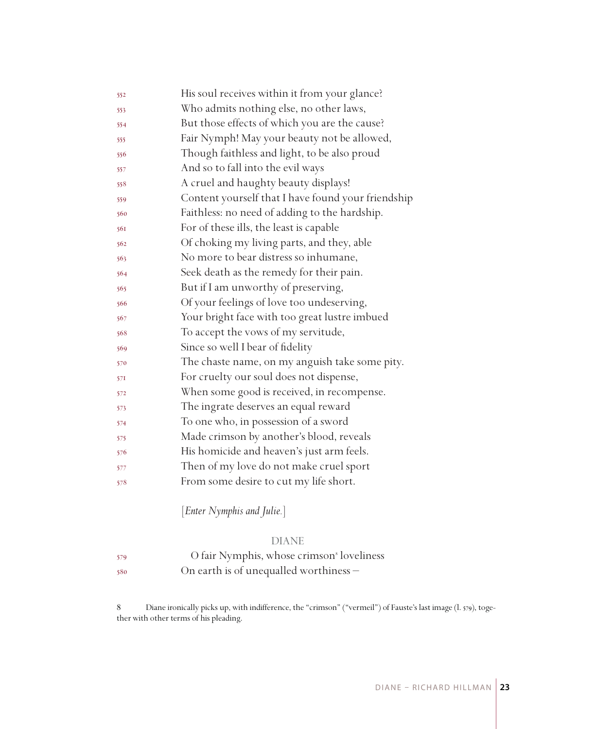| 552 | His soul receives within it from your glance?      |
|-----|----------------------------------------------------|
| 553 | Who admits nothing else, no other laws,            |
| 554 | But those effects of which you are the cause?      |
| 555 | Fair Nymph! May your beauty not be allowed,        |
| 556 | Though faithless and light, to be also proud       |
| 557 | And so to fall into the evil ways                  |
| 558 | A cruel and haughty beauty displays!               |
| 559 | Content yourself that I have found your friendship |
| 560 | Faithless: no need of adding to the hardship.      |
| 561 | For of these ills, the least is capable            |
| 562 | Of choking my living parts, and they, able         |
| 563 | No more to bear distress so inhumane,              |
| 564 | Seek death as the remedy for their pain.           |
| 565 | But if I am unworthy of preserving,                |
| 566 | Of your feelings of love too undeserving,          |
| 567 | Your bright face with too great lustre imbued      |
| 568 | To accept the vows of my servitude,                |
| 569 | Since so well I bear of fidelity                   |
| 570 | The chaste name, on my anguish take some pity.     |
| 571 | For cruelty our soul does not dispense,            |
| 572 | When some good is received, in recompense.         |
| 573 | The ingrate deserves an equal reward               |
| 574 | To one who, in possession of a sword               |
| 575 | Made crimson by another's blood, reveals           |
| 576 | His homicide and heaven's just arm feels.          |
| 577 | Then of my love do not make cruel sport            |
| 578 | From some desire to cut my life short.             |
|     |                                                    |

[*Enter Nymphis and Julie.*]

#### DIANE

 O fair Nymphis, whose crimson loveliness On earth is of unequalled worthiness –

 Diane ironically picks up, with indifference, the "crimson" ("vermeil") of Fauste's last image (l. 579), together with other terms of his pleading.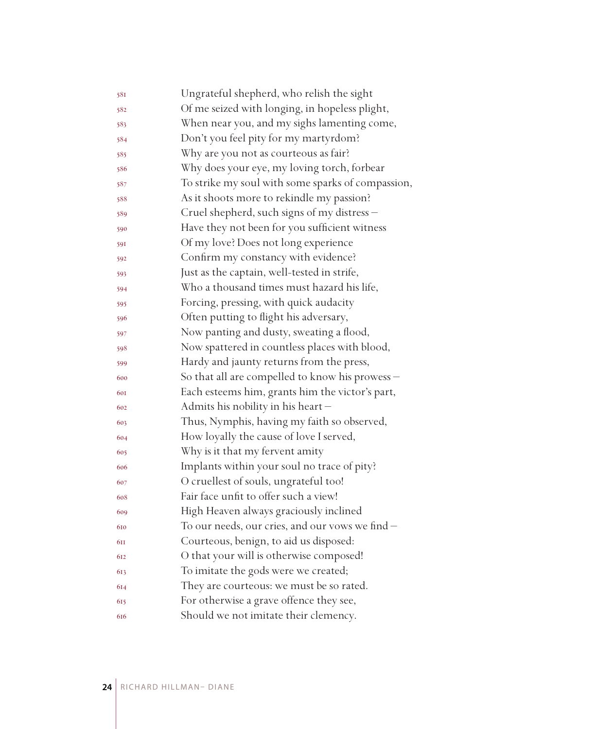| 581 | Ungrateful shepherd, who relish the sight         |
|-----|---------------------------------------------------|
| 582 | Of me seized with longing, in hopeless plight,    |
| 583 | When near you, and my sighs lamenting come,       |
| 584 | Don't you feel pity for my martyrdom?             |
| 585 | Why are you not as courteous as fair?             |
| 586 | Why does your eye, my loving torch, forbear       |
| 587 | To strike my soul with some sparks of compassion, |
| 588 | As it shoots more to rekindle my passion?         |
| 589 | Cruel shepherd, such signs of my distress -       |
| 590 | Have they not been for you sufficient witness     |
| 591 | Of my love? Does not long experience              |
| 592 | Confirm my constancy with evidence?               |
| 593 | Just as the captain, well-tested in strife,       |
| 594 | Who a thousand times must hazard his life,        |
| 595 | Forcing, pressing, with quick audacity            |
| 596 | Often putting to flight his adversary,            |
| 597 | Now panting and dusty, sweating a flood,          |
| 598 | Now spattered in countless places with blood,     |
| 599 | Hardy and jaunty returns from the press,          |
| 600 | So that all are compelled to know his prowess -   |
| 601 | Each esteems him, grants him the victor's part,   |
| 602 | Admits his nobility in his heart-                 |
| 603 | Thus, Nymphis, having my faith so observed,       |
| 604 | How loyally the cause of love I served,           |
| 605 | Why is it that my fervent amity                   |
| 606 | Implants within your soul no trace of pity?       |
| 607 | O cruellest of souls, ungrateful too!             |
| 608 | Fair face unfit to offer such a view!             |
| 609 | High Heaven always graciously inclined            |
| 610 | To our needs, our cries, and our vows we find -   |
| 6II | Courteous, benign, to aid us disposed:            |
| 612 | O that your will is otherwise composed!           |
| 613 | To imitate the gods were we created;              |
| 614 | They are courteous: we must be so rated.          |
| 615 | For otherwise a grave offence they see,           |
| 616 | Should we not imitate their clemency.             |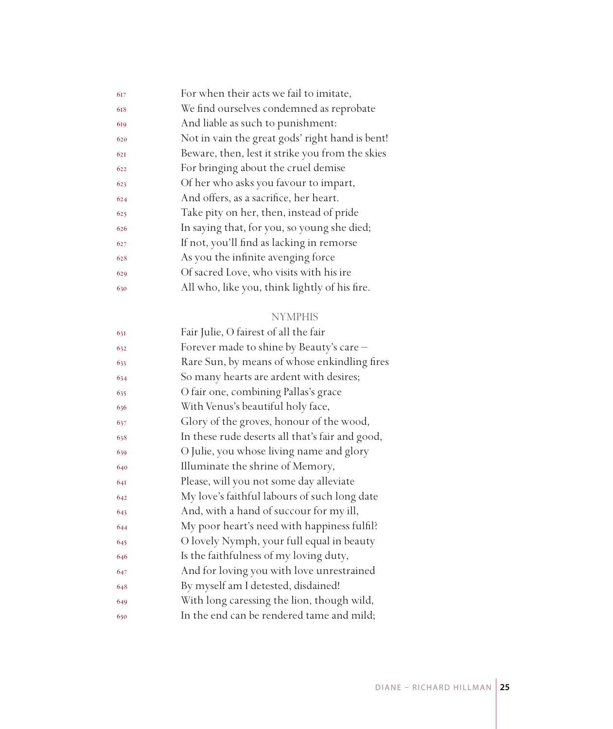| 617 | For when their acts we fail to imitate,         |
|-----|-------------------------------------------------|
| 618 | We find ourselves condemned as reprobate        |
| 619 | And liable as such to punishment:               |
| 620 | Not in vain the great gods' right hand is bent! |
| 621 | Beware, then, lest it strike you from the skies |
| 622 | For bringing about the cruel demise             |
| 623 | Of her who asks you favour to impart,           |
| 624 | And offers, as a sacrifice, her heart.          |
| 625 | Take pity on her, then, instead of pride        |
| 626 | In saying that, for you, so young she died;     |
| 627 | If not, you'll find as lacking in remorse       |
| 628 | As you the infinite avenging force              |
| 629 | Of sacred Love, who visits with his ire         |
| 630 | All who, like you, think lightly of his fire.   |
|     |                                                 |

### NYMPHIS

| 631 | Fair Julie, O fairest of all the fair           |
|-----|-------------------------------------------------|
| 632 | Forever made to shine by Beauty's care -        |
| 633 | Rare Sun, by means of whose enkindling fires    |
| 634 | So many hearts are ardent with desires;         |
| 635 | O fair one, combining Pallas's grace            |
| 636 | With Venus's beautiful holy face,               |
| 637 | Glory of the groves, honour of the wood,        |
| 638 | In these rude deserts all that's fair and good, |
| 639 | O Julie, you whose living name and glory        |
| 640 | Illuminate the shrine of Memory,                |
| 641 | Please, will you not some day alleviate         |
| 642 | My love's faithful labours of such long date    |
| 643 | And, with a hand of succour for my ill,         |
| 644 | My poor heart's need with happiness fulfil?     |
| 645 | O lovely Nymph, your full equal in beauty       |
| 646 | Is the faithfulness of my loving duty,          |
| 647 | And for loving you with love unrestrained       |
| 648 | By myself am I detested, disdained!             |
| 649 | With long caressing the lion, though wild,      |
| 650 | In the end can be rendered tame and mild;       |
|     |                                                 |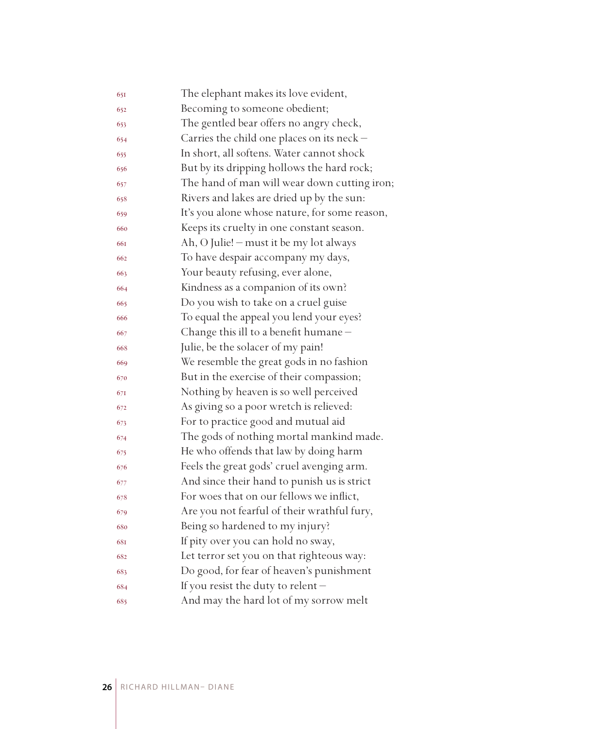| 651 | The elephant makes its love evident,          |
|-----|-----------------------------------------------|
| 652 | Becoming to someone obedient;                 |
| 653 | The gentled bear offers no angry check,       |
| 654 | Carries the child one places on its neck -    |
| 655 | In short, all softens. Water cannot shock     |
| 656 | But by its dripping hollows the hard rock;    |
| 657 | The hand of man will wear down cutting iron;  |
| 658 | Rivers and lakes are dried up by the sun:     |
| 659 | It's you alone whose nature, for some reason, |
| 660 | Keeps its cruelty in one constant season.     |
| 661 | Ah, O Julie! - must it be my lot always       |
| 662 | To have despair accompany my days,            |
| 663 | Your beauty refusing, ever alone,             |
| 664 | Kindness as a companion of its own?           |
| 665 | Do you wish to take on a cruel guise          |
| 666 | To equal the appeal you lend your eyes?       |
| 667 | Change this ill to a benefit humane -         |
| 668 | Julie, be the solacer of my pain!             |
| 669 | We resemble the great gods in no fashion      |
| 670 | But in the exercise of their compassion;      |
| 671 | Nothing by heaven is so well perceived        |
| 672 | As giving so a poor wretch is relieved:       |
| 673 | For to practice good and mutual aid           |
| 674 | The gods of nothing mortal mankind made.      |
| 675 | He who offends that law by doing harm         |
| 676 | Feels the great gods' cruel avenging arm.     |
| 677 | And since their hand to punish us is strict   |
| 678 | For woes that on our fellows we inflict,      |
| 679 | Are you not fearful of their wrathful fury,   |
| 680 | Being so hardened to my injury?               |
| 681 | If pity over you can hold no sway,            |
| 682 | Let terror set you on that righteous way:     |
| 683 | Do good, for fear of heaven's punishment      |
| 684 | If you resist the duty to relent-             |
| 685 | And may the hard lot of my sorrow melt        |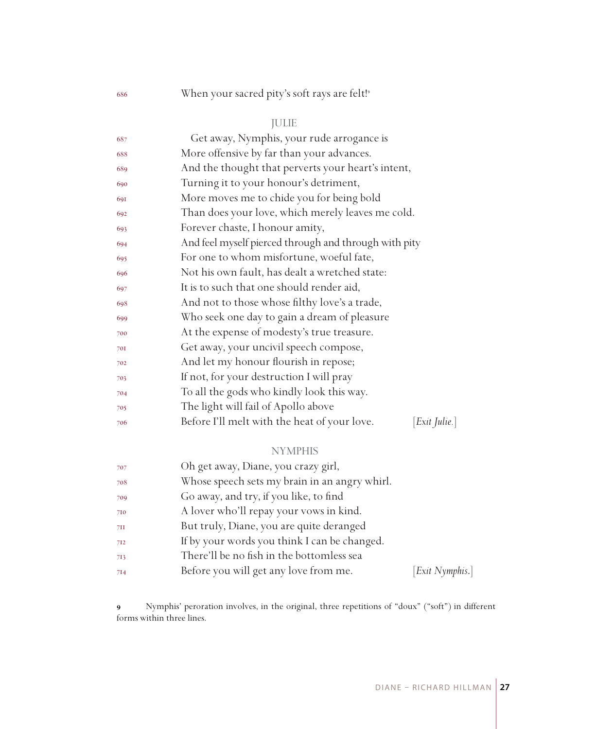## 686 When your sacred pity's soft rays are felt!<sup>9</sup>

## JULIE

| 687 | Get away, Nymphis, your rude arrogance is                          |
|-----|--------------------------------------------------------------------|
| 688 | More offensive by far than your advances.                          |
| 689 | And the thought that perverts your heart's intent,                 |
| 690 | Turning it to your honour's detriment,                             |
| 691 | More moves me to chide you for being bold                          |
| 692 | Than does your love, which merely leaves me cold.                  |
| 693 | Forever chaste, I honour amity,                                    |
| 694 | And feel myself pierced through and through with pity              |
| 695 | For one to whom misfortune, woeful fate,                           |
| 696 | Not his own fault, has dealt a wretched state:                     |
| 697 | It is to such that one should render aid,                          |
| 698 | And not to those whose filthy love's a trade,                      |
| 699 | Who seek one day to gain a dream of pleasure                       |
| 700 | At the expense of modesty's true treasure.                         |
| 701 | Get away, your uncivil speech compose,                             |
| 702 | And let my honour flourish in repose;                              |
| 703 | If not, for your destruction I will pray                           |
| 704 | To all the gods who kindly look this way.                          |
| 705 | The light will fail of Apollo above                                |
| 706 | $[Exit \; Julie.]$<br>Before I'll melt with the heat of your love. |
|     | <b>NYMPHIS</b>                                                     |
| 707 | Oh get away. Diane, you crazy girl.                                |

| 707 | Oh get away, Diane, you crazy girl,           |                 |
|-----|-----------------------------------------------|-----------------|
| 708 | Whose speech sets my brain in an angry whirl. |                 |
| 709 | Go away, and try, if you like, to find        |                 |
| 710 | A lover who'll repay your vows in kind.       |                 |
| 7II | But truly, Diane, you are quite deranged      |                 |
| 712 | If by your words you think I can be changed.  |                 |
| 713 | There'll be no fish in the bottomless sea     |                 |
| 714 | Before you will get any love from me.         | [Exit Nymphis.] |
|     |                                               |                 |

 Nymphis' peroration involves, in the original, three repetitions of "doux" ("soft") in different forms within three lines.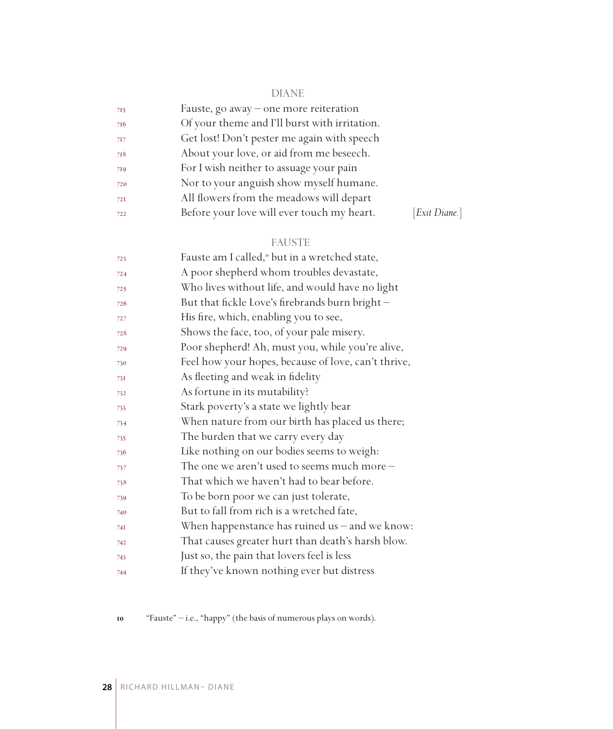## DIANE

| 715 | Fauste, go away – one more reiteration        |               |
|-----|-----------------------------------------------|---------------|
| 716 | Of your theme and I'll burst with irritation. |               |
| 717 | Get lost! Don't pester me again with speech   |               |
| 718 | About your love, or aid from me beseech.      |               |
| 719 | For I wish neither to assuage your pain       |               |
| 720 | Nor to your anguish show myself humane.       |               |
| 72I | All flowers from the meadows will depart      |               |
| 722 | Before your love will ever touch my heart.    | [Exit Diane.] |

## FAUSTE

| 723 | Fauste am I called, <sup>10</sup> but in a wretched state, |
|-----|------------------------------------------------------------|
| 724 | A poor shepherd whom troubles devastate,                   |
| 725 | Who lives without life, and would have no light            |
| 726 | But that fickle Love's firebrands burn bright-             |
| 727 | His fire, which, enabling you to see,                      |
| 728 | Shows the face, too, of your pale misery.                  |
| 729 | Poor shepherd! Ah, must you, while you're alive,           |
| 730 | Feel how your hopes, because of love, can't thrive,        |
| 731 | As fleeting and weak in fidelity                           |
| 732 | As fortune in its mutability?                              |
| 733 | Stark poverty's a state we lightly bear                    |
| 734 | When nature from our birth has placed us there;            |
| 735 | The burden that we carry every day                         |
| 736 | Like nothing on our bodies seems to weigh:                 |
| 737 | The one we aren't used to seems much more $-$              |
| 738 | That which we haven't had to bear before.                  |
| 739 | To be born poor we can just tolerate,                      |
| 740 | But to fall from rich is a wretched fate,                  |
| 741 | When happenstance has ruined us $-$ and we know:           |
| 742 | That causes greater hurt than death's harsh blow.          |
| 743 | Just so, the pain that lovers feel is less                 |
| 744 | If they've known nothing ever but distress                 |

"Fauste" – i.e., "happy" (the basis of numerous plays on words).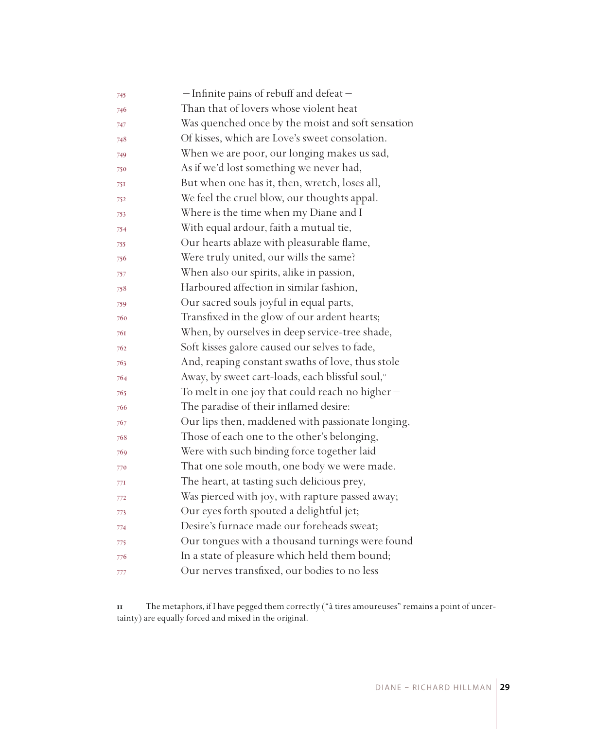| 745 | - Infinite pains of rebuff and defeat-            |
|-----|---------------------------------------------------|
| 746 | Than that of lovers whose violent heat            |
| 747 | Was quenched once by the moist and soft sensation |
| 748 | Of kisses, which are Love's sweet consolation.    |
| 749 | When we are poor, our longing makes us sad,       |
| 750 | As if we'd lost something we never had,           |
| 751 | But when one has it, then, wretch, loses all,     |
| 752 | We feel the cruel blow, our thoughts appal.       |
| 753 | Where is the time when my Diane and I             |
| 754 | With equal ardour, faith a mutual tie,            |
| 755 | Our hearts ablaze with pleasurable flame,         |
| 756 | Were truly united, our wills the same?            |
| 757 | When also our spirits, alike in passion,          |
| 758 | Harboured affection in similar fashion,           |
| 759 | Our sacred souls joyful in equal parts,           |
| 760 | Transfixed in the glow of our ardent hearts;      |
| 761 | When, by ourselves in deep service-tree shade,    |
| 762 | Soft kisses galore caused our selves to fade,     |
| 763 | And, reaping constant swaths of love, thus stole  |
| 764 | Away, by sweet cart-loads, each blissful soul,"   |
| 765 | To melt in one joy that could reach no higher -   |
| 766 | The paradise of their inflamed desire:            |
| 767 | Our lips then, maddened with passionate longing,  |
| 768 | Those of each one to the other's belonging,       |
| 769 | Were with such binding force together laid        |
| 770 | That one sole mouth, one body we were made.       |
| 77I | The heart, at tasting such delicious prey,        |
| 772 | Was pierced with joy, with rapture passed away;   |
| 773 | Our eyes forth spouted a delightful jet;          |
| 774 | Desire's furnace made our foreheads sweat;        |
| 775 | Our tongues with a thousand turnings were found   |
| 776 | In a state of pleasure which held them bound;     |
| 777 | Our nerves transfixed, our bodies to no less      |

 The metaphors, if I have pegged them correctly ("à tires amoureuses" remains a point of uncertainty) are equally forced and mixed in the original.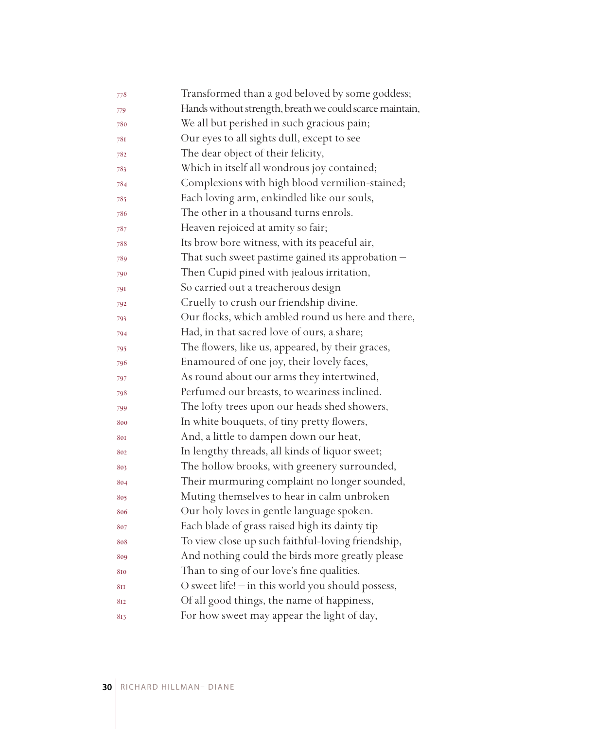| 778             | Transformed than a god beloved by some goddess;          |
|-----------------|----------------------------------------------------------|
| 779             | Hands without strength, breath we could scarce maintain, |
| 780             | We all but perished in such gracious pain;               |
| 781             | Our eyes to all sights dull, except to see               |
| 782             | The dear object of their felicity,                       |
| 783             | Which in itself all wondrous joy contained;              |
| 784             | Complexions with high blood vermilion-stained;           |
| 785             | Each loving arm, enkindled like our souls,               |
| 786             | The other in a thousand turns enrols.                    |
| 787             | Heaven rejoiced at amity so fair;                        |
| 788             | Its brow bore witness, with its peaceful air,            |
| 789             | That such sweet pastime gained its approbation $-$       |
| 790             | Then Cupid pined with jealous irritation,                |
| 791             | So carried out a treacherous design                      |
| 792             | Cruelly to crush our friendship divine.                  |
| 793             | Our flocks, which ambled round us here and there,        |
| 794             | Had, in that sacred love of ours, a share;               |
| 795             | The flowers, like us, appeared, by their graces,         |
| 796             | Enamoured of one joy, their lovely faces,                |
| 797             | As round about our arms they intertwined,                |
| 798             | Perfumed our breasts, to weariness inclined.             |
| 799             | The lofty trees upon our heads shed showers,             |
| 800             | In white bouquets, of tiny pretty flowers,               |
| 801             | And, a little to dampen down our heat,                   |
| 802             | In lengthy threads, all kinds of liquor sweet;           |
| 803             | The hollow brooks, with greenery surrounded,             |
| 804             | Their murmuring complaint no longer sounded,             |
| 805             | Muting themselves to hear in calm unbroken               |
| 806             | Our holy loves in gentle language spoken.                |
| 807             | Each blade of grass raised high its dainty tip           |
| 808             | To view close up such faithful-loving friendship,        |
| 809             | And nothing could the birds more greatly please          |
| 810             | Than to sing of our love's fine qualities.               |
| 8 <sub>II</sub> | O sweet life! - in this world you should possess,        |
| 812             | Of all good things, the name of happiness,               |
| 813             | For how sweet may appear the light of day,               |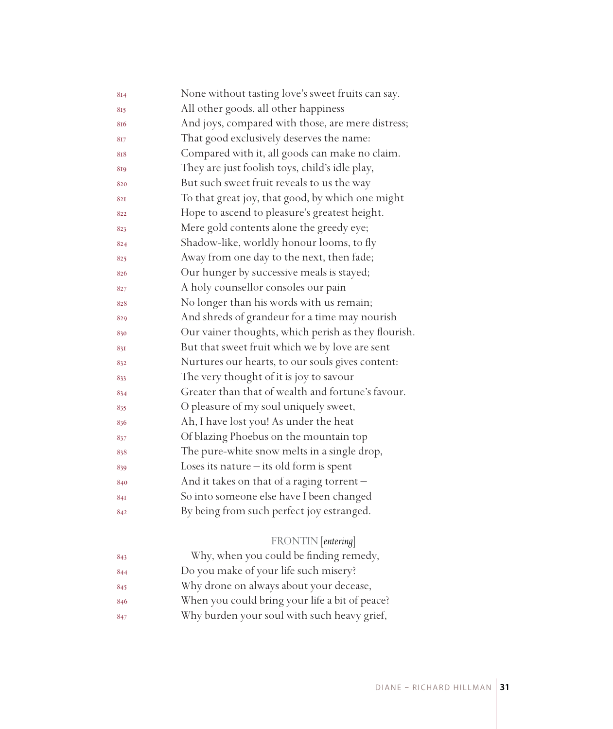| 814 | None without tasting love's sweet fruits can say.   |
|-----|-----------------------------------------------------|
| 815 | All other goods, all other happiness                |
| 816 | And joys, compared with those, are mere distress;   |
| 817 | That good exclusively deserves the name:            |
| 818 | Compared with it, all goods can make no claim.      |
| 819 | They are just foolish toys, child's idle play,      |
| 820 | But such sweet fruit reveals to us the way          |
| 821 | To that great joy, that good, by which one might    |
| 822 | Hope to ascend to pleasure's greatest height.       |
| 823 | Mere gold contents alone the greedy eye;            |
| 824 | Shadow-like, worldly honour looms, to fly           |
| 825 | Away from one day to the next, then fade;           |
| 826 | Our hunger by successive meals is stayed;           |
| 827 | A holy counsellor consoles our pain                 |
| 828 | No longer than his words with us remain;            |
| 829 | And shreds of grandeur for a time may nourish       |
| 830 | Our vainer thoughts, which perish as they flourish. |
| 831 | But that sweet fruit which we by love are sent      |
| 832 | Nurtures our hearts, to our souls gives content:    |
| 833 | The very thought of it is joy to savour             |
| 834 | Greater than that of wealth and fortune's favour.   |
| 835 | O pleasure of my soul uniquely sweet,               |
| 836 | Ah, I have lost you! As under the heat              |
| 837 | Of blazing Phoebus on the mountain top              |
| 838 | The pure-white snow melts in a single drop,         |
| 839 | Loses its nature $-$ its old form is spent          |
| 840 | And it takes on that of a raging torrent -          |
| 841 | So into someone else have I been changed            |
| 842 | By being from such perfect joy estranged.           |
|     |                                                     |
|     | FRONTIN [entering]                                  |
| 843 | Why, when you could be finding remedy,              |
| 844 | Do you make of your life such misery?               |
| 845 | Why drone on always about your decease,             |
| 846 | When you could bring your life a bit of peace?      |
| 847 | Why burden your soul with such heavy grief,         |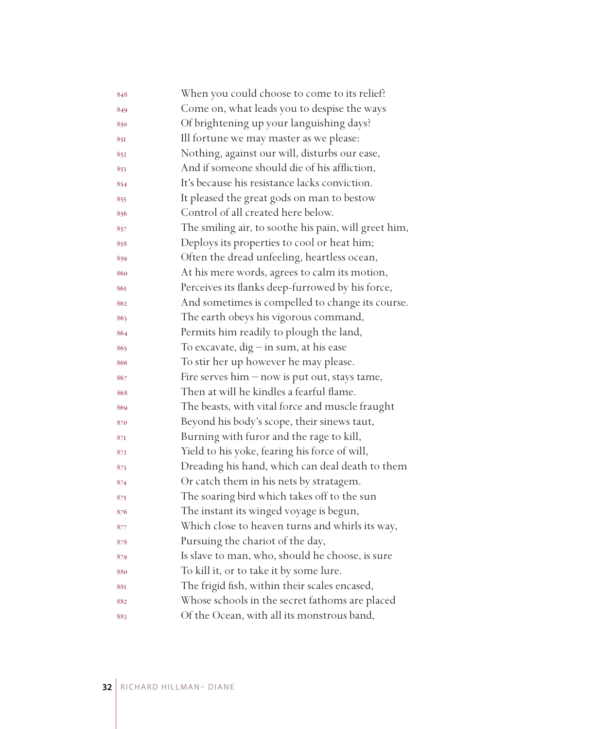| 848 | When you could choose to come to its relief?         |
|-----|------------------------------------------------------|
| 849 | Come on, what leads you to despise the ways          |
| 850 | Of brightening up your languishing days?             |
| 851 | Ill fortune we may master as we please:              |
| 852 | Nothing, against our will, disturbs our ease,        |
| 853 | And if someone should die of his affliction,         |
| 854 | It's because his resistance lacks conviction.        |
| 855 | It pleased the great gods on man to bestow           |
| 856 | Control of all created here below.                   |
| 857 | The smiling air, to soothe his pain, will greet him, |
| 858 | Deploys its properties to cool or heat him;          |
| 859 | Often the dread unfeeling, heartless ocean,          |
| 860 | At his mere words, agrees to calm its motion,        |
| 861 | Perceives its flanks deep-furrowed by his force,     |
| 862 | And sometimes is compelled to change its course.     |
| 863 | The earth obeys his vigorous command,                |
| 864 | Permits him readily to plough the land,              |
| 865 | To excavate, $dig$ - in sum, at his ease             |
| 866 | To stir her up however he may please.                |
| 867 | Fire serves $him - now$ is put out, stays tame,      |
| 868 | Then at will he kindles a fearful flame.             |
| 869 | The beasts, with vital force and muscle fraught      |
| 870 | Beyond his body's scope, their sinews taut,          |
| 871 | Burning with furor and the rage to kill,             |
| 872 | Yield to his yoke, fearing his force of will,        |
| 873 | Dreading his hand, which can deal death to them      |
| 874 | Or catch them in his nets by stratagem.              |
| 875 | The soaring bird which takes off to the sun          |
| 876 | The instant its winged voyage is begun,              |
| 877 | Which close to heaven turns and whirls its way,      |
| 878 | Pursuing the chariot of the day,                     |
| 879 | Is slave to man, who, should he choose, is sure      |
| 880 | To kill it, or to take it by some lure.              |
| 881 | The frigid fish, within their scales encased,        |
| 882 | Whose schools in the secret fathoms are placed       |
| 883 | Of the Ocean, with all its monstrous band,           |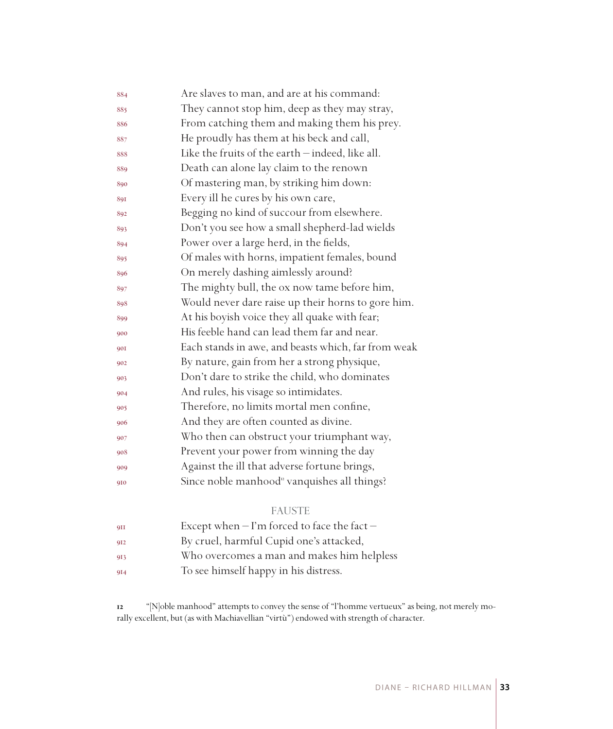| 884        | Are slaves to man, and are at his command:              |
|------------|---------------------------------------------------------|
| 885        | They cannot stop him, deep as they may stray,           |
| 886        | From catching them and making them his prey.            |
| 887        | He proudly has them at his beck and call,               |
| 888        | Like the fruits of the earth - indeed, like all.        |
| 889        | Death can alone lay claim to the renown                 |
| 890        | Of mastering man, by striking him down:                 |
| 891        | Every ill he cures by his own care,                     |
| 892        | Begging no kind of succour from elsewhere.              |
| 893        | Don't you see how a small shepherd-lad wields           |
| 894        | Power over a large herd, in the fields,                 |
| 895        | Of males with horns, impatient females, bound           |
| 896        | On merely dashing aimlessly around?                     |
| 897        | The mighty bull, the ox now tame before him,            |
| 898        | Would never dare raise up their horns to gore him.      |
| 899        | At his boyish voice they all quake with fear;           |
| 900        | His feeble hand can lead them far and near.             |
| <b>90I</b> | Each stands in awe, and beasts which, far from weak     |
| 902        | By nature, gain from her a strong physique,             |
| 903        | Don't dare to strike the child, who dominates           |
| 904        | And rules, his visage so intimidates.                   |
| 905        | Therefore, no limits mortal men confine,                |
| 906        | And they are often counted as divine.                   |
| 907        | Who then can obstruct your triumphant way,              |
| 908        | Prevent your power from winning the day                 |
| 909        | Against the ill that adverse fortune brings,            |
| 910        | Since noble manhood <sup>"</sup> vanquishes all things? |

## FAUSTE

| QII | Except when $-$ I'm forced to face the fact $-$ |
|-----|-------------------------------------------------|
| 912 | By cruel, harmful Cupid one's attacked,         |
| 913 | Who overcomes a man and makes him helpless      |
| 9I4 | To see himself happy in his distress.           |

 "[N]oble manhood" attempts to convey the sense of "l'homme vertueux" as being, not merely morally excellent, but (as with Machiavellian "virtù") endowed with strength of character.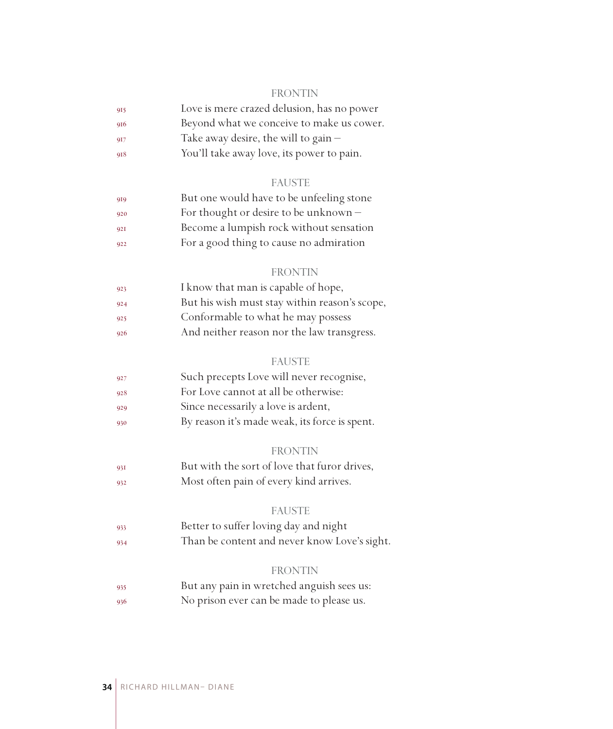#### FRONTIN

| 915 | Love is mere crazed delusion, has no power |
|-----|--------------------------------------------|
| 916 | Beyond what we conceive to make us cower.  |
| 917 | Take away desire, the will to gain $-$     |
|     |                                            |

You'll take away love, its power to pain.

#### FAUSTE

| 919 | But one would have to be unfeeling stone |
|-----|------------------------------------------|
| 920 | For thought or desire to be unknown $-$  |
| 921 | Become a lumpish rock without sensation  |
| 922 | For a good thing to cause no admiration  |

#### FRONTIN

| 923 | I know that man is capable of hope,           |
|-----|-----------------------------------------------|
| 924 | But his wish must stay within reason's scope, |
| 925 | Conformable to what he may possess            |
| 926 | And neither reason nor the law transgress.    |

#### FAUSTE

| 927 | Such precepts Love will never recognise,      |
|-----|-----------------------------------------------|
| 928 | For Love cannot at all be otherwise:          |
| 929 | Since necessarily a love is ardent,           |
| 930 | By reason it's made weak, its force is spent. |

#### FRONTIN

 But with the sort of love that furor drives, Most often pain of every kind arrives.

#### FAUSTE

 Better to suffer loving day and night Than be content and never know Love's sight.

#### FRONTIN

 But any pain in wretched anguish sees us: No prison ever can be made to please us.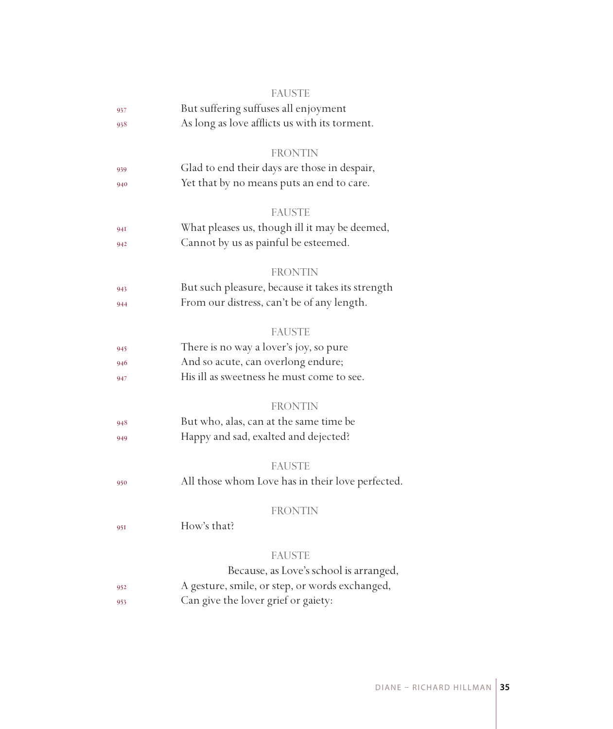|     | <b>FAUSTE</b>                                    |  |  |  |  |  |
|-----|--------------------------------------------------|--|--|--|--|--|
| 937 | But suffering suffuses all enjoyment             |  |  |  |  |  |
| 938 | As long as love afflicts us with its torment.    |  |  |  |  |  |
|     | <b>FRONTIN</b>                                   |  |  |  |  |  |
| 939 | Glad to end their days are those in despair,     |  |  |  |  |  |
| 940 | Yet that by no means puts an end to care.        |  |  |  |  |  |
|     | <b>FAUSTE</b>                                    |  |  |  |  |  |
| 94I | What pleases us, though ill it may be deemed,    |  |  |  |  |  |
| 942 | Cannot by us as painful be esteemed.             |  |  |  |  |  |
|     | <b>FRONTIN</b>                                   |  |  |  |  |  |
| 943 | But such pleasure, because it takes its strength |  |  |  |  |  |
| 944 | From our distress, can't be of any length.       |  |  |  |  |  |
|     | <b>FAUSTE</b>                                    |  |  |  |  |  |
| 945 | There is no way a lover's joy, so pure           |  |  |  |  |  |
| 946 | And so acute, can overlong endure;               |  |  |  |  |  |
| 947 | His ill as sweetness he must come to see.        |  |  |  |  |  |
|     | <b>FRONTIN</b>                                   |  |  |  |  |  |
| 948 | But who, alas, can at the same time be           |  |  |  |  |  |
| 949 | Happy and sad, exalted and dejected?             |  |  |  |  |  |
|     | <b>FAUSTE</b>                                    |  |  |  |  |  |
| 950 | All those whom Love has in their love perfected. |  |  |  |  |  |
|     | <b>FRONTIN</b>                                   |  |  |  |  |  |
| 951 | How's that?                                      |  |  |  |  |  |
|     | <b>FAUSTE</b>                                    |  |  |  |  |  |
|     | Because, as Love's school is arranged,           |  |  |  |  |  |
| 952 | A gesture, smile, or step, or words exchanged,   |  |  |  |  |  |
| 953 | Can give the lover grief or gaiety:              |  |  |  |  |  |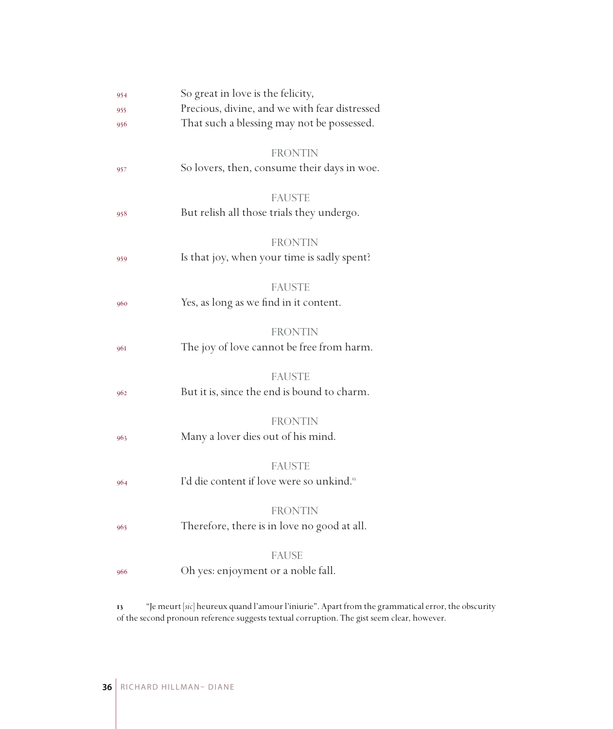| 954 | So great in love is the felicity,                    |  |  |  |
|-----|------------------------------------------------------|--|--|--|
| 955 | Precious, divine, and we with fear distressed        |  |  |  |
| 956 | That such a blessing may not be possessed.           |  |  |  |
|     | <b>FRONTIN</b>                                       |  |  |  |
| 957 | So lovers, then, consume their days in woe.          |  |  |  |
|     | <b>FAUSTE</b>                                        |  |  |  |
| 958 | But relish all those trials they undergo.            |  |  |  |
|     | <b>FRONTIN</b>                                       |  |  |  |
| 959 | Is that joy, when your time is sadly spent?          |  |  |  |
|     | <b>FAUSTE</b>                                        |  |  |  |
| 960 | Yes, as long as we find in it content.               |  |  |  |
|     |                                                      |  |  |  |
|     | <b>FRONTIN</b>                                       |  |  |  |
| 961 | The joy of love cannot be free from harm.            |  |  |  |
|     |                                                      |  |  |  |
|     | <b>FAUSTE</b>                                        |  |  |  |
| 962 | But it is, since the end is bound to charm.          |  |  |  |
|     |                                                      |  |  |  |
|     | <b>FRONTIN</b>                                       |  |  |  |
| 963 | Many a lover dies out of his mind.                   |  |  |  |
|     |                                                      |  |  |  |
|     | <b>FAUSTE</b>                                        |  |  |  |
| 964 | I'd die content if love were so unkind. <sup>5</sup> |  |  |  |
|     | <b>FRONTIN</b>                                       |  |  |  |
|     | Therefore, there is in love no good at all.          |  |  |  |
| 965 |                                                      |  |  |  |
|     | <b>FAUSE</b>                                         |  |  |  |
| 966 | Oh yes: enjoyment or a noble fall.                   |  |  |  |
|     |                                                      |  |  |  |
|     |                                                      |  |  |  |

 "Je meurt [*sic*] heureux quand l'amour l'iniurie". Apart from the grammatical error, the obscurity of the second pronoun reference suggests textual corruption. The gist seem clear, however.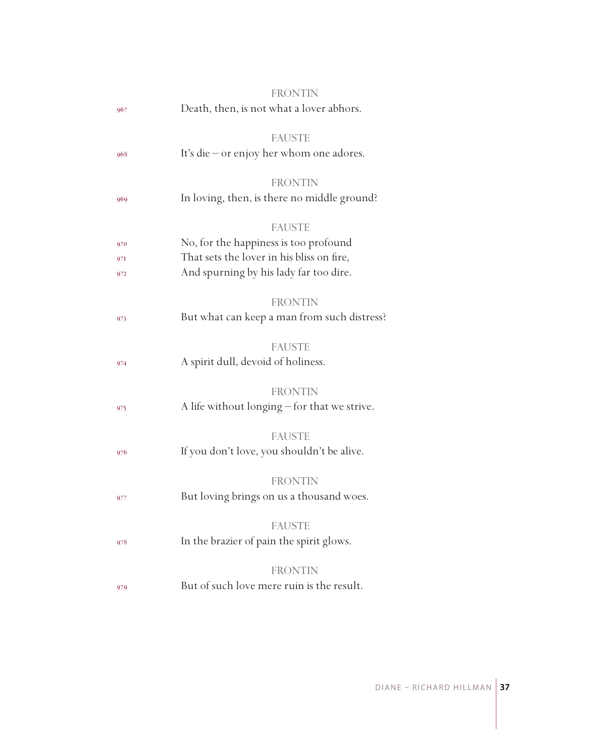|     | FRONTIN                                      |
|-----|----------------------------------------------|
| 967 | Death, then, is not what a lover abhors.     |
|     | <b>FAUSTE</b>                                |
| 968 | It's die - or enjoy her whom one adores.     |
|     | <b>FRONTIN</b>                               |
| 969 | In loving, then, is there no middle ground?  |
|     | <b>FAUSTE</b>                                |
| 970 | No, for the happiness is too profound        |
| 97I | That sets the lover in his bliss on fire,    |
| 972 | And spurning by his lady far too dire.       |
|     | <b>FRONTIN</b>                               |
| 973 | But what can keep a man from such distress?  |
|     | <b>FAUSTE</b>                                |
| 974 | A spirit dull, devoid of holiness.           |
|     | <b>FRONTIN</b>                               |
| 975 | A life without longing - for that we strive. |
|     | <b>FAUSTE</b>                                |
| 976 | If you don't love, you shouldn't be alive.   |
|     | <b>FRONTIN</b>                               |
| 977 | But loving brings on us a thousand woes.     |
|     | <b>FAUSTE</b>                                |
| 978 | In the brazier of pain the spirit glows.     |
|     | <b>FRONTIN</b>                               |
| 979 | But of such love mere ruin is the result.    |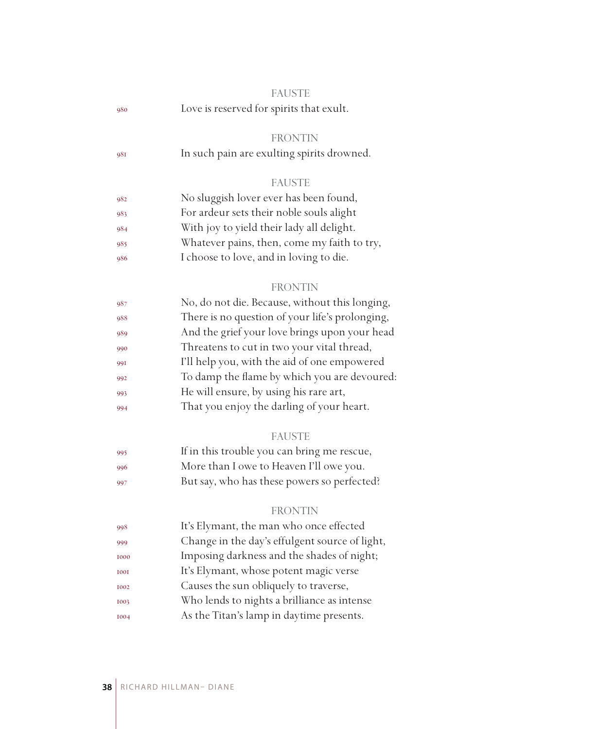|             | <b>FAUSTE</b>                                   |  |  |  |
|-------------|-------------------------------------------------|--|--|--|
| 980         | Love is reserved for spirits that exult.        |  |  |  |
|             |                                                 |  |  |  |
|             | <b>FRONTIN</b>                                  |  |  |  |
| 981         | In such pain are exulting spirits drowned.      |  |  |  |
|             |                                                 |  |  |  |
|             | <b>FAUSTE</b>                                   |  |  |  |
| 982         | No sluggish lover ever has been found,          |  |  |  |
| 983         | For ardeur sets their noble souls alight        |  |  |  |
| 984         | With joy to yield their lady all delight.       |  |  |  |
| 985         | Whatever pains, then, come my faith to try,     |  |  |  |
| 986         | I choose to love, and in loving to die.         |  |  |  |
|             |                                                 |  |  |  |
|             | <b>FRONTIN</b>                                  |  |  |  |
| 987         | No, do not die. Because, without this longing,  |  |  |  |
| 988         | There is no question of your life's prolonging, |  |  |  |
| 989         | And the grief your love brings upon your head   |  |  |  |
| 990         | Threatens to cut in two your vital thread,      |  |  |  |
| 991         | I'll help you, with the aid of one empowered    |  |  |  |
| 992         | To damp the flame by which you are devoured:    |  |  |  |
| 993         | He will ensure, by using his rare art,          |  |  |  |
| 994         | That you enjoy the darling of your heart.       |  |  |  |
|             | <b>FAUSTE</b>                                   |  |  |  |
| 995         | If in this trouble you can bring me rescue,     |  |  |  |
| 996         | More than I owe to Heaven I'll owe you.         |  |  |  |
| 997         | But say, who has these powers so perfected?     |  |  |  |
|             |                                                 |  |  |  |
|             | <b>FRONTIN</b>                                  |  |  |  |
| 998         | It's Elymant, the man who once effected         |  |  |  |
| 999         | Change in the day's effulgent source of light,  |  |  |  |
| 1000        | Imposing darkness and the shades of night;      |  |  |  |
| <b>I00I</b> | It's Elymant, whose potent magic verse          |  |  |  |
| 1002        | Causes the sun obliquely to traverse,           |  |  |  |
| 1003        | Who lends to nights a brilliance as intense     |  |  |  |
| 1004        | As the Titan's lamp in daytime presents.        |  |  |  |
|             |                                                 |  |  |  |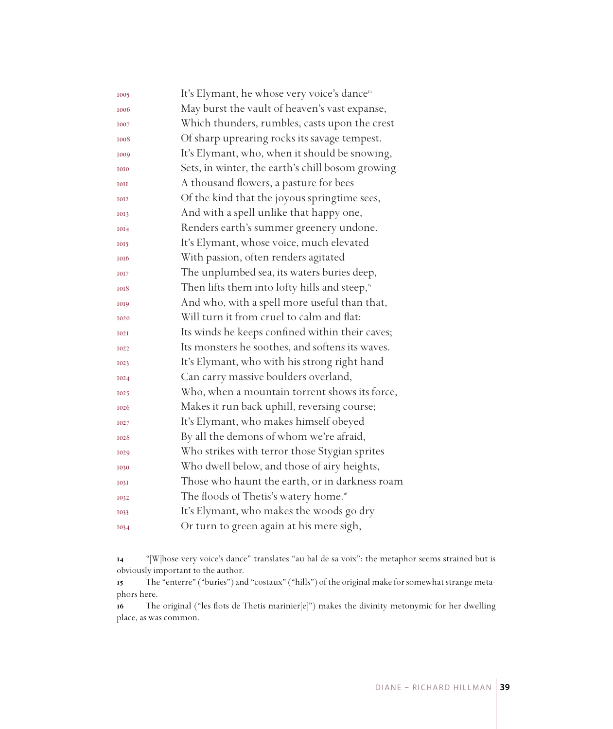| 1005        | It's Elymant, he whose very voice's dance <sup>14</sup>  |
|-------------|----------------------------------------------------------|
| 1006        | May burst the vault of heaven's vast expanse,            |
| 1007        | Which thunders, rumbles, casts upon the crest            |
| 1008        | Of sharp uprearing rocks its savage tempest.             |
| 1009        | It's Elymant, who, when it should be snowing,            |
| 1010        | Sets, in winter, the earth's chill bosom growing         |
| <b>IOII</b> | A thousand flowers, a pasture for bees                   |
| 1012        | Of the kind that the joyous springtime sees,             |
| 1013        | And with a spell unlike that happy one,                  |
| 1014        | Renders earth's summer greenery undone.                  |
| 1015        | It's Elymant, whose voice, much elevated                 |
| 1016        | With passion, often renders agitated                     |
| 1017        | The unplumbed sea, its waters buries deep,               |
| 1018        | Then lifts them into lofty hills and steep, <sup>5</sup> |
| 1019        | And who, with a spell more useful than that,             |
| 1020        | Will turn it from cruel to calm and flat:                |
| <b>I02I</b> | Its winds he keeps confined within their caves;          |
| 1022        | Its monsters he soothes, and softens its waves.          |
| 1023        | It's Elymant, who with his strong right hand             |
| 1024        | Can carry massive boulders overland,                     |
| 1025        | Who, when a mountain torrent shows its force,            |
| 1026        | Makes it run back uphill, reversing course;              |
| 1027        | It's Elymant, who makes himself obeyed                   |
| 1028        | By all the demons of whom we're afraid,                  |
| 1029        | Who strikes with terror those Stygian sprites            |
| 1030        | Who dwell below, and those of airy heights,              |
| <b>1031</b> | Those who haunt the earth, or in darkness roam           |
| 1032        | The floods of Thetis's watery home. <sup>16</sup>        |
| 1033        | It's Elymant, who makes the woods go dry                 |
| 1034        | Or turn to green again at his mere sigh,                 |

 "[W]hose very voice's dance" translates "au bal de sa voix": the metaphor seems strained but is obviously important to the author.

 The "enterre" ("buries") and "costaux" ("hills") of the original make for somewhat strange metaphors here.

 The original ("les flots de Thetis marinier[e]") makes the divinity metonymic for her dwelling place, as was common.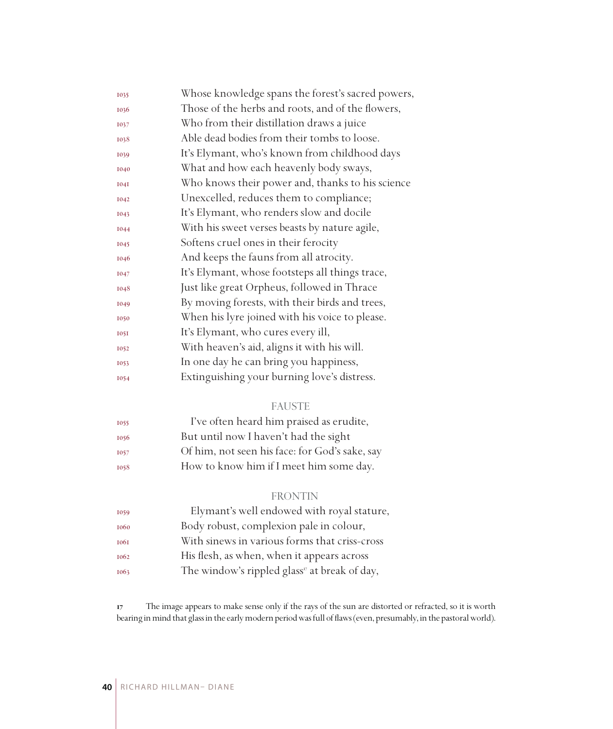| 1035        | Whose knowledge spans the forest's sacred powers, |
|-------------|---------------------------------------------------|
| 1036        | Those of the herbs and roots, and of the flowers, |
| 1037        | Who from their distillation draws a juice         |
| 1038        | Able dead bodies from their tombs to loose.       |
| 1039        | It's Elymant, who's known from childhood days     |
| 1040        | What and how each heavenly body sways,            |
| <b>I04I</b> | Who knows their power and, thanks to his science  |
| 1042        | Unexcelled, reduces them to compliance;           |
| 1043        | It's Elymant, who renders slow and docile         |
| 1044        | With his sweet verses beasts by nature agile,     |
| 1045        | Softens cruel ones in their ferocity              |
| 1046        | And keeps the fauns from all atrocity.            |
| 1047        | It's Elymant, whose footsteps all things trace,   |
| 1048        | Just like great Orpheus, followed in Thrace       |
| 1049        | By moving forests, with their birds and trees,    |
| 1050        | When his lyre joined with his voice to please.    |
| <b>1051</b> | It's Elymant, who cures every ill,                |
| 1052        | With heaven's aid, aligns it with his will.       |
| 1053        | In one day he can bring you happiness,            |
| 1054        | Extinguishing your burning love's distress.       |

## FAUSTE

| 1055 | I've often heard him praised as erudite,       |  |  |  |
|------|------------------------------------------------|--|--|--|
| 1056 | But until now I haven't had the sight          |  |  |  |
| 1057 | Of him, not seen his face: for God's sake, say |  |  |  |
| 1058 | How to know him if I meet him some day.        |  |  |  |

#### FRONTIN

| 1059 | Elymant's well endowed with royal stature,                |
|------|-----------------------------------------------------------|
| 1060 | Body robust, complexion pale in colour,                   |
| 1061 | With sinews in various forms that criss-cross             |
| 1062 | His flesh, as when, when it appears across                |
| 1063 | The window's rippled glass <sup>17</sup> at break of day, |

 The image appears to make sense only if the rays of the sun are distorted or refracted, so it is worth bearing in mind that glass in the early modern period was full of flaws (even, presumably, in the pastoral world).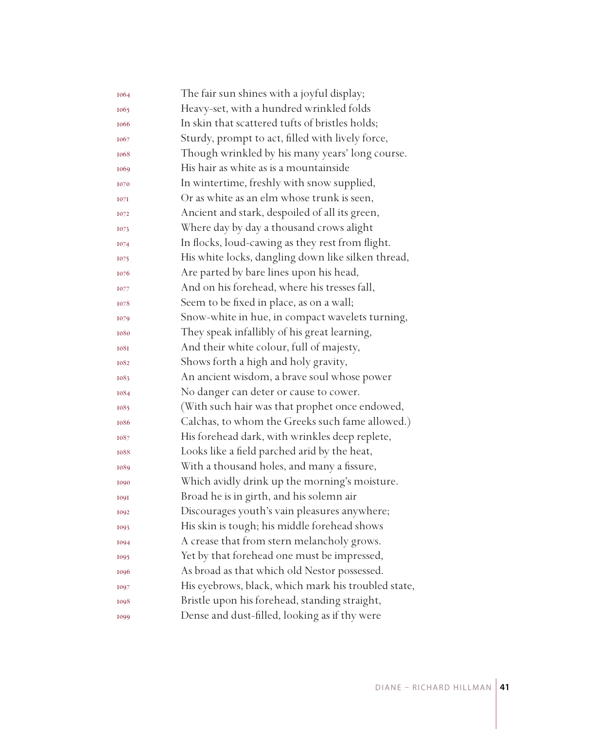| 1064 | The fair sun shines with a joyful display;          |
|------|-----------------------------------------------------|
| 1065 | Heavy-set, with a hundred wrinkled folds            |
| 1066 | In skin that scattered tufts of bristles holds;     |
| 1067 | Sturdy, prompt to act, filled with lively force,    |
| 1068 | Though wrinkled by his many years' long course.     |
| 1069 | His hair as white as is a mountainside              |
| 1070 | In wintertime, freshly with snow supplied,          |
| 1071 | Or as white as an elm whose trunk is seen,          |
| 1072 | Ancient and stark, despoiled of all its green,      |
| 1073 | Where day by day a thousand crows alight            |
| 1074 | In flocks, loud-cawing as they rest from flight.    |
| 1075 | His white locks, dangling down like silken thread,  |
| 1076 | Are parted by bare lines upon his head,             |
| 1077 | And on his forehead, where his tresses fall,        |
| 1078 | Seem to be fixed in place, as on a wall;            |
| 1079 | Snow-white in hue, in compact wavelets turning,     |
| 1080 | They speak infallibly of his great learning,        |
| 1081 | And their white colour, full of majesty,            |
| 1082 | Shows forth a high and holy gravity,                |
| 1083 | An ancient wisdom, a brave soul whose power         |
| 1084 | No danger can deter or cause to cower.              |
| 1085 | (With such hair was that prophet once endowed,      |
| 1086 | Calchas, to whom the Greeks such fame allowed.)     |
| 1087 | His forehead dark, with wrinkles deep replete,      |
| 1088 | Looks like a field parched arid by the heat,        |
| 1089 | With a thousand holes, and many a fissure,          |
| 1090 | Which avidly drink up the morning's moisture.       |
| 1091 | Broad he is in girth, and his solemn air            |
| 1092 | Discourages youth's vain pleasures anywhere;        |
| 1093 | His skin is tough; his middle forehead shows        |
| 1094 | A crease that from stern melancholy grows.          |
| 1095 | Yet by that forehead one must be impressed,         |
| 1096 | As broad as that which old Nestor possessed.        |
| 1097 | His eyebrows, black, which mark his troubled state, |
| 1098 | Bristle upon his forehead, standing straight,       |
| 1099 | Dense and dust-filled, looking as if thy were       |
|      |                                                     |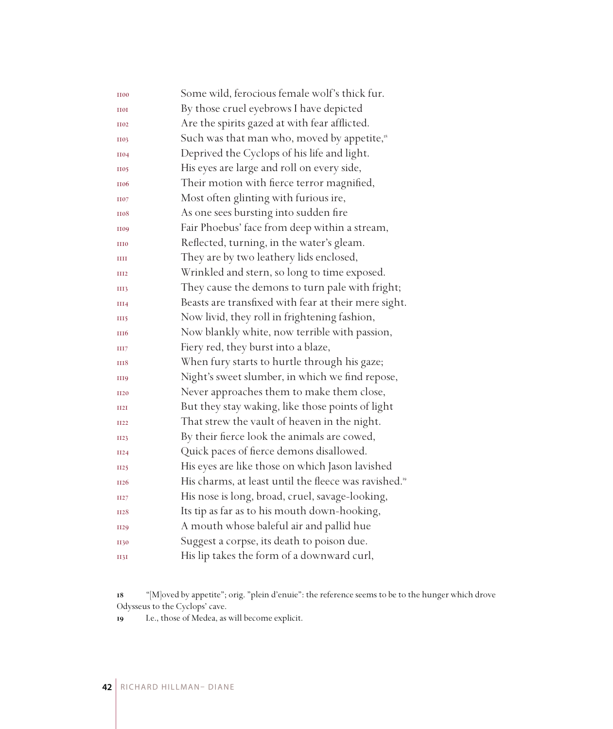| <b>II00</b>      | Some wild, ferocious female wolf's thick fur.                     |
|------------------|-------------------------------------------------------------------|
| <b>HOI</b>       | By those cruel eyebrows I have depicted                           |
| <b>H02</b>       | Are the spirits gazed at with fear afflicted.                     |
| <b>H03</b>       | Such was that man who, moved by appetite, <sup>18</sup>           |
| <b>II04</b>      | Deprived the Cyclops of his life and light.                       |
| <b>H05</b>       | His eyes are large and roll on every side,                        |
| <b>II06</b>      | Their motion with fierce terror magnified,                        |
| <b>H07</b>       | Most often glinting with furious ire,                             |
| <b>H08</b>       | As one sees bursting into sudden fire                             |
| <b>II09</b>      | Fair Phoebus' face from deep within a stream,                     |
| <b>III0</b>      | Reflected, turning, in the water's gleam.                         |
| Ш                | They are by two leathery lids enclosed,                           |
| III <sub>2</sub> | Wrinkled and stern, so long to time exposed.                      |
| III3             | They cause the demons to turn pale with fright;                   |
| III4             | Beasts are transfixed with fear at their mere sight.              |
| III5             | Now livid, they roll in frightening fashion,                      |
| <b>III6</b>      | Now blankly white, now terrible with passion,                     |
| HH7              | Fiery red, they burst into a blaze,                               |
| <b>HI8</b>       | When fury starts to hurtle through his gaze;                      |
| <b>III9</b>      | Night's sweet slumber, in which we find repose,                   |
| <b>II20</b>      | Never approaches them to make them close,                         |
| II2I             | But they stay waking, like those points of light                  |
| <b>II22</b>      | That strew the vault of heaven in the night.                      |
| II23             | By their fierce look the animals are cowed,                       |
| II24             | Quick paces of fierce demons disallowed.                          |
| <b>II25</b>      | His eyes are like those on which Jason lavished                   |
| II <sub>26</sub> | His charms, at least until the fleece was ravished. <sup>19</sup> |
| II27             | His nose is long, broad, cruel, savage-looking,                   |
| <b>II28</b>      | Its tip as far as to his mouth down-hooking,                      |
| <b>II29</b>      | A mouth whose baleful air and pallid hue                          |
| <b>II30</b>      | Suggest a corpse, its death to poison due.                        |
| II3I             | His lip takes the form of a downward curl,                        |

 "[M]oved by appetite"; orig. "plein d'enuie": the reference seems to be to the hunger which drove Odysseus to the Cyclops' cave.

I.e., those of Medea, as will become explicit.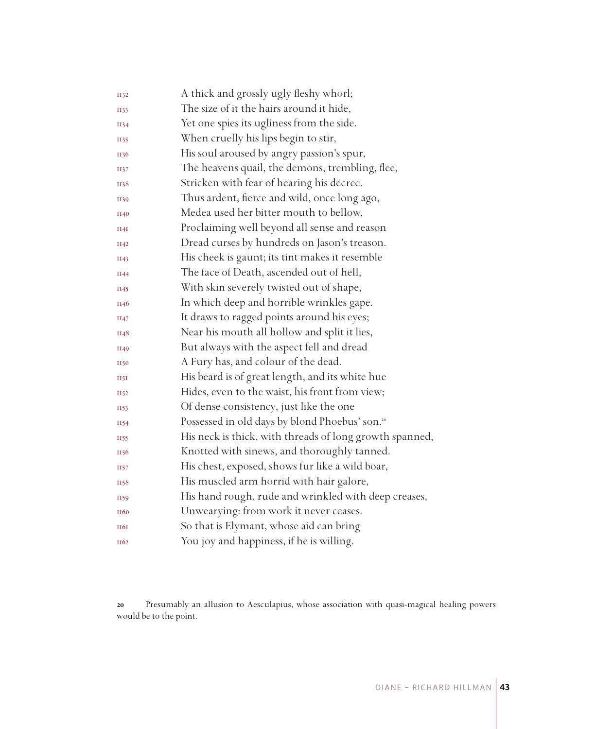| <b>II32</b>      | A thick and grossly ugly fleshy whorl;                     |
|------------------|------------------------------------------------------------|
| II33             | The size of it the hairs around it hide,                   |
| II34             | Yet one spies its ugliness from the side.                  |
| II35             | When cruelly his lips begin to stir,                       |
| II36             | His soul aroused by angry passion's spur,                  |
| II37             | The heavens quail, the demons, trembling, flee,            |
| II38             | Stricken with fear of hearing his decree.                  |
| II39             | Thus ardent, fierce and wild, once long ago,               |
| II40             | Medea used her bitter mouth to bellow,                     |
| II4I             | Proclaiming well beyond all sense and reason               |
| II42             | Dread curses by hundreds on Jason's treason.               |
| II43             | His cheek is gaunt; its tint makes it resemble             |
| II44             | The face of Death, ascended out of hell,                   |
| II45             | With skin severely twisted out of shape,                   |
| II46             | In which deep and horrible wrinkles gape.                  |
| II47             | It draws to ragged points around his eyes;                 |
| II48             | Near his mouth all hollow and split it lies,               |
| II49             | But always with the aspect fell and dread                  |
| <b>II50</b>      | A Fury has, and colour of the dead.                        |
| 1151             | His beard is of great length, and its white hue            |
| II52             | Hides, even to the waist, his front from view;             |
| II53             | Of dense consistency, just like the one                    |
| II54             | Possessed in old days by blond Phoebus' son. <sup>20</sup> |
| II55             | His neck is thick, with threads of long growth spanned,    |
| II56             | Knotted with sinews, and thoroughly tanned.                |
| II57             | His chest, exposed, shows fur like a wild boar,            |
| II58             | His muscled arm horrid with hair galore,                   |
| II59             | His hand rough, rude and wrinkled with deep creases,       |
| II <sub>60</sub> | Unwearying: from work it never ceases.                     |
| <b>HQI</b>       | So that is Elymant, whose aid can bring                    |
| II <sub>62</sub> | You joy and happiness, if he is willing.                   |

 Presumably an allusion to Aesculapius, whose association with quasi-magical healing powers would be to the point.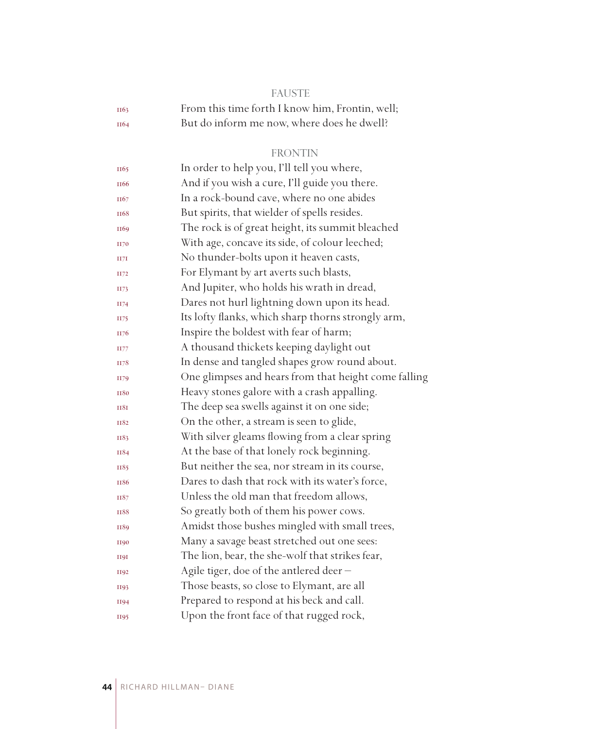| e e | ٠<br>. .<br>۰. | w<br>۰. | e e | -- |
|-----|----------------|---------|-----|----|
|     |                |         |     |    |

| II63             | From this time forth I know him, Frontin, well; |
|------------------|-------------------------------------------------|
| II <sub>64</sub> | But do inform me now, where does he dwell?      |

## FRONTIN

| II65             | In order to help you, I'll tell you where,           |
|------------------|------------------------------------------------------|
| II <sub>66</sub> | And if you wish a cure, I'll guide you there.        |
| II67             | In a rock-bound cave, where no one abides            |
| II <sub>68</sub> | But spirits, that wielder of spells resides.         |
| II69             | The rock is of great height, its summit bleached     |
| <b>II70</b>      | With age, concave its side, of colour leeched;       |
| II7I             | No thunder-bolts upon it heaven casts,               |
| II72             | For Elymant by art averts such blasts,               |
| II73             | And Jupiter, who holds his wrath in dread,           |
| II74             | Dares not hurl lightning down upon its head.         |
| II75             | Its lofty flanks, which sharp thorns strongly arm,   |
| II76             | Inspire the boldest with fear of harm;               |
| II77             | A thousand thickets keeping daylight out             |
| II78             | In dense and tangled shapes grow round about.        |
| II79             | One glimpses and hears from that height come falling |
| <b>II80</b>      | Heavy stones galore with a crash appalling.          |
| <b>II8I</b>      | The deep sea swells against it on one side;          |
| II82             | On the other, a stream is seen to glide,             |
| II83             | With silver gleams flowing from a clear spring       |
| II84             | At the base of that lonely rock beginning.           |
| II85             | But neither the sea, nor stream in its course,       |
| <b>II86</b>      | Dares to dash that rock with its water's force,      |
| II87             | Unless the old man that freedom allows,              |
| <b>II88</b>      | So greatly both of them his power cows.              |
| II89             | Amidst those bushes mingled with small trees,        |
| <b>II90</b>      | Many a savage beast stretched out one sees:          |
| <b>H9I</b>       | The lion, bear, the she-wolf that strikes fear,      |
| <b>II92</b>      | Agile tiger, doe of the antlered deer -              |
| II93             | Those beasts, so close to Elymant, are all           |
| <b>II94</b>      | Prepared to respond at his beck and call.            |
| II95             | Upon the front face of that rugged rock,             |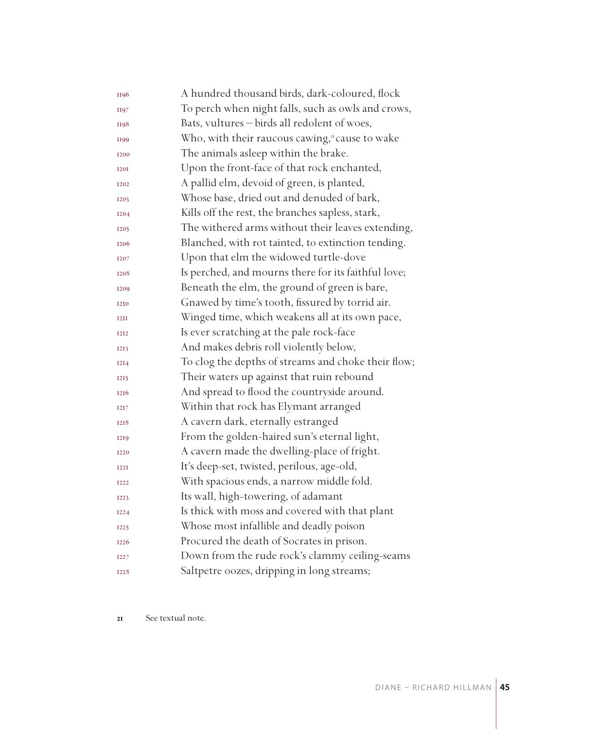| II96        | A hundred thousand birds, dark-coloured, flock      |
|-------------|-----------------------------------------------------|
| <b>II97</b> | To perch when night falls, such as owls and crows,  |
| <b>II98</b> | Bats, vultures - birds all redolent of woes,        |
| II99        | Who, with their raucous cawing," cause to wake      |
| 1200        | The animals asleep within the brake.                |
| <b>I20I</b> | Upon the front-face of that rock enchanted,         |
| <b>I202</b> | A pallid elm, devoid of green, is planted,          |
| <b>I203</b> | Whose base, dried out and denuded of bark,          |
| <b>I204</b> | Kills off the rest, the branches sapless, stark,    |
| <b>I205</b> | The withered arms without their leaves extending,   |
| 1206        | Blanched, with rot tainted, to extinction tending.  |
| <b>I207</b> | Upon that elm the widowed turtle-dove               |
| 1208        | Is perched, and mourns there for its faithful love; |
| 1209        | Beneath the elm, the ground of green is bare,       |
| 1210        | Gnawed by time's tooth, fissured by torrid air.     |
| <b>T2TT</b> | Winged time, which weakens all at its own pace,     |
| <b>I2I2</b> | Is ever scratching at the pale rock-face            |
| 1213        | And makes debris roll violently below,              |
| <b>I2I4</b> | To clog the depths of streams and choke their flow; |
| <b>I215</b> | Their waters up against that ruin rebound           |
| 1216        | And spread to flood the countryside around.         |
| <b>I2I7</b> | Within that rock has Elymant arranged               |
| 1218        | A cavern dark, eternally estranged                  |
| <b>I2I9</b> | From the golden-haired sun's eternal light,         |
| <b>I220</b> | A cavern made the dwelling-place of fright.         |
| <b>I22I</b> | It's deep-set, twisted, perilous, age-old,          |
| <b>I222</b> | With spacious ends, a narrow middle fold.           |
| <b>I223</b> | Its wall, high-towering, of adamant                 |
| <b>I224</b> | Is thick with moss and covered with that plant      |
| <b>I225</b> | Whose most infallible and deadly poison             |
| <b>I226</b> | Procured the death of Socrates in prison.           |
| <b>I227</b> | Down from the rude rock's clammy ceiling-seams      |
| 1228        | Saltpetre oozes, dripping in long streams;          |

21 See textual note.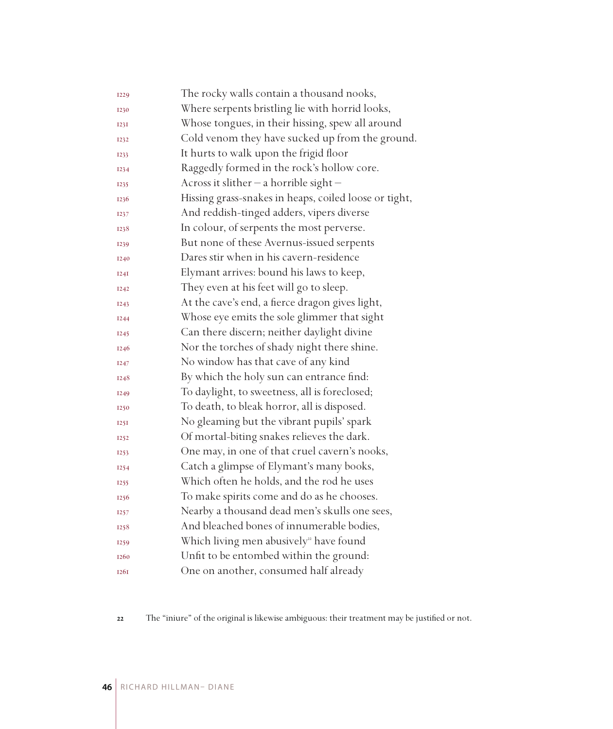| <b>I229</b> | The rocky walls contain a thousand nooks,             |
|-------------|-------------------------------------------------------|
| 1230        | Where serpents bristling lie with horrid looks,       |
| <b>I23I</b> | Whose tongues, in their hissing, spew all around      |
| 1232        | Cold venom they have sucked up from the ground.       |
| 1233        | It hurts to walk upon the frigid floor                |
| <b>I234</b> | Raggedly formed in the rock's hollow core.            |
| 1235        | Across it slither $-$ a horrible sight $-$            |
| 1236        | Hissing grass-snakes in heaps, coiled loose or tight, |
| 1237        | And reddish-tinged adders, vipers diverse             |
| 1238        | In colour, of serpents the most perverse.             |
| 1239        | But none of these Avernus-issued serpents             |
| 1240        | Dares stir when in his cavern-residence               |
| I24I        | Elymant arrives: bound his laws to keep,              |
| <b>I242</b> | They even at his feet will go to sleep.               |
| <b>I243</b> | At the cave's end, a fierce dragon gives light,       |
| <b>I244</b> | Whose eye emits the sole glimmer that sight           |
| <b>I245</b> | Can there discern; neither daylight divine            |
| 1246        | Nor the torches of shady night there shine.           |
| 1247        | No window has that cave of any kind                   |
| 1248        | By which the holy sun can entrance find:              |
| <b>I249</b> | To daylight, to sweetness, all is foreclosed;         |
| 1250        | To death, to bleak horror, all is disposed.           |
| I25I        | No gleaming but the vibrant pupils' spark             |
| <b>I252</b> | Of mortal-biting snakes relieves the dark.            |
| <b>I253</b> | One may, in one of that cruel cavern's nooks,         |
| <b>I254</b> | Catch a glimpse of Elymant's many books,              |
| 1255        | Which often he holds, and the rod he uses             |
| 1256        | To make spirits come and do as he chooses.            |
| 1257        | Nearby a thousand dead men's skulls one sees,         |
| 1258        | And bleached bones of innumerable bodies,             |
| 1259        | Which living men abusively <sup>22</sup> have found   |
| 1260        | Unfit to be entombed within the ground:               |
| <b>1261</b> | One on another, consumed half already                 |

The "iniure" of the original is likewise ambiguous: their treatment may be justified or not.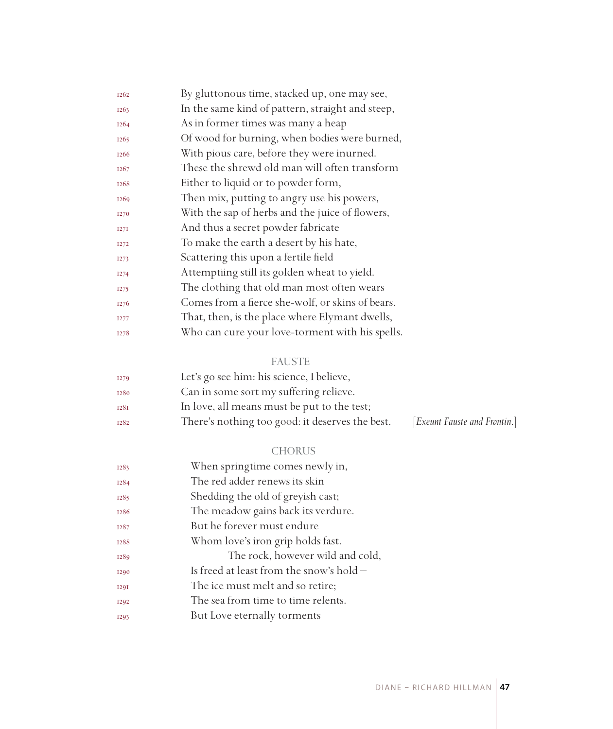| <b>I262</b>      | By gluttonous time, stacked up, one may see,     |
|------------------|--------------------------------------------------|
| <b>I263</b>      | In the same kind of pattern, straight and steep, |
| <b>I264</b>      | As in former times was many a heap               |
| <b>I265</b>      | Of wood for burning, when bodies were burned,    |
| <b>I266</b>      | With pious care, before they were inurned.       |
| <b>I267</b>      | These the shrewd old man will often transform    |
| 1268             | Either to liquid or to powder form,              |
| <b>I269</b>      | Then mix, putting to angry use his powers,       |
| <b>I270</b>      | With the sap of herbs and the juice of flowers,  |
| I27I             | And thus a secret powder fabricate               |
| <b>I272</b>      | To make the earth a desert by his hate,          |
| <b>I273</b>      | Scattering this upon a fertile field             |
| <b>I274</b>      | Attemptiing still its golden wheat to yield.     |
| I <sub>275</sub> | The clothing that old man most often wears       |
| I <sub>276</sub> | Comes from a fierce she-wolf, or skins of bears. |
| <b>I277</b>      | That, then, is the place where Elymant dwells,   |
| 1278             | Who can cure your love-torment with his spells.  |

## FAUSTE

| <b>I279</b> | Let's go see him: his science, I believe,       |                              |
|-------------|-------------------------------------------------|------------------------------|
| 1280        | Can in some sort my suffering relieve.          |                              |
| 1281        | In love, all means must be put to the test;     |                              |
| 1282        | There's nothing too good: it deserves the best. | [Exeunt Fauste and Frontin.] |

#### CHORUS

| 1283        | When springtime comes newly in,            |
|-------------|--------------------------------------------|
| <b>I284</b> | The red adder renews its skin              |
| 1285        | Shedding the old of greyish cast;          |
| 1286        | The meadow gains back its verdure.         |
| 1287        | But he forever must endure                 |
| 1288        | Whom love's iron grip holds fast.          |
| 1289        | The rock, however wild and cold,           |
| <b>I290</b> | Is freed at least from the snow's hold $-$ |
| <b>I29I</b> | The ice must melt and so retire;           |
| <b>I292</b> | The sea from time to time relents.         |
| <b>I293</b> | But Love eternally torments                |
|             |                                            |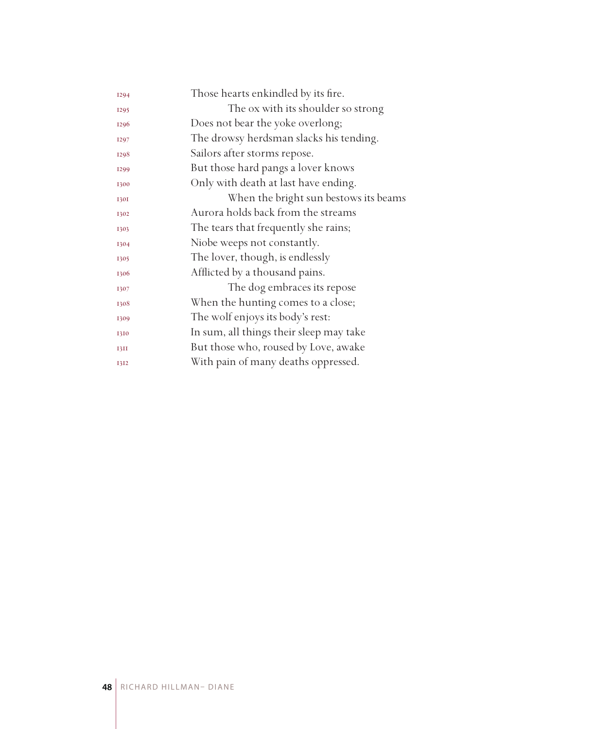| 1294        | Those hearts enkindled by its fire.     |
|-------------|-----------------------------------------|
| <b>I295</b> | The ox with its shoulder so strong      |
| 1296        | Does not bear the yoke overlong;        |
| 1297        | The drowsy herdsman slacks his tending. |
| 1298        | Sailors after storms repose.            |
| <b>I299</b> | But those hard pangs a lover knows      |
| 1300        | Only with death at last have ending.    |
| <b>1301</b> | When the bright sun bestows its beams   |
| 1302        | Aurora holds back from the streams      |
| 1303        | The tears that frequently she rains;    |
| 1304        | Niobe weeps not constantly.             |
| 1305        | The lover, though, is endlessly         |
| 1306        | Afflicted by a thousand pains.          |
| 1307        | The dog embraces its repose             |
| 1308        | When the hunting comes to a close;      |
| 1309        | The wolf enjoys its body's rest:        |
| 1310        | In sum, all things their sleep may take |
| 13II        | But those who, roused by Love, awake    |
| 1312        | With pain of many deaths oppressed.     |
|             |                                         |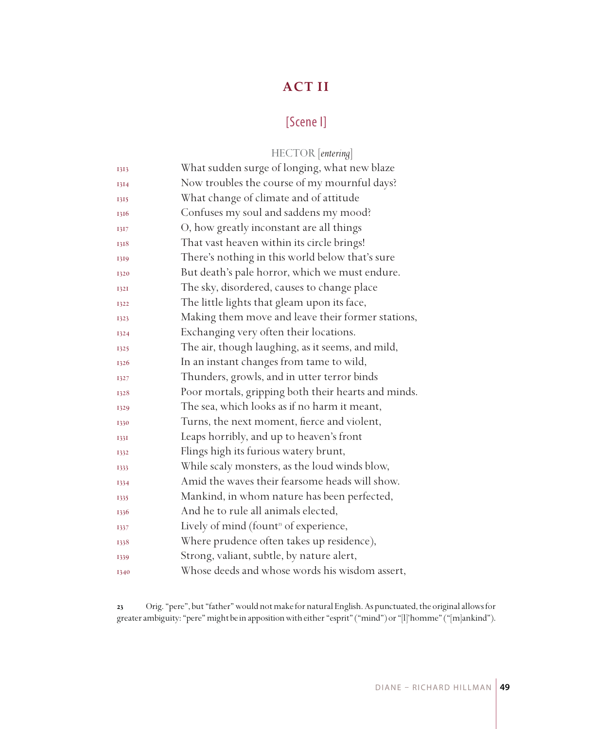# **ACT II**

## [Scene I]

|             | HECTOR [entering]                                   |
|-------------|-----------------------------------------------------|
| 1313        | What sudden surge of longing, what new blaze        |
| 1314        | Now troubles the course of my mournful days?        |
| 1315        | What change of climate and of attitude              |
| 1316        | Confuses my soul and saddens my mood?               |
| 1317        | O, how greatly inconstant are all things            |
| 1318        | That vast heaven within its circle brings!          |
| 1319        | There's nothing in this world below that's sure     |
| 1320        | But death's pale horror, which we must endure.      |
| <b>1321</b> | The sky, disordered, causes to change place         |
| 1322        | The little lights that gleam upon its face,         |
| 1323        | Making them move and leave their former stations,   |
| 1324        | Exchanging very often their locations.              |
| 1325        | The air, though laughing, as it seems, and mild,    |
| 1326        | In an instant changes from tame to wild,            |
| 1327        | Thunders, growls, and in utter terror binds         |
| 1328        | Poor mortals, gripping both their hearts and minds. |
| 1329        | The sea, which looks as if no harm it meant,        |
| 1330        | Turns, the next moment, fierce and violent,         |
| 1331        | Leaps horribly, and up to heaven's front            |
| 1332        | Flings high its furious watery brunt,               |
| 1333        | While scaly monsters, as the loud winds blow,       |
| 1334        | Amid the waves their fearsome heads will show.      |
| 1335        | Mankind, in whom nature has been perfected,         |
| 1336        | And he to rule all animals elected,                 |
| 1337        | Lively of mind (fount <sup>3</sup> of experience,   |
| 1338        | Where prudence often takes up residence),           |
| 1339        | Strong, valiant, subtle, by nature alert,           |
| 1340        | Whose deeds and whose words his wisdom assert,      |

 Orig. "pere", but "father" would not make for natural English. As punctuated, the original allows for greater ambiguity: "pere" might be in apposition with either "esprit" ("mind") or "[l]'homme" ("[m]ankind").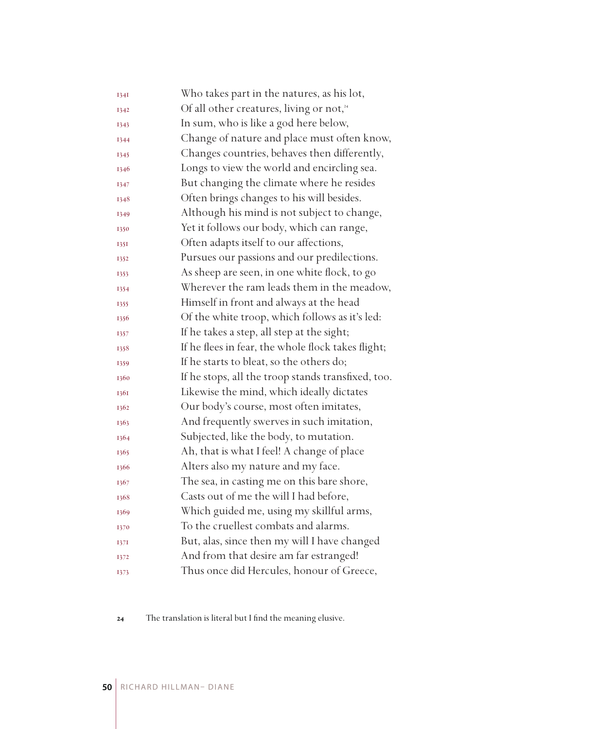| 1341 | Who takes part in the natures, as his lot,           |
|------|------------------------------------------------------|
| 1342 | Of all other creatures, living or not, <sup>24</sup> |
| 1343 | In sum, who is like a god here below,                |
| 1344 | Change of nature and place must often know,          |
| 1345 | Changes countries, behaves then differently,         |
| 1346 | Longs to view the world and encircling sea.          |
| 1347 | But changing the climate where he resides            |
| 1348 | Often brings changes to his will besides.            |
| 1349 | Although his mind is not subject to change,          |
| 1350 | Yet it follows our body, which can range,            |
| 135I | Often adapts itself to our affections,               |
| 1352 | Pursues our passions and our predilections.          |
| 1353 | As sheep are seen, in one white flock, to go         |
| 1354 | Wherever the ram leads them in the meadow,           |
| 1355 | Himself in front and always at the head              |
| 1356 | Of the white troop, which follows as it's led:       |
| 1357 | If he takes a step, all step at the sight;           |
| 1358 | If he flees in fear, the whole flock takes flight;   |
| 1359 | If he starts to bleat, so the others do;             |
| 1360 | If he stops, all the troop stands transfixed, too.   |
| 1361 | Likewise the mind, which ideally dictates            |
| 1362 | Our body's course, most often imitates,              |
| 1363 | And frequently swerves in such imitation,            |
| 1364 | Subjected, like the body, to mutation.               |
| 1365 | Ah, that is what I feel! A change of place           |
| 1366 | Alters also my nature and my face.                   |
| 1367 | The sea, in casting me on this bare shore,           |
| 1368 | Casts out of me the will I had before,               |
| 1369 | Which guided me, using my skillful arms,             |
| 1370 | To the cruellest combats and alarms.                 |
| 1371 | But, alas, since then my will I have changed         |
| 1372 | And from that desire am far estranged!               |
| 1373 | Thus once did Hercules, honour of Greece,            |

The translation is literal but I find the meaning elusive.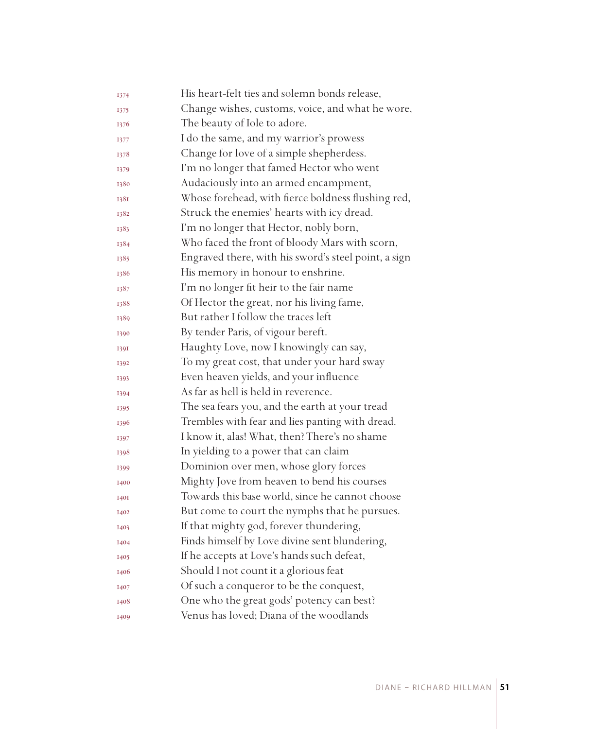| 1374        | His heart-felt ties and solemn bonds release,        |
|-------------|------------------------------------------------------|
| 1375        | Change wishes, customs, voice, and what he wore,     |
| 1376        | The beauty of Iole to adore.                         |
| 1377        | I do the same, and my warrior's prowess              |
| 1378        | Change for love of a simple shepherdess.             |
| 1379        | I'm no longer that famed Hector who went             |
| 1380        | Audaciously into an armed encampment,                |
| 1381        | Whose forehead, with fierce boldness flushing red,   |
| 1382        | Struck the enemies' hearts with icy dread.           |
| 1383        | I'm no longer that Hector, nobly born,               |
| 1384        | Who faced the front of bloody Mars with scorn,       |
| 1385        | Engraved there, with his sword's steel point, a sign |
| 1386        | His memory in honour to enshrine.                    |
| 1387        | I'm no longer fit heir to the fair name              |
| 1388        | Of Hector the great, nor his living fame,            |
| 1389        | But rather I follow the traces left                  |
| 1390        | By tender Paris, of vigour bereft.                   |
| 1391        | Haughty Love, now I knowingly can say,               |
| 1392        | To my great cost, that under your hard sway          |
| 1393        | Even heaven yields, and your influence               |
| 1394        | As far as hell is held in reverence.                 |
| 1395        | The sea fears you, and the earth at your tread       |
| 1396        | Trembles with fear and lies panting with dread.      |
| 1397        | I know it, alas! What, then? There's no shame        |
| 1398        | In yielding to a power that can claim                |
| 1399        | Dominion over men, whose glory forces                |
| 1400        | Mighty Jove from heaven to bend his courses          |
| <b>I40I</b> | Towards this base world, since he cannot choose      |
| 1402        | But come to court the nymphs that he pursues.        |
| 1403        | If that mighty god, forever thundering,              |
| 1404        | Finds himself by Love divine sent blundering,        |
| 1405        | If he accepts at Love's hands such defeat,           |
| 1406        | Should I not count it a glorious feat                |
| 1407        | Of such a conqueror to be the conquest,              |
| 1408        | One who the great gods' potency can best?            |
| 1409        | Venus has loved; Diana of the woodlands              |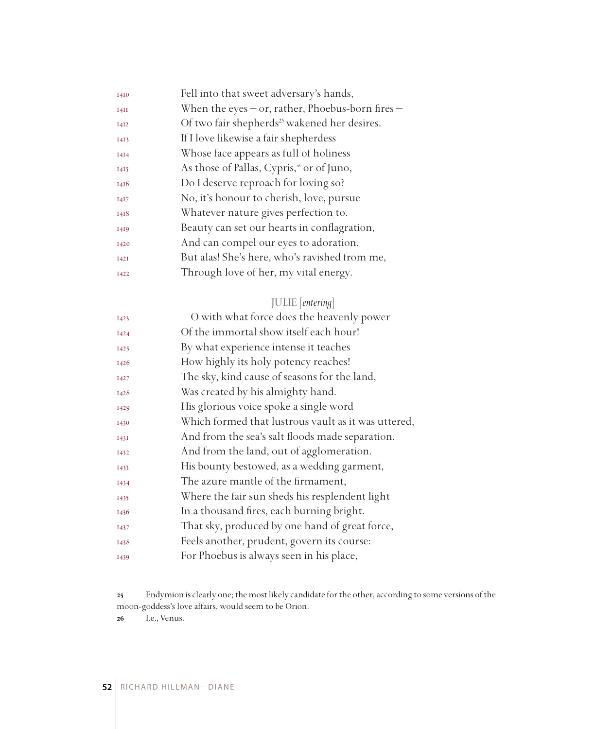| 1410        | Fell into that sweet adversary's hands,                  |
|-------------|----------------------------------------------------------|
| I4II        | When the eyes $-$ or, rather, Phoebus-born fires $-$     |
| <b>I4I2</b> | Of two fair shepherds <sup>25</sup> wakened her desires. |
| 1413        | If I love likewise a fair shepherdess                    |
| 1414        | Whose face appears as full of holiness                   |
| 1415        | As those of Pallas, Cypris, <sup>26</sup> or of Juno,    |
| 1416        | Do I deserve reproach for loving so?                     |
| 1417        | No, it's honour to cherish, love, pursue                 |
| 1418        | Whatever nature gives perfection to.                     |
| 1419        | Beauty can set our hearts in conflagration,              |
| 1420        | And can compel our eyes to adoration.                    |
| <b>I42I</b> | But alas! She's here, who's ravished from me,            |
| 1422        | Through love of her, my vital energy.                    |

## JULIE [*entering*]

| O with what force does the heavenly power           |
|-----------------------------------------------------|
| Of the immortal show itself each hour!              |
| By what experience intense it teaches               |
| How highly its holy potency reaches!                |
| The sky, kind cause of seasons for the land,        |
| Was created by his almighty hand.                   |
| His glorious voice spoke a single word              |
| Which formed that lustrous vault as it was uttered, |
| And from the sea's salt floods made separation,     |
| And from the land, out of agglomeration.            |
| His bounty bestowed, as a wedding garment,          |
| The azure mantle of the firmament,                  |
| Where the fair sun sheds his resplendent light      |
| In a thousand fires, each burning bright.           |
| That sky, produced by one hand of great force,      |
| Feels another, prudent, govern its course:          |
| For Phoebus is always seen in his place,            |
|                                                     |

Endymion is clearly one; the most likely candidate for the other, according to some versions of the moon-goddess's love affairs, would seem to be Orion.

I.e., Venus.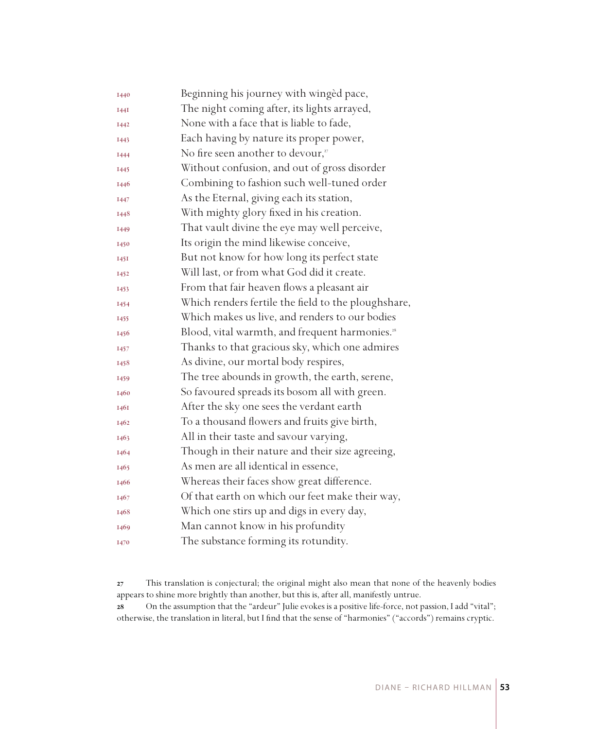| 1440        | Beginning his journey with winged pace,                    |
|-------------|------------------------------------------------------------|
| <b>I44I</b> | The night coming after, its lights arrayed,                |
| 1442        | None with a face that is liable to fade,                   |
| 1443        | Each having by nature its proper power,                    |
| 1444        | No fire seen another to devour,"                           |
| 1445        | Without confusion, and out of gross disorder               |
| 1446        | Combining to fashion such well-tuned order                 |
| 1447        | As the Eternal, giving each its station,                   |
| 1448        | With mighty glory fixed in his creation.                   |
| I449        | That vault divine the eye may well perceive,               |
| 1450        | Its origin the mind likewise conceive,                     |
| 1451        | But not know for how long its perfect state                |
| 1452        | Will last, or from what God did it create.                 |
| 1453        | From that fair heaven flows a pleasant air                 |
| 1454        | Which renders fertile the field to the ploughshare,        |
| 1455        | Which makes us live, and renders to our bodies             |
| 1456        | Blood, vital warmth, and frequent harmonies. <sup>28</sup> |
| 1457        | Thanks to that gracious sky, which one admires             |
| 1458        | As divine, our mortal body respires,                       |
| 1459        | The tree abounds in growth, the earth, serene,             |
| 1460        | So favoured spreads its bosom all with green.              |
| 1461        | After the sky one sees the verdant earth                   |
| 1462        | To a thousand flowers and fruits give birth,               |
| 1463        | All in their taste and savour varying,                     |
| 1464        | Though in their nature and their size agreeing,            |
| 1465        | As men are all identical in essence,                       |
| 1466        | Whereas their faces show great difference.                 |
| 1467        | Of that earth on which our feet make their way,            |
| 1468        | Which one stirs up and digs in every day,                  |
| 1469        | Man cannot know in his profundity                          |
| 1470        | The substance forming its rotundity.                       |

 This translation is conjectural; the original might also mean that none of the heavenly bodies appears to shine more brightly than another, but this is, after all, manifestly untrue.

 On the assumption that the "ardeur" Julie evokes is a positive life-force, not passion, I add "vital"; otherwise, the translation in literal, but I find that the sense of "harmonies" ("accords") remains cryptic.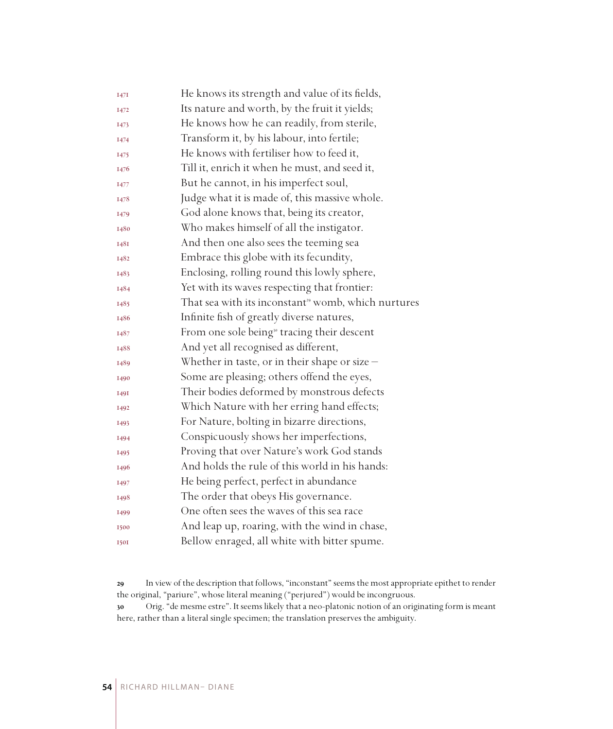| He knows its strength and value of its fields,                  |
|-----------------------------------------------------------------|
| Its nature and worth, by the fruit it yields;                   |
| He knows how he can readily, from sterile,                      |
| Transform it, by his labour, into fertile;                      |
| He knows with fertiliser how to feed it,                        |
| Till it, enrich it when he must, and seed it,                   |
| But he cannot, in his imperfect soul,                           |
| Judge what it is made of, this massive whole.                   |
| God alone knows that, being its creator,                        |
| Who makes himself of all the instigator.                        |
| And then one also sees the teeming sea                          |
| Embrace this globe with its fecundity,                          |
| Enclosing, rolling round this lowly sphere,                     |
| Yet with its waves respecting that frontier:                    |
| That sea with its inconstant <sup>39</sup> womb, which nurtures |
| Infinite fish of greatly diverse natures,                       |
| From one sole being <sup>30</sup> tracing their descent         |
| And yet all recognised as different,                            |
| Whether in taste, or in their shape or size $-$                 |
| Some are pleasing; others offend the eyes,                      |
| Their bodies deformed by monstrous defects                      |
| Which Nature with her erring hand effects;                      |
| For Nature, bolting in bizarre directions,                      |
| Conspicuously shows her imperfections,                          |
| Proving that over Nature's work God stands                      |
| And holds the rule of this world in his hands:                  |
| He being perfect, perfect in abundance                          |
| The order that obeys His governance.                            |
| One often sees the waves of this sea race                       |
| And leap up, roaring, with the wind in chase,                   |
| Bellow enraged, all white with bitter spume.                    |
|                                                                 |

 In view of the description that follows, "inconstant" seems the most appropriate epithet to render the original, "pariure", whose literal meaning ("perjured") would be incongruous.

 Orig. "de mesme estre". It seems likely that a neo-platonic notion of an originating form is meant here, rather than a literal single specimen; the translation preserves the ambiguity.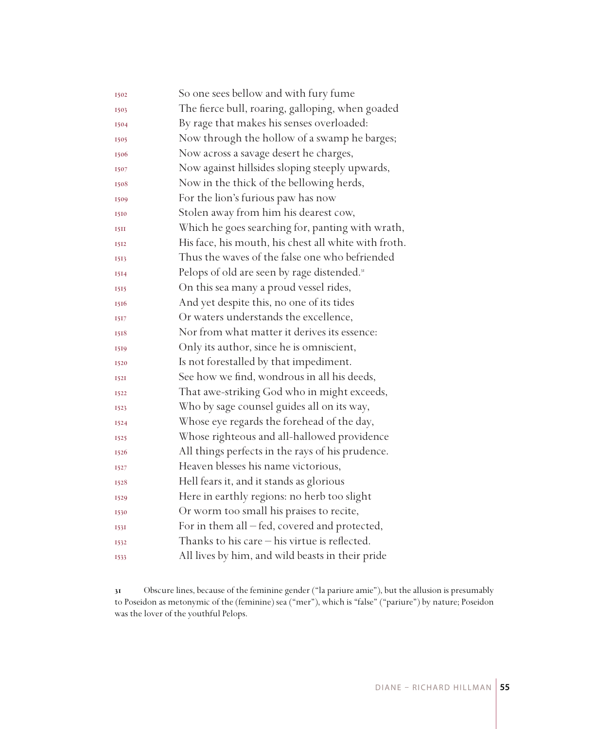| 1502        | So one sees bellow and with fury fume                   |
|-------------|---------------------------------------------------------|
| 1503        | The fierce bull, roaring, galloping, when goaded        |
| 1504        | By rage that makes his senses overloaded:               |
| 1505        | Now through the hollow of a swamp he barges;            |
| 1506        | Now across a savage desert he charges,                  |
| 1507        | Now against hillsides sloping steeply upwards,          |
| 1508        | Now in the thick of the bellowing herds,                |
| 1509        | For the lion's furious paw has now                      |
| 1510        | Stolen away from him his dearest cow,                   |
| 15II        | Which he goes searching for, panting with wrath,        |
| 1512        | His face, his mouth, his chest all white with froth.    |
| 1513        | Thus the waves of the false one who befriended          |
| 1514        | Pelops of old are seen by rage distended. <sup>31</sup> |
| 1515        | On this sea many a proud vessel rides,                  |
| 1516        | And yet despite this, no one of its tides               |
| 1517        | Or waters understands the excellence,                   |
| 1518        | Nor from what matter it derives its essence:            |
| 1519        | Only its author, since he is omniscient,                |
| 1520        | Is not forestalled by that impediment.                  |
| <b>I52I</b> | See how we find, wondrous in all his deeds,             |
| 1522        | That awe-striking God who in might exceeds,             |
| 1523        | Who by sage counsel guides all on its way,              |
| 1524        | Whose eye regards the forehead of the day,              |
| 1525        | Whose righteous and all-hallowed providence             |
| 1526        | All things perfects in the rays of his prudence.        |
| 1527        | Heaven blesses his name victorious,                     |
| 1528        | Hell fears it, and it stands as glorious                |
| 1529        | Here in earthly regions: no herb too slight             |
| 1530        | Or worm too small his praises to recite,                |
| 1531        | For in them all - fed, covered and protected,           |
| 1532        | Thanks to his care $-$ his virtue is reflected.         |
| 1533        | All lives by him, and wild beasts in their pride        |

 Obscure lines, because of the feminine gender ("la pariure amie"), but the allusion is presumably to Poseidon as metonymic of the (feminine) sea ("mer"), which is "false" ("pariure") by nature; Poseidon was the lover of the youthful Pelops.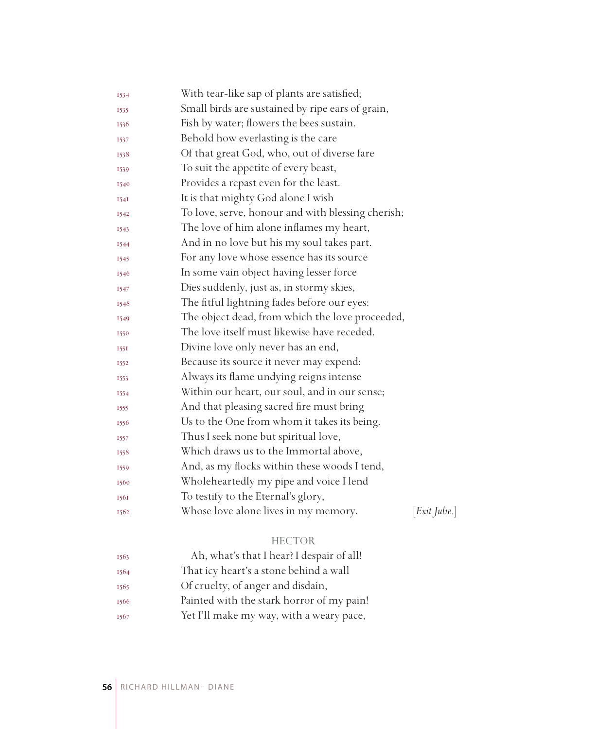| 1534        | With tear-like sap of plants are satisfied;       |                    |
|-------------|---------------------------------------------------|--------------------|
| 1535        | Small birds are sustained by ripe ears of grain,  |                    |
| 1536        | Fish by water; flowers the bees sustain.          |                    |
| 1537        | Behold how everlasting is the care                |                    |
| 1538        | Of that great God, who, out of diverse fare       |                    |
| 1539        | To suit the appetite of every beast,              |                    |
| 1540        | Provides a repast even for the least.             |                    |
| 1541        | It is that mighty God alone I wish                |                    |
| 1542        | To love, serve, honour and with blessing cherish; |                    |
| 1543        | The love of him alone inflames my heart,          |                    |
| 1544        | And in no love but his my soul takes part.        |                    |
| 1545        | For any love whose essence has its source         |                    |
| 1546        | In some vain object having lesser force           |                    |
| 1547        | Dies suddenly, just as, in stormy skies,          |                    |
| 1548        | The fitful lightning fades before our eyes:       |                    |
| 1549        | The object dead, from which the love proceeded,   |                    |
| 1550        | The love itself must likewise have receded.       |                    |
| <b>1551</b> | Divine love only never has an end,                |                    |
| 1552        | Because its source it never may expend:           |                    |
| 1553        | Always its flame undying reigns intense           |                    |
| 1554        | Within our heart, our soul, and in our sense;     |                    |
| 1555        | And that pleasing sacred fire must bring          |                    |
| 1556        | Us to the One from whom it takes its being.       |                    |
| 1557        | Thus I seek none but spiritual love,              |                    |
| 1558        | Which draws us to the Immortal above,             |                    |
| 1559        | And, as my flocks within these woods I tend,      |                    |
| 1560        | Wholeheartedly my pipe and voice I lend           |                    |
| 1561        | To testify to the Eternal's glory,                |                    |
| 1562        | Whose love alone lives in my memory.              | $[Exit \; Julie.]$ |
|             | <b>HECTOR</b>                                     |                    |

| 1563 | Ah, what's that I hear? I despair of all! |
|------|-------------------------------------------|
| 1564 | That icy heart's a stone behind a wall    |
| 1565 | Of cruelty, of anger and disdain,         |
| 1566 | Painted with the stark horror of my pain! |
| 1567 | Yet I'll make my way, with a weary pace,  |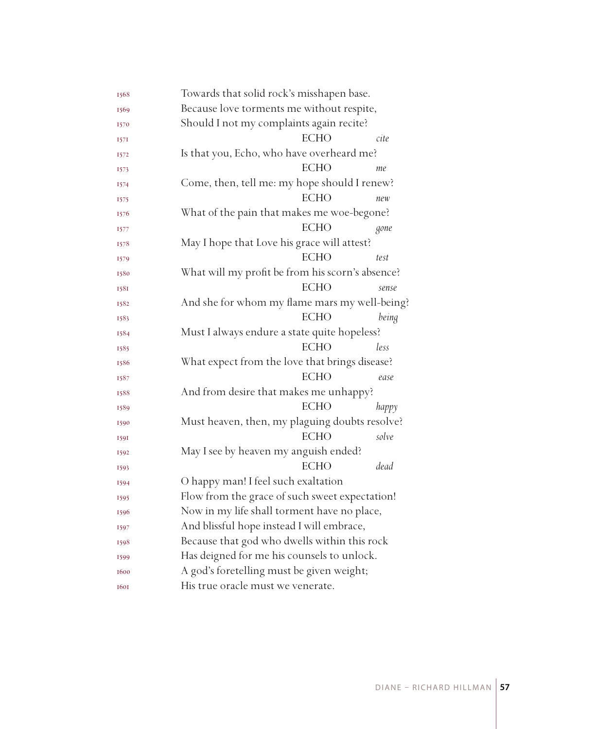| 1568 | Towards that solid rock's misshapen base.        |       |
|------|--------------------------------------------------|-------|
| 1569 | Because love torments me without respite,        |       |
| 1570 | Should I not my complaints again recite?         |       |
| 1571 | <b>ECHO</b><br>cite                              |       |
| 1572 | Is that you, Echo, who have overheard me?        |       |
| 1573 | <b>ECHO</b><br>me                                |       |
| 1574 | Come, then, tell me: my hope should I renew?     |       |
| 1575 | <b>ECHO</b><br>new                               |       |
| 1576 | What of the pain that makes me woe-begone?       |       |
| 1577 | <b>ECHO</b>                                      | gone  |
| 1578 | May I hope that Love his grace will attest?      |       |
| 1579 | <b>ECHO</b><br>test                              |       |
| 1580 | What will my profit be from his scorn's absence? |       |
| 1581 | <b>ECHO</b>                                      | sense |
| 1582 | And she for whom my flame mars my well-being?    |       |
| 1583 | <b>ECHO</b>                                      | being |
| 1584 | Must I always endure a state quite hopeless?     |       |
| 1585 | <b>ECHO</b><br>less                              |       |
| 1586 | What expect from the love that brings disease?   |       |
| 1587 | <b>ECHO</b>                                      | ease  |
| 1588 | And from desire that makes me unhappy?           |       |
| 1589 | <b>ECHO</b>                                      | happy |
| 1590 | Must heaven, then, my plaguing doubts resolve?   |       |
| 1591 | <b>ECHO</b>                                      | solve |
| 1592 | May I see by heaven my anguish ended?            |       |
| 1593 | <b>ECHO</b>                                      | dead  |
| 1594 | O happy man! I feel such exaltation              |       |
| 1595 | Flow from the grace of such sweet expectation!   |       |
| 1596 | Now in my life shall torment have no place,      |       |
| 1597 | And blissful hope instead I will embrace,        |       |
| 1598 | Because that god who dwells within this rock     |       |
| 1599 | Has deigned for me his counsels to unlock.       |       |
| 1600 | A god's foretelling must be given weight;        |       |
| 1601 | His true oracle must we venerate.                |       |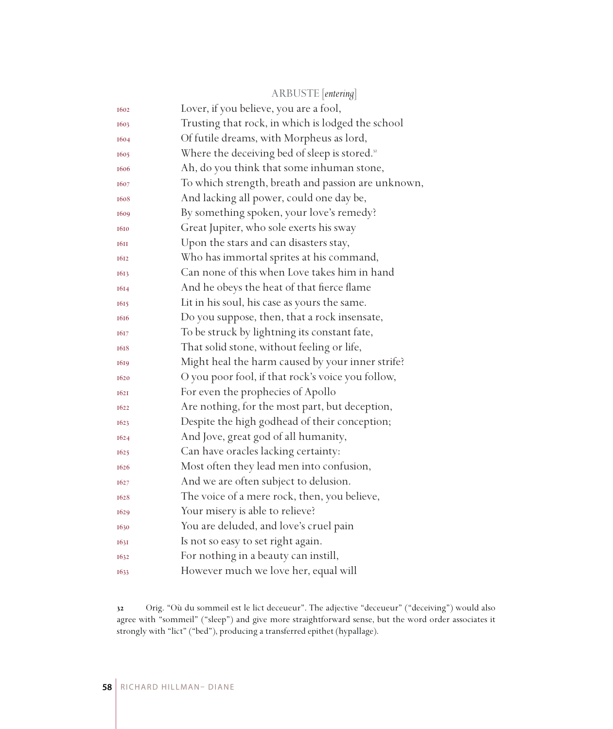|             | ARBUSTE [entering]                                        |
|-------------|-----------------------------------------------------------|
| 1602        | Lover, if you believe, you are a fool,                    |
| 1603        | Trusting that rock, in which is lodged the school         |
| 1604        | Of futile dreams, with Morpheus as lord,                  |
| 1605        | Where the deceiving bed of sleep is stored. <sup>32</sup> |
| 1606        | Ah, do you think that some inhuman stone,                 |
| 1607        | To which strength, breath and passion are unknown,        |
| 1608        | And lacking all power, could one day be,                  |
| 1609        | By something spoken, your love's remedy?                  |
| 1610        | Great Jupiter, who sole exerts his sway                   |
| <b>1611</b> | Upon the stars and can disasters stay,                    |
| 1612        | Who has immortal sprites at his command,                  |
| 1613        | Can none of this when Love takes him in hand              |
| 1614        | And he obeys the heat of that fierce flame                |
| 1615        | Lit in his soul, his case as yours the same.              |
| 1616        | Do you suppose, then, that a rock insensate,              |
| 1617        | To be struck by lightning its constant fate,              |
| 1618        | That solid stone, without feeling or life,                |
| 1619        | Might heal the harm caused by your inner strife?          |
| 1620        | O you poor fool, if that rock's voice you follow,         |
| 1621        | For even the prophecies of Apollo                         |
| 1622        | Are nothing, for the most part, but deception,            |
| 1623        | Despite the high godhead of their conception;             |
| 1624        | And Jove, great god of all humanity,                      |
| 1625        | Can have oracles lacking certainty:                       |
| 1626        | Most often they lead men into confusion,                  |
| 1627        | And we are often subject to delusion.                     |
| 1628        | The voice of a mere rock, then, you believe,              |
| 1629        | Your misery is able to relieve?                           |
| 1630        | You are deluded, and love's cruel pain                    |
| 1631        | Is not so easy to set right again.                        |
| 1632        | For nothing in a beauty can instill,                      |
| 1633        | However much we love her, equal will                      |

 Orig. "Où du sommeil est le lict deceueur". The adjective "deceueur" ("deceiving") would also agree with "sommeil" ("sleep") and give more straightforward sense, but the word order associates it strongly with "lict" ("bed"), producing a transferred epithet (hypallage).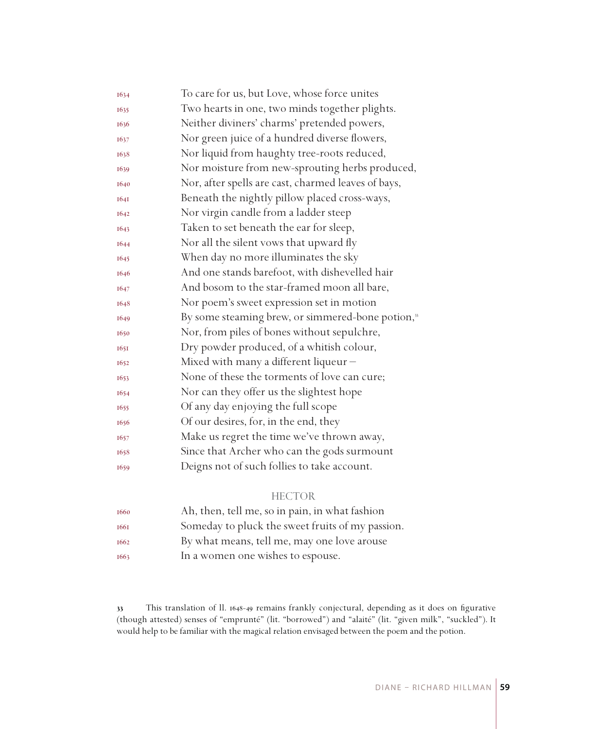| 1634        | To care for us, but Love, whose force unites                  |
|-------------|---------------------------------------------------------------|
| 1635        | Two hearts in one, two minds together plights.                |
| 1636        | Neither diviners' charms' pretended powers,                   |
| 1637        | Nor green juice of a hundred diverse flowers,                 |
| 1638        | Nor liquid from haughty tree-roots reduced,                   |
| 1639        | Nor moisture from new-sprouting herbs produced,               |
| 1640        | Nor, after spells are cast, charmed leaves of bays,           |
| <b>1641</b> | Beneath the nightly pillow placed cross-ways,                 |
| 1642        | Nor virgin candle from a ladder steep                         |
| 1643        | Taken to set beneath the ear for sleep,                       |
| 1644        | Nor all the silent vows that upward fly                       |
| 1645        | When day no more illuminates the sky                          |
| 1646        | And one stands barefoot, with dishevelled hair                |
| 1647        | And bosom to the star-framed moon all bare,                   |
| 1648        | Nor poem's sweet expression set in motion                     |
| 1649        | By some steaming brew, or simmered-bone potion, <sup>33</sup> |
| 1650        | Nor, from piles of bones without sepulchre,                   |
| 1651        | Dry powder produced, of a whitish colour,                     |
| 1652        | Mixed with many a different liqueur -                         |
| 1653        | None of these the torments of love can cure;                  |
| 1654        | Nor can they offer us the slightest hope                      |
| 1655        | Of any day enjoying the full scope                            |
| 1656        | Of our desires, for, in the end, they                         |
| 1657        | Make us regret the time we've thrown away,                    |
| 1658        | Since that Archer who can the gods surmount                   |
| 1659        | Deigns not of such follies to take account.                   |

## HECTOR

| 1660 | Ah, then, tell me, so in pain, in what fashion   |
|------|--------------------------------------------------|
| 1661 | Someday to pluck the sweet fruits of my passion. |
| 1662 | By what means, tell me, may one love arouse      |
| 1663 | In a women one wishes to espouse.                |

 This translation of ll. 1648-49 remains frankly conjectural, depending as it does on figurative (though attested) senses of "emprunté" (lit. "borrowed") and "alaité" (lit. "given milk", "suckled"). It would help to be familiar with the magical relation envisaged between the poem and the potion.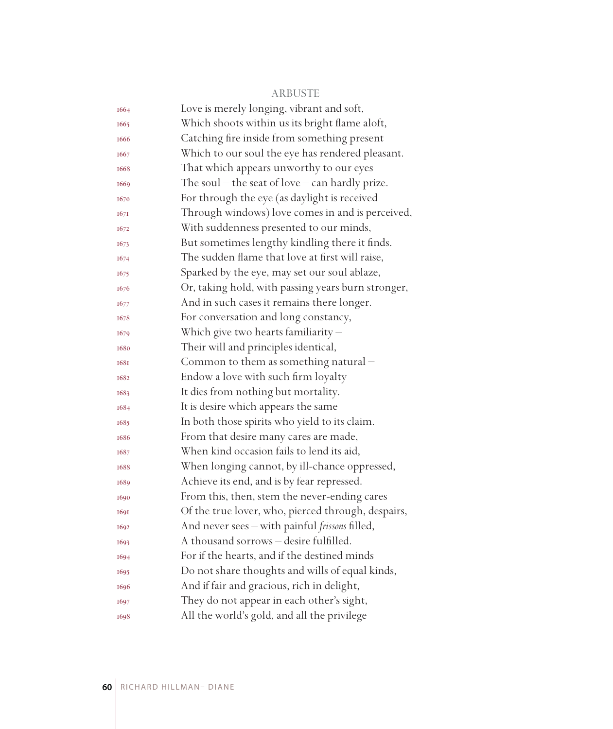#### ARBUSTE

| 1664        | Love is merely longing, vibrant and soft,           |
|-------------|-----------------------------------------------------|
| 1665        | Which shoots within us its bright flame aloft,      |
| 1666        | Catching fire inside from something present         |
| 1667        | Which to our soul the eye has rendered pleasant.    |
| 1668        | That which appears unworthy to our eyes             |
| 1669        | The soul $-$ the seat of love $-$ can hardly prize. |
| 1670        | For through the eye (as daylight is received        |
| 1671        | Through windows) love comes in and is perceived,    |
| 1672        | With suddenness presented to our minds,             |
| 1673        | But sometimes lengthy kindling there it finds.      |
| 1674        | The sudden flame that love at first will raise,     |
| 1675        | Sparked by the eye, may set our soul ablaze,        |
| 1676        | Or, taking hold, with passing years burn stronger,  |
| 1677        | And in such cases it remains there longer.          |
| 1678        | For conversation and long constancy,                |
| 1679        | Which give two hearts familiarity $-$               |
| 1680        | Their will and principles identical,                |
| <b>1681</b> | Common to them as something natural -               |
| 1682        | Endow a love with such firm loyalty                 |
| 1683        | It dies from nothing but mortality.                 |
| 1684        | It is desire which appears the same                 |
| 1685        | In both those spirits who yield to its claim.       |
| 1686        | From that desire many cares are made,               |
| 1687        | When kind occasion fails to lend its aid,           |
| 1688        | When longing cannot, by ill-chance oppressed,       |
| 1689        | Achieve its end, and is by fear repressed.          |
| 1690        | From this, then, stem the never-ending cares        |
| 1691        | Of the true lover, who, pierced through, despairs,  |
| 1692        | And never sees - with painful frissons filled,      |
| 1693        | A thousand sorrows - desire fulfilled.              |
| 1694        | For if the hearts, and if the destined minds        |
| 1695        | Do not share thoughts and wills of equal kinds,     |
| 1696        | And if fair and gracious, rich in delight,          |
| 1697        | They do not appear in each other's sight,           |
| 1698        | All the world's gold, and all the privilege         |
|             |                                                     |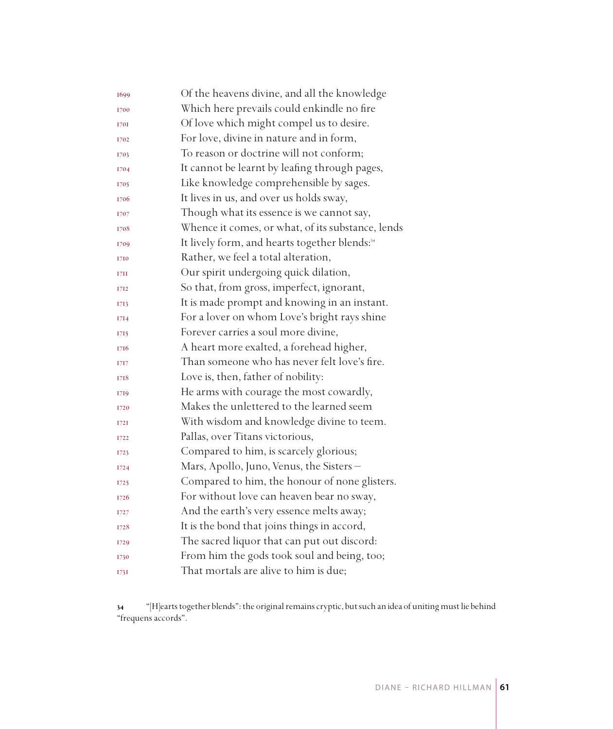| 1699 | Of the heavens divine, and all the knowledge              |
|------|-----------------------------------------------------------|
| 1700 | Which here prevails could enkindle no fire                |
| 1701 | Of love which might compel us to desire.                  |
| 1702 | For love, divine in nature and in form,                   |
| 1703 | To reason or doctrine will not conform;                   |
| 1704 | It cannot be learnt by leafing through pages,             |
| 1705 | Like knowledge comprehensible by sages.                   |
| 1706 | It lives in us, and over us holds sway,                   |
| 1707 | Though what its essence is we cannot say,                 |
| 1708 | Whence it comes, or what, of its substance, lends         |
| 1709 | It lively form, and hearts together blends: <sup>34</sup> |
| 1710 | Rather, we feel a total alteration,                       |
| 17H  | Our spirit undergoing quick dilation,                     |
| 1712 | So that, from gross, imperfect, ignorant,                 |
| 1713 | It is made prompt and knowing in an instant.              |
| 1714 | For a lover on whom Love's bright rays shine              |
| 1715 | Forever carries a soul more divine,                       |
| 1716 | A heart more exalted, a forehead higher,                  |
| 1717 | Than someone who has never felt love's fire.              |
| 1718 | Love is, then, father of nobility:                        |
| 1719 | He arms with courage the most cowardly,                   |
| 1720 | Makes the unlettered to the learned seem                  |
| I72I | With wisdom and knowledge divine to teem.                 |
| 1722 | Pallas, over Titans victorious,                           |
| 1723 | Compared to him, is scarcely glorious;                    |
| I724 | Mars, Apollo, Juno, Venus, the Sisters –                  |
| 1725 | Compared to him, the honour of none glisters.             |
| 1726 | For without love can heaven bear no sway,                 |
| 1727 | And the earth's very essence melts away;                  |
| 1728 | It is the bond that joins things in accord,               |
| 1729 | The sacred liquor that can put out discord:               |
| 1730 | From him the gods took soul and being, too;               |
| 1731 | That mortals are alive to him is due;                     |

 "[H]earts together blends": the original remains cryptic, but such an idea of uniting must lie behind "frequens accords".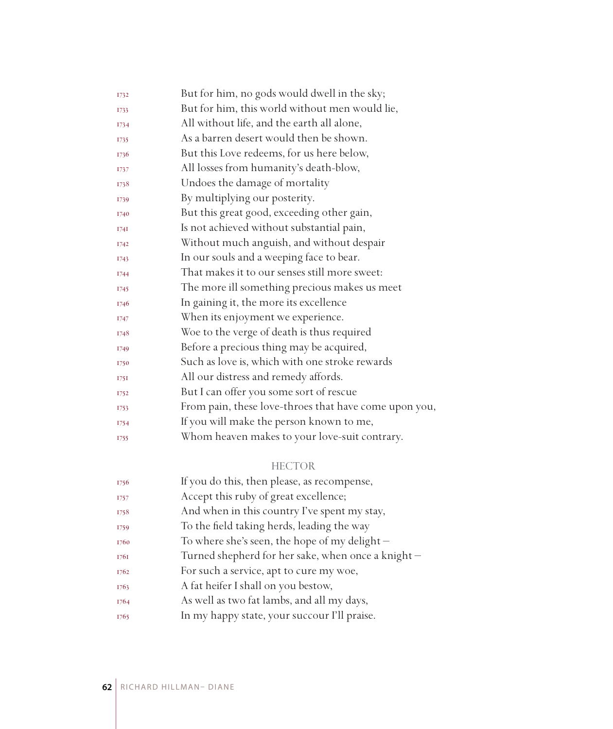| 1732        | But for him, no gods would dwell in the sky;          |
|-------------|-------------------------------------------------------|
| 1733        | But for him, this world without men would lie,        |
| 1734        | All without life, and the earth all alone,            |
| 1735        | As a barren desert would then be shown.               |
| 1736        | But this Love redeems, for us here below,             |
| 1737        | All losses from humanity's death-blow,                |
| 1738        | Undoes the damage of mortality                        |
| 1739        | By multiplying our posterity.                         |
| 1740        | But this great good, exceeding other gain,            |
| 1741        | Is not achieved without substantial pain,             |
| <b>I742</b> | Without much anguish, and without despair             |
| 1743        | In our souls and a weeping face to bear.              |
| <b>I744</b> | That makes it to our senses still more sweet:         |
| 1745        | The more ill something precious makes us meet         |
| 1746        | In gaining it, the more its excellence                |
| 1747        | When its enjoyment we experience.                     |
| 1748        | Woe to the verge of death is thus required            |
| <b>I749</b> | Before a precious thing may be acquired,              |
| 1750        | Such as love is, which with one stroke rewards        |
| 175I        | All our distress and remedy affords.                  |
| 1752        | But I can offer you some sort of rescue               |
| 1753        | From pain, these love-throes that have come upon you, |
| 1754        | If you will make the person known to me,              |
| 1755        | Whom heaven makes to your love-suit contrary.         |
|             |                                                       |

#### HECTOR

| 1756 | If you do this, then please, as recompense,       |
|------|---------------------------------------------------|
| 1757 | Accept this ruby of great excellence;             |
| 1758 | And when in this country I've spent my stay,      |
| 1759 | To the field taking herds, leading the way        |
| 1760 | To where she's seen, the hope of my delight $-$   |
| 1761 | Turned shepherd for her sake, when once a knight- |
| 1762 | For such a service, apt to cure my woe,           |
| 1763 | A fat heifer I shall on you bestow,               |
| 1764 | As well as two fat lambs, and all my days,        |
| 1765 | In my happy state, your succour I'll praise.      |
|      |                                                   |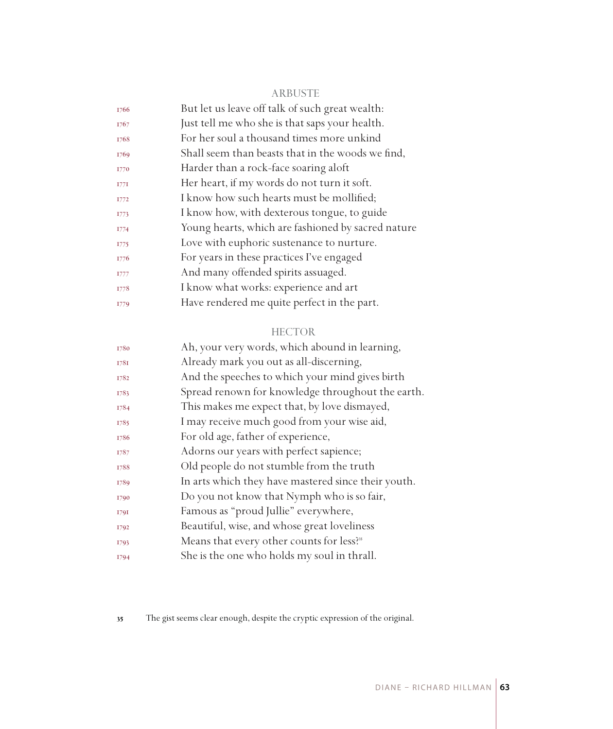#### ARBUSTE

| But let us leave off talk of such great wealth:    |
|----------------------------------------------------|
| Just tell me who she is that saps your health.     |
| For her soul a thousand times more unkind          |
| Shall seem than beasts that in the woods we find,  |
| Harder than a rock-face soaring aloft              |
| Her heart, if my words do not turn it soft.        |
| I know how such hearts must be mollified;          |
| I know how, with dexterous tongue, to guide        |
| Young hearts, which are fashioned by sacred nature |
| Love with euphoric sustenance to nurture.          |
| For years in these practices I've engaged          |
| And many offended spirits assuaged.                |
| I know what works: experience and art              |
| Have rendered me quite perfect in the part.        |
|                                                    |

### HECTOR

| Ah, your very words, which abound in learning,        |
|-------------------------------------------------------|
| Already mark you out as all-discerning,               |
| And the speeches to which your mind gives birth       |
| Spread renown for knowledge throughout the earth.     |
| This makes me expect that, by love dismayed,          |
| I may receive much good from your wise aid,           |
| For old age, father of experience,                    |
| Adorns our years with perfect sapience;               |
| Old people do not stumble from the truth              |
| In arts which they have mastered since their youth.   |
| Do you not know that Nymph who is so fair,            |
| Famous as "proud Jullie" everywhere,                  |
| Beautiful, wise, and whose great loveliness           |
| Means that every other counts for less? <sup>35</sup> |
| She is the one who holds my soul in thrall.           |
|                                                       |

The gist seems clear enough, despite the cryptic expression of the original.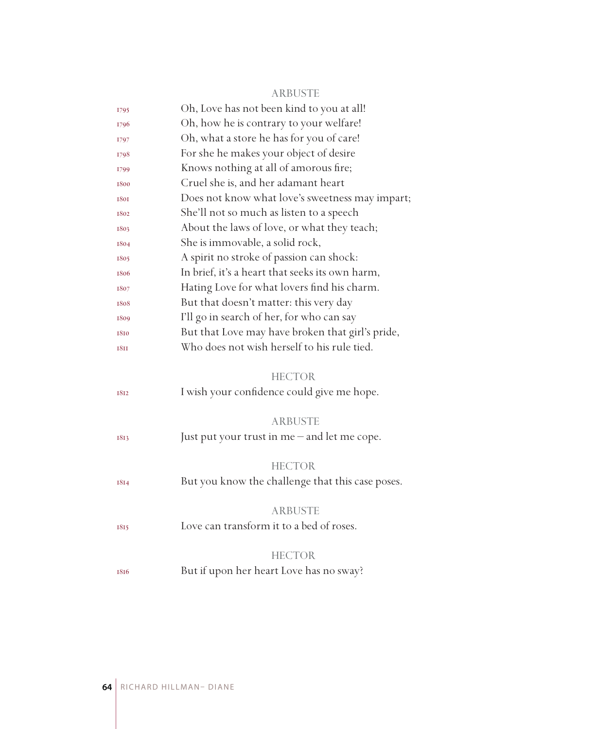#### ARBUSTE

| 1795        | Oh, Love has not been kind to you at all!        |
|-------------|--------------------------------------------------|
| 1796        | Oh, how he is contrary to your welfare!          |
| 1797        | Oh, what a store he has for you of care!         |
| 1798        | For she he makes your object of desire           |
| 1799        | Knows nothing at all of amorous fire;            |
| 1800        | Cruel she is, and her adamant heart              |
| 1801        | Does not know what love's sweetness may impart;  |
| 1802        | She'll not so much as listen to a speech         |
| 1803        | About the laws of love, or what they teach;      |
| 1804        | She is immovable, a solid rock,                  |
| 1805        | A spirit no stroke of passion can shock:         |
| 1806        | In brief, it's a heart that seeks its own harm,  |
| 1807        | Hating Love for what lovers find his charm.      |
| 1808        | But that doesn't matter: this very day           |
| 1809        | I'll go in search of her, for who can say        |
| 1810        | But that Love may have broken that girl's pride, |
| <b>1811</b> | Who does not wish herself to his rule tied.      |
|             |                                                  |
|             |                                                  |
|             | <b>HECTOR</b>                                    |
| 1812        | I wish your confidence could give me hope.       |
|             |                                                  |
|             | <b>ARBUSTE</b>                                   |
| 1813        | Just put your trust in me – and let me cope.     |
|             |                                                  |
|             | <b>HECTOR</b>                                    |
| 1814        | But you know the challenge that this case poses. |
|             |                                                  |
|             | <b>ARBUSTE</b>                                   |
| 1815        | Love can transform it to a bed of roses.         |
|             |                                                  |
|             | <b>HECTOR</b>                                    |
| 1816        | But if upon her heart Love has no sway?          |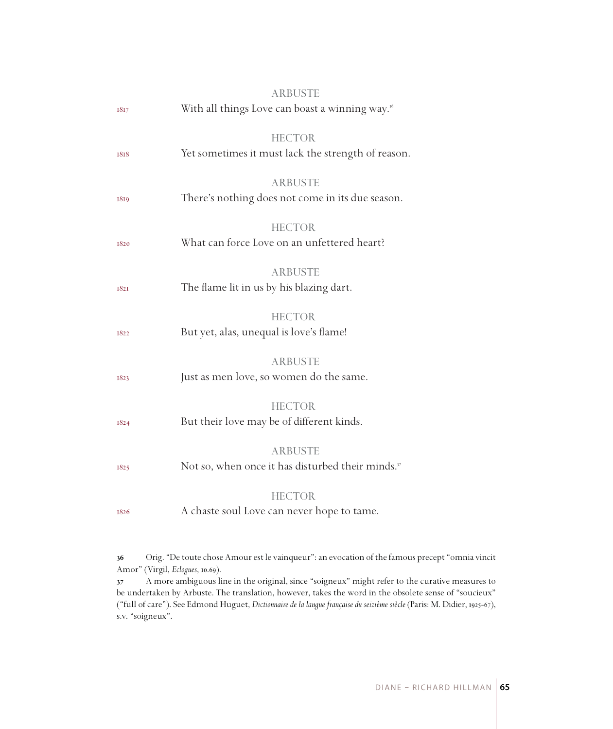| 1817        | <b>ARBUSTE</b><br>With all things Love can boast a winning way. <sup>36</sup>   |
|-------------|---------------------------------------------------------------------------------|
| 1818        | <b>HECTOR</b><br>Yet sometimes it must lack the strength of reason.             |
| 1819        | <b>ARBUSTE</b><br>There's nothing does not come in its due season.              |
| 1820        | <b>HECTOR</b><br>What can force Love on an unfettered heart?                    |
| <b>1821</b> | <b>ARBUSTE</b><br>The flame lit in us by his blazing dart.                      |
| 1822        | <b>HECTOR</b><br>But yet, alas, unequal is love's flame!                        |
| 1823        | <b>ARBUSTE</b><br>Just as men love, so women do the same.                       |
| 1824        | <b>HECTOR</b><br>But their love may be of different kinds.                      |
| 1825        | <b>ARBUSTE</b><br>Not so, when once it has disturbed their minds. <sup>37</sup> |
| 1826        | <b>HECTOR</b><br>A chaste soul Love can never hope to tame.                     |

 Orig. "De toute chose Amour est le vainqueur": an evocation of the famous precept "omnia vincit Amor" (Virgil, *Eclogues*, 10.69).

 A more ambiguous line in the original, since "soigneux" might refer to the curative measures to be undertaken by Arbuste. The translation, however, takes the word in the obsolete sense of "soucieux" ("full of care"). See Edmond Huguet, *Dictionnaire de la langue française du seizième siècle* (Paris: M. Didier, 1925-67), s.v. "soigneux".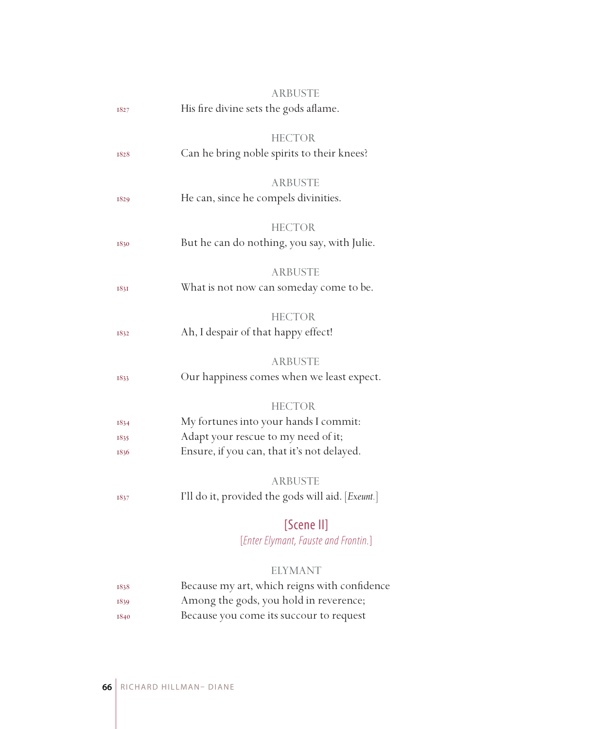|             | <b>ARBUSTE</b>                                    |
|-------------|---------------------------------------------------|
| 1827        | His fire divine sets the gods aflame.             |
|             |                                                   |
|             | HECTOR                                            |
| 1828        | Can he bring noble spirits to their knees?        |
|             |                                                   |
|             | <b>ARBUSTE</b>                                    |
| 1829        | He can, since he compels divinities.              |
|             |                                                   |
|             | <b>HECTOR</b>                                     |
| 1830        | But he can do nothing, you say, with Julie.       |
|             | ARBUSTE                                           |
|             | What is not now can someday come to be.           |
| <b>1831</b> |                                                   |
|             | <b>HECTOR</b>                                     |
| 1832        | Ah, I despair of that happy effect!               |
|             |                                                   |
|             | <b>ARBUSTE</b>                                    |
| 1833        | Our happiness comes when we least expect.         |
|             |                                                   |
|             | <b>HECTOR</b>                                     |
| 1834        | My fortunes into your hands I commit:             |
| 1835        | Adapt your rescue to my need of it;               |
| 1836        | Ensure, if you can, that it's not delayed.        |
|             |                                                   |
|             | <b>ARBUSTE</b>                                    |
| 1837        | I'll do it, provided the gods will aid. [Exeunt.] |
|             | [Scene II]                                        |
|             |                                                   |
|             | [Enter Elymant, Fauste and Frontin.]              |
|             | ELYMANT                                           |
| 1838        | Because my art, which reigns with confidence      |
| 1839        | Among the gods, you hold in reverence;            |
|             |                                                   |

1840 Because you come its succour to request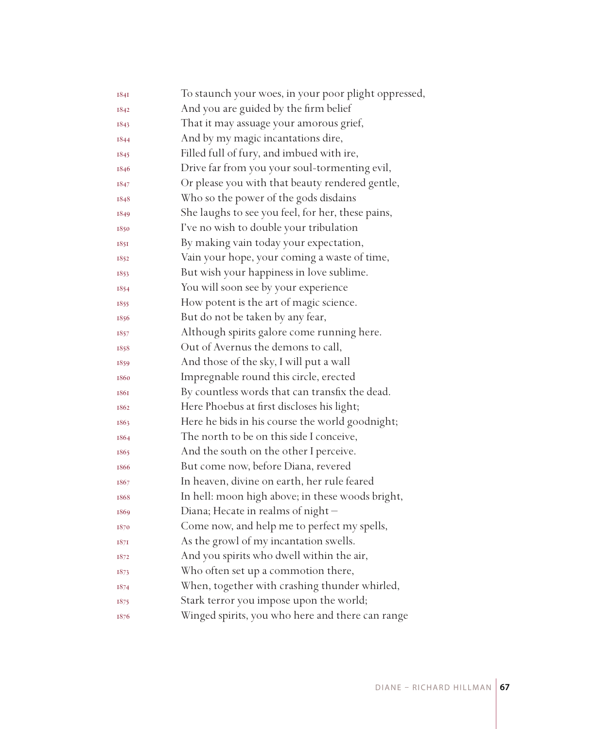| 1841 | To staunch your woes, in your poor plight oppressed, |
|------|------------------------------------------------------|
| 1842 | And you are guided by the firm belief                |
| 1843 | That it may assuage your amorous grief,              |
| 1844 | And by my magic incantations dire,                   |
| 1845 | Filled full of fury, and imbued with ire,            |
| 1846 | Drive far from you your soul-tormenting evil,        |
| 1847 | Or please you with that beauty rendered gentle,      |
| 1848 | Who so the power of the gods disdains                |
| 1849 | She laughs to see you feel, for her, these pains,    |
| 1850 | I've no wish to double your tribulation              |
| 1851 | By making vain today your expectation,               |
| 1852 | Vain your hope, your coming a waste of time,         |
| 1853 | But wish your happiness in love sublime.             |
| 1854 | You will soon see by your experience                 |
| 1855 | How potent is the art of magic science.              |
| 1856 | But do not be taken by any fear,                     |
| 1857 | Although spirits galore come running here.           |
| 1858 | Out of Avernus the demons to call,                   |
| 1859 | And those of the sky, I will put a wall              |
| 1860 | Impregnable round this circle, erected               |
| 1861 | By countless words that can transfix the dead.       |
| 1862 | Here Phoebus at first discloses his light;           |
| 1863 | Here he bids in his course the world goodnight;      |
| 1864 | The north to be on this side I conceive,             |
| 1865 | And the south on the other I perceive.               |
| 1866 | But come now, before Diana, revered                  |
| 1867 | In heaven, divine on earth, her rule feared          |
| 1868 | In hell: moon high above; in these woods bright,     |
| 1869 | Diana; Hecate in realms of night -                   |
| 1870 | Come now, and help me to perfect my spells,          |
| 187I | As the growl of my incantation swells.               |
| 1872 | And you spirits who dwell within the air,            |
| 1873 | Who often set up a commotion there,                  |
| 1874 | When, together with crashing thunder whirled,        |
| 1875 | Stark terror you impose upon the world;              |
| 1876 | Winged spirits, you who here and there can range     |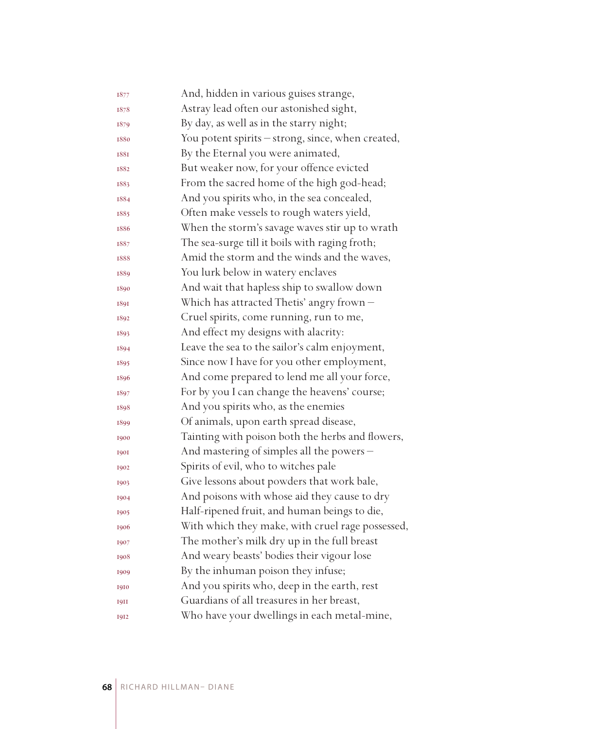| 1877        | And, hidden in various guises strange,            |
|-------------|---------------------------------------------------|
| 1878        | Astray lead often our astonished sight,           |
| 1879        | By day, as well as in the starry night;           |
| 1880        | You potent spirits - strong, since, when created, |
| <b>1881</b> | By the Eternal you were animated,                 |
| 1882        | But weaker now, for your offence evicted          |
| 1883        | From the sacred home of the high god-head;        |
| 1884        | And you spirits who, in the sea concealed,        |
| 1885        | Often make vessels to rough waters yield,         |
| 1886        | When the storm's savage waves stir up to wrath    |
| 1887        | The sea-surge till it boils with raging froth;    |
| 1888        | Amid the storm and the winds and the waves,       |
| 1889        | You lurk below in watery enclaves                 |
| 1890        | And wait that hapless ship to swallow down        |
| 1891        | Which has attracted Thetis' angry frown -         |
| 1892        | Cruel spirits, come running, run to me,           |
| 1893        | And effect my designs with alacrity:              |
| 1894        | Leave the sea to the sailor's calm enjoyment,     |
| 1895        | Since now I have for you other employment,        |
| 1896        | And come prepared to lend me all your force,      |
| 1897        | For by you I can change the heavens' course;      |
| 1898        | And you spirits who, as the enemies               |
| 1899        | Of animals, upon earth spread disease,            |
| 1900        | Tainting with poison both the herbs and flowers,  |
| <b>1901</b> | And mastering of simples all the powers -         |
| 1902        | Spirits of evil, who to witches pale              |
| 1903        | Give lessons about powders that work bale,        |
| 1904        | And poisons with whose aid they cause to dry      |
| 1905        | Half-ripened fruit, and human beings to die,      |
| 1906        | With which they make, with cruel rage possessed,  |
| 1907        | The mother's milk dry up in the full breast       |
| 1908        | And weary beasts' bodies their vigour lose        |
| 1909        | By the inhuman poison they infuse;                |
| 1910        | And you spirits who, deep in the earth, rest      |
| <b>1911</b> | Guardians of all treasures in her breast,         |
| 1912        | Who have your dwellings in each metal-mine,       |
|             |                                                   |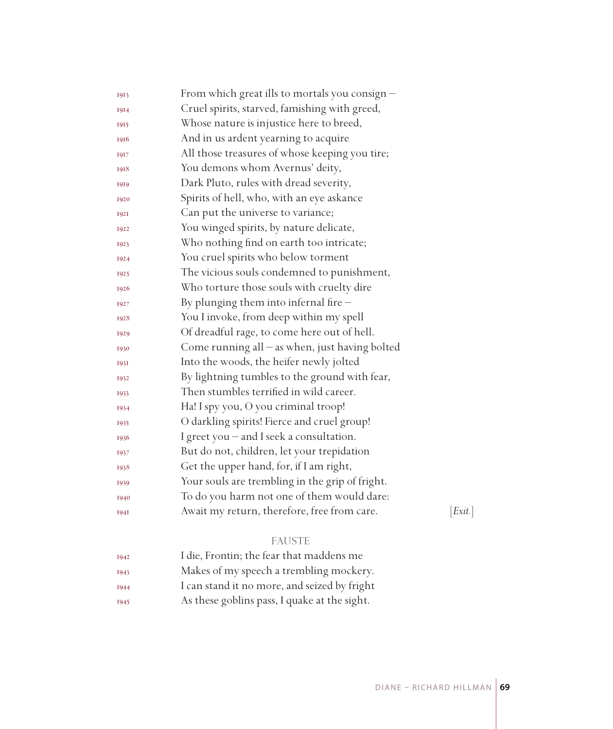| 1913        | From which great ills to mortals you consign $-$ |         |
|-------------|--------------------------------------------------|---------|
| 1914        | Cruel spirits, starved, famishing with greed,    |         |
| 1915        | Whose nature is injustice here to breed,         |         |
| 1916        | And in us ardent yearning to acquire             |         |
| 1917        | All those treasures of whose keeping you tire;   |         |
| 1918        | You demons whom Avernus' deity,                  |         |
| 1919        | Dark Pluto, rules with dread severity,           |         |
| 1920        | Spirits of hell, who, with an eye askance        |         |
| <b>1921</b> | Can put the universe to variance;                |         |
| 1922        | You winged spirits, by nature delicate,          |         |
| 1923        | Who nothing find on earth too intricate;         |         |
| 1924        | You cruel spirits who below torment              |         |
| 1925        | The vicious souls condemned to punishment,       |         |
| 1926        | Who torture those souls with cruelty dire        |         |
| 1927        | By plunging them into infernal fire $-$          |         |
| 1928        | You I invoke, from deep within my spell          |         |
| 1929        | Of dreadful rage, to come here out of hell.      |         |
| 1930        | Come running all $-$ as when, just having bolted |         |
| 1931        | Into the woods, the heifer newly jolted          |         |
| 1932        | By lightning tumbles to the ground with fear,    |         |
| 1933        | Then stumbles terrified in wild career.          |         |
| 1934        | Ha! I spy you, O you criminal troop!             |         |
| 1935        | O darkling spirits! Fierce and cruel group!      |         |
| 1936        | I greet you - and I seek a consultation.         |         |
| 1937        | But do not, children, let your trepidation       |         |
| 1938        | Get the upper hand, for, if I am right,          |         |
| 1939        | Your souls are trembling in the grip of fright.  |         |
| 1940        | To do you harm not one of them would dare:       |         |
| <b>1941</b> | Await my return, therefore, free from care.      | [Exit.] |
|             | <b>FAUSTE</b>                                    |         |
| 1942        | I die, Frontin; the fear that maddens me         |         |
|             |                                                  |         |

| 1943 | Makes of my speech a trembling mockery.      |
|------|----------------------------------------------|
| 1944 | I can stand it no more, and seized by fright |
| 1945 | As these goblins pass, I quake at the sight. |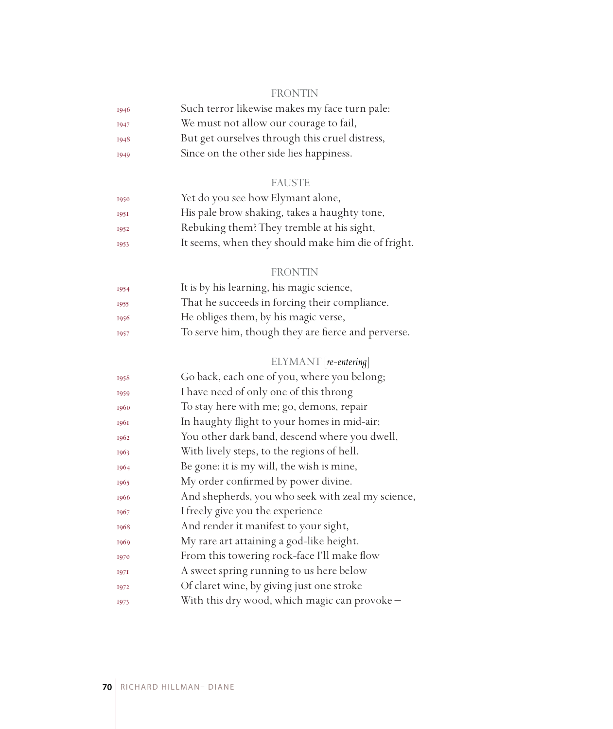#### FRONTIN

| 1946        | Such terror likewise makes my face turn pale:  |
|-------------|------------------------------------------------|
| <b>I947</b> | We must not allow our courage to fail,         |
| 1948        | But get ourselves through this cruel distress, |
| 1949        | Since on the other side lies happiness.        |

#### FAUSTE

| 1950 | Yet do you see how Elymant alone,                  |
|------|----------------------------------------------------|
| 1951 | His pale brow shaking, takes a haughty tone,       |
| 1952 | Rebuking them? They tremble at his sight,          |
| 1953 | It seems, when they should make him die of fright. |

### FRONTIN

| 1954 | It is by his learning, his magic science,          |
|------|----------------------------------------------------|
| 1955 | That he succeeds in forcing their compliance.      |
| 1956 | He obliges them, by his magic verse,               |
| 1957 | To serve him, though they are fierce and perverse. |
|      |                                                    |

## ELYMANT [*re-entering*]

| 1958 | Go back, each one of you, where you belong;       |
|------|---------------------------------------------------|
| 1959 | I have need of only one of this throng            |
| 1960 | To stay here with me; go, demons, repair          |
| 1961 | In haughty flight to your homes in mid-air;       |
| 1962 | You other dark band, descend where you dwell,     |
| 1963 | With lively steps, to the regions of hell.        |
| 1964 | Be gone: it is my will, the wish is mine,         |
| 1965 | My order confirmed by power divine.               |
| 1966 | And shepherds, you who seek with zeal my science, |
| 1967 | I freely give you the experience                  |
| 1968 | And render it manifest to your sight,             |
| 1969 | My rare art attaining a god-like height.          |
| 1970 | From this towering rock-face I'll make flow       |
| 1971 | A sweet spring running to us here below           |
| 1972 | Of claret wine, by giving just one stroke         |
| 1973 | With this dry wood, which magic can provoke -     |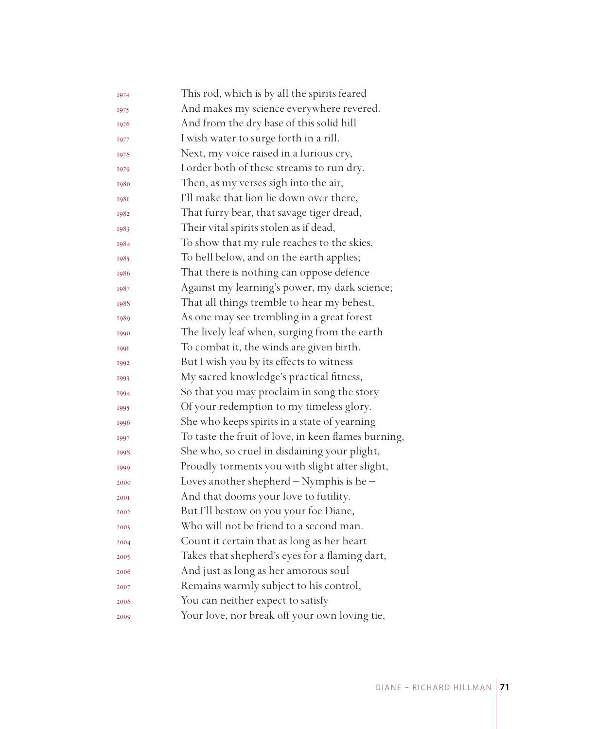| 1974        | This rod, which is by all the spirits feared        |
|-------------|-----------------------------------------------------|
| 1975        | And makes my science everywhere revered.            |
| 1976        | And from the dry base of this solid hill            |
| 1977        | I wish water to surge forth in a rill.              |
| 1978        | Next, my voice raised in a furious cry,             |
| 1979        | I order both of these streams to run dry.           |
| 1980        | Then, as my verses sigh into the air,               |
| <b>1981</b> | I'll make that lion lie down over there,            |
| 1982        | That furry bear, that savage tiger dread,           |
| 1983        | Their vital spirits stolen as if dead,              |
| 1984        | To show that my rule reaches to the skies,          |
| 1985        | To hell below, and on the earth applies;            |
| 1986        | That there is nothing can oppose defence            |
| 1987        | Against my learning's power, my dark science;       |
| 1988        | That all things tremble to hear my behest,          |
| 1989        | As one may see trembling in a great forest          |
| 1990        | The lively leaf when, surging from the earth        |
| 1991        | To combat it, the winds are given birth.            |
| 1992        | But I wish you by its effects to witness            |
| 1993        | My sacred knowledge's practical fitness,            |
| 1994        | So that you may proclaim in song the story          |
| 1995        | Of your redemption to my timeless glory.            |
| 1996        | She who keeps spirits in a state of yearning        |
| 1997        | To taste the fruit of love, in keen flames burning, |
| 1998        | She who, so cruel in disdaining your plight,        |
| 1999        | Proudly torments you with slight after slight,      |
| 2000        | Loves another shepherd - Nymphis is he -            |
| <b>2001</b> | And that dooms your love to futility.               |
| 2002        | But I'll bestow on you your foe Diane,              |
| 2003        | Who will not be friend to a second man.             |
| 2004        | Count it certain that as long as her heart          |
| 2005        | Takes that shepherd's eyes for a flaming dart,      |
| 2006        | And just as long as her amorous soul                |
| 2007        | Remains warmly subject to his control,              |
| 2008        | You can neither expect to satisfy                   |
| 2009        | Your love, nor break off your own loving tie,       |
|             |                                                     |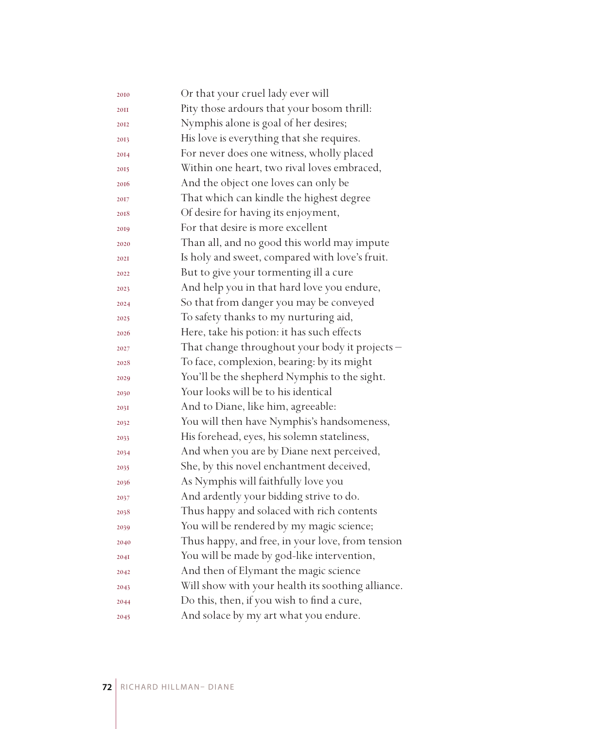| Or that your cruel lady ever will                 |
|---------------------------------------------------|
| Pity those ardours that your bosom thrill:        |
| Nymphis alone is goal of her desires;             |
| His love is everything that she requires.         |
| For never does one witness, wholly placed         |
| Within one heart, two rival loves embraced,       |
| And the object one loves can only be              |
| That which can kindle the highest degree          |
| Of desire for having its enjoyment,               |
| For that desire is more excellent                 |
| Than all, and no good this world may impute       |
| Is holy and sweet, compared with love's fruit.    |
| But to give your tormenting ill a cure            |
| And help you in that hard love you endure,        |
| So that from danger you may be conveyed           |
| To safety thanks to my nurturing aid,             |
| Here, take his potion: it has such effects        |
| That change throughout your body it projects -    |
| To face, complexion, bearing: by its might        |
| You'll be the shepherd Nymphis to the sight.      |
| Your looks will be to his identical               |
| And to Diane, like him, agreeable:                |
| You will then have Nymphis's handsomeness,        |
| His forehead, eyes, his solemn stateliness,       |
| And when you are by Diane next perceived,         |
| She, by this novel enchantment deceived,          |
| As Nymphis will faithfully love you               |
| And ardently your bidding strive to do.           |
| Thus happy and solaced with rich contents         |
| You will be rendered by my magic science;         |
| Thus happy, and free, in your love, from tension  |
| You will be made by god-like intervention,        |
| And then of Elymant the magic science             |
| Will show with your health its soothing alliance. |
| Do this, then, if you wish to find a cure,        |
| And solace by my art what you endure.             |
|                                                   |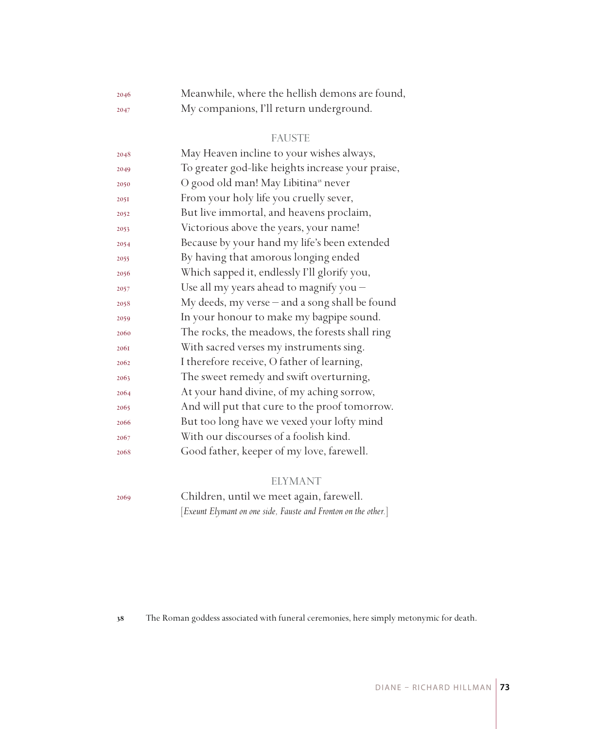| 2046 | Meanwhile, where the hellish demons are found, |
|------|------------------------------------------------|
| 2047 | My companions, I'll return underground.        |

## FAUSTE

| 2048 | May Heaven incline to your wishes always,         |
|------|---------------------------------------------------|
| 2049 | To greater god-like heights increase your praise, |
| 2050 | O good old man! May Libitina <sup>38</sup> never  |
| 2051 | From your holy life you cruelly sever,            |
| 2052 | But live immortal, and heavens proclaim,          |
| 2053 | Victorious above the years, your name!            |
| 2054 | Because by your hand my life's been extended      |
| 2055 | By having that amorous longing ended              |
| 2056 | Which sapped it, endlessly I'll glorify you,      |
| 2057 | Use all my years ahead to magnify you -           |
| 2058 | My deeds, my verse - and a song shall be found    |
| 2059 | In your honour to make my bagpipe sound.          |
| 2060 | The rocks, the meadows, the forests shall ring    |
| 2061 | With sacred verses my instruments sing.           |
| 2062 | I therefore receive, O father of learning,        |
| 2063 | The sweet remedy and swift overturning,           |
| 2064 | At your hand divine, of my aching sorrow,         |
| 2065 | And will put that cure to the proof tomorrow.     |
| 2066 | But too long have we vexed your lofty mind        |
| 2067 | With our discourses of a foolish kind.            |
| 2068 | Good father, keeper of my love, farewell.         |

## ELYMANT

Children, until we meet again, farewell.

[*Exeunt Elymant on one side, Fauste and Fronton on the other.*]

The Roman goddess associated with funeral ceremonies, here simply metonymic for death.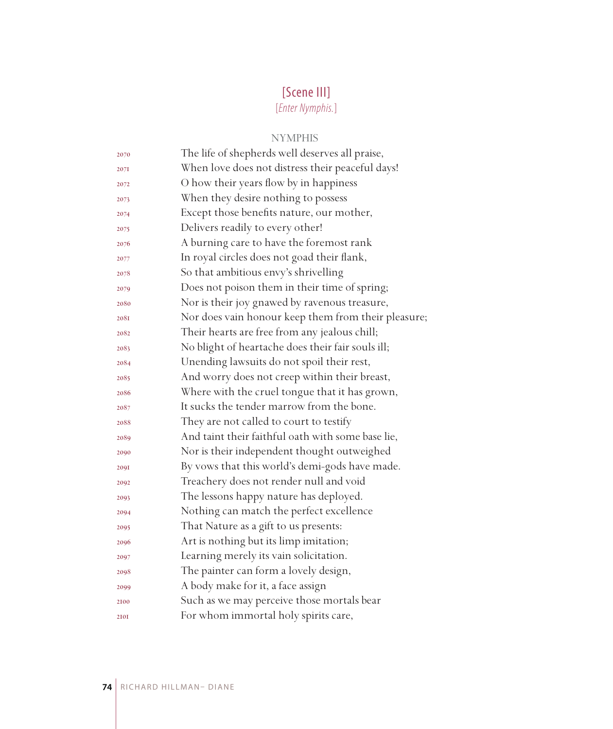# [Scene III]

[*Enter Nymphis.*]

# NYMPHIS

| 2070 | The life of shepherds well deserves all praise,     |
|------|-----------------------------------------------------|
| 2071 | When love does not distress their peaceful days!    |
| 2072 | O how their years flow by in happiness              |
| 2073 | When they desire nothing to possess                 |
| 2074 | Except those benefits nature, our mother,           |
| 2075 | Delivers readily to every other!                    |
| 2076 | A burning care to have the foremost rank            |
| 2077 | In royal circles does not goad their flank,         |
| 2078 | So that ambitious envy's shrivelling                |
| 2079 | Does not poison them in their time of spring;       |
| 2080 | Nor is their joy gnawed by ravenous treasure,       |
| 208I | Nor does vain honour keep them from their pleasure; |
| 2082 | Their hearts are free from any jealous chill;       |
| 2083 | No blight of heartache does their fair souls ill;   |
| 2084 | Unending lawsuits do not spoil their rest,          |
| 2085 | And worry does not creep within their breast,       |
| 2086 | Where with the cruel tongue that it has grown,      |
| 2087 | It sucks the tender marrow from the bone.           |
| 2088 | They are not called to court to testify             |
| 2089 | And taint their faithful oath with some base lie,   |
| 2090 | Nor is their independent thought outweighed         |
| 209I | By vows that this world's demi-gods have made.      |
| 2092 | Treachery does not render null and void             |
| 2093 | The lessons happy nature has deployed.              |
| 2094 | Nothing can match the perfect excellence            |
| 2095 | That Nature as a gift to us presents:               |
| 2096 | Art is nothing but its limp imitation;              |
| 2097 | Learning merely its vain solicitation.              |
| 2098 | The painter can form a lovely design,               |
| 2099 | A body make for it, a face assign                   |
| 2100 | Such as we may perceive those mortals bear          |
| 2101 | For whom immortal holy spirits care,                |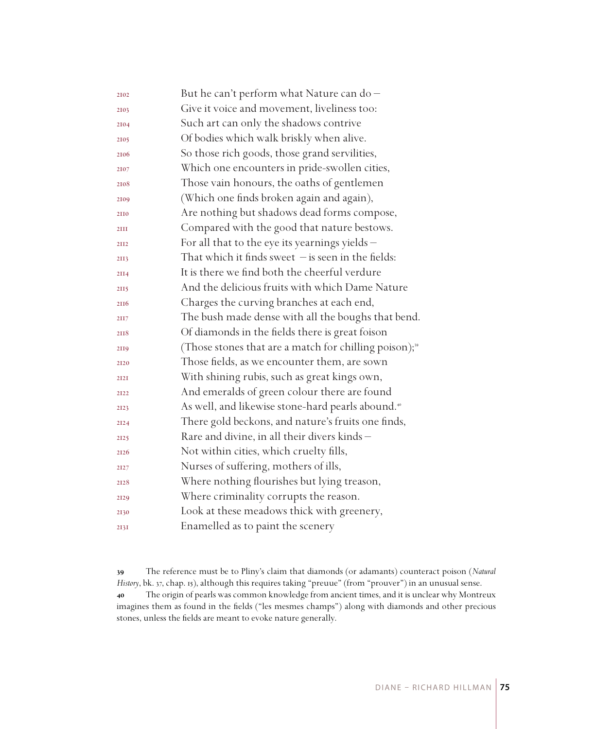| 2102 | But he can't perform what Nature can do-                           |
|------|--------------------------------------------------------------------|
| 2103 | Give it voice and movement, liveliness too:                        |
| 2104 | Such art can only the shadows contrive                             |
| 2105 | Of bodies which walk briskly when alive.                           |
| 2106 | So those rich goods, those grand servilities,                      |
| 2107 | Which one encounters in pride-swollen cities,                      |
| 2108 | Those vain honours, the oaths of gentlemen                         |
| 2109 | (Which one finds broken again and again),                          |
| 2110 | Are nothing but shadows dead forms compose,                        |
| 2III | Compared with the good that nature bestows.                        |
| 2112 | For all that to the eye its yearnings yields $-$                   |
| 2II3 | That which it finds sweet $-$ is seen in the fields:               |
| 2114 | It is there we find both the cheerful verdure                      |
| 2115 | And the delicious fruits with which Dame Nature                    |
| 2116 | Charges the curving branches at each end,                          |
| 2117 | The bush made dense with all the boughs that bend.                 |
| 2118 | Of diamonds in the fields there is great foison                    |
| 2119 | (Those stones that are a match for chilling poison); <sup>39</sup> |
| 2120 | Those fields, as we encounter them, are sown                       |
| 2121 | With shining rubis, such as great kings own,                       |
| 2122 | And emeralds of green colour there are found                       |
| 2123 | As well, and likewise stone-hard pearls abound. <sup>40</sup>      |
| 2124 | There gold beckons, and nature's fruits one finds,                 |
| 2125 | Rare and divine, in all their divers kinds -                       |
| 2126 | Not within cities, which cruelty fills,                            |
| 2127 | Nurses of suffering, mothers of ills,                              |
| 2128 | Where nothing flourishes but lying treason,                        |
| 2129 | Where criminality corrupts the reason.                             |
| 2130 | Look at these meadows thick with greenery,                         |
| 2I3I | Enamelled as to paint the scenery                                  |

 The reference must be to Pliny's claim that diamonds (or adamants) counteract poison (*Natural History*, bk. 37, chap. 15), although this requires taking "preuue" (from "prouver") in an unusual sense. The origin of pearls was common knowledge from ancient times, and it is unclear why Montreux imagines them as found in the fields ("les mesmes champs") along with diamonds and other precious stones, unless the fields are meant to evoke nature generally.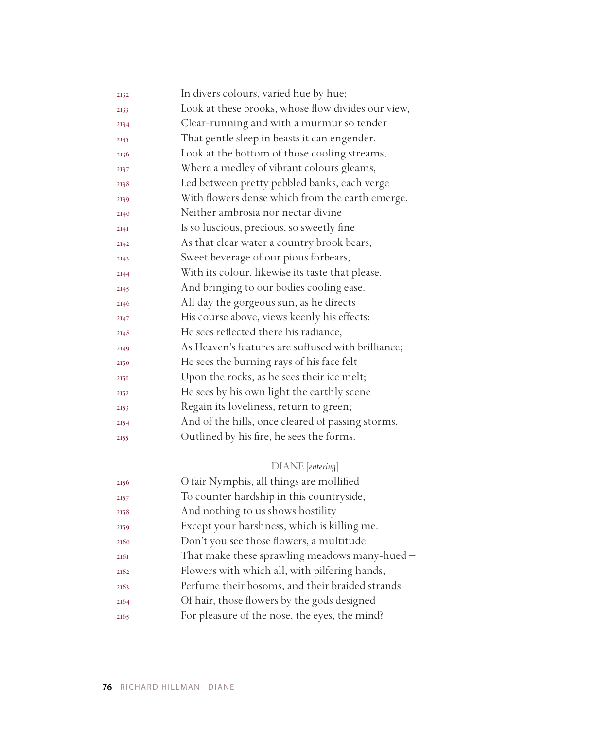| 2132 | In divers colours, varied hue by hue;              |
|------|----------------------------------------------------|
| 2133 | Look at these brooks, whose flow divides our view, |
| 2134 | Clear-running and with a murmur so tender          |
| 2135 | That gentle sleep in beasts it can engender.       |
| 2136 | Look at the bottom of those cooling streams,       |
| 2137 | Where a medley of vibrant colours gleams,          |
| 2138 | Led between pretty pebbled banks, each verge       |
| 2139 | With flowers dense which from the earth emerge.    |
| 2140 | Neither ambrosia nor nectar divine                 |
| 2I4I | Is so luscious, precious, so sweetly fine          |
| 2142 | As that clear water a country brook bears,         |
| 2143 | Sweet beverage of our pious forbears,              |
| 2144 | With its colour, likewise its taste that please,   |
| 2145 | And bringing to our bodies cooling ease.           |
| 2146 | All day the gorgeous sun, as he directs            |
| 2147 | His course above, views keenly his effects:        |
| 2148 | He sees reflected there his radiance,              |
| 2149 | As Heaven's features are suffused with brilliance; |
| 2150 | He sees the burning rays of his face felt          |
| 2151 | Upon the rocks, as he sees their ice melt;         |
| 2152 | He sees by his own light the earthly scene         |
| 2153 | Regain its loveliness, return to green;            |
| 2154 | And of the hills, once cleared of passing storms,  |
| 2155 | Outlined by his fire, he sees the forms.           |
|      |                                                    |

# DIANE [*entering*]

| 2156 | O fair Nymphis, all things are mollified        |
|------|-------------------------------------------------|
| 2157 | To counter hardship in this countryside,        |
| 2158 | And nothing to us shows hostility               |
| 2159 | Except your harshness, which is killing me.     |
| 2160 | Don't you see those flowers, a multitude        |
| 2161 | That make these sprawling meadows many-hued -   |
| 2162 | Flowers with which all, with pilfering hands,   |
| 2163 | Perfume their bosoms, and their braided strands |
| 2164 | Of hair, those flowers by the gods designed     |
| 2165 | For pleasure of the nose, the eyes, the mind?   |
|      |                                                 |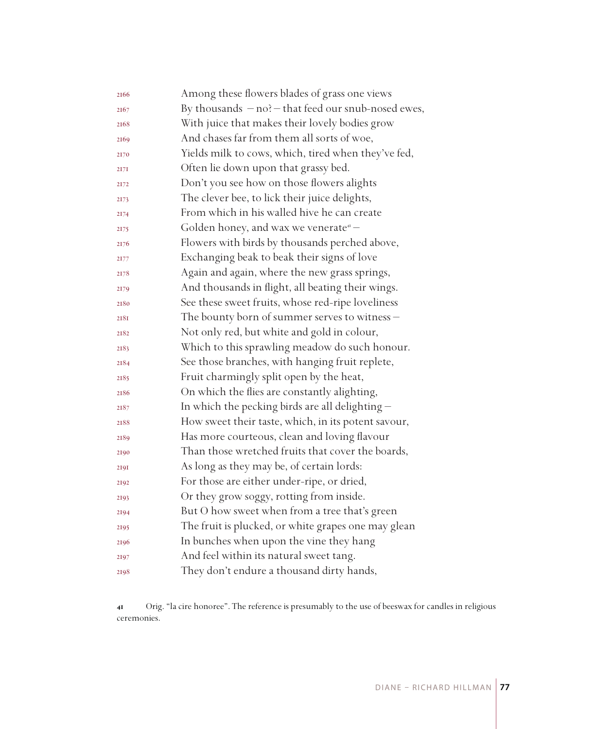| 2166 | Among these flowers blades of grass one views           |
|------|---------------------------------------------------------|
| 2167 | By thousands $-$ no? $-$ that feed our snub-nosed ewes, |
| 2168 | With juice that makes their lovely bodies grow          |
| 2169 | And chases far from them all sorts of woe,              |
| 2170 | Yields milk to cows, which, tired when they've fed,     |
| 2171 | Often lie down upon that grassy bed.                    |
| 2172 | Don't you see how on those flowers alights              |
| 2173 | The clever bee, to lick their juice delights,           |
| 2174 | From which in his walled hive he can create             |
| 2175 | Golden honey, and wax we venerate <sup>41</sup> –       |
| 2176 | Flowers with birds by thousands perched above,          |
| 2177 | Exchanging beak to beak their signs of love             |
| 2178 | Again and again, where the new grass springs,           |
| 2179 | And thousands in flight, all beating their wings.       |
| 2180 | See these sweet fruits, whose red-ripe loveliness       |
| 218I | The bounty born of summer serves to witness -           |
| 2182 | Not only red, but white and gold in colour,             |
| 2183 | Which to this sprawling meadow do such honour.          |
| 2184 | See those branches, with hanging fruit replete,         |
| 2185 | Fruit charmingly split open by the heat,                |
| 2186 | On which the flies are constantly alighting,            |
| 2187 | In which the pecking birds are all delighting -         |
| 2188 | How sweet their taste, which, in its potent savour,     |
| 2189 | Has more courteous, clean and loving flavour            |
| 2190 | Than those wretched fruits that cover the boards,       |
| 2191 | As long as they may be, of certain lords:               |
| 2192 | For those are either under-ripe, or dried,              |
| 2193 | Or they grow soggy, rotting from inside.                |
| 2194 | But O how sweet when from a tree that's green           |
| 2195 | The fruit is plucked, or white grapes one may glean     |
| 2196 | In bunches when upon the vine they hang                 |
| 2197 | And feel within its natural sweet tang.                 |
| 2198 | They don't endure a thousand dirty hands,               |

 Orig. "la cire honoree". The reference is presumably to the use of beeswax for candles in religious ceremonies.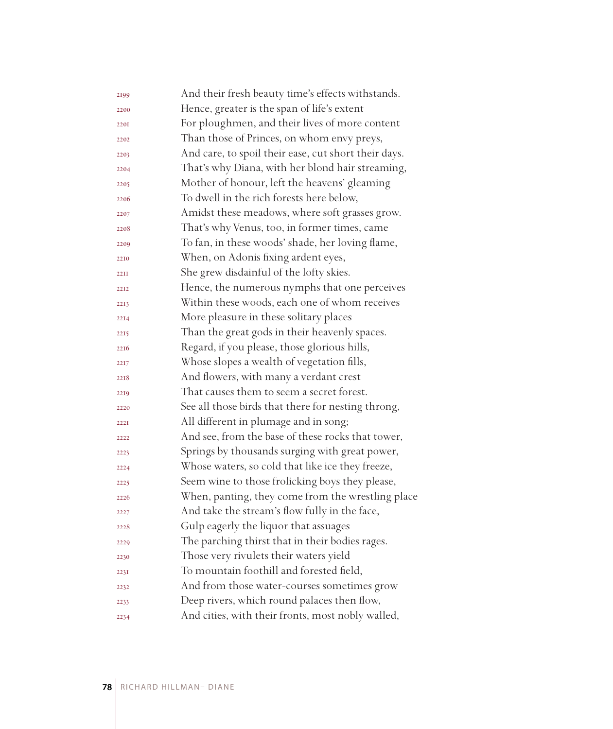| 2199        | And their fresh beauty time's effects withstands.    |
|-------------|------------------------------------------------------|
| 2200        | Hence, greater is the span of life's extent          |
| 2201        | For ploughmen, and their lives of more content       |
| 2202        | Than those of Princes, on whom envy preys,           |
| 2203        | And care, to spoil their ease, cut short their days. |
| 2204        | That's why Diana, with her blond hair streaming,     |
| 2205        | Mother of honour, left the heavens' gleaming         |
| 2206        | To dwell in the rich forests here below,             |
| 2207        | Amidst these meadows, where soft grasses grow.       |
| 2208        | That's why Venus, too, in former times, came         |
| 2209        | To fan, in these woods' shade, her loving flame,     |
| 2210        | When, on Adonis fixing ardent eyes,                  |
| <b>22II</b> | She grew disdainful of the lofty skies.              |
| 2212        | Hence, the numerous nymphs that one perceives        |
| 2213        | Within these woods, each one of whom receives        |
| 2214        | More pleasure in these solitary places               |
| 2215        | Than the great gods in their heavenly spaces.        |
| 2216        | Regard, if you please, those glorious hills,         |
| 2217        | Whose slopes a wealth of vegetation fills,           |
| 2218        | And flowers, with many a verdant crest               |
| 2219        | That causes them to seem a secret forest.            |
| 2220        | See all those birds that there for nesting throng,   |
| 222T        | All different in plumage and in song;                |
| 2222        | And see, from the base of these rocks that tower,    |
| 2223        | Springs by thousands surging with great power,       |
| 2224        | Whose waters, so cold that like ice they freeze,     |
| 2225        | Seem wine to those frolicking boys they please,      |
| 2226        | When, panting, they come from the wrestling place    |
| 2227        | And take the stream's flow fully in the face,        |
| 2228        | Gulp eagerly the liquor that assuages                |
| 2229        | The parching thirst that in their bodies rages.      |
| 2230        | Those very rivulets their waters yield               |
| 223I        | To mountain foothill and forested field,             |
| 2232        | And from those water-courses sometimes grow          |
| 2233        | Deep rivers, which round palaces then flow,          |
| 2234        | And cities, with their fronts, most nobly walled,    |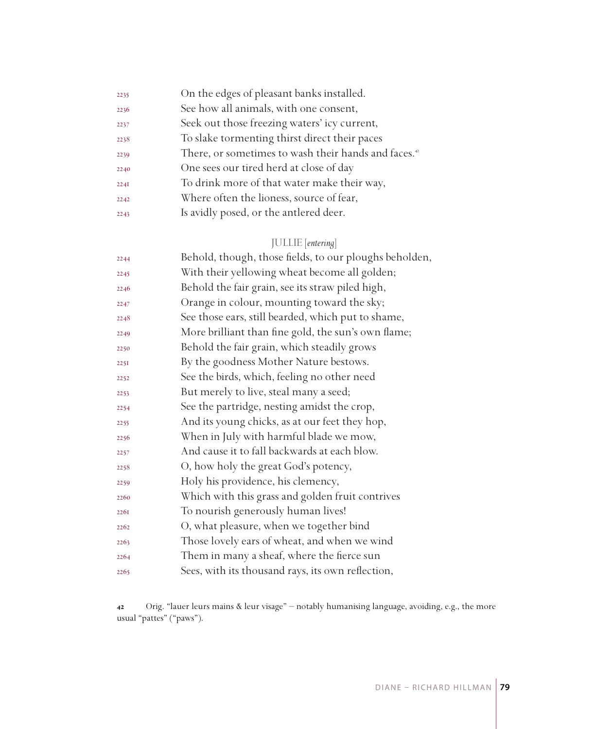| 2235 | On the edges of pleasant banks installed.                       |
|------|-----------------------------------------------------------------|
| 2236 | See how all animals, with one consent,                          |
| 2237 | Seek out those freezing waters' icy current,                    |
| 2238 | To slake tormenting thirst direct their paces                   |
| 2239 | There, or sometimes to wash their hands and faces. <sup>4</sup> |
| 2240 | One sees our tired herd at close of day                         |
| 2241 | To drink more of that water make their way,                     |
| 2242 | Where often the lioness, source of fear,                        |
| 2243 | Is avidly posed, or the antlered deer.                          |
|      |                                                                 |

# JULLIE [*entering*]

| 2244 | Behold, though, those fields, to our ploughs beholden, |
|------|--------------------------------------------------------|
| 2245 | With their yellowing wheat become all golden;          |
| 2246 | Behold the fair grain, see its straw piled high,       |
| 2247 | Orange in colour, mounting toward the sky;             |
| 2248 | See those ears, still bearded, which put to shame,     |
| 2249 | More brilliant than fine gold, the sun's own flame;    |
| 2250 | Behold the fair grain, which steadily grows            |
| 2251 | By the goodness Mother Nature bestows.                 |
| 2252 | See the birds, which, feeling no other need            |
| 2253 | But merely to live, steal many a seed;                 |
| 2254 | See the partridge, nesting amidst the crop,            |
| 2255 | And its young chicks, as at our feet they hop,         |
| 2256 | When in July with harmful blade we mow,                |
| 2257 | And cause it to fall backwards at each blow.           |
| 2258 | O, how holy the great God's potency,                   |
| 2259 | Holy his providence, his clemency,                     |
| 2260 | Which with this grass and golden fruit contrives       |
| 2261 | To nourish generously human lives!                     |
| 2262 | O, what pleasure, when we together bind                |
| 2263 | Those lovely ears of wheat, and when we wind           |
| 2264 | Them in many a sheaf, where the fierce sun             |
| 2265 | Sees, with its thousand rays, its own reflection,      |

 Orig. "lauer leurs mains & leur visage" – notably humanising language, avoiding, e.g., the more usual "pattes" ("paws").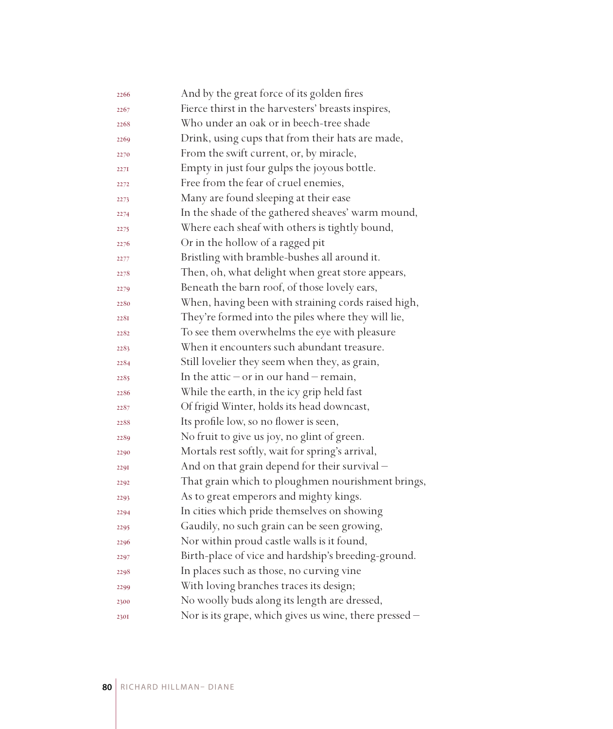| 2266 | And by the great force of its golden fires             |
|------|--------------------------------------------------------|
| 2267 | Fierce thirst in the harvesters' breasts inspires,     |
| 2268 | Who under an oak or in beech-tree shade                |
| 2269 | Drink, using cups that from their hats are made,       |
| 2270 | From the swift current, or, by miracle,                |
| 2271 | Empty in just four gulps the joyous bottle.            |
| 2272 | Free from the fear of cruel enemies,                   |
| 2273 | Many are found sleeping at their ease                  |
| 2274 | In the shade of the gathered sheaves' warm mound,      |
| 2275 | Where each sheaf with others is tightly bound,         |
| 2276 | Or in the hollow of a ragged pit                       |
| 2277 | Bristling with bramble-bushes all around it.           |
| 2278 | Then, oh, what delight when great store appears,       |
| 2279 | Beneath the barn roof, of those lovely ears,           |
| 2280 | When, having been with straining cords raised high,    |
| 2281 | They're formed into the piles where they will lie,     |
| 2282 | To see them overwhelms the eye with pleasure           |
| 2283 | When it encounters such abundant treasure.             |
| 2284 | Still lovelier they seem when they, as grain,          |
| 2285 | In the attic $-$ or in our hand $-$ remain,            |
| 2286 | While the earth, in the icy grip held fast             |
| 2287 | Of frigid Winter, holds its head downcast,             |
| 2288 | Its profile low, so no flower is seen,                 |
| 2289 | No fruit to give us joy, no glint of green.            |
| 2290 | Mortals rest softly, wait for spring's arrival,        |
| 2291 | And on that grain depend for their survival -          |
| 2292 | That grain which to ploughmen nourishment brings,      |
| 2293 | As to great emperors and mighty kings.                 |
| 2294 | In cities which pride themselves on showing            |
| 2295 | Gaudily, no such grain can be seen growing,            |
| 2296 | Nor within proud castle walls is it found,             |
| 2297 | Birth-place of vice and hardship's breeding-ground.    |
| 2298 | In places such as those, no curving vine               |
| 2299 | With loving branches traces its design;                |
| 2300 | No woolly buds along its length are dressed,           |
| 2301 | Nor is its grape, which gives us wine, there pressed - |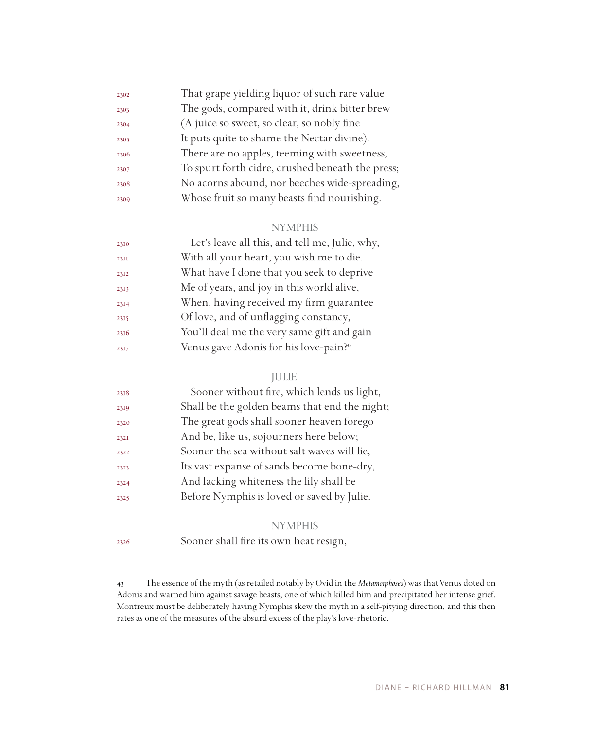| 2302 | That grape yielding liquor of such rare value    |
|------|--------------------------------------------------|
| 2303 | The gods, compared with it, drink bitter brew    |
| 2304 | (A juice so sweet, so clear, so nobly fine       |
| 2305 | It puts quite to shame the Nectar divine).       |
| 2306 | There are no apples, teeming with sweetness,     |
| 2307 | To spurt forth cidre, crushed beneath the press; |
| 2308 | No acorns abound, nor beeches wide-spreading,    |
| 2309 | Whose fruit so many beasts find nourishing.      |
|      |                                                  |

#### NYMPHIS

| With all your heart, you wish me to die.<br>23II           |  |
|------------------------------------------------------------|--|
|                                                            |  |
| What have I done that you seek to deprive<br>2312          |  |
| Me of years, and joy in this world alive,<br>2313          |  |
| When, having received my firm guarantee<br>2314            |  |
| Of love, and of unflagging constancy,<br>2315              |  |
| You'll deal me the very same gift and gain<br>2316         |  |
| Venus gave Adonis for his love-pain? <sup>45</sup><br>2317 |  |

## JULIE

| 2318 | Sooner without fire, which lends us light,    |
|------|-----------------------------------------------|
| 2319 | Shall be the golden beams that end the night; |
| 2320 | The great gods shall sooner heaven forego     |
| 2321 | And be, like us, sojourners here below;       |
| 2322 | Sooner the sea without salt waves will lie,   |
| 2323 | Its vast expanse of sands become bone-dry,    |
| 2324 | And lacking whiteness the lily shall be       |
| 2325 | Before Nymphis is loved or saved by Julie.    |
|      |                                               |

#### **NYMPHIS**

Sooner shall fire its own heat resign,

 The essence of the myth (as retailed notably by Ovid in the *Metamorphoses*) was that Venus doted on Adonis and warned him against savage beasts, one of which killed him and precipitated her intense grief. Montreux must be deliberately having Nymphis skew the myth in a self-pitying direction, and this then rates as one of the measures of the absurd excess of the play's love-rhetoric.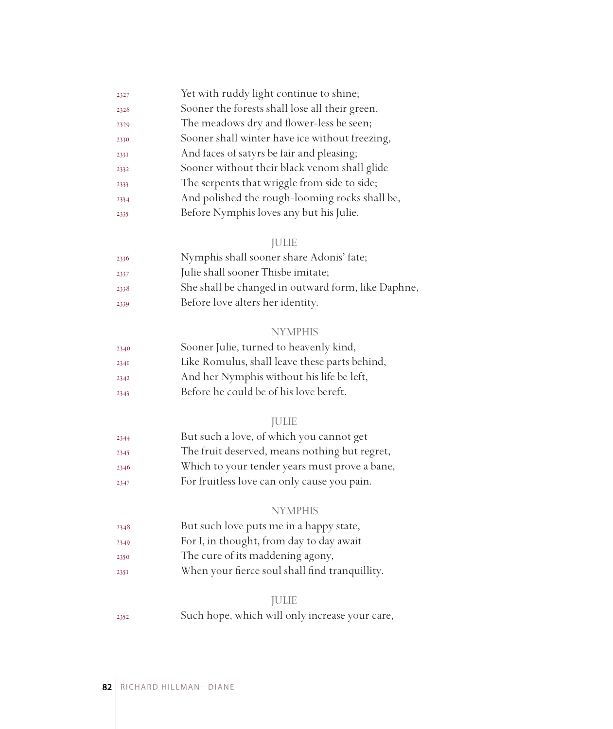| 2327 | Yet with ruddy light continue to shine;        |
|------|------------------------------------------------|
| 2328 | Sooner the forests shall lose all their green, |
| 2329 | The meadows dry and flower-less be seen;       |
| 2330 | Sooner shall winter have ice without freezing, |
| 2331 | And faces of satyrs be fair and pleasing;      |
| 2332 | Sooner without their black venom shall glide   |
| 2333 | The serpents that wriggle from side to side;   |
| 2334 | And polished the rough-looming rocks shall be, |
| 2335 | Before Nymphis loves any but his Julie.        |

## JULIE

| 2336 | Nymphis shall sooner share Adonis' fate;           |
|------|----------------------------------------------------|
| 2337 | Julie shall sooner Thisbe imitate;                 |
| 2338 | She shall be changed in outward form, like Daphne, |
| 2339 | Before love alters her identity.                   |

# NYMPHIS

| 2340 | Sooner Julie, turned to heavenly kind,        |
|------|-----------------------------------------------|
| 234I | Like Romulus, shall leave these parts behind, |
| 2342 | And her Nymphis without his life be left,     |
| 2343 | Before he could be of his love bereft.        |

#### JULIE

| 2344 | But such a love, of which you cannot get      |
|------|-----------------------------------------------|
| 2345 | The fruit deserved, means nothing but regret, |
| 2346 | Which to your tender years must prove a bane, |
| 2347 | For fruitless love can only cause you pain.   |

#### NYMPHIS

- But such love puts me in a happy state,
- For I, in thought, from day to day await
- The cure of its maddening agony,
- When your fierce soul shall find tranquillity.

#### JULIE

Such hope, which will only increase your care,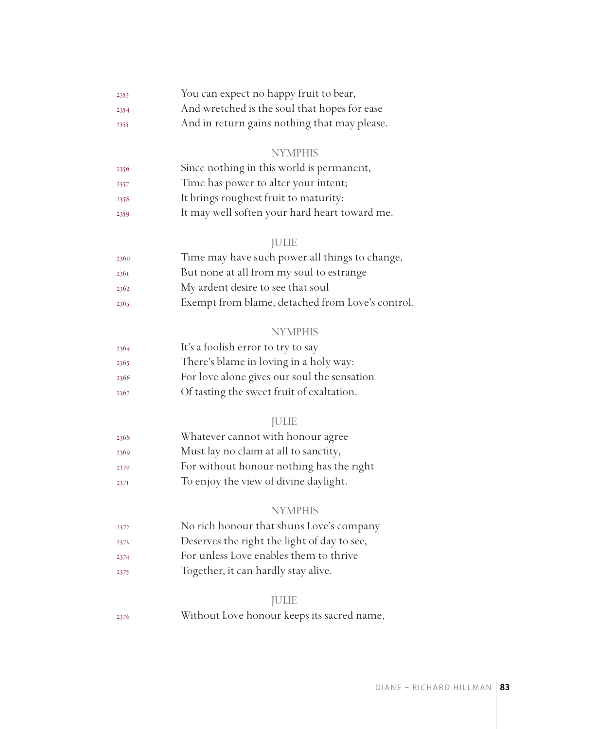| 2353 | You can expect no happy fruit to bear,       |  |  |
|------|----------------------------------------------|--|--|
| 2354 | And wretched is the soul that hopes for ease |  |  |
|      |                                              |  |  |

And in return gains nothing that may please.

#### **NYMPHIS**

| 2356 | Since nothing in this world is permanent,     |
|------|-----------------------------------------------|
| 2357 | Time has power to alter your intent;          |
| 2358 | It brings roughest fruit to maturity:         |
| 2359 | It may well soften your hard heart toward me. |

#### JULIE

| 2360 | Time may have such power all things to change,   |
|------|--------------------------------------------------|
| 2361 | But none at all from my soul to estrange         |
| 2362 | My ardent desire to see that soul                |
| 2363 | Exempt from blame, detached from Love's control. |

#### **NYMPHIS**

| 2364 | It's a foolish error to try to say          |
|------|---------------------------------------------|
| 2365 | There's blame in loving in a holy way:      |
| 2366 | For love alone gives our soul the sensation |
| 2367 | Of tasting the sweet fruit of exaltation.   |

## JULIE

| 2368 | Whatever cannot with honour agree        |
|------|------------------------------------------|
| 2369 | Must lay no claim at all to sanctity,    |
| 2370 | For without honour nothing has the right |
| 2371 | To enjoy the view of divine daylight.    |

#### **NYMPHIS**

- No rich honour that shuns Love's company
- Deserves the right the light of day to see,
- For unless Love enables them to thrive
- Together, it can hardly stay alive.

#### JULIE

Without Love honour keeps its sacred name,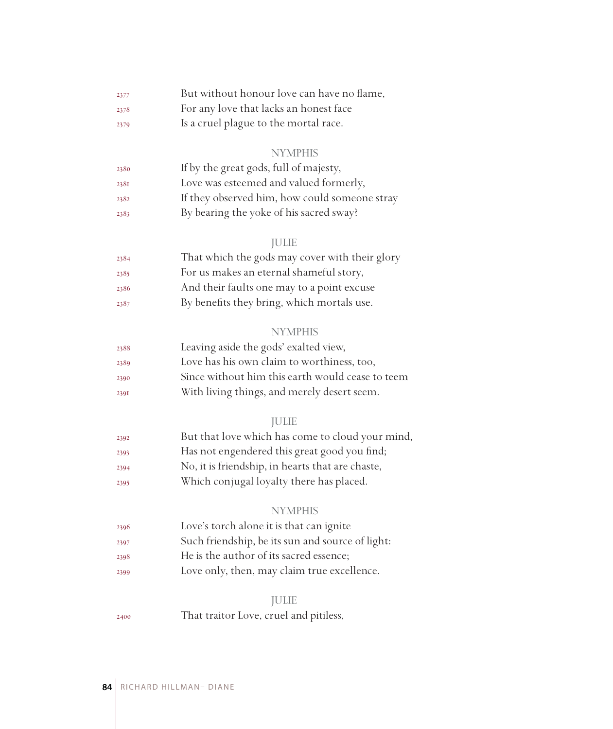| 2377 | But without honour love can have no flame, |
|------|--------------------------------------------|
| 2378 | For any love that lacks an honest face     |

Is a cruel plague to the mortal race.

#### NYMPHIS

| 2380 | If by the great gods, full of majesty,        |
|------|-----------------------------------------------|
| 2381 | Love was esteemed and valued formerly,        |
| 2382 | If they observed him, how could someone stray |
| 2383 | By bearing the yoke of his sacred sway?       |

## JULIE

| 2384 | That which the gods may cover with their glory |
|------|------------------------------------------------|
| 2385 | For us makes an eternal shameful story,        |
| 2386 | And their faults one may to a point excuse     |
| 2387 | By benefits they bring, which mortals use.     |

#### NYMPHIS

| 2388 | Leaving aside the gods' exalted view,            |
|------|--------------------------------------------------|
| 2389 | Love has his own claim to worthiness, too,       |
| 2390 | Since without him this earth would cease to teem |
| 2391 | With living things, and merely desert seem.      |

## JULIE

| 2392 | But that love which has come to cloud your mind, |
|------|--------------------------------------------------|
| 2393 | Has not engendered this great good you find;     |
| 2394 | No, it is friendship, in hearts that are chaste, |
| 2395 | Which conjugal loyalty there has placed.         |

#### NYMPHIS

| 2396 | Love's torch alone it is that can ignite         |  |
|------|--------------------------------------------------|--|
| 2397 | Such friendship, be its sun and source of light: |  |
| 2398 | He is the author of its sacred essence;          |  |
| 2399 | Love only, then, may claim true excellence.      |  |

#### JULIE

That traitor Love, cruel and pitiless,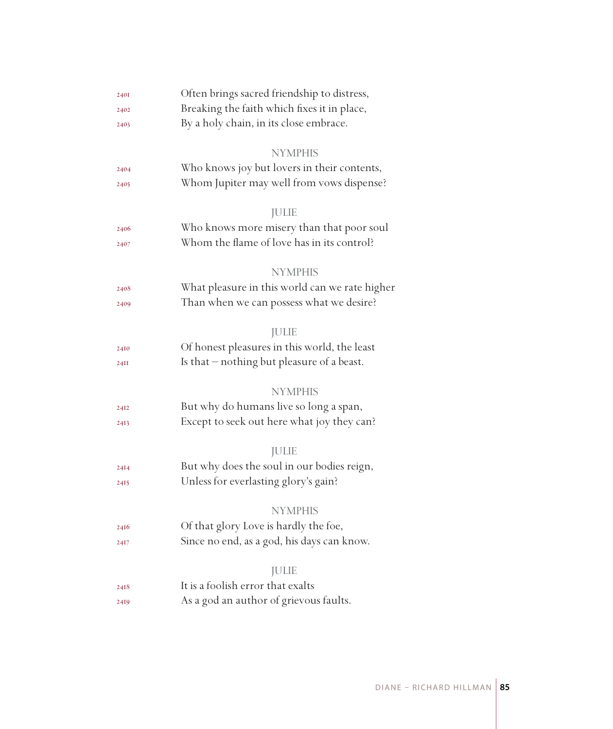| 2401 | Often brings sacred friendship to distress,    |  |  |
|------|------------------------------------------------|--|--|
| 2402 | Breaking the faith which fixes it in place,    |  |  |
| 2403 | By a holy chain, in its close embrace.         |  |  |
|      |                                                |  |  |
|      | <b>NYMPHIS</b>                                 |  |  |
| 2404 | Who knows joy but lovers in their contents,    |  |  |
| 2405 | Whom Jupiter may well from vows dispense?      |  |  |
|      | <b>JULIE</b>                                   |  |  |
| 2406 | Who knows more misery than that poor soul      |  |  |
| 2407 | Whom the flame of love has in its control?     |  |  |
|      |                                                |  |  |
|      | <b>NYMPHIS</b>                                 |  |  |
| 2408 | What pleasure in this world can we rate higher |  |  |
| 2409 | Than when we can possess what we desire?       |  |  |
|      |                                                |  |  |
|      | <b>JULIE</b>                                   |  |  |
| 24I0 | Of honest pleasures in this world, the least   |  |  |
| 24II | Is that – nothing but pleasure of a beast.     |  |  |
|      | <b>NYMPHIS</b>                                 |  |  |
|      | But why do humans live so long a span,         |  |  |
| 24I2 |                                                |  |  |
| 2413 | Except to seek out here what joy they can?     |  |  |
|      | <b>JULIE</b>                                   |  |  |
| 24I4 | But why does the soul in our bodies reign,     |  |  |
| 2415 | Unless for everlasting glory's gain?           |  |  |
|      |                                                |  |  |
|      | <b>NYMPHIS</b>                                 |  |  |
| 2416 | Of that glory Love is hardly the foe,          |  |  |
| 2417 | Since no end, as a god, his days can know.     |  |  |
|      |                                                |  |  |
|      | <b>JULIE</b>                                   |  |  |
| 2418 | It is a foolish error that exalts              |  |  |
| 2419 | As a god an author of grievous faults.         |  |  |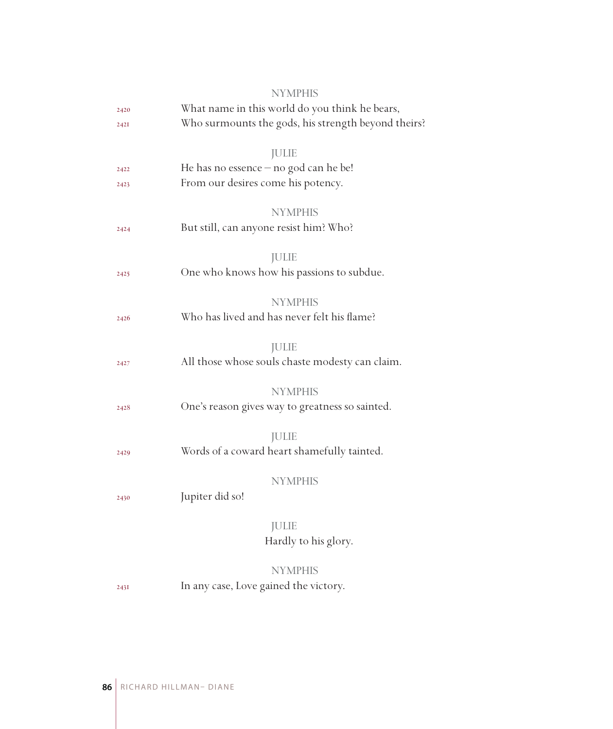|      | <b>NYMPHIS</b>                                      |  |
|------|-----------------------------------------------------|--|
| 2420 | What name in this world do you think he bears,      |  |
| 2421 | Who surmounts the gods, his strength beyond theirs? |  |
|      |                                                     |  |
|      | <b>JULIE</b>                                        |  |
| 2422 | He has no essence $-$ no god can he be!             |  |
| 2423 | From our desires come his potency.                  |  |
|      | <b>NYMPHIS</b>                                      |  |
| 2424 | But still, can anyone resist him? Who?              |  |
|      |                                                     |  |
|      | <b>JULIE</b>                                        |  |
| 2425 | One who knows how his passions to subdue.           |  |
|      |                                                     |  |
|      | <b>NYMPHIS</b>                                      |  |
| 2426 | Who has lived and has never felt his flame?         |  |
|      | <b>JULIE</b>                                        |  |
| 2427 | All those whose souls chaste modesty can claim.     |  |
|      |                                                     |  |
|      | <b>NYMPHIS</b>                                      |  |
| 2428 | One's reason gives way to greatness so sainted.     |  |
|      |                                                     |  |
|      | <b>JULIE</b>                                        |  |
| 2429 | Words of a coward heart shamefully tainted.         |  |
|      |                                                     |  |
|      | <b>NYMPHIS</b>                                      |  |
| 2430 | Jupiter did so!                                     |  |
|      | <b>JULIE</b>                                        |  |
|      | Hardly to his glory.                                |  |
|      |                                                     |  |
|      | <b>NYMPHIS</b>                                      |  |
| 243I | In any case, Love gained the victory.               |  |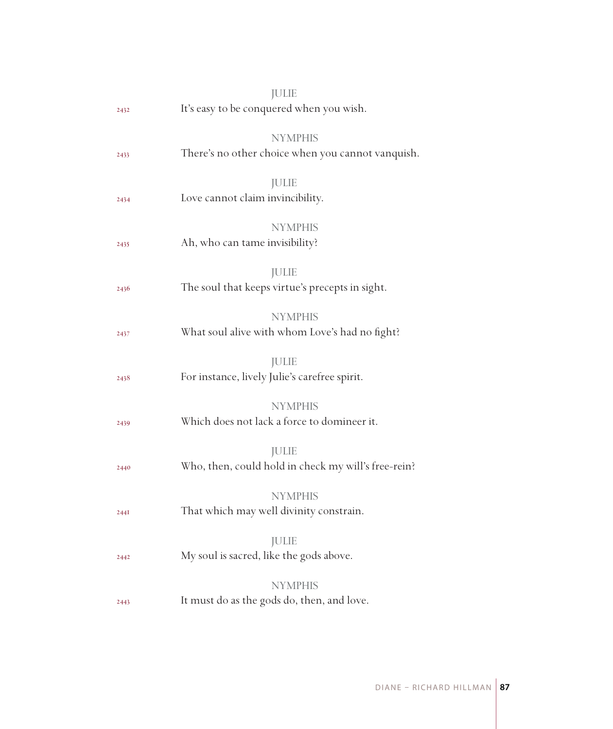|      | <b>JULIE</b>                                                        |
|------|---------------------------------------------------------------------|
| 2432 | It's easy to be conquered when you wish.                            |
|      | <b>NYMPHIS</b>                                                      |
| 2433 | There's no other choice when you cannot vanquish.                   |
| 2434 | <b>JULIE</b><br>Love cannot claim invincibility.                    |
| 2435 | <b>NYMPHIS</b><br>Ah, who can tame invisibility?                    |
| 2436 | JULIE<br>The soul that keeps virtue's precepts in sight.            |
| 2437 | <b>NYMPHIS</b><br>What soul alive with whom Love's had no fight?    |
| 2438 | JULIE<br>For instance, lively Julie's carefree spirit.              |
| 2439 | <b>NYMPHIS</b><br>Which does not lack a force to domineer it.       |
| 2440 | <b>JULIE</b><br>Who, then, could hold in check my will's free-rein? |
| 2441 | <b>NYMPHIS</b><br>That which may well divinity constrain.           |
| 2442 | <b>JULIE</b><br>My soul is sacred, like the gods above.             |
|      | <b>NYMPHIS</b>                                                      |
| 2443 | It must do as the gods do, then, and love.                          |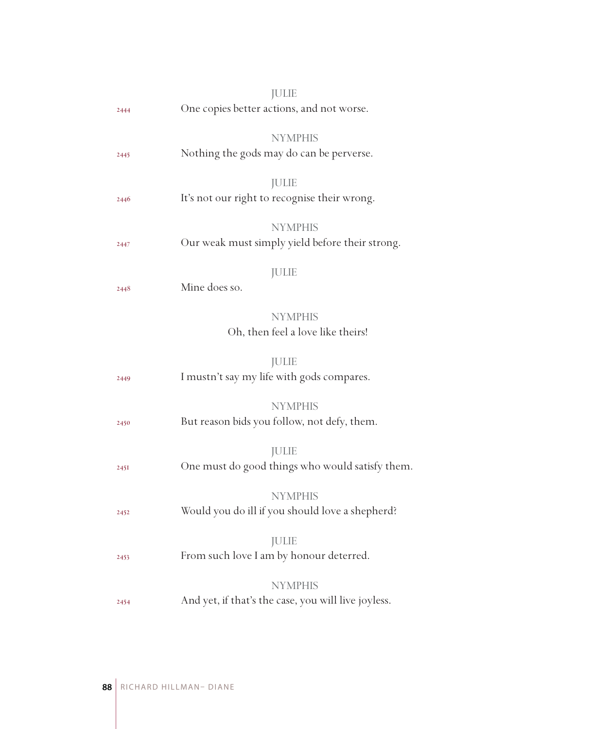|      | <b>JULIE</b>                                               |
|------|------------------------------------------------------------|
| 2444 | One copies better actions, and not worse.                  |
|      |                                                            |
|      | <b>NYMPHIS</b><br>Nothing the gods may do can be perverse. |
| 2445 |                                                            |
|      | <b>JULIE</b>                                               |
| 2446 | It's not our right to recognise their wrong.               |
|      | <b>NYMPHIS</b>                                             |
| 2447 | Our weak must simply yield before their strong.            |
|      |                                                            |
|      | <b>JULIE</b>                                               |
| 2448 | Mine does so.                                              |
|      | <b>NYMPHIS</b>                                             |
|      | Oh, then feel a love like theirs!                          |
|      |                                                            |
|      | <b>JULIE</b>                                               |
| 2449 | I mustn't say my life with gods compares.                  |
|      | <b>NYMPHIS</b>                                             |
| 2450 | But reason bids you follow, not defy, them.                |
|      |                                                            |
|      | <b>JULIE</b>                                               |
| 245I | One must do good things who would satisfy them.            |
|      | <b>NYMPHIS</b>                                             |
| 2452 | Would you do ill if you should love a shepherd?            |
|      |                                                            |
|      | <b>JULIE</b>                                               |
| 2453 | From such love I am by honour deterred.                    |
|      | <b>NYMPHIS</b>                                             |
| 2454 | And yet, if that's the case, you will live joyless.        |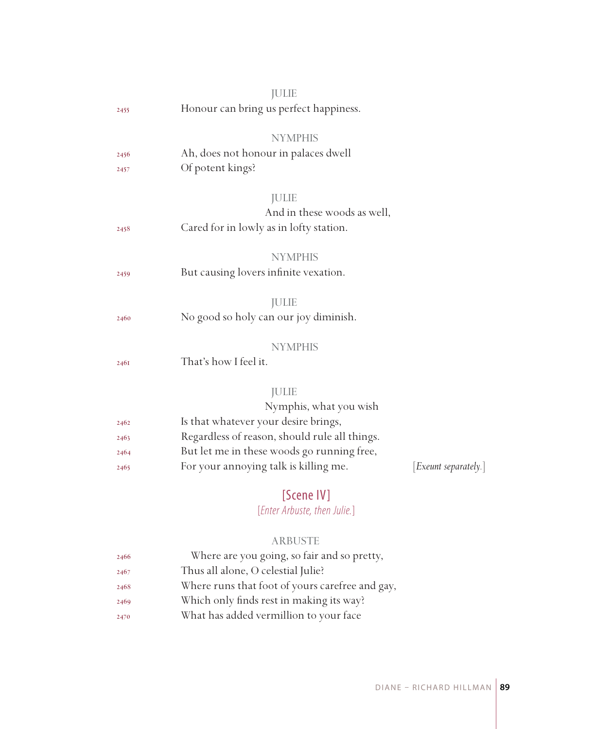|      | <b>JULIE</b>                                  |                      |
|------|-----------------------------------------------|----------------------|
| 2455 | Honour can bring us perfect happiness.        |                      |
|      | <b>NYMPHIS</b>                                |                      |
| 2456 | Ah, does not honour in palaces dwell          |                      |
| 2457 | Of potent kings?                              |                      |
|      | <b>JULIE</b>                                  |                      |
|      | And in these woods as well,                   |                      |
| 2458 | Cared for in lowly as in lofty station.       |                      |
|      | <b>NYMPHIS</b>                                |                      |
| 2459 | But causing lovers infinite vexation.         |                      |
|      | <b>JULIE</b>                                  |                      |
| 2460 | No good so holy can our joy diminish.         |                      |
|      | <b>NYMPHIS</b>                                |                      |
| 2461 | That's how I feel it.                         |                      |
|      | <b>JULIE</b>                                  |                      |
|      | Nymphis, what you wish                        |                      |
| 2462 | Is that whatever your desire brings,          |                      |
| 2463 | Regardless of reason, should rule all things. |                      |
| 2464 | But let me in these woods go running free,    |                      |
| 2465 | For your annoying talk is killing me.         | [Exeunt separately.] |
|      | $TC \rightarrow \cdots \rightarrow 1111$      |                      |

# [Scene IV]

# [*Enter Arbuste, then Julie.*]

## ARBUSTE

| 2466 | Where are you going, so fair and so pretty,     |
|------|-------------------------------------------------|
| 2467 | Thus all alone, O celestial Julie?              |
| 2468 | Where runs that foot of yours carefree and gay, |
| 2469 | Which only finds rest in making its way?        |
| 2470 | What has added vermillion to your face          |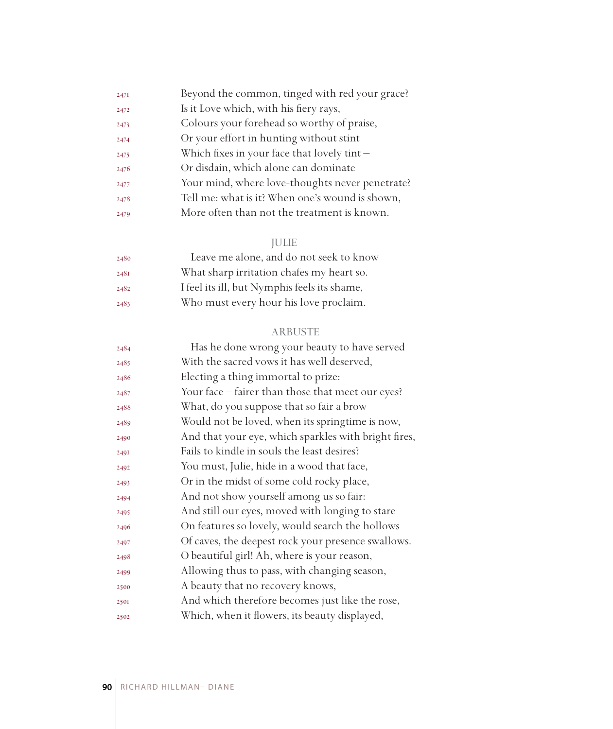| 247I | Beyond the common, tinged with red your grace?  |
|------|-------------------------------------------------|
| 2472 | Is it Love which, with his fiery rays,          |
| 2473 | Colours your forehead so worthy of praise,      |
| 2474 | Or your effort in hunting without stint         |
| 2475 | Which fixes in your face that lovely tint-      |
| 2476 | Or disdain, which alone can dominate            |
| 2477 | Your mind, where love-thoughts never penetrate? |
| 2478 | Tell me: what is it? When one's wound is shown, |
| 2479 | More often than not the treatment is known.     |

# JULIE

| 2480 | Leave me alone, and do not seek to know      |
|------|----------------------------------------------|
| 248I | What sharp irritation chafes my heart so.    |
| 2482 | I feel its ill, but Nymphis feels its shame, |
| 2483 | Who must every hour his love proclaim.       |

## ARBUSTE

| 2484 | Has he done wrong your beauty to have served         |
|------|------------------------------------------------------|
| 2485 | With the sacred vows it has well deserved,           |
| 2486 | Electing a thing immortal to prize:                  |
| 2487 | Your face – fairer than those that meet our eyes?    |
| 2488 | What, do you suppose that so fair a brow             |
| 2489 | Would not be loved, when its springtime is now,      |
| 2490 | And that your eye, which sparkles with bright fires, |
| 2491 | Fails to kindle in souls the least desires?          |
| 2492 | You must, Julie, hide in a wood that face,           |
| 2493 | Or in the midst of some cold rocky place,            |
| 2494 | And not show yourself among us so fair:              |
| 2495 | And still our eyes, moved with longing to stare      |
| 2496 | On features so lovely, would search the hollows      |
| 2497 | Of caves, the deepest rock your presence swallows.   |
| 2498 | O beautiful girl! Ah, where is your reason,          |
| 2499 | Allowing thus to pass, with changing season,         |
| 2500 | A beauty that no recovery knows,                     |
| 2501 | And which therefore becomes just like the rose,      |
| 2502 | Which, when it flowers, its beauty displayed,        |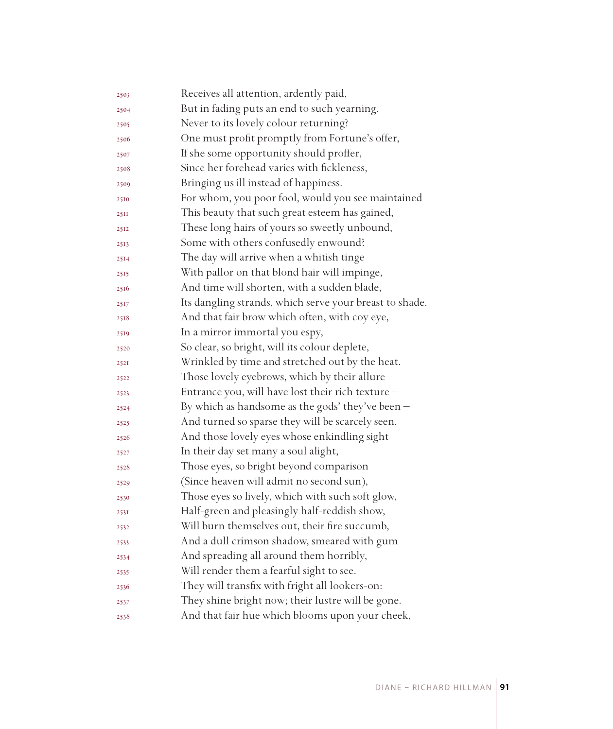| 2503 | Receives all attention, ardently paid,                  |
|------|---------------------------------------------------------|
| 2504 | But in fading puts an end to such yearning,             |
| 2505 | Never to its lovely colour returning?                   |
| 2506 | One must profit promptly from Fortune's offer,          |
| 2507 | If she some opportunity should proffer,                 |
| 2508 | Since her forehead varies with fickleness,              |
| 2509 | Bringing us ill instead of happiness.                   |
| 2510 | For whom, you poor fool, would you see maintained       |
| 25II | This beauty that such great esteem has gained,          |
| 2512 | These long hairs of yours so sweetly unbound,           |
| 2513 | Some with others confusedly enwound?                    |
| 2514 | The day will arrive when a whitish tinge                |
| 2515 | With pallor on that blond hair will impinge,            |
| 2516 | And time will shorten, with a sudden blade,             |
| 2517 | Its dangling strands, which serve your breast to shade. |
| 2518 | And that fair brow which often, with coy eye,           |
| 2519 | In a mirror immortal you espy,                          |
| 2520 | So clear, so bright, will its colour deplete,           |
| 2521 | Wrinkled by time and stretched out by the heat.         |
| 2522 | Those lovely eyebrows, which by their allure            |
| 2523 | Entrance you, will have lost their rich texture -       |
| 2524 | By which as handsome as the gods' they've been $-$      |
| 2525 | And turned so sparse they will be scarcely seen.        |
| 2526 | And those lovely eyes whose enkindling sight            |
| 2527 | In their day set many a soul alight,                    |
| 2528 | Those eyes, so bright beyond comparison                 |
| 2529 | (Since heaven will admit no second sun),                |
| 2530 | Those eyes so lively, which with such soft glow,        |
| 2531 | Half-green and pleasingly half-reddish show,            |
| 2532 | Will burn themselves out, their fire succumb,           |
| 2533 | And a dull crimson shadow, smeared with gum             |
| 2534 | And spreading all around them horribly,                 |
| 2535 | Will render them a fearful sight to see.                |
| 2536 | They will transfix with fright all lookers-on:          |
| 2537 | They shine bright now; their lustre will be gone.       |
| 2538 | And that fair hue which blooms upon your cheek,         |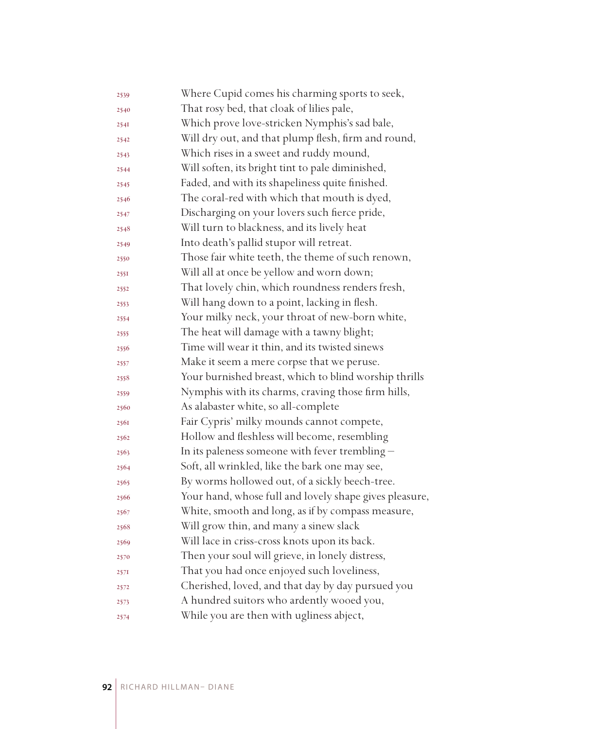| 2539 | Where Cupid comes his charming sports to seek,         |
|------|--------------------------------------------------------|
| 2540 | That rosy bed, that cloak of lilies pale,              |
| 2541 | Which prove love-stricken Nymphis's sad bale,          |
| 2542 | Will dry out, and that plump flesh, firm and round,    |
| 2543 | Which rises in a sweet and ruddy mound,                |
| 2544 | Will soften, its bright tint to pale diminished,       |
| 2545 | Faded, and with its shapeliness quite finished.        |
| 2546 | The coral-red with which that mouth is dyed,           |
| 2547 | Discharging on your lovers such fierce pride,          |
| 2548 | Will turn to blackness, and its lively heat            |
| 2549 | Into death's pallid stupor will retreat.               |
| 2550 | Those fair white teeth, the theme of such renown,      |
| 2551 | Will all at once be yellow and worn down;              |
| 2552 | That lovely chin, which roundness renders fresh,       |
| 2553 | Will hang down to a point, lacking in flesh.           |
| 2554 | Your milky neck, your throat of new-born white,        |
| 2555 | The heat will damage with a tawny blight;              |
| 2556 | Time will wear it thin, and its twisted sinews         |
| 2557 | Make it seem a mere corpse that we peruse.             |
| 2558 | Your burnished breast, which to blind worship thrills  |
| 2559 | Nymphis with its charms, craving those firm hills,     |
| 2560 | As alabaster white, so all-complete                    |
| 2561 | Fair Cypris' milky mounds cannot compete,              |
| 2562 | Hollow and fleshless will become, resembling           |
| 2563 | In its paleness someone with fever trembling $-$       |
| 2564 | Soft, all wrinkled, like the bark one may see,         |
| 2565 | By worms hollowed out, of a sickly beech-tree.         |
| 2566 | Your hand, whose full and lovely shape gives pleasure, |
| 2567 | White, smooth and long, as if by compass measure,      |
| 2568 | Will grow thin, and many a sinew slack                 |
| 2569 | Will lace in criss-cross knots upon its back.          |
| 2570 | Then your soul will grieve, in lonely distress,        |
| 257I | That you had once enjoyed such loveliness,             |
| 2572 | Cherished, loved, and that day by day pursued you      |
| 2573 | A hundred suitors who ardently wooed you,              |
| 2574 | While you are then with ugliness abject,               |
|      |                                                        |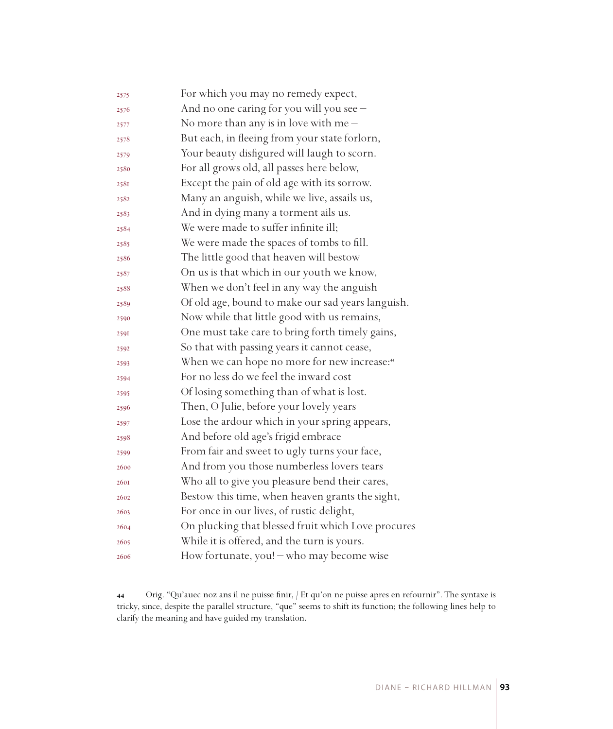| 2575 | For which you may no remedy expect,                      |
|------|----------------------------------------------------------|
| 2576 | And no one caring for you will you see -                 |
| 2577 | No more than any is in love with me $-$                  |
| 2578 | But each, in fleeing from your state forlorn,            |
| 2579 | Your beauty disfigured will laugh to scorn.              |
| 2580 | For all grows old, all passes here below,                |
| 2581 | Except the pain of old age with its sorrow.              |
| 2582 | Many an anguish, while we live, assails us,              |
| 2583 | And in dying many a torment ails us.                     |
| 2584 | We were made to suffer infinite ill;                     |
| 2585 | We were made the spaces of tombs to fill.                |
| 2586 | The little good that heaven will bestow                  |
| 2587 | On us is that which in our youth we know,                |
| 2588 | When we don't feel in any way the anguish                |
| 2589 | Of old age, bound to make our sad years languish.        |
| 2590 | Now while that little good with us remains,              |
| 2591 | One must take care to bring forth timely gains,          |
| 2592 | So that with passing years it cannot cease,              |
| 2593 | When we can hope no more for new increase: <sup>44</sup> |
| 2594 | For no less do we feel the inward cost                   |
| 2595 | Of losing something than of what is lost.                |
| 2596 | Then, O Julie, before your lovely years                  |
| 2597 | Lose the ardour which in your spring appears,            |
| 2598 | And before old age's frigid embrace                      |
| 2599 | From fair and sweet to ugly turns your face,             |
| 2600 | And from you those numberless lovers tears               |
| 2601 | Who all to give you pleasure bend their cares,           |
| 2602 | Bestow this time, when heaven grants the sight,          |
| 2603 | For once in our lives, of rustic delight,                |
| 2604 | On plucking that blessed fruit which Love procures       |
| 2605 | While it is offered, and the turn is yours.              |
| 2606 | How fortunate, you! - who may become wise                |

 Orig. "Qu'auec noz ans il ne puisse finir, / Et qu'on ne puisse apres en refournir". The syntaxe is tricky, since, despite the parallel structure, "que" seems to shift its function; the following lines help to clarify the meaning and have guided my translation.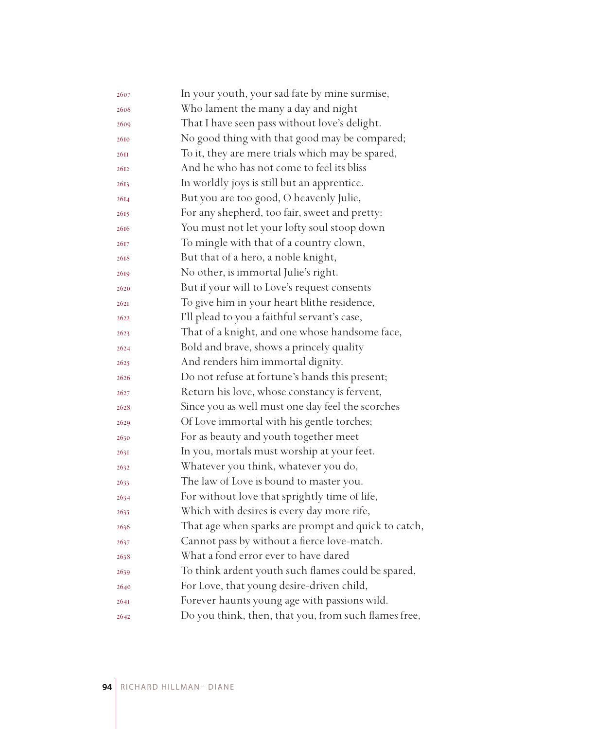| 2607 | In your youth, your sad fate by mine surmise,        |
|------|------------------------------------------------------|
| 2608 | Who lament the many a day and night                  |
| 2609 | That I have seen pass without love's delight.        |
| 2610 | No good thing with that good may be compared;        |
| 26II | To it, they are mere trials which may be spared,     |
| 2612 | And he who has not come to feel its bliss            |
| 2613 | In worldly joys is still but an apprentice.          |
| 2614 | But you are too good, O heavenly Julie,              |
| 2615 | For any shepherd, too fair, sweet and pretty:        |
| 2616 | You must not let your lofty soul stoop down          |
| 2617 | To mingle with that of a country clown,              |
| 2618 | But that of a hero, a noble knight,                  |
| 2619 | No other, is immortal Julie's right.                 |
| 2620 | But if your will to Love's request consents          |
| 262I | To give him in your heart blithe residence,          |
| 2622 | I'll plead to you a faithful servant's case,         |
| 2623 | That of a knight, and one whose handsome face,       |
| 2624 | Bold and brave, shows a princely quality             |
| 2625 | And renders him immortal dignity.                    |
| 2626 | Do not refuse at fortune's hands this present;       |
| 2627 | Return his love, whose constancy is fervent,         |
| 2628 | Since you as well must one day feel the scorches     |
| 2629 | Of Love immortal with his gentle torches;            |
| 2630 | For as beauty and youth together meet                |
| 263I | In you, mortals must worship at your feet.           |
| 2632 | Whatever you think, whatever you do,                 |
| 2633 | The law of Love is bound to master you.              |
| 2634 | For without love that sprightly time of life,        |
| 2635 | Which with desires is every day more rife,           |
| 2636 | That age when sparks are prompt and quick to catch,  |
| 2637 | Cannot pass by without a fierce love-match.          |
| 2638 | What a fond error ever to have dared                 |
| 2639 | To think ardent youth such flames could be spared,   |
| 2640 | For Love, that young desire-driven child,            |
| 264I | Forever haunts young age with passions wild.         |
| 2642 | Do you think, then, that you, from such flames free, |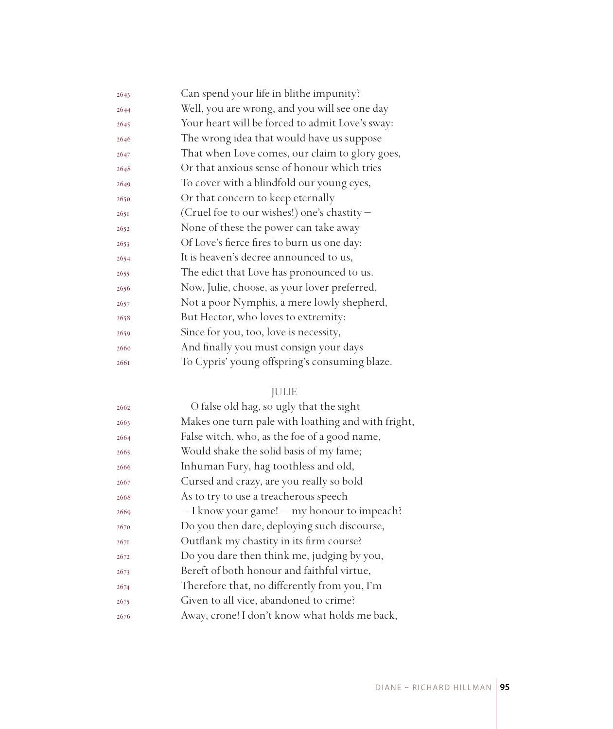| 2643 | Can spend your life in blithe impunity?         |
|------|-------------------------------------------------|
| 2644 | Well, you are wrong, and you will see one day   |
| 2645 | Your heart will be forced to admit Love's sway: |
| 2646 | The wrong idea that would have us suppose       |
| 2647 | That when Love comes, our claim to glory goes,  |
| 2648 | Or that anxious sense of honour which tries     |
| 2649 | To cover with a blindfold our young eyes,       |
| 2650 | Or that concern to keep eternally               |
| 2651 | (Cruel foe to our wishes!) one's chastity -     |
| 2652 | None of these the power can take away           |
| 2653 | Of Love's fierce fires to burn us one day:      |
| 2654 | It is heaven's decree announced to us,          |
| 2655 | The edict that Love has pronounced to us.       |
| 2656 | Now, Julie, choose, as your lover preferred,    |
| 2657 | Not a poor Nymphis, a mere lowly shepherd,      |
| 2658 | But Hector, who loves to extremity:             |
| 2659 | Since for you, too, love is necessity,          |
| 2660 | And finally you must consign your days          |
| 2661 | To Cypris' young offspring's consuming blaze.   |
|      |                                                 |

# JULIE

| 2662 | O false old hag, so ugly that the sight            |
|------|----------------------------------------------------|
| 2663 | Makes one turn pale with loathing and with fright, |
| 2664 | False witch, who, as the foe of a good name,       |
| 2665 | Would shake the solid basis of my fame;            |
| 2666 | Inhuman Fury, hag toothless and old,               |
| 2667 | Cursed and crazy, are you really so bold           |
| 2668 | As to try to use a treacherous speech              |
| 2669 | $-I$ know your game! $-$ my honour to impeach?     |
| 2670 | Do you then dare, deploying such discourse,        |
| 267I | Outflank my chastity in its firm course?           |
| 2672 | Do you dare then think me, judging by you,         |
| 2673 | Bereft of both honour and faithful virtue,         |
| 2674 | Therefore that, no differently from you, I'm       |
| 2675 | Given to all vice, abandoned to crime?             |
| 2676 | Away, crone! I don't know what holds me back,      |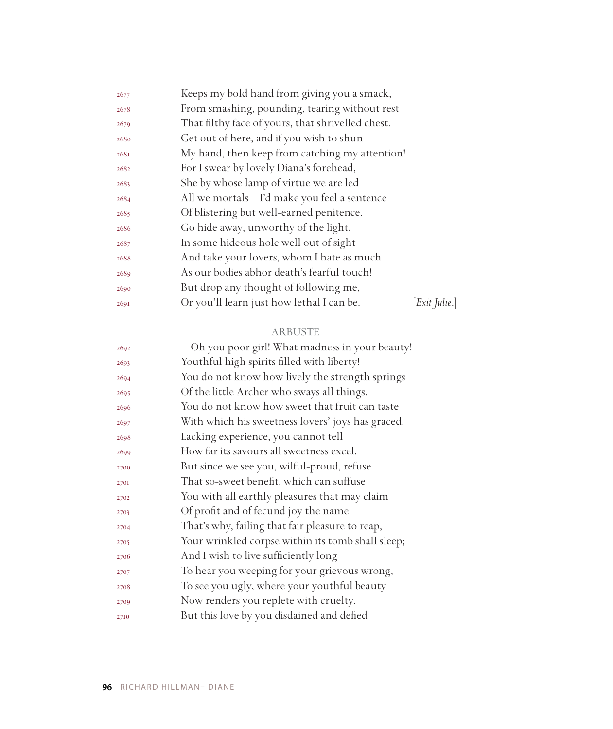| 2677 | Keeps my bold hand from giving you a smack,       |             |
|------|---------------------------------------------------|-------------|
| 2678 | From smashing, pounding, tearing without rest     |             |
| 2679 | That filthy face of yours, that shrivelled chest. |             |
| 2680 | Get out of here, and if you wish to shun          |             |
| 2681 | My hand, then keep from catching my attention!    |             |
| 2682 | For I swear by lovely Diana's forehead,           |             |
| 2683 | She by whose lamp of virtue we are $led -$        |             |
| 2684 | All we mortals – I'd make you feel a sentence     |             |
| 2685 | Of blistering but well-earned penitence.          |             |
| 2686 | Go hide away, unworthy of the light,              |             |
| 2687 | In some hideous hole well out of sight $-$        |             |
| 2688 | And take your lovers, whom I hate as much         |             |
| 2689 | As our bodies abhor death's fearful touch!        |             |
| 2690 | But drop any thought of following me,             |             |
| 2691 | Or you'll learn just how lethal I can be.         | Exit Julie. |

## ARBUSTE

| 2692 | Oh you poor girl! What madness in your beauty!    |
|------|---------------------------------------------------|
| 2693 | Youthful high spirits filled with liberty!        |
| 2694 | You do not know how lively the strength springs   |
| 2695 | Of the little Archer who sways all things.        |
| 2696 | You do not know how sweet that fruit can taste    |
| 2697 | With which his sweetness lovers' joys has graced. |
| 2698 | Lacking experience, you cannot tell               |
| 2699 | How far its savours all sweetness excel.          |
| 2700 | But since we see you, wilful-proud, refuse        |
| 2701 | That so-sweet benefit, which can suffuse          |
| 2702 | You with all earthly pleasures that may claim     |
| 2703 | Of profit and of fecund joy the name -            |
| 2704 | That's why, failing that fair pleasure to reap,   |
| 2705 | Your wrinkled corpse within its tomb shall sleep; |
| 2706 | And I wish to live sufficiently long              |
| 2707 | To hear you weeping for your grievous wrong,      |
| 2708 | To see you ugly, where your youthful beauty       |
| 2709 | Now renders you replete with cruelty.             |
| 2710 | But this love by you disdained and defied         |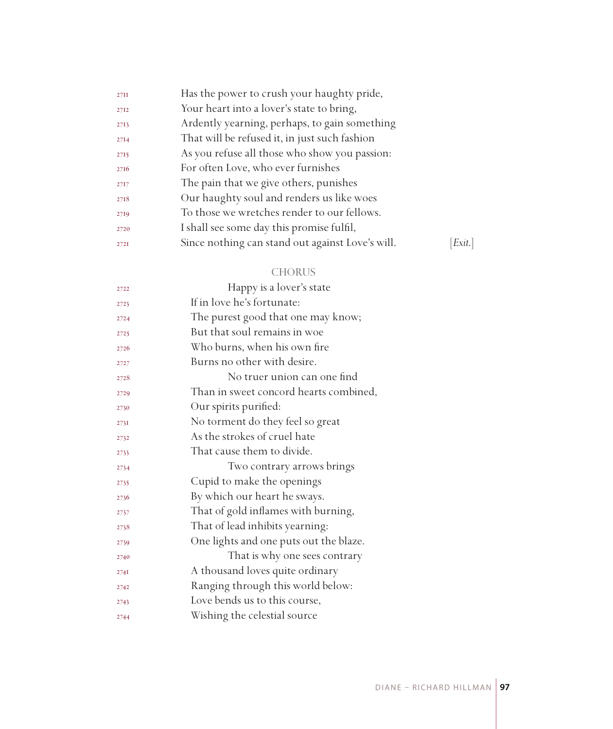| Exit. |
|-------|
|       |

## CHORUS

| 2722 | Happy is a lover's state               |
|------|----------------------------------------|
| 2723 | If in love he's fortunate:             |
| 2724 | The purest good that one may know;     |
| 2725 | But that soul remains in woe           |
| 2726 | Who burns, when his own fire           |
| 2727 | Burns no other with desire.            |
| 2728 | No truer union can one find            |
| 2729 | Than in sweet concord hearts combined, |
| 2730 | Our spirits purified:                  |
| 2731 | No torment do they feel so great       |
| 2732 | As the strokes of cruel hate           |
| 2733 | That cause them to divide.             |
| 2734 | Two contrary arrows brings             |
| 2735 | Cupid to make the openings             |
| 2736 | By which our heart he sways.           |
| 2737 | That of gold inflames with burning,    |
| 2738 | That of lead inhibits yearning:        |
| 2739 | One lights and one puts out the blaze. |
| 2740 | That is why one sees contrary          |
| 274I | A thousand loves quite ordinary        |
| 2742 | Ranging through this world below:      |
| 2743 | Love bends us to this course,          |
| 2744 | Wishing the celestial source           |
|      |                                        |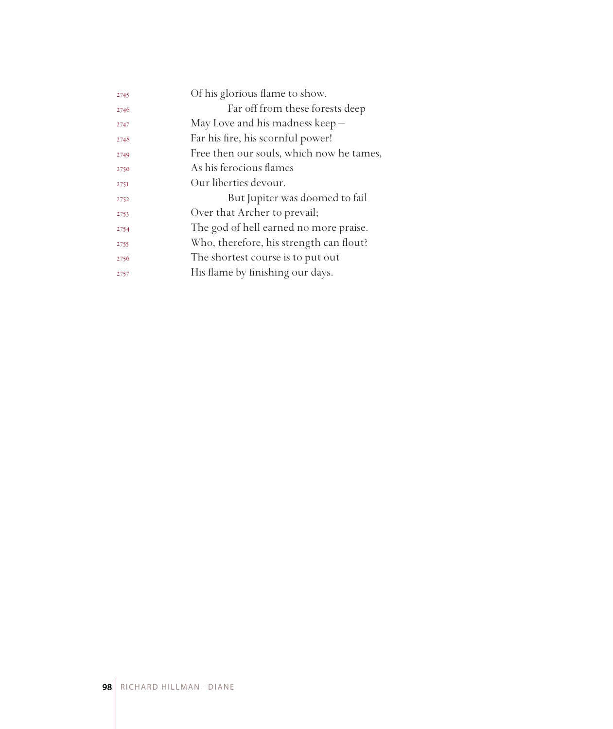| 2745 | Of his glorious flame to show.           |
|------|------------------------------------------|
| 2746 | Far off from these forests deep          |
| 2747 | May Love and his madness keep $-$        |
| 2748 | Far his fire, his scornful power!        |
| 2749 | Free then our souls, which now he tames, |
| 2750 | As his ferocious flames                  |
| 275I | Our liberties devour.                    |
| 2752 | But Jupiter was doomed to fail           |
| 2753 | Over that Archer to prevail;             |
| 2754 | The god of hell earned no more praise.   |
| 2755 | Who, therefore, his strength can flout?  |
| 2756 | The shortest course is to put out        |
| 2757 | His flame by finishing our days.         |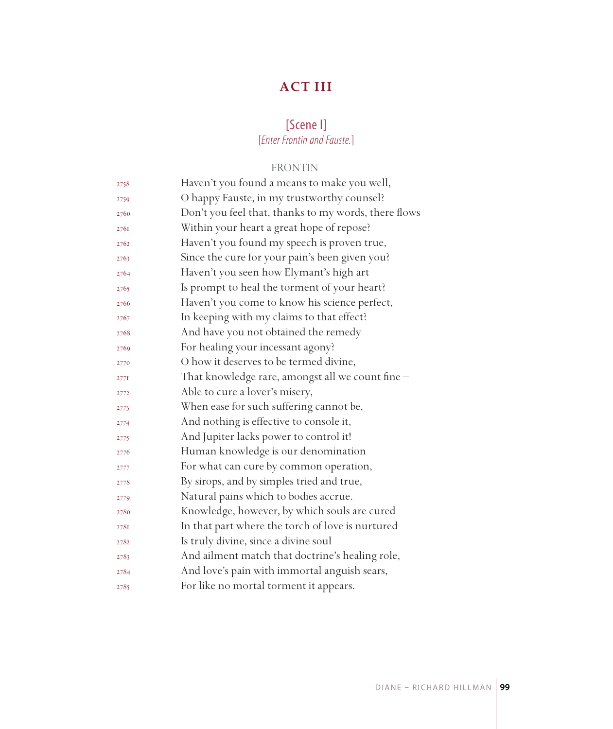# **ACT III**

# [Scene I] [*Enter Frontin and Fauste.*]

# FRONTIN

| 2758            | Haven't you found a means to make you well,          |
|-----------------|------------------------------------------------------|
| 2759            | O happy Fauste, in my trustworthy counsel?           |
| 2760            | Don't you feel that, thanks to my words, there flows |
| 2761            | Within your heart a great hope of repose?            |
| 2762            | Haven't you found my speech is proven true,          |
| 2763            | Since the cure for your pain's been given you?       |
| 2764            | Haven't you seen how Elymant's high art              |
| 2765            | Is prompt to heal the torment of your heart?         |
| 2766            | Haven't you come to know his science perfect,        |
| 2767            | In keeping with my claims to that effect?            |
| 2768            | And have you not obtained the remedy                 |
| 2769            | For healing your incessant agony?                    |
| 2770            | O how it deserves to be termed divine,               |
| $277\mathrm{I}$ | That knowledge rare, amongst all we count fine -     |
| 2772            | Able to cure a lover's misery,                       |
| 2773            | When ease for such suffering cannot be,              |
| 2774            | And nothing is effective to console it,              |
| 2775            | And Jupiter lacks power to control it!               |
| 2776            | Human knowledge is our denomination                  |
| 2777            | For what can cure by common operation,               |
| 2778            | By sirops, and by simples tried and true,            |
| 2779            | Natural pains which to bodies accrue.                |
| 2780            | Knowledge, however, by which souls are cured         |
| 2781            | In that part where the torch of love is nurtured     |
| 2782            | Is truly divine, since a divine soul                 |
| 2783            | And ailment match that doctrine's healing role,      |
| 2784            | And love's pain with immortal anguish sears,         |
| 2785            | For like no mortal torment it appears.               |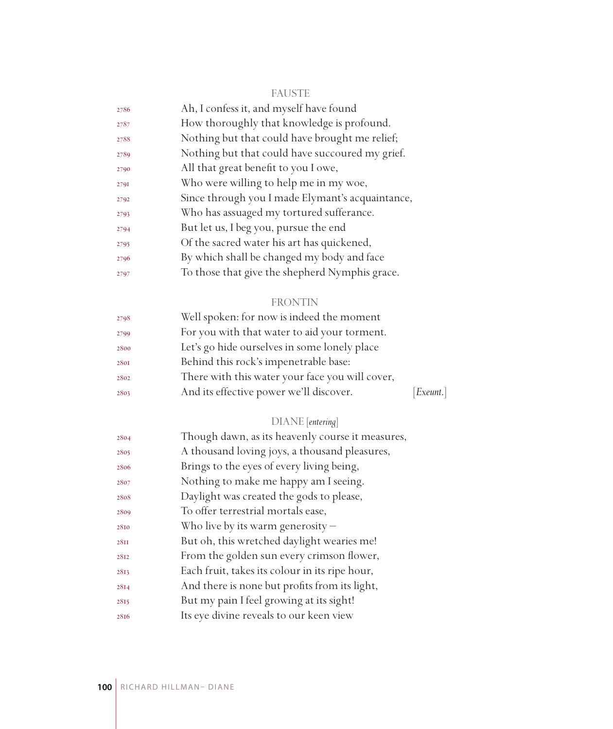| - -<br>- 1 | . .<br>w<br> | --<br>e e |
|------------|--------------|-----------|
|            |              |           |

| 2786 | Ah, I confess it, and myself have found          |
|------|--------------------------------------------------|
| 2787 | How thoroughly that knowledge is profound.       |
| 2788 | Nothing but that could have brought me relief;   |
| 2789 | Nothing but that could have succoured my grief.  |
| 2790 | All that great benefit to you I owe,             |
| 2791 | Who were willing to help me in my woe,           |
| 2792 | Since through you I made Elymant's acquaintance, |
| 2793 | Who has assuaged my tortured sufferance.         |
| 2794 | But let us, I beg you, pursue the end            |
| 2795 | Of the sacred water his art has quickened,       |
| 2796 | By which shall be changed my body and face       |
| 2797 | To those that give the shepherd Nymphis grace.   |

# FRONTIN

| 2798 | Well spoken: for now is indeed the moment       |           |
|------|-------------------------------------------------|-----------|
| 2799 | For you with that water to aid your torment.    |           |
| 2800 | Let's go hide ourselves in some lonely place    |           |
| 2801 | Behind this rock's impenetrable base:           |           |
| 2802 | There with this water your face you will cover, |           |
| 2803 | And its effective power we'll discover.         | [Exeunt.] |
|      |                                                 |           |

# DIANE [*entering*]

| 2804        | Though dawn, as its heavenly course it measures, |
|-------------|--------------------------------------------------|
| 2805        | A thousand loving joys, a thousand pleasures,    |
| 2806        | Brings to the eyes of every living being,        |
| 2807        | Nothing to make me happy am I seeing.            |
| 2808        | Daylight was created the gods to please,         |
| 2809        | To offer terrestrial mortals ease,               |
| 2810        | Who live by its warm generosity $-$              |
| <b>28II</b> | But oh, this wretched daylight wearies me!       |
| 2812        | From the golden sun every crimson flower,        |
| 2813        | Each fruit, takes its colour in its ripe hour,   |
| 2814        | And there is none but profits from its light,    |
| 2815        | But my pain I feel growing at its sight!         |
| 2816        | Its eye divine reveals to our keen view          |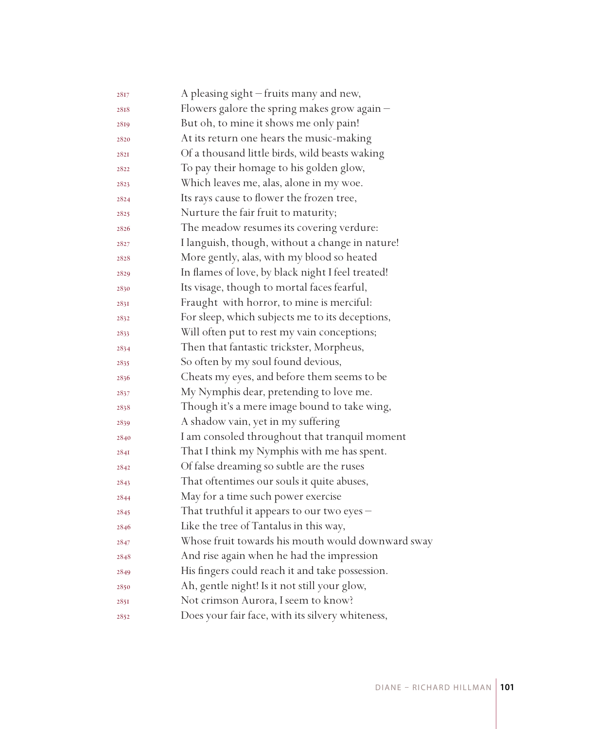| 2817        | A pleasing sight - fruits many and new,           |
|-------------|---------------------------------------------------|
| 2818        | Flowers galore the spring makes grow again -      |
| 2819        | But oh, to mine it shows me only pain!            |
| 2820        | At its return one hears the music-making          |
| <b>282I</b> | Of a thousand little birds, wild beasts waking    |
| 2822        | To pay their homage to his golden glow,           |
| 2823        | Which leaves me, alas, alone in my woe.           |
| 2824        | Its rays cause to flower the frozen tree,         |
| 2825        | Nurture the fair fruit to maturity;               |
| 2826        | The meadow resumes its covering verdure:          |
| 2827        | I languish, though, without a change in nature!   |
| 2828        | More gently, alas, with my blood so heated        |
| 2829        | In flames of love, by black night I feel treated! |
| 2830        | Its visage, though to mortal faces fearful,       |
| 2831        | Fraught with horror, to mine is merciful:         |
| 2832        | For sleep, which subjects me to its deceptions,   |
| 2833        | Will often put to rest my vain conceptions;       |
| 2834        | Then that fantastic trickster, Morpheus,          |
| 2835        | So often by my soul found devious,                |
| 2836        | Cheats my eyes, and before them seems to be       |
| 2837        | My Nymphis dear, pretending to love me.           |
| 2838        | Though it's a mere image bound to take wing,      |
| 2839        | A shadow vain, yet in my suffering                |
| 2840        | I am consoled throughout that tranquil moment     |
| 284I        | That I think my Nymphis with me has spent.        |
| 2842        | Of false dreaming so subtle are the ruses         |
| 2843        | That oftentimes our souls it quite abuses,        |
| 2844        | May for a time such power exercise                |
| 2845        | That truthful it appears to our two eyes -        |
| 2846        | Like the tree of Tantalus in this way,            |
| 2847        | Whose fruit towards his mouth would downward sway |
| 2848        | And rise again when he had the impression         |
| 2849        | His fingers could reach it and take possession.   |
| 2850        | Ah, gentle night! Is it not still your glow,      |
| 2851        | Not crimson Aurora, I seem to know?               |
| 2852        | Does your fair face, with its silvery whiteness,  |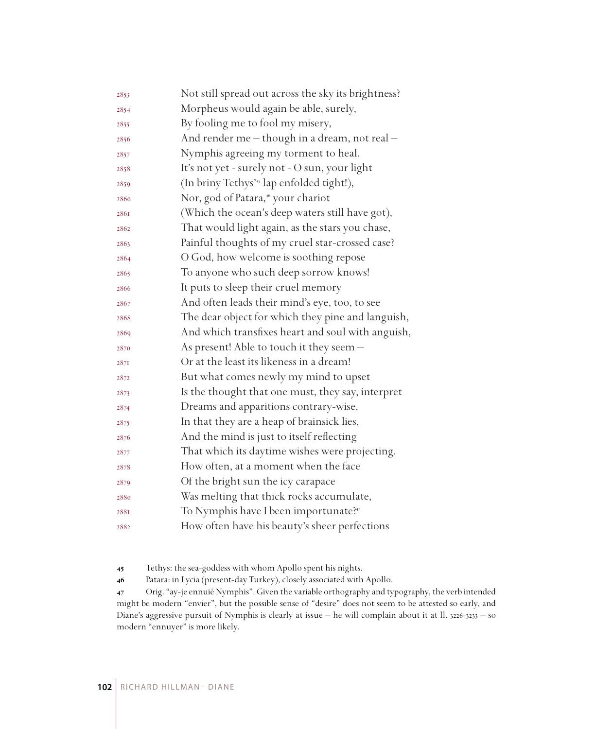| 2853 | Not still spread out across the sky its brightness?   |
|------|-------------------------------------------------------|
| 2854 | Morpheus would again be able, surely,                 |
| 2855 | By fooling me to fool my misery,                      |
| 2856 | And render me - though in a dream, not real -         |
| 2857 | Nymphis agreeing my torment to heal.                  |
| 2858 | It's not yet - surely not - O sun, your light         |
| 2859 | (In briny Tethys' <sup>45</sup> lap enfolded tight!), |
| 2860 | Nor, god of Patara, <sup>46</sup> your chariot        |
| 2861 | (Which the ocean's deep waters still have got),       |
| 2862 | That would light again, as the stars you chase,       |
| 2863 | Painful thoughts of my cruel star-crossed case?       |
| 2864 | O God, how welcome is soothing repose                 |
| 2865 | To anyone who such deep sorrow knows!                 |
| 2866 | It puts to sleep their cruel memory                   |
| 2867 | And often leads their mind's eye, too, to see         |
| 2868 | The dear object for which they pine and languish,     |
| 2869 | And which transfixes heart and soul with anguish,     |
| 2870 | As present! Able to touch it they seem -              |
| 287I | Or at the least its likeness in a dream!              |
| 2872 | But what comes newly my mind to upset                 |
| 2873 | Is the thought that one must, they say, interpret     |
| 2874 | Dreams and apparitions contrary-wise,                 |
| 2875 | In that they are a heap of brainsick lies,            |
| 2876 | And the mind is just to itself reflecting             |
| 2877 | That which its daytime wishes were projecting.        |
| 2878 | How often, at a moment when the face                  |
| 2879 | Of the bright sun the icy carapace                    |
| 2880 | Was melting that thick rocks accumulate,              |
| 2881 | To Nymphis have I been importunate? <sup>47</sup>     |
| 2882 | How often have his beauty's sheer perfections         |

Tethys: the sea-goddess with whom Apollo spent his nights.

Patara: in Lycia (present-day Turkey), closely associated with Apollo.

 Orig. "ay-je ennuié Nymphis". Given the variable orthography and typography, the verb intended might be modern "envier", but the possible sense of "desire" does not seem to be attested so early, and Diane's aggressive pursuit of Nymphis is clearly at issue – he will complain about it at ll. 3226-3233 – so modern "ennuyer" is more likely.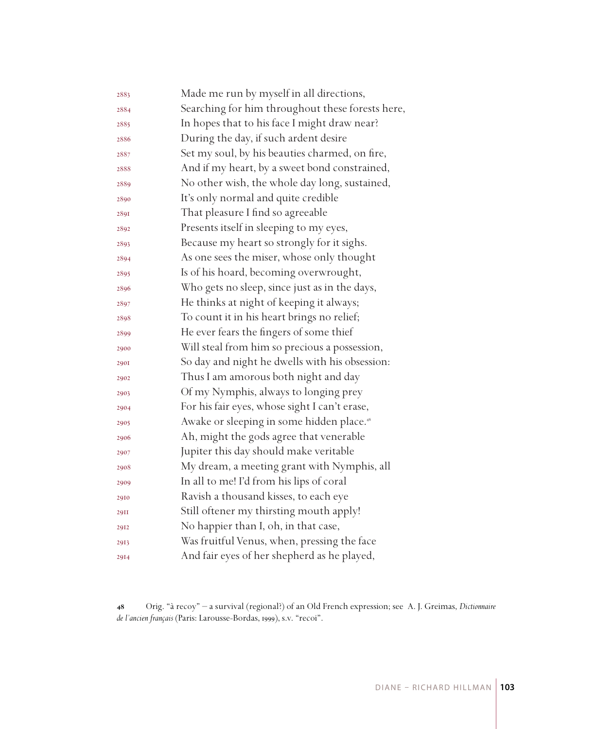| 2883        | Made me run by myself in all directions,              |
|-------------|-------------------------------------------------------|
| 2884        | Searching for him throughout these forests here,      |
| 2885        | In hopes that to his face I might draw near?          |
| 2886        | During the day, if such ardent desire                 |
| 2887        | Set my soul, by his beauties charmed, on fire,        |
| 2888        | And if my heart, by a sweet bond constrained,         |
| 2889        | No other wish, the whole day long, sustained,         |
| 2890        | It's only normal and quite credible                   |
| 2891        | That pleasure I find so agreeable                     |
| 2892        | Presents itself in sleeping to my eyes,               |
| 2893        | Because my heart so strongly for it sighs.            |
| 2894        | As one sees the miser, whose only thought             |
| 2895        | Is of his hoard, becoming overwrought,                |
| 2896        | Who gets no sleep, since just as in the days,         |
| 2897        | He thinks at night of keeping it always;              |
| 2898        | To count it in his heart brings no relief;            |
| 2899        | He ever fears the fingers of some thief               |
| 2900        | Will steal from him so precious a possession,         |
| <b>290I</b> | So day and night he dwells with his obsession:        |
| 2902        | Thus I am amorous both night and day                  |
| 2903        | Of my Nymphis, always to longing prey                 |
| 2904        | For his fair eyes, whose sight I can't erase,         |
| 2905        | Awake or sleeping in some hidden place. <sup>48</sup> |
| 2906        | Ah, might the gods agree that venerable               |
| 2907        | Jupiter this day should make veritable                |
| 2908        | My dream, a meeting grant with Nymphis, all           |
| 2909        | In all to me! I'd from his lips of coral              |
| 2910        | Ravish a thousand kisses, to each eye                 |
| <b>29II</b> | Still oftener my thirsting mouth apply!               |
| 2912        | No happier than I, oh, in that case,                  |
| 2913        | Was fruitful Venus, when, pressing the face           |
| 2914        | And fair eyes of her shepherd as he played,           |

 Orig. "à recoy" – a survival (regional?) of an Old French expression; see A. J. Greimas, *Dictionnaire de l'ancien français* (Paris: Larousse-Bordas, 1999), s.v. "recoi".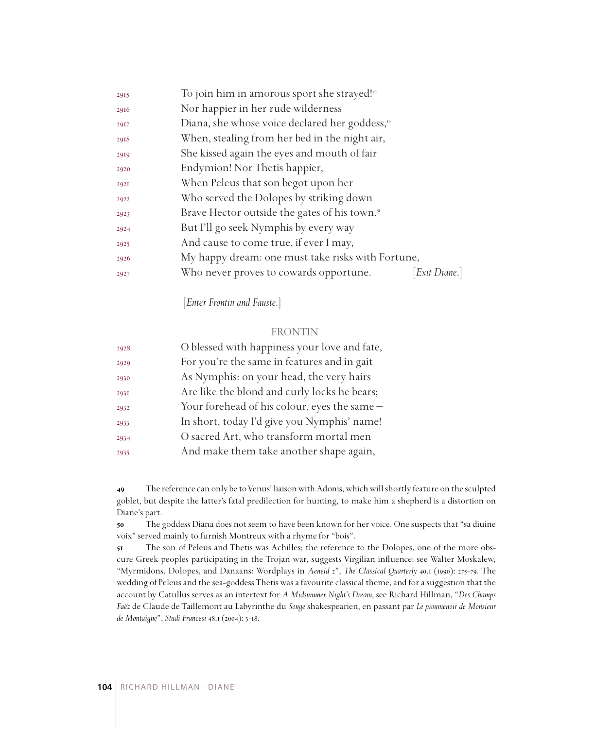| 2915 | To join him in amorous sport she strayed! <sup>49</sup>    |             |
|------|------------------------------------------------------------|-------------|
| 2916 | Nor happier in her rude wilderness                         |             |
| 2917 | Diana, she whose voice declared her goddess, <sup>50</sup> |             |
| 2918 | When, stealing from her bed in the night air,              |             |
| 2919 | She kissed again the eyes and mouth of fair                |             |
| 2920 | Endymion! Nor Thetis happier,                              |             |
| 292I | When Peleus that son begot upon her                        |             |
| 2922 | Who served the Dolopes by striking down                    |             |
| 2923 | Brave Hector outside the gates of his town. <sup>51</sup>  |             |
| 2924 | But I'll go seek Nymphis by every way                      |             |
| 2925 | And cause to come true, if ever I may,                     |             |
| 2926 | My happy dream: one must take risks with Fortune,          |             |
| 2927 | Who never proves to cowards opportune.                     | Exit Diane. |
|      |                                                            |             |

[*Enter Frontin and Fauste.*]

#### FRONTIN

| 2928 | O blessed with happiness your love and fate, |
|------|----------------------------------------------|
| 2929 | For you're the same in features and in gait  |
| 2930 | As Nymphis: on your head, the very hairs     |
| 2931 | Are like the blond and curly locks he bears; |
| 2932 | Your forehead of his colour, eyes the same - |
| 2933 | In short, today I'd give you Nymphis' name!  |
| 2934 | O sacred Art, who transform mortal men       |
| 2935 | And make them take another shape again,      |

 The reference can only be to Venus' liaison with Adonis, which will shortly feature on the sculpted goblet, but despite the latter's fatal predilection for hunting, to make him a shepherd is a distortion on Diane's part.

 The goddess Diana does not seem to have been known for her voice. One suspects that "sa diuine voix" served mainly to furnish Montreux with a rhyme for "bois".

 The son of Peleus and Thetis was Achilles; the reference to the Dolopes, one of the more obscure Greek peoples participating in the Trojan war, suggests Virgilian influence: see Walter Moskalew, "Myrmidons, Dolopes, and Danaans: Wordplays in *Aeneid* 2", *The Classical Quarterly* 40.1 (1990): 275-79. The wedding of Peleus and the sea-goddess Thetis was a favourite classical theme, and for a suggestion that the account by Catullus serves as an intertext for *A Midsummer Night's Dream*, see Richard Hillman, "*Des Champs Faëz* de Claude de Taillemont au Labyrinthe du *Songe* shakespearien, en passant par *Le proumenoir de Monsieur de Montaigne*", *Studi Francesi* 48.1 (2004): 3-18.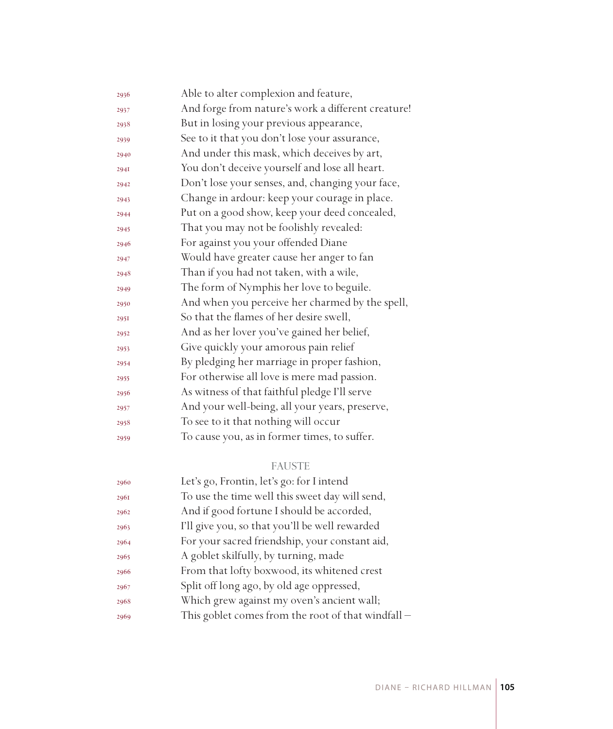| 2936 | Able to alter complexion and feature,              |
|------|----------------------------------------------------|
| 2937 | And forge from nature's work a different creature! |
| 2938 | But in losing your previous appearance,            |
| 2939 | See to it that you don't lose your assurance,      |
| 2940 | And under this mask, which deceives by art,        |
| 2941 | You don't deceive yourself and lose all heart.     |
| 2942 | Don't lose your senses, and, changing your face,   |
| 2943 | Change in ardour: keep your courage in place.      |
| 2944 | Put on a good show, keep your deed concealed,      |
| 2945 | That you may not be foolishly revealed:            |
| 2946 | For against you your offended Diane                |
| 2947 | Would have greater cause her anger to fan          |
| 2948 | Than if you had not taken, with a wile,            |
| 2949 | The form of Nymphis her love to beguile.           |
| 2950 | And when you perceive her charmed by the spell,    |
| 295I | So that the flames of her desire swell,            |
| 2952 | And as her lover you've gained her belief,         |
| 2953 | Give quickly your amorous pain relief              |
| 2954 | By pledging her marriage in proper fashion,        |
| 2955 | For otherwise all love is mere mad passion.        |
| 2956 | As witness of that faithful pledge I'll serve      |
| 2957 | And your well-being, all your years, preserve,     |
| 2958 | To see to it that nothing will occur               |
| 2959 | To cause you, as in former times, to suffer.       |
|      |                                                    |

# FAUSTE

| 2960 | Let's go, Frontin, let's go: for I intend          |
|------|----------------------------------------------------|
| 2961 | To use the time well this sweet day will send,     |
| 2962 | And if good fortune I should be accorded,          |
| 2963 | I'll give you, so that you'll be well rewarded     |
| 2964 | For your sacred friendship, your constant aid,     |
| 2965 | A goblet skilfully, by turning, made               |
| 2966 | From that lofty boxwood, its whitened crest        |
| 2967 | Split off long ago, by old age oppressed,          |
| 2968 | Which grew against my oven's ancient wall;         |
| 2969 | This goblet comes from the root of that windfall - |
|      |                                                    |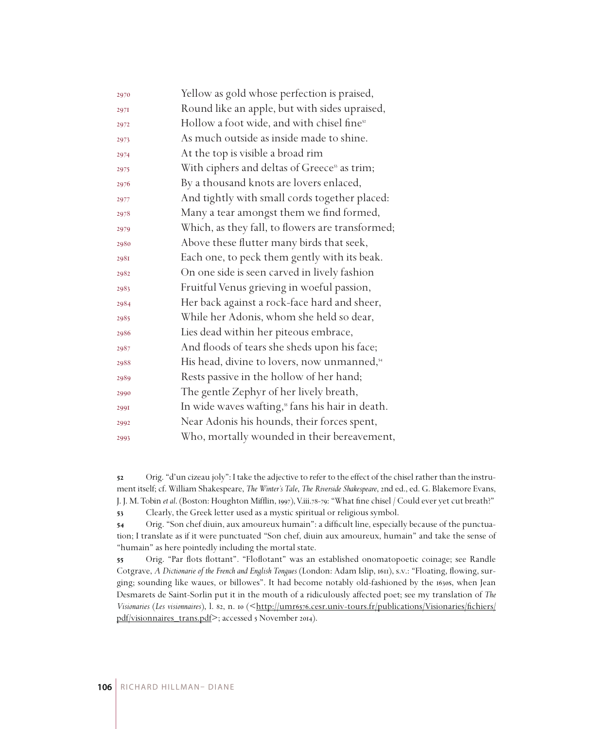| 2970 | Yellow as gold whose perfection is praised,              |
|------|----------------------------------------------------------|
| 2971 | Round like an apple, but with sides upraised,            |
| 2972 | Hollow a foot wide, and with chisel fine <sup>52</sup>   |
| 2973 | As much outside as inside made to shine.                 |
| 2974 | At the top is visible a broad rim                        |
| 2975 | With ciphers and deltas of Greece <sup>53</sup> as trim; |
| 2976 | By a thousand knots are lovers enlaced,                  |
| 2977 | And tightly with small cords together placed:            |
| 2978 | Many a tear amongst them we find formed,                 |
| 2979 | Which, as they fall, to flowers are transformed;         |
| 2980 | Above these flutter many birds that seek,                |
| 2981 | Each one, to peck them gently with its beak.             |
| 2982 | On one side is seen carved in lively fashion             |
| 2983 | Fruitful Venus grieving in woeful passion,               |
| 2984 | Her back against a rock-face hard and sheer,             |
| 2985 | While her Adonis, whom she held so dear,                 |
| 2986 | Lies dead within her piteous embrace,                    |
| 2987 | And floods of tears she sheds upon his face;             |
| 2988 | His head, divine to lovers, now unmanned, <sup>54</sup>  |
| 2989 | Rests passive in the hollow of her hand;                 |
| 2990 | The gentle Zephyr of her lively breath,                  |
| 2991 | In wide waves wafting," fans his hair in death.          |
| 2992 | Near Adonis his hounds, their forces spent,              |
| 2993 | Who, mortally wounded in their bereavement,              |

 Orig. "d'un cizeau joly": I take the adjective to refer to the effect of the chisel rather than the instrument itself; cf. William Shakespeare, *The Winter's Tale*, *The Riverside Shakespeare*, 2nd ed., ed. G. Blakemore Evans, J. J. M. Tobin *et al*. (Boston: Houghton Mifflin, 1997), V.iii.78-79: "What fine chisel / Could ever yet cut breath?" Clearly, the Greek letter used as a mystic spiritual or religious symbol.

 Orig. "Son chef diuin, aux amoureux humain": a difficult line, especially because of the punctuation; I translate as if it were punctuated "Son chef, diuin aux amoureux, humain" and take the sense of "humain" as here pointedly including the mortal state.

 Orig. "Par flots flottant". "Floflotant" was an established onomatopoetic coinage; see Randle Cotgrave, *A Dictionarie of the French and English Tongues* (London: Adam Islip, 1611), s.v.: "Floating, flowing, surging; sounding like waues, or billowes". It had become notably old-fashioned by the 1630s, when Jean Desmarets de Saint-Sorlin put it in the mouth of a ridiculously affected poet; see my translation of *The Visionaries* (*Les visionnaires*), l. 82, n. 10 (<http://umr6576.cesr.univ-tours.fr/publications/Visionaries/fichiers/ pdf/visionnaires\_trans.pdf>; accessed 5 November 2014).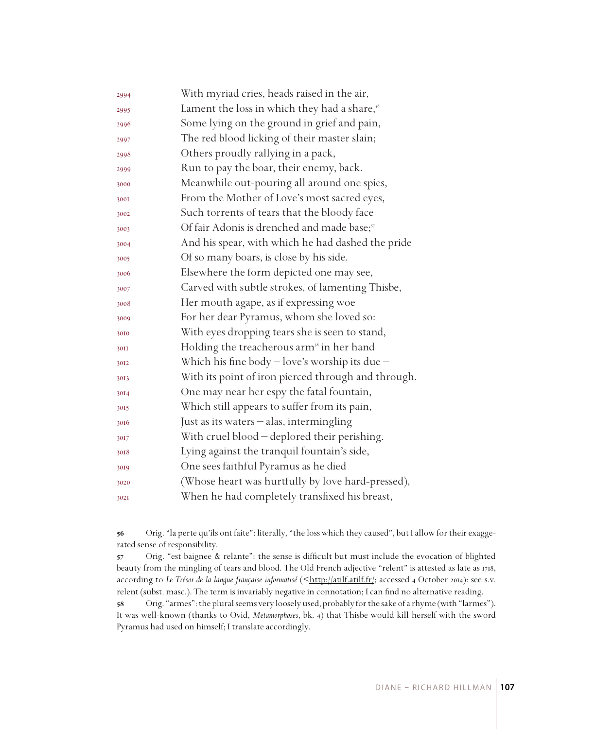| 2994 | With myriad cries, heads raised in the air,              |
|------|----------------------------------------------------------|
| 2995 | Lament the loss in which they had a share, <sup>56</sup> |
| 2996 | Some lying on the ground in grief and pain,              |
| 2997 | The red blood licking of their master slain;             |
| 2998 | Others proudly rallying in a pack,                       |
| 2999 | Run to pay the boar, their enemy, back.                  |
| 3000 | Meanwhile out-pouring all around one spies,              |
| 3001 | From the Mother of Love's most sacred eyes,              |
| 3002 | Such torrents of tears that the bloody face              |
| 3003 | Of fair Adonis is drenched and made base; <sup>57</sup>  |
| 3004 | And his spear, with which he had dashed the pride        |
| 3005 | Of so many boars, is close by his side.                  |
| 3006 | Elsewhere the form depicted one may see,                 |
| 3007 | Carved with subtle strokes, of lamenting Thisbe,         |
| 3008 | Her mouth agape, as if expressing woe                    |
| 3009 | For her dear Pyramus, whom she loved so:                 |
| 3010 | With eyes dropping tears she is seen to stand,           |
| 30II | Holding the treacherous arm <sup>38</sup> in her hand    |
| 3012 | Which his fine body $-$ love's worship its due $-$       |
| 3013 | With its point of iron pierced through and through.      |
| 3014 | One may near her espy the fatal fountain,                |
| 3015 | Which still appears to suffer from its pain,             |
| 3016 | Just as its waters - alas, intermingling                 |
| 3017 | With cruel blood - deplored their perishing.             |
| 3018 | Lying against the tranquil fountain's side,              |
| 3019 | One sees faithful Pyramus as he died                     |
| 3020 | (Whose heart was hurtfully by love hard-pressed),        |
| 302I | When he had completely transfixed his breast,            |
|      |                                                          |

 Orig. "la perte qu'ils ont faite": literally, "the loss which they caused", but I allow for their exaggerated sense of responsibility.

 Orig. "est baignee & relante": the sense is difficult but must include the evocation of blighted beauty from the mingling of tears and blood. The Old French adjective "relent" is attested as late as 1718, according to Le Trésor de la langue française informatisé (<http://atilf.atilf.fr/; accessed 4 October 2014): see s.v. relent (subst. masc.). The term is invariably negative in connotation; I can find no alternative reading.

 Orig. "armes": the plural seems very loosely used, probably for the sake of a rhyme (with "larmes"). It was well-known (thanks to Ovid, *Metamorphoses*, bk. 4) that Thisbe would kill herself with the sword Pyramus had used on himself; I translate accordingly.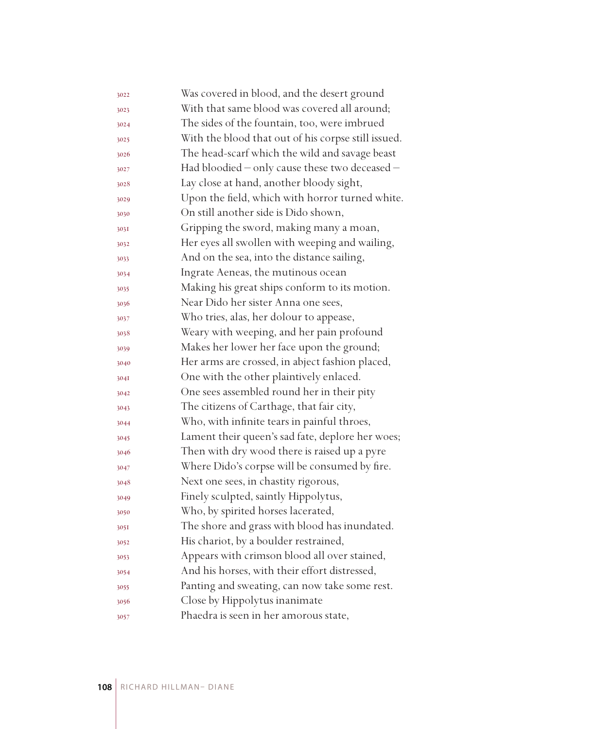| 3022 | Was covered in blood, and the desert ground         |
|------|-----------------------------------------------------|
| 3023 | With that same blood was covered all around;        |
| 3024 | The sides of the fountain, too, were imbrued        |
| 3025 | With the blood that out of his corpse still issued. |
| 3026 | The head-scarf which the wild and savage beast      |
| 3027 | Had bloodied - only cause these two deceased -      |
| 3028 | Lay close at hand, another bloody sight,            |
| 3029 | Upon the field, which with horror turned white.     |
| 3030 | On still another side is Dido shown,                |
| 303I | Gripping the sword, making many a moan,             |
| 3032 | Her eyes all swollen with weeping and wailing,      |
| 3033 | And on the sea, into the distance sailing,          |
| 3034 | Ingrate Aeneas, the mutinous ocean                  |
| 3035 | Making his great ships conform to its motion.       |
| 3036 | Near Dido her sister Anna one sees,                 |
| 3037 | Who tries, alas, her dolour to appease,             |
| 3038 | Weary with weeping, and her pain profound           |
| 3039 | Makes her lower her face upon the ground;           |
| 3040 | Her arms are crossed, in abject fashion placed,     |
| 304I | One with the other plaintively enlaced.             |
| 3042 | One sees assembled round her in their pity          |
| 3043 | The citizens of Carthage, that fair city,           |
| 3044 | Who, with infinite tears in painful throes,         |
| 3045 | Lament their queen's sad fate, deplore her woes;    |
| 3046 | Then with dry wood there is raised up a pyre        |
| 3047 | Where Dido's corpse will be consumed by fire.       |
| 3048 | Next one sees, in chastity rigorous,                |
| 3049 | Finely sculpted, saintly Hippolytus,                |
| 3050 | Who, by spirited horses lacerated,                  |
| 305I | The shore and grass with blood has inundated.       |
| 3052 | His chariot, by a boulder restrained,               |
| 3053 | Appears with crimson blood all over stained,        |
| 3054 | And his horses, with their effort distressed,       |
| 3055 | Panting and sweating, can now take some rest.       |
| 3056 | Close by Hippolytus inanimate                       |
| 3057 | Phaedra is seen in her amorous state,               |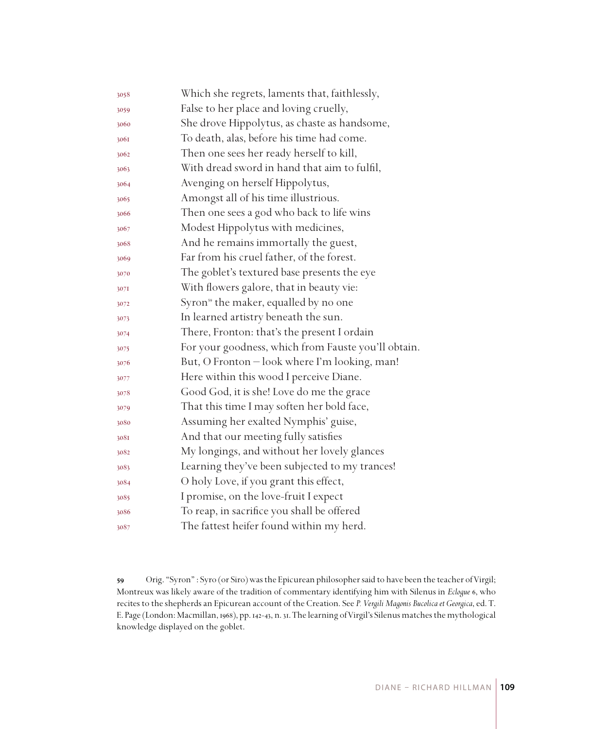| 3058 | Which she regrets, laments that, faithlessly,       |
|------|-----------------------------------------------------|
| 3059 | False to her place and loving cruelly,              |
| 3060 | She drove Hippolytus, as chaste as handsome,        |
| 3061 | To death, alas, before his time had come.           |
| 3062 | Then one sees her ready herself to kill,            |
| 3063 | With dread sword in hand that aim to fulfil,        |
| 3064 | Avenging on herself Hippolytus,                     |
| 3065 | Amongst all of his time illustrious.                |
| 3066 | Then one sees a god who back to life wins           |
| 3067 | Modest Hippolytus with medicines,                   |
| 3068 | And he remains immortally the guest,                |
| 3069 | Far from his cruel father, of the forest.           |
| 3070 | The goblet's textured base presents the eye         |
| 307I | With flowers galore, that in beauty vie:            |
| 3072 | Syron <sup>39</sup> the maker, equalled by no one   |
| 3073 | In learned artistry beneath the sun.                |
| 3074 | There, Fronton: that's the present I ordain         |
| 3075 | For your goodness, which from Fauste you'll obtain. |
| 3076 | But, O Fronton - look where I'm looking, man!       |
| 3077 | Here within this wood I perceive Diane.             |
| 3078 | Good God, it is she! Love do me the grace           |
| 3079 | That this time I may soften her bold face,          |
| 3080 | Assuming her exalted Nymphis' guise,                |
| 3081 | And that our meeting fully satisfies                |
| 3082 | My longings, and without her lovely glances         |
| 3083 | Learning they've been subjected to my trances!      |
| 3084 | O holy Love, if you grant this effect,              |
| 3085 | I promise, on the love-fruit I expect               |
| 3086 | To reap, in sacrifice you shall be offered          |
| 3087 | The fattest heifer found within my herd.            |

 Orig. "Syron" : Syro (or Siro) was the Epicurean philosopher said to have been the teacher of Virgil; Montreux was likely aware of the tradition of commentary identifying him with Silenus in *Eclogue* 6, who recites to the shepherds an Epicurean account of the Creation. See *P. Vergili Magonis Bucolica et Georgica*, ed. T. E. Page (London: Macmillan, 1968), pp. 142-43, n. 31. The learning of Virgil's Silenus matches the mythological knowledge displayed on the goblet.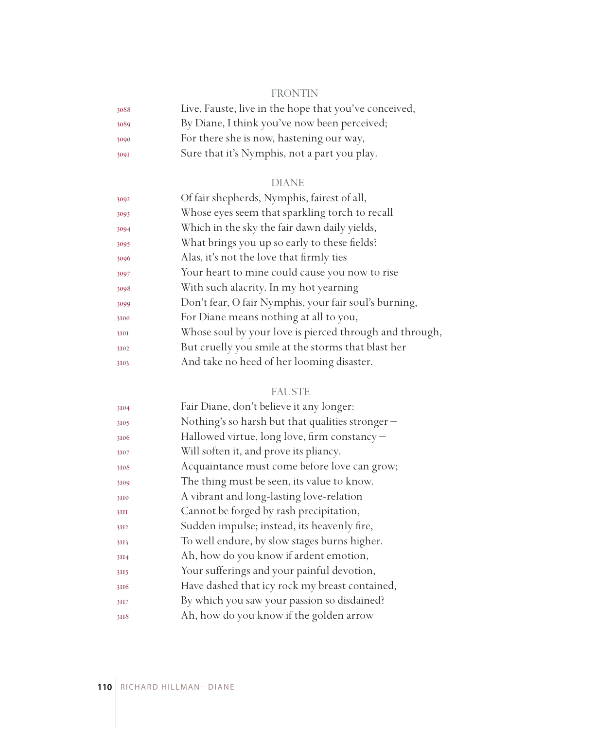## FRONTIN

| 3088 | Live, Fauste, live in the hope that you've conceived, |
|------|-------------------------------------------------------|
| 3089 | By Diane, I think you've now been perceived;          |
| 3090 | For there she is now, hastening our way,              |
| 3091 | Sure that it's Nymphis, not a part you play.          |

## DIANE

| 3092 | Of fair shepherds, Nymphis, fairest of all,             |
|------|---------------------------------------------------------|
| 3093 | Whose eyes seem that sparkling torch to recall          |
| 3094 | Which in the sky the fair dawn daily yields,            |
| 3095 | What brings you up so early to these fields?            |
| 3096 | Alas, it's not the love that firmly ties                |
| 3097 | Your heart to mine could cause you now to rise          |
| 3098 | With such alacrity. In my hot yearning                  |
| 3099 | Don't fear, O fair Nymphis, your fair soul's burning,   |
| 3100 | For Diane means nothing at all to you,                  |
| 3101 | Whose soul by your love is pierced through and through, |
| 3102 | But cruelly you smile at the storms that blast her      |
| 3103 | And take no heed of her looming disaster.               |
|      |                                                         |

## FAUSTE

| 3104 | Fair Diane, don't believe it any longer:         |
|------|--------------------------------------------------|
| 3105 | Nothing's so harsh but that qualities stronger – |
| 3106 | Hallowed virtue, long love, firm constancy -     |
| 3107 | Will soften it, and prove its pliancy.           |
| 3108 | Acquaintance must come before love can grow;     |
| 3109 | The thing must be seen, its value to know.       |
| 3110 | A vibrant and long-lasting love-relation         |
| 3III | Cannot be forged by rash precipitation,          |
| 3II2 | Sudden impulse; instead, its heavenly fire,      |
| 3II3 | To well endure, by slow stages burns higher.     |
| 3II4 | Ah, how do you know if ardent emotion,           |
| 3II5 | Your sufferings and your painful devotion,       |
| 3116 | Have dashed that icy rock my breast contained,   |
| 3II7 | By which you saw your passion so disdained?      |
| 3118 | Ah, how do you know if the golden arrow          |
|      |                                                  |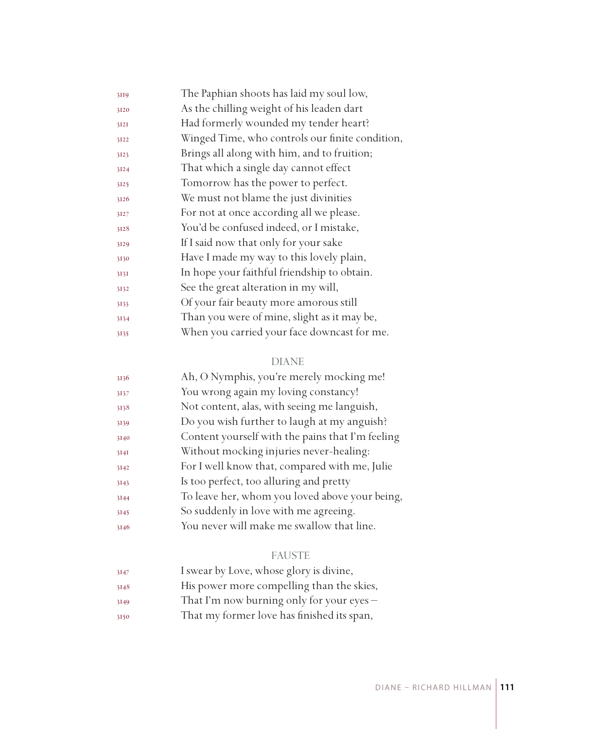| 3119 | The Paphian shoots has laid my soul low,        |
|------|-------------------------------------------------|
| 3120 | As the chilling weight of his leaden dart       |
| 3I2I | Had formerly wounded my tender heart?           |
| 3122 | Winged Time, who controls our finite condition, |
| 3123 | Brings all along with him, and to fruition;     |
| 3124 | That which a single day cannot effect           |
| 3125 | Tomorrow has the power to perfect.              |
| 3126 | We must not blame the just divinities           |
| 3127 | For not at once according all we please.        |
| 3128 | You'd be confused indeed, or I mistake,         |
| 3129 | If I said now that only for your sake           |
| 3130 | Have I made my way to this lovely plain,        |
| 3131 | In hope your faithful friendship to obtain.     |
| 3132 | See the great alteration in my will,            |
| 3133 | Of your fair beauty more amorous still          |
| 3134 | Than you were of mine, slight as it may be,     |
| 3135 | When you carried your face downcast for me.     |

| 3136 | Ah, O Nymphis, you're merely mocking me!         |
|------|--------------------------------------------------|
| 3137 | You wrong again my loving constancy!             |
| 3138 | Not content, alas, with seeing me languish,      |
| 3139 | Do you wish further to laugh at my anguish?      |
| 3140 | Content yourself with the pains that I'm feeling |
| 3I4I | Without mocking injuries never-healing:          |
| 3142 | For I well know that, compared with me, Julie    |
| 3143 | Is too perfect, too alluring and pretty          |
| 3144 | To leave her, whom you loved above your being,   |
| 3145 | So suddenly in love with me agreeing.            |
| 3146 | You never will make me swallow that line.        |

# FAUSTE

| 3147 | I swear by Love, whose glory is divine,     |
|------|---------------------------------------------|
| 3148 | His power more compelling than the skies,   |
| 3149 | That I'm now burning only for your eyes $-$ |

That my former love has finished its span,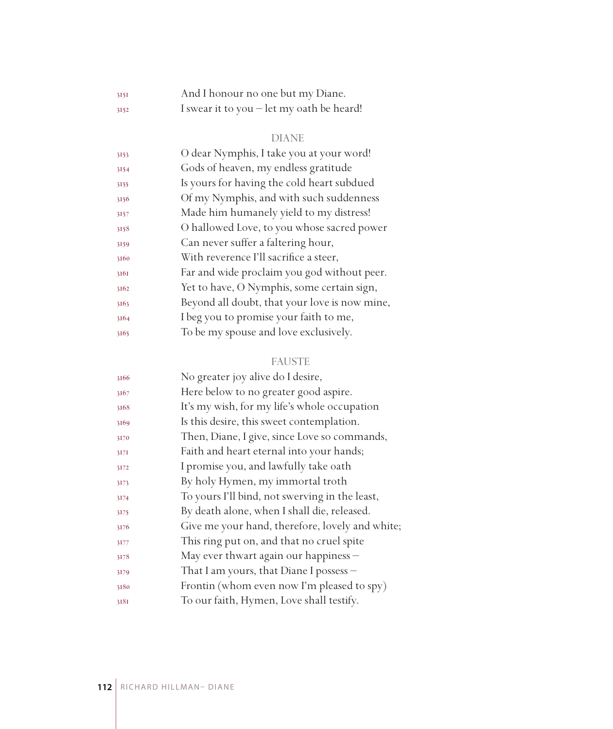| 3151 | And I honour no one but my Diane.                  |
|------|----------------------------------------------------|
| 3152 | I swear it to you $-\text{let }$ my oath be heard! |

| 3153 | O dear Nymphis, I take you at your word!      |
|------|-----------------------------------------------|
| 3154 | Gods of heaven, my endless gratitude          |
| 3155 | Is yours for having the cold heart subdued    |
| 3156 | Of my Nymphis, and with such suddenness       |
| 3157 | Made him humanely yield to my distress!       |
| 3158 | O hallowed Love, to you whose sacred power    |
| 3159 | Can never suffer a faltering hour,            |
| 3160 | With reverence I'll sacrifice a steer,        |
| 3161 | Far and wide proclaim you god without peer.   |
| 3162 | Yet to have, O Nymphis, some certain sign,    |
| 3163 | Beyond all doubt, that your love is now mine, |
| 3164 | I beg you to promise your faith to me,        |
| 3165 | To be my spouse and love exclusively.         |
|      |                                               |

## FAUSTE

| No greater joy alive do I desire,               |
|-------------------------------------------------|
| Here below to no greater good aspire.           |
| It's my wish, for my life's whole occupation    |
| Is this desire, this sweet contemplation.       |
| Then, Diane, I give, since Love so commands,    |
| Faith and heart eternal into your hands;        |
| I promise you, and lawfully take oath           |
| By holy Hymen, my immortal troth                |
| To yours I'll bind, not swerving in the least,  |
| By death alone, when I shall die, released.     |
| Give me your hand, therefore, lovely and white; |
| This ring put on, and that no cruel spite       |
| May ever thwart again our happiness -           |
| That I am yours, that Diane I possess -         |
| Frontin (whom even now I'm pleased to spy)      |
| To our faith, Hymen, Love shall testify.        |
|                                                 |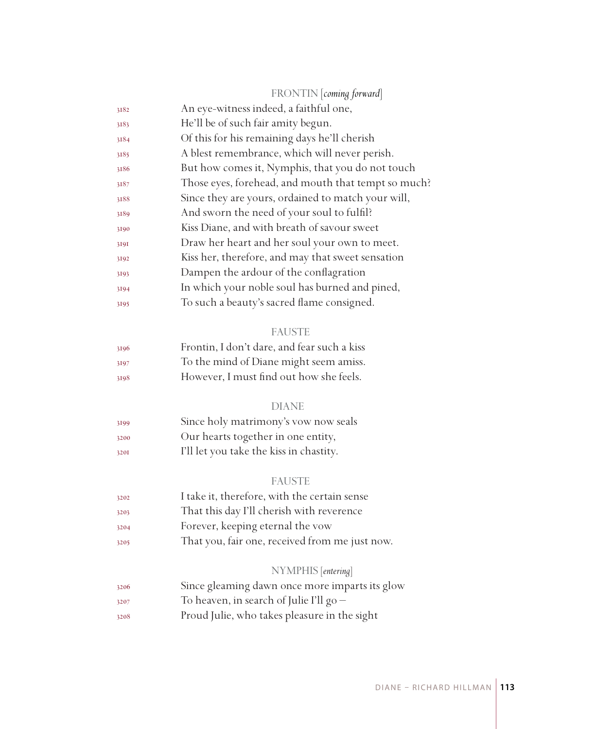|      | FRONTIN coming forward                              |
|------|-----------------------------------------------------|
| 3182 | An eye-witness indeed, a faithful one,              |
| 3183 | He'll be of such fair amity begun.                  |
| 3184 | Of this for his remaining days he'll cherish        |
| 3185 | A blest remembrance, which will never perish.       |
| 3186 | But how comes it, Nymphis, that you do not touch    |
| 3187 | Those eyes, forehead, and mouth that tempt so much? |
| 3188 | Since they are yours, ordained to match your will,  |
| 3189 | And sworn the need of your soul to fulfil?          |
| 3190 | Kiss Diane, and with breath of savour sweet         |
| 3191 | Draw her heart and her soul your own to meet.       |
| 3192 | Kiss her, therefore, and may that sweet sensation   |
| 3193 | Dampen the ardour of the conflagration              |
| 3194 | In which your noble soul has burned and pined,      |
| 3195 | To such a beauty's sacred flame consigned.          |
|      | <b>FAUSTE</b>                                       |
| 3196 | Frontin, I don't dare, and fear such a kiss         |
| 3197 | To the mind of Diane might seem amiss.              |
| 3198 | However, I must find out how she feels.             |
|      | <b>DIANE</b>                                        |
| 3199 | Since holy matrimony's vow now seals                |
| 3200 | Our hearts together in one entity,                  |
| 3201 | I'll let you take the kiss in chastity.             |
|      | <b>FAUSTE</b>                                       |
| 3202 | I take it, therefore, with the certain sense        |
| 3203 | That this day I'll cherish with reverence           |
| 3204 | Forever, keeping eternal the vow                    |
| 3205 | That you, fair one, received from me just now.      |
|      | NYMPHIS [entering]                                  |
| 3206 | Since gleaming dawn once more imparts its glow      |
| 3207 | To heaven, in search of Julie I'll $g_0$ –          |
| 3208 | Proud Julie, who takes pleasure in the sight        |
|      |                                                     |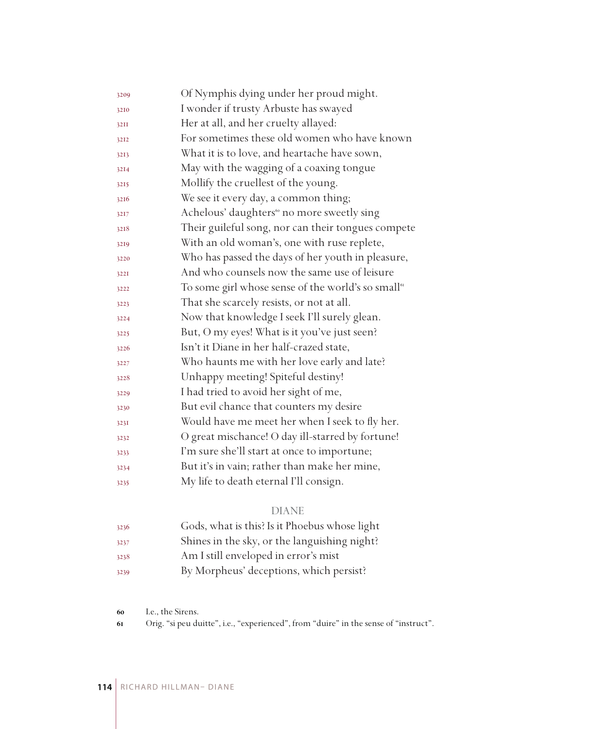| 3209 | Of Nymphis dying under her proud might.                        |
|------|----------------------------------------------------------------|
| 3210 | I wonder if trusty Arbuste has swayed                          |
| 32II | Her at all, and her cruelty allayed:                           |
| 3212 | For sometimes these old women who have known                   |
| 3213 | What it is to love, and heartache have sown,                   |
| 3214 | May with the wagging of a coaxing tongue                       |
| 3215 | Mollify the cruellest of the young.                            |
| 3216 | We see it every day, a common thing;                           |
| 3217 | Achelous' daughters <sup>60</sup> no more sweetly sing         |
| 3218 | Their guileful song, nor can their tongues compete             |
| 3219 | With an old woman's, one with ruse replete,                    |
| 3220 | Who has passed the days of her youth in pleasure,              |
| 3221 | And who counsels now the same use of leisure                   |
| 3222 | To some girl whose sense of the world's so small <sup>61</sup> |
| 3223 | That she scarcely resists, or not at all.                      |
| 3224 | Now that knowledge I seek I'll surely glean.                   |
| 3225 | But, O my eyes! What is it you've just seen?                   |
| 3226 | Isn't it Diane in her half-crazed state,                       |
| 3227 | Who haunts me with her love early and late?                    |
| 3228 | Unhappy meeting! Spiteful destiny!                             |
| 3229 | I had tried to avoid her sight of me,                          |
| 3230 | But evil chance that counters my desire                        |
| 3231 | Would have me meet her when I seek to fly her.                 |
| 3232 | O great mischance! O day ill-starred by fortune!               |
| 3233 | I'm sure she'll start at once to importune;                    |
| 3234 | But it's in vain; rather than make her mine,                   |
| 3235 | My life to death eternal I'll consign.                         |

| 3236 | Gods, what is this? Is it Phoebus whose light |
|------|-----------------------------------------------|
| 3237 | Shines in the sky, or the languishing night?  |
| 3238 | Am I still enveloped in error's mist          |
| 3239 | By Morpheus' deceptions, which persist?       |

I.e., the Sirens.

Orig. "si peu duitte", i.e., "experienced", from "duire" in the sense of "instruct".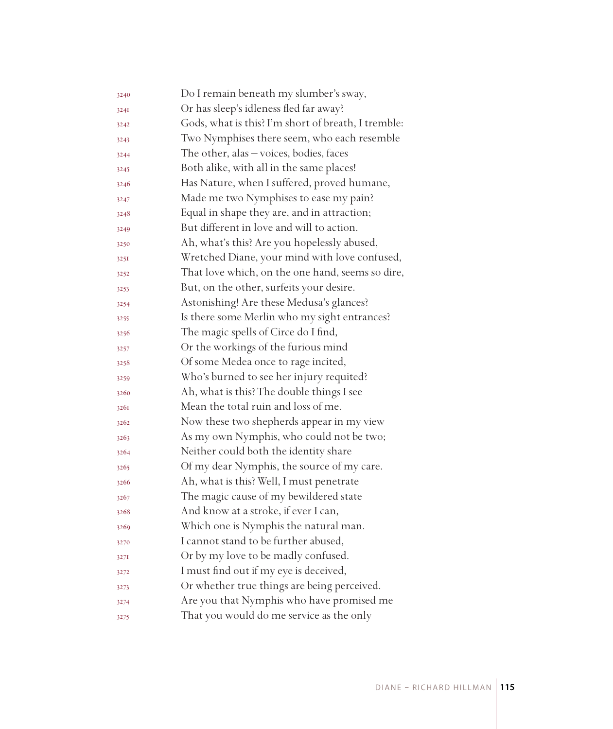| 3240 | Do I remain beneath my slumber's sway,              |
|------|-----------------------------------------------------|
| 3241 | Or has sleep's idleness fled far away?              |
| 3242 | Gods, what is this? I'm short of breath, I tremble: |
| 3243 | Two Nymphises there seem, who each resemble         |
| 3244 | The other, alas $-\nu$ oices, bodies, faces         |
| 3245 | Both alike, with all in the same places!            |
| 3246 | Has Nature, when I suffered, proved humane,         |
| 3247 | Made me two Nymphises to ease my pain?              |
| 3248 | Equal in shape they are, and in attraction;         |
| 3249 | But different in love and will to action.           |
| 3250 | Ah, what's this? Are you hopelessly abused,         |
| 3251 | Wretched Diane, your mind with love confused,       |
| 3252 | That love which, on the one hand, seems so dire,    |
| 3253 | But, on the other, surfeits your desire.            |
| 3254 | Astonishing! Are these Medusa's glances?            |
| 3255 | Is there some Merlin who my sight entrances?        |
| 3256 | The magic spells of Circe do I find,                |
| 3257 | Or the workings of the furious mind                 |
| 3258 | Of some Medea once to rage incited,                 |
| 3259 | Who's burned to see her injury requited?            |
| 3260 | Ah, what is this? The double things I see           |
| 3261 | Mean the total ruin and loss of me.                 |
| 3262 | Now these two shepherds appear in my view           |
| 3263 | As my own Nymphis, who could not be two;            |
| 3264 | Neither could both the identity share               |
| 3265 | Of my dear Nymphis, the source of my care.          |
| 3266 | Ah, what is this? Well, I must penetrate            |
| 3267 | The magic cause of my bewildered state              |
| 3268 | And know at a stroke, if ever I can,                |
| 3269 | Which one is Nymphis the natural man.               |
| 3270 | I cannot stand to be further abused,                |
| 3271 | Or by my love to be madly confused.                 |
| 3272 | I must find out if my eye is deceived,              |
| 3273 | Or whether true things are being perceived.         |
| 3274 | Are you that Nymphis who have promised me           |
| 3275 | That you would do me service as the only            |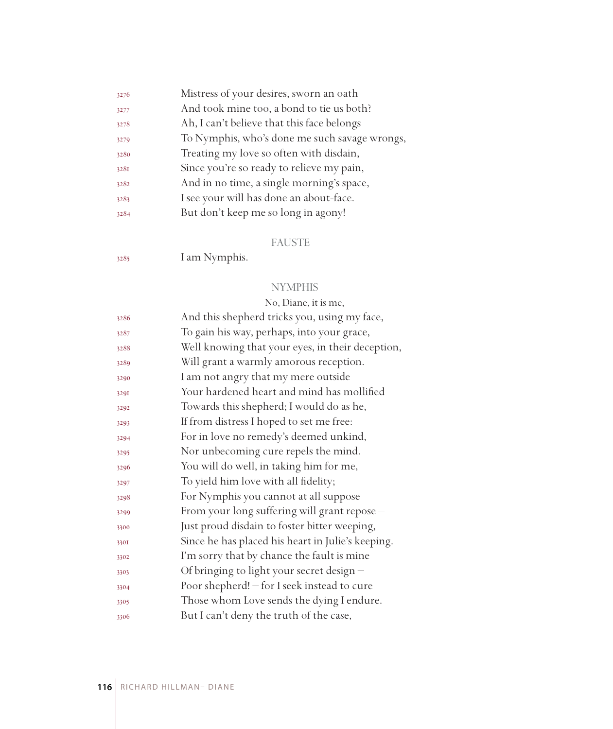| 3276 | Mistress of your desires, sworn an oath       |
|------|-----------------------------------------------|
| 3277 | And took mine too, a bond to tie us both?     |
| 3278 | Ah, I can't believe that this face belongs    |
| 3279 | To Nymphis, who's done me such savage wrongs, |
| 3280 | Treating my love so often with disdain,       |
| 3281 | Since you're so ready to relieve my pain,     |
| 3282 | And in no time, a single morning's space,     |
| 3283 | I see your will has done an about-face.       |
| 3284 | But don't keep me so long in agony!           |
|      |                                               |

#### FAUSTE

I am Nymphis.

#### **NYMPHIS**

# No, Diane, it is me, And this shepherd tricks you, using my face, To gain his way, perhaps, into your grace, Well knowing that your eyes, in their deception, Will grant a warmly amorous reception. I am not angry that my mere outside Your hardened heart and mind has mollified Towards this shepherd; I would do as he, If from distress I hoped to set me free: For in love no remedy's deemed unkind, Nor unbecoming cure repels the mind. You will do well, in taking him for me, To yield him love with all fidelity; For Nymphis you cannot at all suppose From your long suffering will grant repose – Just proud disdain to foster bitter weeping, Since he has placed his heart in Julie's keeping. I'm sorry that by chance the fault is mine Of bringing to light your secret design – Poor shepherd! – for I seek instead to cure Those whom Love sends the dying I endure. But I can't deny the truth of the case,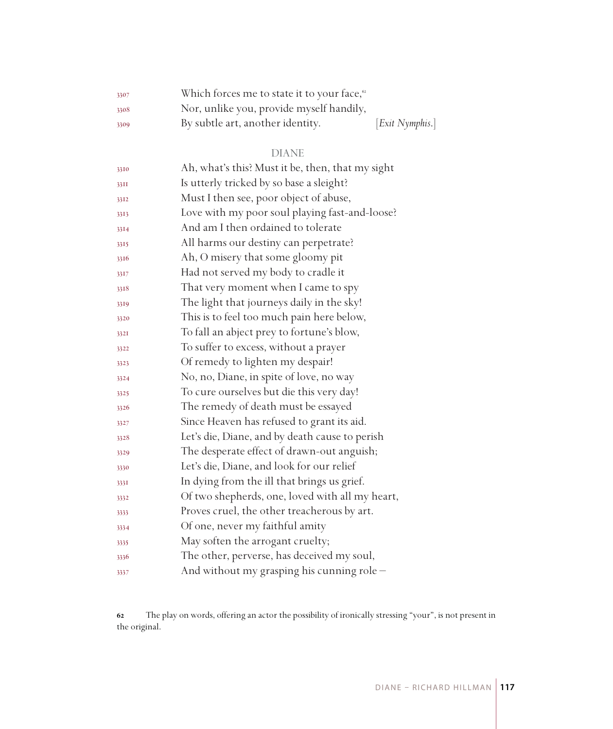| 3307 | Which forces me to state it to your face, <sup>62</sup> |                 |
|------|---------------------------------------------------------|-----------------|
| 3308 | Nor, unlike you, provide myself handily,                |                 |
| 3309 | By subtle art, another identity.                        | [Exit Nymphis.] |

| 3310 | Ah, what's this? Must it be, then, that my sight |
|------|--------------------------------------------------|
| 33II | Is utterly tricked by so base a sleight?         |
| 3312 | Must I then see, poor object of abuse,           |
| 3313 | Love with my poor soul playing fast-and-loose?   |
| 3314 | And am I then ordained to tolerate               |
| 3315 | All harms our destiny can perpetrate?            |
| 3316 | Ah, O misery that some gloomy pit                |
| 3317 | Had not served my body to cradle it              |
| 3318 | That very moment when I came to spy              |
| 3319 | The light that journeys daily in the sky!        |
| 3320 | This is to feel too much pain here below,        |
| 3321 | To fall an abject prey to fortune's blow,        |
| 3322 | To suffer to excess, without a prayer            |
| 3323 | Of remedy to lighten my despair!                 |
| 3324 | No, no, Diane, in spite of love, no way          |
| 3325 | To cure ourselves but die this very day!         |
| 3326 | The remedy of death must be essayed              |
| 3327 | Since Heaven has refused to grant its aid.       |
| 3328 | Let's die, Diane, and by death cause to perish   |
| 3329 | The desperate effect of drawn-out anguish;       |
| 3330 | Let's die, Diane, and look for our relief        |
| 3331 | In dying from the ill that brings us grief.      |
| 3332 | Of two shepherds, one, loved with all my heart,  |
| 3333 | Proves cruel, the other treacherous by art.      |
| 3334 | Of one, never my faithful amity                  |
| 3335 | May soften the arrogant cruelty;                 |
| 3336 | The other, perverse, has deceived my soul,       |
| 3337 | And without my grasping his cunning role -       |

 The play on words, offering an actor the possibility of ironically stressing "your", is not present in the original.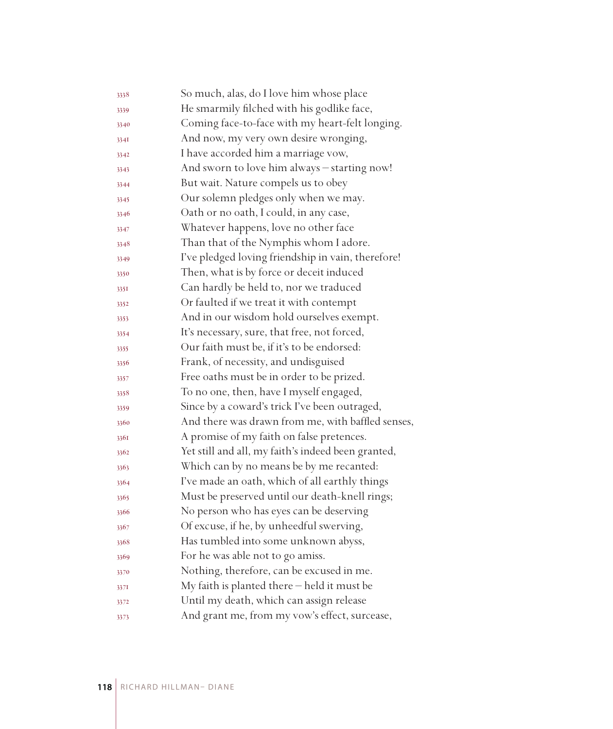| 3338 | So much, alas, do I love him whose place           |
|------|----------------------------------------------------|
| 3339 | He smarmily filched with his godlike face,         |
| 3340 | Coming face-to-face with my heart-felt longing.    |
| 334I | And now, my very own desire wronging,              |
| 3342 | I have accorded him a marriage vow,                |
| 3343 | And sworn to love him always - starting now!       |
| 3344 | But wait. Nature compels us to obey                |
| 3345 | Our solemn pledges only when we may.               |
| 3346 | Oath or no oath, I could, in any case,             |
| 3347 | Whatever happens, love no other face               |
| 3348 | Than that of the Nymphis whom I adore.             |
| 3349 | I've pledged loving friendship in vain, therefore! |
| 3350 | Then, what is by force or deceit induced           |
| 335I | Can hardly be held to, nor we traduced             |
| 3352 | Or faulted if we treat it with contempt            |
| 3353 | And in our wisdom hold ourselves exempt.           |
| 3354 | It's necessary, sure, that free, not forced,       |
| 3355 | Our faith must be, if it's to be endorsed:         |
| 3356 | Frank, of necessity, and undisguised               |
| 3357 | Free oaths must be in order to be prized.          |
| 3358 | To no one, then, have I myself engaged,            |
| 3359 | Since by a coward's trick I've been outraged,      |
| 3360 | And there was drawn from me, with baffled senses,  |
| 3361 | A promise of my faith on false pretences.          |
| 3362 | Yet still and all, my faith's indeed been granted, |
| 3363 | Which can by no means be by me recanted:           |
| 3364 | I've made an oath, which of all earthly things     |
| 3365 | Must be preserved until our death-knell rings;     |
| 3366 | No person who has eyes can be deserving            |
| 3367 | Of excuse, if he, by unheedful swerving,           |
| 3368 | Has tumbled into some unknown abyss,               |
| 3369 | For he was able not to go amiss.                   |
| 3370 | Nothing, therefore, can be excused in me.          |
| 3371 | My faith is planted there - held it must be        |
| 3372 | Until my death, which can assign release           |
| 3373 | And grant me, from my vow's effect, surcease,      |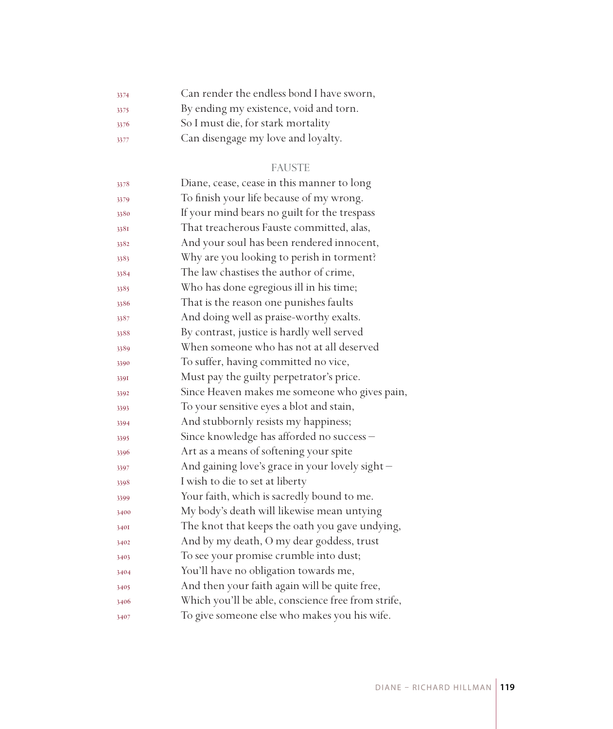| 3374 | Can render the endless bond I have sworn, |
|------|-------------------------------------------|
| 3375 | By ending my existence, void and torn.    |
| 3376 | So I must die, for stark mortality        |
| 3377 | Can disengage my love and loyalty.        |

## FAUSTE

| 3378 | Diane, cease, cease in this manner to long         |
|------|----------------------------------------------------|
| 3379 | To finish your life because of my wrong.           |
| 3380 | If your mind bears no guilt for the trespass       |
| 338I | That treacherous Fauste committed, alas,           |
| 3382 | And your soul has been rendered innocent,          |
| 3383 | Why are you looking to perish in torment?          |
| 3384 | The law chastises the author of crime,             |
| 3385 | Who has done egregious ill in his time;            |
| 3386 | That is the reason one punishes faults             |
| 3387 | And doing well as praise-worthy exalts.            |
| 3388 | By contrast, justice is hardly well served         |
| 3389 | When someone who has not at all deserved           |
| 3390 | To suffer, having committed no vice,               |
| 3391 | Must pay the guilty perpetrator's price.           |
| 3392 | Since Heaven makes me someone who gives pain,      |
| 3393 | To your sensitive eyes a blot and stain,           |
| 3394 | And stubbornly resists my happiness;               |
| 3395 | Since knowledge has afforded no success -          |
| 3396 | Art as a means of softening your spite             |
| 3397 | And gaining love's grace in your lovely sight -    |
| 3398 | I wish to die to set at liberty                    |
| 3399 | Your faith, which is sacredly bound to me.         |
| 3400 | My body's death will likewise mean untying         |
| 3401 | The knot that keeps the oath you gave undying,     |
| 3402 | And by my death, O my dear goddess, trust          |
| 3403 | To see your promise crumble into dust;             |
| 3404 | You'll have no obligation towards me,              |
| 3405 | And then your faith again will be quite free,      |
| 3406 | Which you'll be able, conscience free from strife, |
| 3407 | To give someone else who makes you his wife.       |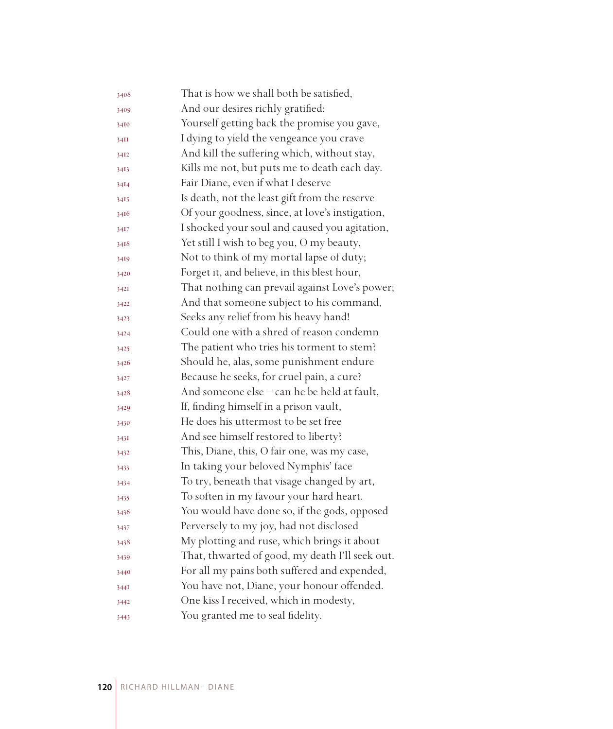| 3408 | That is how we shall both be satisfied,         |
|------|-------------------------------------------------|
| 3409 | And our desires richly gratified:               |
| 3410 | Yourself getting back the promise you gave,     |
| 34II | I dying to yield the vengeance you crave        |
| 3412 | And kill the suffering which, without stay,     |
| 3413 | Kills me not, but puts me to death each day.    |
| 3414 | Fair Diane, even if what I deserve              |
| 3415 | Is death, not the least gift from the reserve   |
| 3416 | Of your goodness, since, at love's instigation, |
| 3417 | I shocked your soul and caused you agitation,   |
| 3418 | Yet still I wish to beg you, O my beauty,       |
| 3419 | Not to think of my mortal lapse of duty;        |
| 3420 | Forget it, and believe, in this blest hour,     |
| 3421 | That nothing can prevail against Love's power;  |
| 3422 | And that someone subject to his command,        |
| 3423 | Seeks any relief from his heavy hand!           |
| 3424 | Could one with a shred of reason condemn        |
| 3425 | The patient who tries his torment to stem?      |
| 3426 | Should he, alas, some punishment endure         |
| 3427 | Because he seeks, for cruel pain, a cure?       |
| 3428 | And someone else – can he be held at fault,     |
| 3429 | If, finding himself in a prison vault,          |
| 3430 | He does his uttermost to be set free            |
| 3431 | And see himself restored to liberty?            |
| 3432 | This, Diane, this, O fair one, was my case,     |
| 3433 | In taking your beloved Nymphis' face            |
| 3434 | To try, beneath that visage changed by art,     |
| 3435 | To soften in my favour your hard heart.         |
| 3436 | You would have done so, if the gods, opposed    |
| 3437 | Perversely to my joy, had not disclosed         |
| 3438 | My plotting and ruse, which brings it about     |
| 3439 | That, thwarted of good, my death I'll seek out. |
| 3440 | For all my pains both suffered and expended,    |
| 344I | You have not, Diane, your honour offended.      |
| 3442 | One kiss I received, which in modesty,          |
| 3443 | You granted me to seal fidelity.                |
|      |                                                 |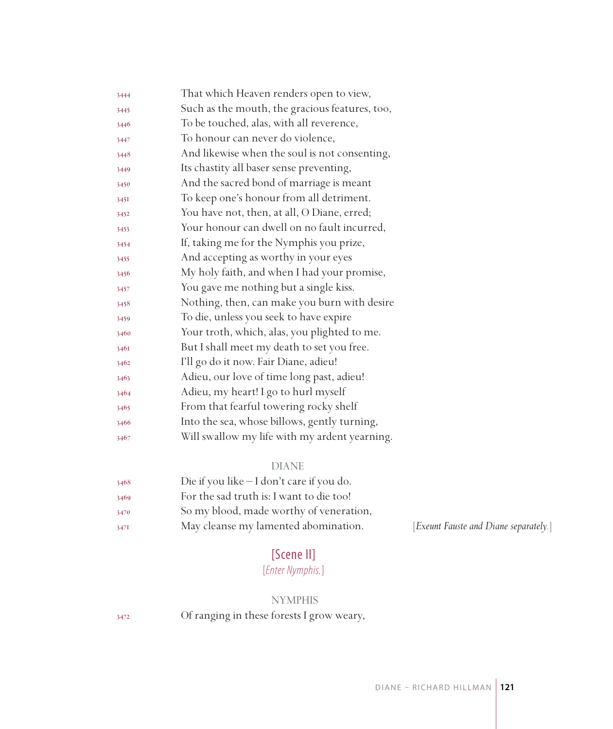| 3444 | That which Heaven renders open to view,        |
|------|------------------------------------------------|
| 3445 | Such as the mouth, the gracious features, too, |
| 3446 | To be touched, alas, with all reverence,       |
| 3447 | To honour can never do violence,               |
| 3448 | And likewise when the soul is not consenting,  |
| 3449 | Its chastity all baser sense preventing,       |
| 3450 | And the sacred bond of marriage is meant       |
| 3451 | To keep one's honour from all detriment.       |
| 3452 | You have not, then, at all, O Diane, erred;    |
| 3453 | Your honour can dwell on no fault incurred,    |
| 3454 | If, taking me for the Nymphis you prize,       |
| 3455 | And accepting as worthy in your eyes           |
| 3456 | My holy faith, and when I had your promise,    |
| 3457 | You gave me nothing but a single kiss.         |
| 3458 | Nothing, then, can make you burn with desire   |
| 3459 | To die, unless you seek to have expire         |
| 3460 | Your troth, which, alas, you plighted to me.   |
| 3461 | But I shall meet my death to set you free.     |
| 3462 | I'll go do it now. Fair Diane, adieu!          |
| 3463 | Adieu, our love of time long past, adieu!      |
| 3464 | Adieu, my heart! I go to hurl myself           |
| 3465 | From that fearful towering rocky shelf         |
| 3466 | Into the sea, whose billows, gently turning,   |
| 3467 | Will swallow my life with my ardent yearning.  |

| 3468 | Die if you like $-I$ don't care if you do. |
|------|--------------------------------------------|
| 3469 | For the sad truth is: I want to die too!   |
| 3470 | So my blood, made worthy of veneration,    |
| 347I | May cleanse my lamented abomination.       |

[Exeunt Fauste and Diane separately.]

# [Scene II]

# [*Enter Nymphis.*]

## NYMPHIS

Of ranging in these forests I grow weary,

DIANE – RICHARD HILLMAN **121**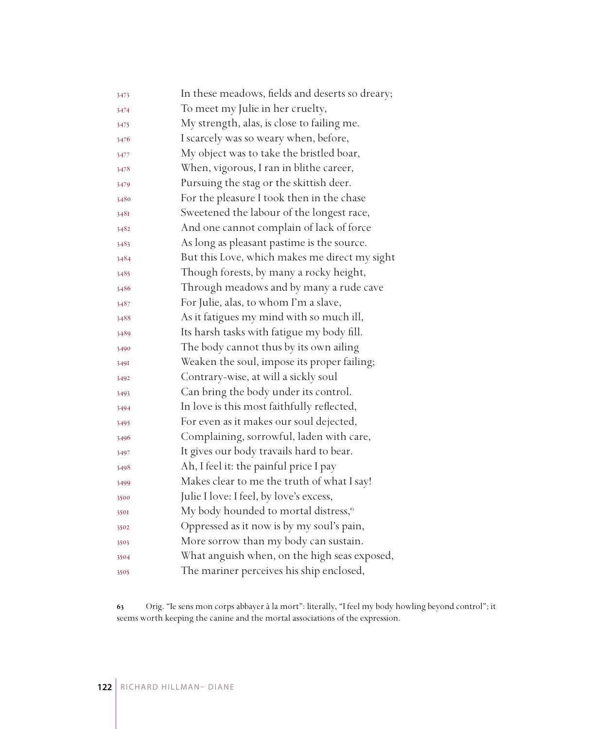| 3473 | In these meadows, fields and deserts so dreary;   |
|------|---------------------------------------------------|
| 3474 | To meet my Julie in her cruelty,                  |
| 3475 | My strength, alas, is close to failing me.        |
| 3476 | I scarcely was so weary when, before,             |
| 3477 | My object was to take the bristled boar,          |
| 3478 | When, vigorous, I ran in blithe career,           |
| 3479 | Pursuing the stag or the skittish deer.           |
| 3480 | For the pleasure I took then in the chase         |
| 3481 | Sweetened the labour of the longest race,         |
| 3482 | And one cannot complain of lack of force          |
| 3483 | As long as pleasant pastime is the source.        |
| 3484 | But this Love, which makes me direct my sight     |
| 3485 | Though forests, by many a rocky height,           |
| 3486 | Through meadows and by many a rude cave           |
| 3487 | For Julie, alas, to whom I'm a slave,             |
| 3488 | As it fatigues my mind with so much ill,          |
| 3489 | Its harsh tasks with fatigue my body fill.        |
| 3490 | The body cannot thus by its own ailing            |
| 349I | Weaken the soul, impose its proper failing;       |
| 3492 | Contrary-wise, at will a sickly soul              |
| 3493 | Can bring the body under its control.             |
| 3494 | In love is this most faithfully reflected,        |
| 3495 | For even as it makes our soul dejected,           |
| 3496 | Complaining, sorrowful, laden with care,          |
| 3497 | It gives our body travails hard to bear.          |
| 3498 | Ah, I feel it: the painful price I pay            |
| 3499 | Makes clear to me the truth of what I say!        |
| 3500 | Julie I love: I feel, by love's excess,           |
| 3501 | My body hounded to mortal distress, <sup>63</sup> |
| 3502 | Oppressed as it now is by my soul's pain,         |
| 3503 | More sorrow than my body can sustain.             |
| 3504 | What anguish when, on the high seas exposed,      |
| 3505 | The mariner perceives his ship enclosed,          |

 Orig. "Ie sens mon corps abbayer à la mort": literally, "I feel my body howling beyond control"; it seems worth keeping the canine and the mortal associations of the expression.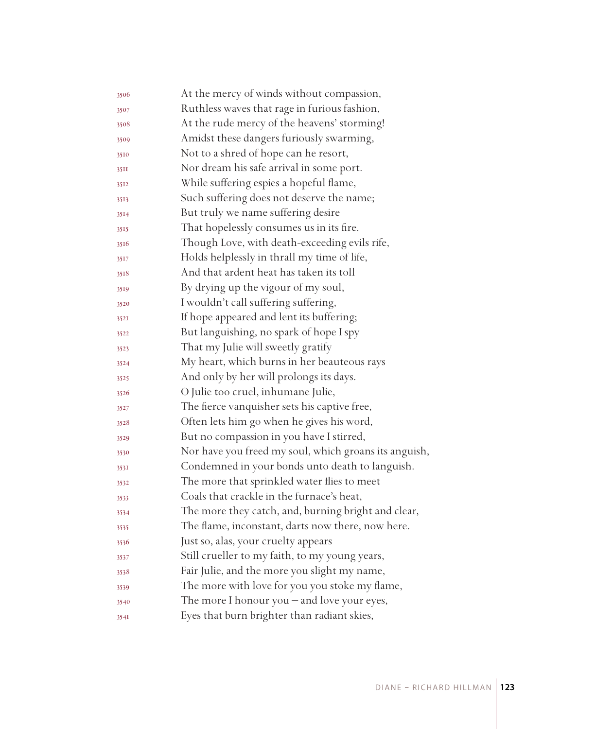| 3506 | At the mercy of winds without compassion,             |
|------|-------------------------------------------------------|
| 3507 | Ruthless waves that rage in furious fashion,          |
| 3508 | At the rude mercy of the heavens' storming!           |
| 3509 | Amidst these dangers furiously swarming,              |
| 3510 | Not to a shred of hope can he resort,                 |
| 35II | Nor dream his safe arrival in some port.              |
| 3512 | While suffering espies a hopeful flame,               |
| 3513 | Such suffering does not deserve the name;             |
| 3514 | But truly we name suffering desire                    |
| 3515 | That hopelessly consumes us in its fire.              |
| 3516 | Though Love, with death-exceeding evils rife,         |
| 3517 | Holds helplessly in thrall my time of life,           |
| 3518 | And that ardent heat has taken its toll               |
| 3519 | By drying up the vigour of my soul,                   |
| 3520 | I wouldn't call suffering suffering,                  |
| 3521 | If hope appeared and lent its buffering;              |
| 3522 | But languishing, no spark of hope I spy               |
| 3523 | That my Julie will sweetly gratify                    |
| 3524 | My heart, which burns in her beauteous rays           |
| 3525 | And only by her will prolongs its days.               |
| 3526 | O Julie too cruel, inhumane Julie,                    |
| 3527 | The fierce vanquisher sets his captive free,          |
| 3528 | Often lets him go when he gives his word,             |
| 3529 | But no compassion in you have I stirred,              |
| 3530 | Nor have you freed my soul, which groans its anguish, |
| 3531 | Condemned in your bonds unto death to languish.       |
| 3532 | The more that sprinkled water flies to meet           |
| 3533 | Coals that crackle in the furnace's heat,             |
| 3534 | The more they catch, and, burning bright and clear,   |
| 3535 | The flame, inconstant, darts now there, now here.     |
| 3536 | Just so, alas, your cruelty appears                   |
| 3537 | Still crueller to my faith, to my young years,        |
| 3538 | Fair Julie, and the more you slight my name,          |
| 3539 | The more with love for you you stoke my flame,        |
| 3540 | The more I honour you - and love your eyes,           |
| 3541 | Eyes that burn brighter than radiant skies,           |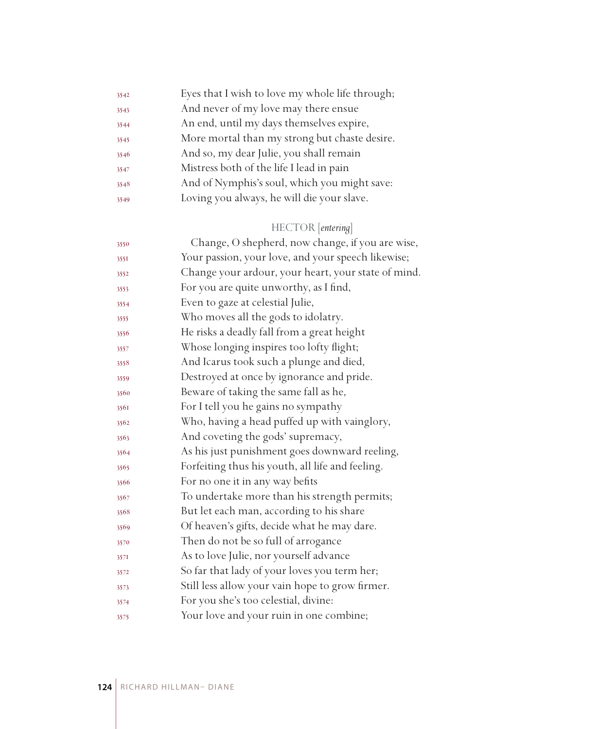| 3542 | Eyes that I wish to love my whole life through; |
|------|-------------------------------------------------|
| 3543 | And never of my love may there ensue            |
| 3544 | An end, until my days themselves expire,        |
| 3545 | More mortal than my strong but chaste desire.   |
| 3546 | And so, my dear Julie, you shall remain         |
| 3547 | Mistress both of the life I lead in pain        |
| 3548 | And of Nymphis's soul, which you might save:    |
| 3549 | Loving you always, he will die your slave.      |

# HECTOR [*entering*]

| 3550 | Change, O shepherd, now change, if you are wise,    |
|------|-----------------------------------------------------|
| 3551 | Your passion, your love, and your speech likewise;  |
| 3552 | Change your ardour, your heart, your state of mind. |
| 3553 | For you are quite unworthy, as I find,              |
| 3554 | Even to gaze at celestial Julie,                    |
| 3555 | Who moves all the gods to idolatry.                 |
| 3556 | He risks a deadly fall from a great height          |
| 3557 | Whose longing inspires too lofty flight;            |
| 3558 | And Icarus took such a plunge and died,             |
| 3559 | Destroyed at once by ignorance and pride.           |
| 3560 | Beware of taking the same fall as he,               |
| 3561 | For I tell you he gains no sympathy                 |
| 3562 | Who, having a head puffed up with vainglory,        |
| 3563 | And coveting the gods' supremacy,                   |
| 3564 | As his just punishment goes downward reeling,       |
| 3565 | Forfeiting thus his youth, all life and feeling.    |
| 3566 | For no one it in any way befits                     |
| 3567 | To undertake more than his strength permits;        |
| 3568 | But let each man, according to his share            |
| 3569 | Of heaven's gifts, decide what he may dare.         |
| 3570 | Then do not be so full of arrogance                 |
| 357I | As to love Julie, nor yourself advance              |
| 3572 | So far that lady of your loves you term her;        |
| 3573 | Still less allow your vain hope to grow firmer.     |
| 3574 | For you she's too celestial, divine:                |
| 3575 | Your love and your ruin in one combine;             |
|      |                                                     |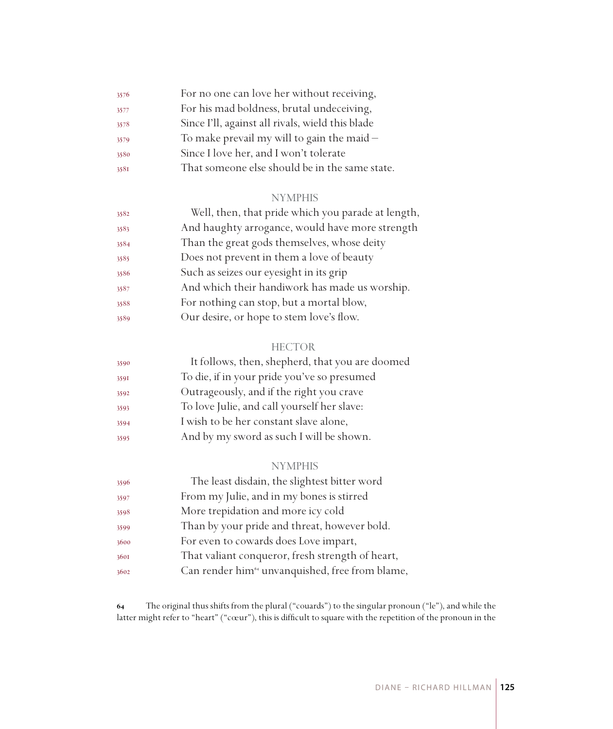| 3576 | For no one can love her without receiving,       |
|------|--------------------------------------------------|
| 3577 | For his mad boldness, brutal undeceiving,        |
| 3578 | Since I'll, against all rivals, wield this blade |
| 3579 | To make prevail my will to gain the maid $-$     |
| 3580 | Since I love her, and I won't tolerate           |
| 3581 | That someone else should be in the same state.   |

| 3582 | Well, then, that pride which you parade at length, |
|------|----------------------------------------------------|
| 3583 | And haughty arrogance, would have more strength    |
| 3584 | Than the great gods themselves, whose deity        |
| 3585 | Does not prevent in them a love of beauty          |
| 3586 | Such as seizes our eyesight in its grip            |
| 3587 | And which their handiwork has made us worship.     |
| 3588 | For nothing can stop, but a mortal blow,           |
| 3589 | Our desire, or hope to stem love's flow.           |

## **HECTOR**

| 3590 | It follows, then, shepherd, that you are doomed |
|------|-------------------------------------------------|
| 3591 | To die, if in your pride you've so presumed     |
| 3592 | Outrageously, and if the right you crave        |
| 3593 | To love Julie, and call yourself her slave:     |
| 3594 | I wish to be her constant slave alone,          |
| 3595 | And by my sword as such I will be shown.        |

## NYMPHIS

| 3596 | The least disdain, the slightest bitter word                |
|------|-------------------------------------------------------------|
| 3597 | From my Julie, and in my bones is stirred                   |
| 3598 | More trepidation and more icy cold                          |
| 3599 | Than by your pride and threat, however bold.                |
| 3600 | For even to cowards does Love impart,                       |
| 3601 | That valiant conqueror, fresh strength of heart,            |
| 3602 | Can render him <sup>64</sup> unvanquished, free from blame, |

 The original thus shifts from the plural ("couards") to the singular pronoun ("le"), and while the latter might refer to "heart" ("cœur"), this is difficult to square with the repetition of the pronoun in the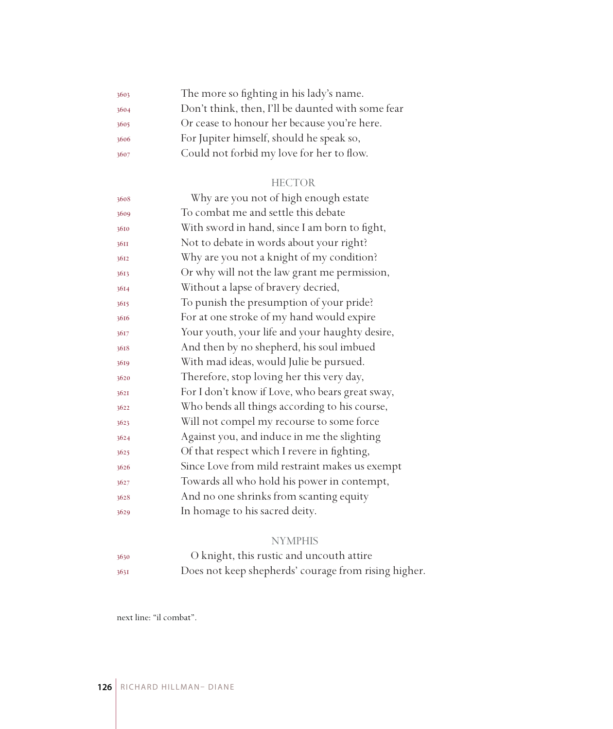| 3603 | The more so fighting in his lady's name.          |
|------|---------------------------------------------------|
| 3604 | Don't think, then, I'll be daunted with some fear |
| 3605 | Or cease to honour her because you're here.       |
| 3606 | For Jupiter himself, should he speak so,          |
| 3607 | Could not forbid my love for her to flow.         |

#### HECTOR

| 3608 | Why are you not of high enough estate           |
|------|-------------------------------------------------|
| 3609 | To combat me and settle this debate             |
| 3610 | With sword in hand, since I am born to fight,   |
| 36II | Not to debate in words about your right?        |
| 3612 | Why are you not a knight of my condition?       |
| 3613 | Or why will not the law grant me permission,    |
| 3614 | Without a lapse of bravery decried,             |
| 3615 | To punish the presumption of your pride?        |
| 3616 | For at one stroke of my hand would expire       |
| 3617 | Your youth, your life and your haughty desire,  |
| 3618 | And then by no shepherd, his soul imbued        |
| 3619 | With mad ideas, would Julie be pursued.         |
| 3620 | Therefore, stop loving her this very day,       |
| 3621 | For I don't know if Love, who bears great sway, |
| 3622 | Who bends all things according to his course,   |
| 3623 | Will not compel my recourse to some force       |
| 3624 | Against you, and induce in me the slighting     |
| 3625 | Of that respect which I revere in fighting,     |
| 3626 | Since Love from mild restraint makes us exempt  |
| 3627 | Towards all who hold his power in contempt,     |
| 3628 | And no one shrinks from scanting equity         |
| 3629 | In homage to his sacred deity.                  |
|      |                                                 |

## NYMPHIS

 O knight, this rustic and uncouth attire Does not keep shepherds' courage from rising higher.

next line: "il combat".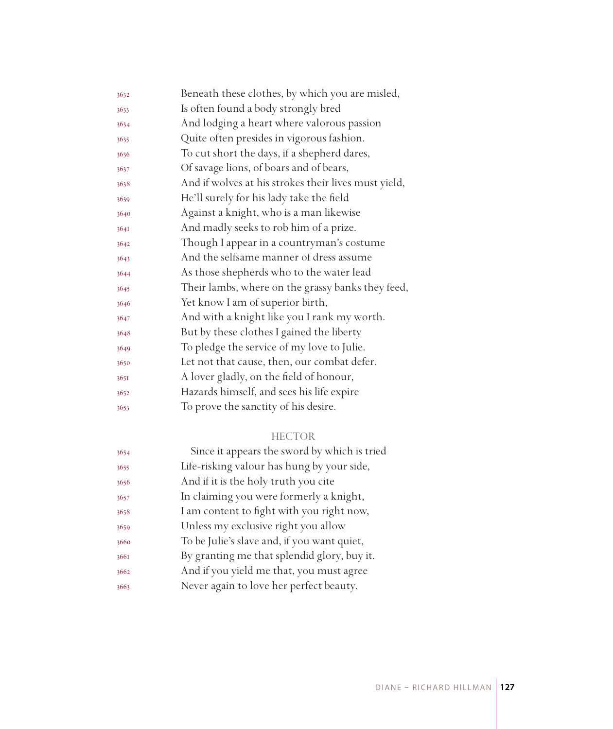| 3632 | Beneath these clothes, by which you are misled,      |
|------|------------------------------------------------------|
| 3633 | Is often found a body strongly bred                  |
| 3634 | And lodging a heart where valorous passion           |
| 3635 | Quite often presides in vigorous fashion.            |
| 3636 | To cut short the days, if a shepherd dares,          |
| 3637 | Of savage lions, of boars and of bears,              |
| 3638 | And if wolves at his strokes their lives must yield, |
| 3639 | He'll surely for his lady take the field             |
| 3640 | Against a knight, who is a man likewise              |
| 3641 | And madly seeks to rob him of a prize.               |
| 3642 | Though I appear in a countryman's costume            |
| 3643 | And the selfsame manner of dress assume              |
| 3644 | As those shepherds who to the water lead             |
| 3645 | Their lambs, where on the grassy banks they feed,    |
| 3646 | Yet know I am of superior birth,                     |
| 3647 | And with a knight like you I rank my worth.          |
| 3648 | But by these clothes I gained the liberty            |
| 3649 | To pledge the service of my love to Julie.           |
| 3650 | Let not that cause, then, our combat defer.          |
| 365I | A lover gladly, on the field of honour,              |
| 3652 | Hazards himself, and sees his life expire            |
| 3653 | To prove the sanctity of his desire.                 |
|      |                                                      |

## HECTOR

| 3654 | Since it appears the sword by which is tried |
|------|----------------------------------------------|
| 3655 | Life-risking valour has hung by your side,   |
| 3656 | And if it is the holy truth you cite         |
| 3657 | In claiming you were formerly a knight,      |
| 3658 | I am content to fight with you right now,    |
| 3659 | Unless my exclusive right you allow          |
| 3660 | To be Julie's slave and, if you want quiet,  |
| 3661 | By granting me that splendid glory, buy it.  |
| 3662 | And if you yield me that, you must agree     |
| 3663 | Never again to love her perfect beauty.      |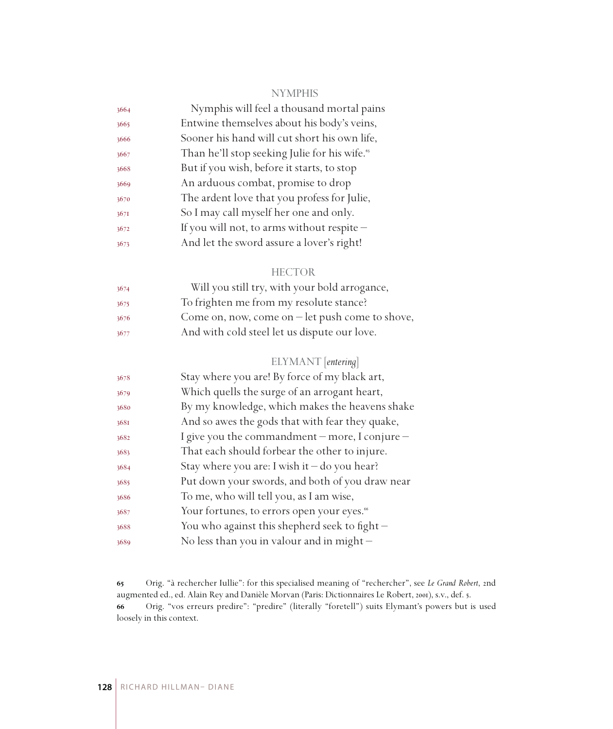| 3664 | Nymphis will feel a thousand mortal pains                 |
|------|-----------------------------------------------------------|
| 3665 | Entwine themselves about his body's veins,                |
| 3666 | Sooner his hand will cut short his own life,              |
| 3667 | Than he'll stop seeking Julie for his wife. <sup>65</sup> |
| 3668 | But if you wish, before it starts, to stop                |
| 3669 | An arduous combat, promise to drop                        |
| 3670 | The ardent love that you profess for Julie,               |
| 3671 | So I may call myself her one and only.                    |
| 3672 | If you will not, to arms without respite -                |
| 3673 | And let the sword assure a lover's right!                 |
|      |                                                           |

#### HECTOR

| 3674 | Will you still try, with your bold arrogance,           |
|------|---------------------------------------------------------|
| 3675 | To frighten me from my resolute stance?                 |
| 3676 | Come on, now, come on $-\text{let push come to show}$ , |
| 3677 | And with cold steel let us dispute our love.            |

## ELYMANT [*entering*]

| 3678 | Stay where you are! By force of my black art,          |
|------|--------------------------------------------------------|
| 3679 | Which quells the surge of an arrogant heart,           |
| 3680 | By my knowledge, which makes the heavens shake         |
| 3681 | And so awes the gods that with fear they quake,        |
| 3682 | I give you the commandment – more, I conjure –         |
| 3683 | That each should forbear the other to injure.          |
| 3684 | Stay where you are: I wish it $-$ do you hear?         |
| 3685 | Put down your swords, and both of you draw near        |
| 3686 | To me, who will tell you, as I am wise,                |
| 3687 | Your fortunes, to errors open your eyes. <sup>66</sup> |
| 3688 | You who against this shepherd seek to fight $-$        |
| 3689 | No less than you in valour and in might $-$            |
|      |                                                        |

 Orig. "à rechercher Iullie": for this specialised meaning of "rechercher", see *Le Grand Robert*, 2nd augmented ed., ed. Alain Rey and Danièle Morvan (Paris: Dictionnaires Le Robert, 2001), s.v., def. 5. Orig. "vos erreurs predire": "predire" (literally "foretell") suits Elymant's powers but is used loosely in this context.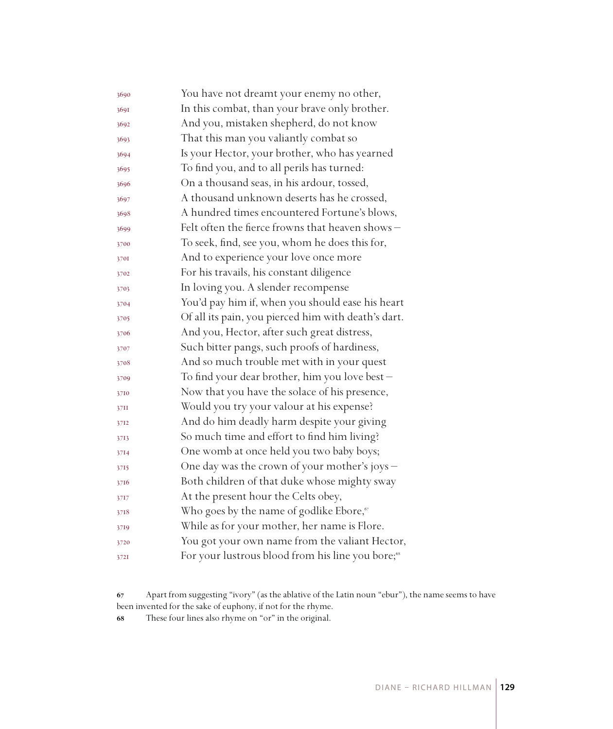| 3690 | You have not dreamt your enemy no other,                      |
|------|---------------------------------------------------------------|
| 3691 | In this combat, than your brave only brother.                 |
| 3692 | And you, mistaken shepherd, do not know                       |
| 3693 | That this man you valiantly combat so                         |
| 3694 | Is your Hector, your brother, who has yearned                 |
| 3695 | To find you, and to all perils has turned:                    |
| 3696 | On a thousand seas, in his ardour, tossed,                    |
| 3697 | A thousand unknown deserts has he crossed,                    |
| 3698 | A hundred times encountered Fortune's blows,                  |
| 3699 | Felt often the fierce frowns that heaven shows -              |
| 3700 | To seek, find, see you, whom he does this for,                |
| 3701 | And to experience your love once more                         |
| 3702 | For his travails, his constant diligence                      |
| 3703 | In loving you. A slender recompense                           |
| 3704 | You'd pay him if, when you should ease his heart              |
| 3705 | Of all its pain, you pierced him with death's dart.           |
| 3706 | And you, Hector, after such great distress,                   |
| 3707 | Such bitter pangs, such proofs of hardiness,                  |
| 3708 | And so much trouble met with in your quest                    |
| 3709 | To find your dear brother, him you love best -                |
| 3710 | Now that you have the solace of his presence,                 |
| 37II | Would you try your valour at his expense?                     |
| 3712 | And do him deadly harm despite your giving                    |
| 3713 | So much time and effort to find him living?                   |
| 3714 | One womb at once held you two baby boys;                      |
| 3715 | One day was the crown of your mother's joys -                 |
| 3716 | Both children of that duke whose mighty sway                  |
| 3717 | At the present hour the Celts obey,                           |
| 3718 | Who goes by the name of godlike Ebore, <sup>67</sup>          |
| 3719 | While as for your mother, her name is Flore.                  |
| 3720 | You got your own name from the valiant Hector,                |
| 3721 | For your lustrous blood from his line you bore; <sup>68</sup> |

Apart from suggesting "ivory" (as the ablative of the Latin noun "ebur"), the name seems to have been invented for the sake of euphony, if not for the rhyme.

These four lines also rhyme on "or" in the original.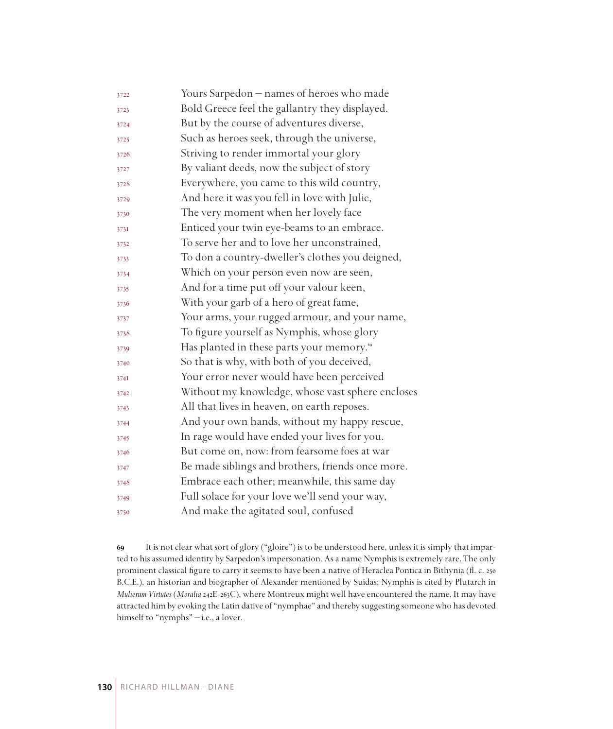| 3722 | Yours Sarpedon – names of heroes who made             |
|------|-------------------------------------------------------|
| 3723 | Bold Greece feel the gallantry they displayed.        |
| 3724 | But by the course of adventures diverse,              |
| 3725 | Such as heroes seek, through the universe,            |
| 3726 | Striving to render immortal your glory                |
| 3727 | By valiant deeds, now the subject of story            |
| 3728 | Everywhere, you came to this wild country,            |
| 3729 | And here it was you fell in love with Julie,          |
| 3730 | The very moment when her lovely face                  |
| 3731 | Enticed your twin eye-beams to an embrace.            |
| 3732 | To serve her and to love her unconstrained,           |
| 3733 | To don a country-dweller's clothes you deigned,       |
| 3734 | Which on your person even now are seen,               |
| 3735 | And for a time put off your valour keen,              |
| 3736 | With your garb of a hero of great fame,               |
| 3737 | Your arms, your rugged armour, and your name,         |
| 3738 | To figure yourself as Nymphis, whose glory            |
| 3739 | Has planted in these parts your memory. <sup>69</sup> |
| 3740 | So that is why, with both of you deceived,            |
| 3741 | Your error never would have been perceived            |
| 3742 | Without my knowledge, whose vast sphere encloses      |
| 3743 | All that lives in heaven, on earth reposes.           |
| 3744 | And your own hands, without my happy rescue,          |
| 3745 | In rage would have ended your lives for you.          |
| 3746 | But come on, now: from fearsome foes at war           |
| 3747 | Be made siblings and brothers, friends once more.     |
| 3748 | Embrace each other; meanwhile, this same day          |
| 3749 | Full solace for your love we'll send your way,        |
| 3750 | And make the agitated soul, confused                  |

 It is not clear what sort of glory ("gloire") is to be understood here, unless it is simply that imparted to his assumed identity by Sarpedon's impersonation. As a name Nymphis is extremely rare. The only prominent classical figure to carry it seems to have been a native of Heraclea Pontica in Bithynia (fl. c. 250 B.C.E.), an historian and biographer of Alexander mentioned by Suidas; Nymphis is cited by Plutarch in *Mulierum Virtutes* (*Moralia* 242E-263C), where Montreux might well have encountered the name. It may have attracted him by evoking the Latin dative of "nymphae" and thereby suggesting someone who has devoted himself to "nymphs" - i.e., a lover.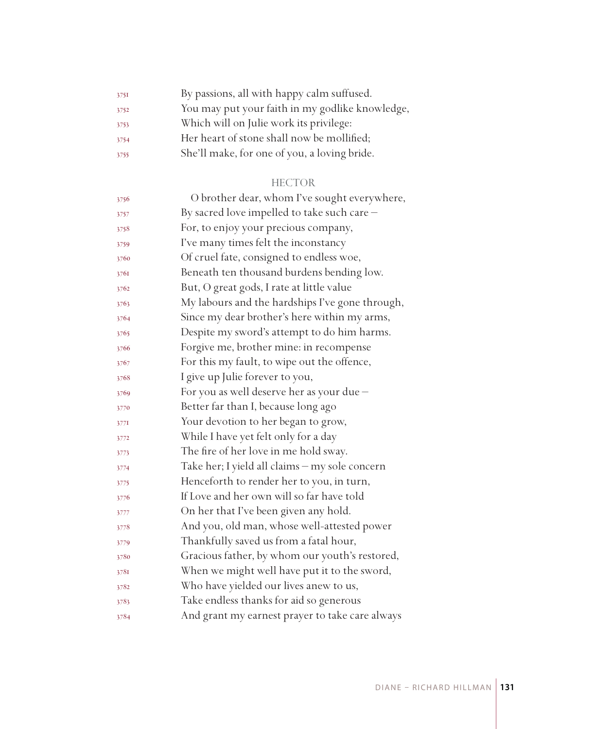| 3751 | By passions, all with happy calm suffused.      |
|------|-------------------------------------------------|
| 3752 | You may put your faith in my godlike knowledge, |
| 3753 | Which will on Julie work its privilege:         |
| 3754 | Her heart of stone shall now be mollified;      |
| 3755 | She'll make, for one of you, a loving bride.    |

#### HECTOR

| 3756 | O brother dear, whom I've sought everywhere,    |
|------|-------------------------------------------------|
| 3757 | By sacred love impelled to take such care -     |
| 3758 | For, to enjoy your precious company,            |
| 3759 | I've many times felt the inconstancy            |
| 3760 | Of cruel fate, consigned to endless woe,        |
| 3761 | Beneath ten thousand burdens bending low.       |
| 3762 | But, O great gods, I rate at little value       |
| 3763 | My labours and the hardships I've gone through, |
| 3764 | Since my dear brother's here within my arms,    |
| 3765 | Despite my sword's attempt to do him harms.     |
| 3766 | Forgive me, brother mine: in recompense         |
| 3767 | For this my fault, to wipe out the offence,     |
| 3768 | I give up Julie forever to you,                 |
| 3769 | For you as well deserve her as your due -       |
| 3770 | Better far than I, because long ago             |
| 3771 | Your devotion to her began to grow,             |
| 3772 | While I have yet felt only for a day            |
| 3773 | The fire of her love in me hold sway.           |
| 3774 | Take her; I yield all claims - my sole concern  |
| 3775 | Henceforth to render her to you, in turn,       |
| 3776 | If Love and her own will so far have told       |
| 3777 | On her that I've been given any hold.           |
| 3778 | And you, old man, whose well-attested power     |
| 3779 | Thankfully saved us from a fatal hour,          |
| 3780 | Gracious father, by whom our youth's restored,  |
| 3781 | When we might well have put it to the sword,    |
| 3782 | Who have yielded our lives anew to us,          |
| 3783 | Take endless thanks for aid so generous         |
| 3784 | And grant my earnest prayer to take care always |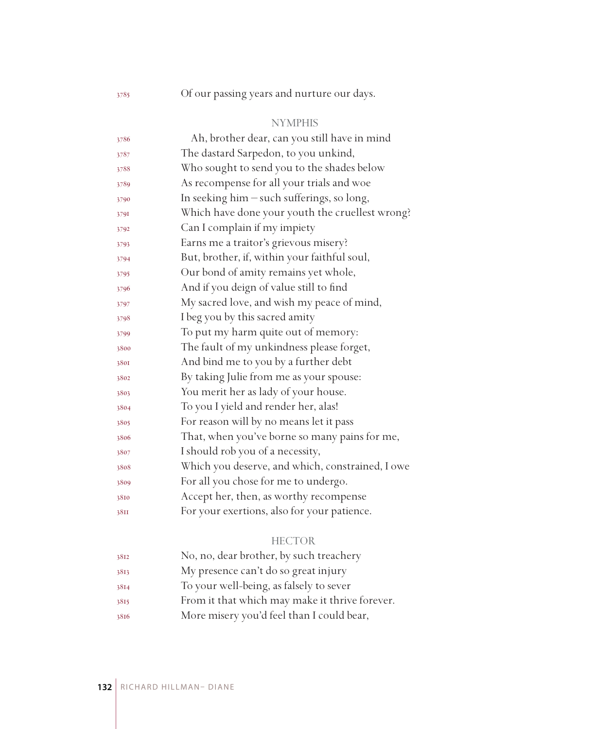Of our passing years and nurture our days.

## NYMPHIS

| 3786 | Ah, brother dear, can you still have in mind     |
|------|--------------------------------------------------|
| 3787 | The dastard Sarpedon, to you unkind,             |
| 3788 | Who sought to send you to the shades below       |
| 3789 | As recompense for all your trials and woe        |
| 3790 | In seeking him - such sufferings, so long,       |
| 3791 | Which have done your youth the cruellest wrong?  |
| 3792 | Can I complain if my impiety                     |
| 3793 | Earns me a traitor's grievous misery?            |
| 3794 | But, brother, if, within your faithful soul,     |
| 3795 | Our bond of amity remains yet whole,             |
| 3796 | And if you deign of value still to find          |
| 3797 | My sacred love, and wish my peace of mind,       |
| 3798 | I beg you by this sacred amity                   |
| 3799 | To put my harm quite out of memory:              |
| 3800 | The fault of my unkindness please forget,        |
| 3801 | And bind me to you by a further debt             |
| 3802 | By taking Julie from me as your spouse:          |
| 3803 | You merit her as lady of your house.             |
| 3804 | To you I yield and render her, alas!             |
| 3805 | For reason will by no means let it pass          |
| 3806 | That, when you've borne so many pains for me,    |
| 3807 | I should rob you of a necessity,                 |
| 3808 | Which you deserve, and which, constrained, I owe |
| 3809 | For all you chose for me to undergo.             |
| 3810 | Accept her, then, as worthy recompense           |
| 38II | For your exertions, also for your patience.      |
|      |                                                  |

## HECTOR

| 3812 | No, no, dear brother, by such treachery        |
|------|------------------------------------------------|
| 3813 | My presence can't do so great injury           |
| 3814 | To your well-being, as falsely to sever        |
| 3815 | From it that which may make it thrive forever. |
| 3816 | More misery you'd feel than I could bear,      |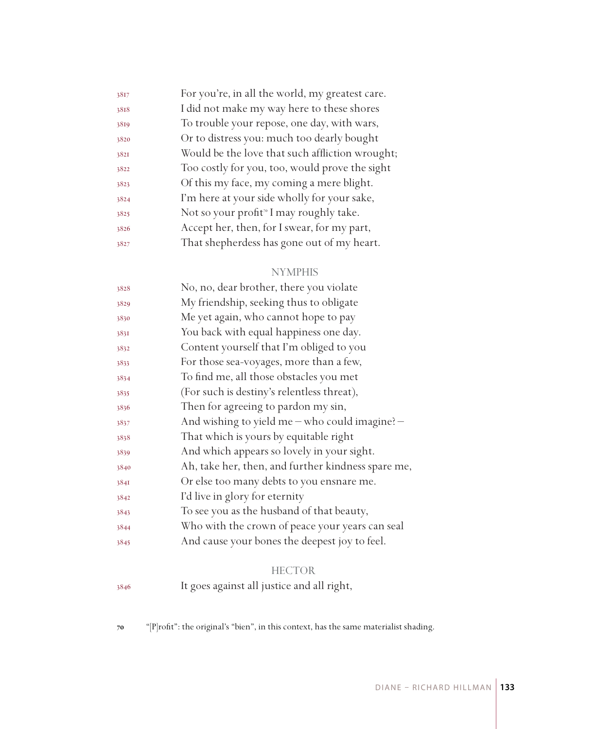| 3817 | For you're, in all the world, my greatest care.     |
|------|-----------------------------------------------------|
| 3818 | I did not make my way here to these shores          |
| 3819 | To trouble your repose, one day, with wars,         |
| 3820 | Or to distress you: much too dearly bought          |
| 3821 | Would be the love that such affliction wrought;     |
| 3822 | Too costly for you, too, would prove the sight      |
| 3823 | Of this my face, my coming a mere blight.           |
| 3824 | I'm here at your side wholly for your sake,         |
| 3825 | Not so your profit <sup>®</sup> I may roughly take. |
| 3826 | Accept her, then, for I swear, for my part,         |
| 3827 | That shepherdess has gone out of my heart.          |

| 3828 | No, no, dear brother, there you violate            |
|------|----------------------------------------------------|
| 3829 | My friendship, seeking thus to obligate            |
| 3830 | Me yet again, who cannot hope to pay               |
| 3831 | You back with equal happiness one day.             |
| 3832 | Content yourself that I'm obliged to you           |
| 3833 | For those sea-voyages, more than a few,            |
| 3834 | To find me, all those obstacles you met            |
| 3835 | (For such is destiny's relentless threat),         |
| 3836 | Then for agreeing to pardon my sin,                |
| 3837 | And wishing to yield me - who could imagine? -     |
| 3838 | That which is yours by equitable right             |
| 3839 | And which appears so lovely in your sight.         |
| 3840 | Ah, take her, then, and further kindness spare me, |
| 3841 | Or else too many debts to you ensnare me.          |
| 3842 | I'd live in glory for eternity                     |
| 3843 | To see you as the husband of that beauty,          |
| 3844 | Who with the crown of peace your years can seal    |
| 3845 | And cause your bones the deepest joy to feel.      |
|      |                                                    |

## **HECTOR**

It goes against all justice and all right,

"[P]rofit": the original's "bien", in this context, has the same materialist shading.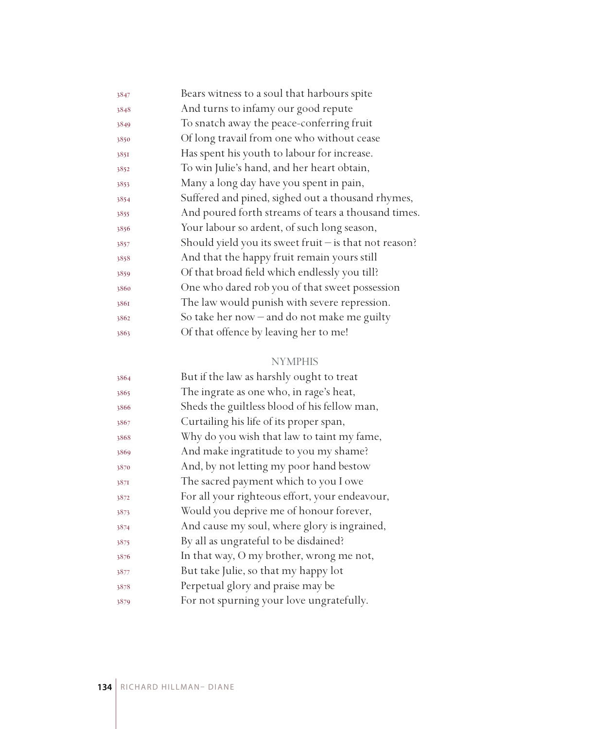| Bears witness to a soul that harbours spite              |
|----------------------------------------------------------|
| And turns to infamy our good repute                      |
| To snatch away the peace-conferring fruit                |
| Of long travail from one who without cease               |
| Has spent his youth to labour for increase.              |
| To win Julie's hand, and her heart obtain,               |
| Many a long day have you spent in pain,                  |
| Suffered and pined, sighed out a thousand rhymes,        |
| And poured forth streams of tears a thousand times.      |
| Your labour so ardent, of such long season,              |
| Should yield you its sweet fruit $-$ is that not reason? |
| And that the happy fruit remain yours still              |
| Of that broad field which endlessly you till?            |
| One who dared rob you of that sweet possession           |
| The law would punish with severe repression.             |
| So take her now $-$ and do not make me guilty            |
| Of that offence by leaving her to me!                    |
|                                                          |

| 3864 | But if the law as harshly ought to treat       |
|------|------------------------------------------------|
| 3865 | The ingrate as one who, in rage's heat,        |
| 3866 | Sheds the guiltless blood of his fellow man,   |
| 3867 | Curtailing his life of its proper span,        |
| 3868 | Why do you wish that law to taint my fame,     |
| 3869 | And make ingratitude to you my shame?          |
| 3870 | And, by not letting my poor hand bestow        |
| 387I | The sacred payment which to you I owe          |
| 3872 | For all your righteous effort, your endeavour, |
| 3873 | Would you deprive me of honour forever,        |
| 3874 | And cause my soul, where glory is ingrained,   |
| 3875 | By all as ungrateful to be disdained?          |
| 3876 | In that way, O my brother, wrong me not,       |
| 3877 | But take Julie, so that my happy lot           |
| 3878 | Perpetual glory and praise may be              |
| 3879 | For not spurning your love ungratefully.       |
|      |                                                |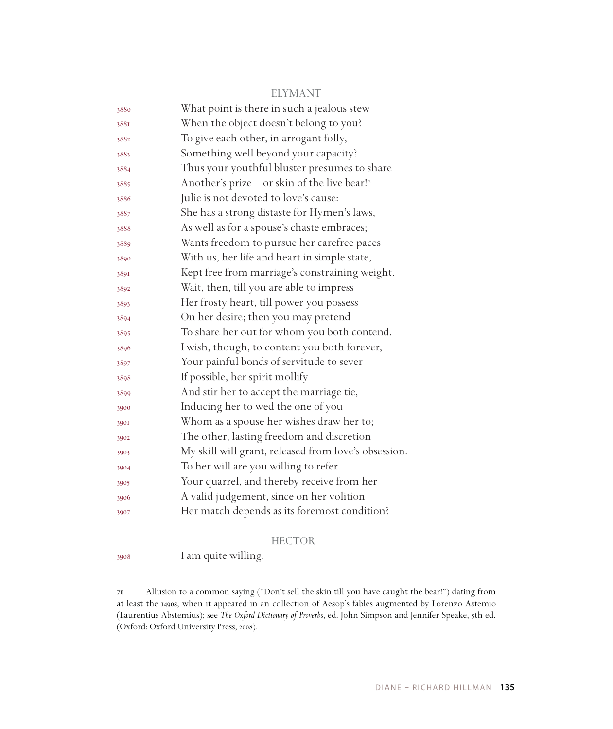#### ELYMANT

| 3880 | What point is there in such a jealous stew                |
|------|-----------------------------------------------------------|
| 3881 | When the object doesn't belong to you?                    |
| 3882 | To give each other, in arrogant folly,                    |
| 3883 | Something well beyond your capacity?                      |
| 3884 | Thus your youthful bluster presumes to share              |
| 3885 | Another's prize – or skin of the live bear! <sup>71</sup> |
| 3886 | Julie is not devoted to love's cause:                     |
| 3887 | She has a strong distaste for Hymen's laws,               |
| 3888 | As well as for a spouse's chaste embraces;                |
| 3889 | Wants freedom to pursue her carefree paces                |
| 3890 | With us, her life and heart in simple state,              |
| 3891 | Kept free from marriage's constraining weight.            |
| 3892 | Wait, then, till you are able to impress                  |
| 3893 | Her frosty heart, till power you possess                  |
| 3894 | On her desire; then you may pretend                       |
| 3895 | To share her out for whom you both contend.               |
| 3896 | I wish, though, to content you both forever,              |
| 3897 | Your painful bonds of servitude to sever -                |
| 3898 | If possible, her spirit mollify                           |
| 3899 | And stir her to accept the marriage tie,                  |
| 3900 | Inducing her to wed the one of you                        |
| 3901 | Whom as a spouse her wishes draw her to;                  |
| 3902 | The other, lasting freedom and discretion                 |
| 3903 | My skill will grant, released from love's obsession.      |
| 3904 | To her will are you willing to refer                      |
| 3905 | Your quarrel, and thereby receive from her                |
| 3906 | A valid judgement, since on her volition                  |
| 3907 | Her match depends as its foremost condition?              |

#### HECTOR

I am quite willing.

 Allusion to a common saying ("Don't sell the skin till you have caught the bear!") dating from at least the 1490s, when it appeared in an collection of Aesop's fables augmented by Lorenzo Astemio (Laurentius Abstemius); see *The Oxford Dictionary of Proverbs*, ed. John Simpson and Jennifer Speake, 5th ed. (Oxford: Oxford University Press, 2008).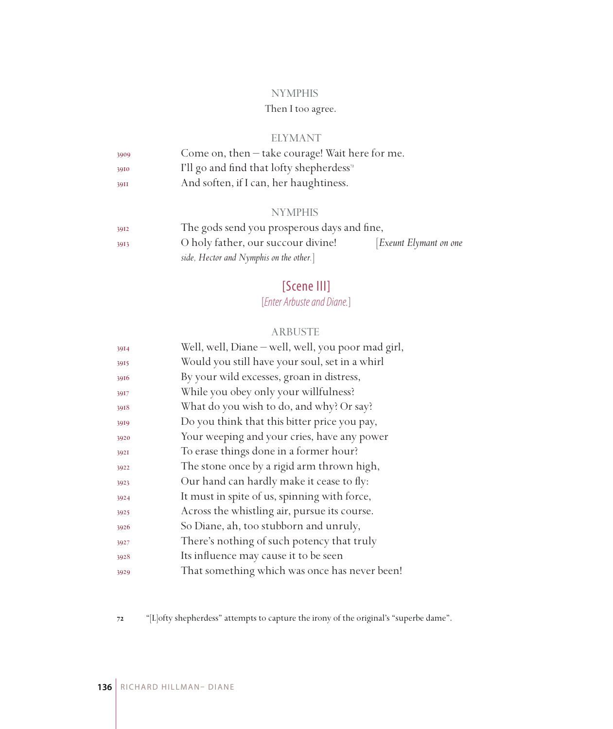## Then I too agree.

#### ELYMANT

| 3909 | Come on, then - take courage! Wait here for me.       |
|------|-------------------------------------------------------|
| 3910 | I'll go and find that lofty shepherdess <sup>72</sup> |
| 39II | And soften, if I can, her haughtiness.                |

#### **NYMPHIS**

| 3912 | The gods send you prosperous days and fine, |                       |
|------|---------------------------------------------|-----------------------|
| 3913 | O holy father, our succour divine!          | Exeunt Elymant on one |
|      | side, Hector and Nymphis on the other.]     |                       |

# [Scene III]

# [*Enter Arbuste and Diane.*]

#### ARBUSTE

| 3914 | Well, well, Diane - well, well, you poor mad girl, |
|------|----------------------------------------------------|
| 3915 | Would you still have your soul, set in a whirl     |
| 3916 | By your wild excesses, groan in distress,          |
| 3917 | While you obey only your willfulness?              |
| 3918 | What do you wish to do, and why? Or say?           |
| 3919 | Do you think that this bitter price you pay,       |
| 3920 | Your weeping and your cries, have any power        |
| 3921 | To erase things done in a former hour?             |
| 3922 | The stone once by a rigid arm thrown high,         |
| 3923 | Our hand can hardly make it cease to fly:          |
| 3924 | It must in spite of us, spinning with force,       |
| 3925 | Across the whistling air, pursue its course.       |
| 3926 | So Diane, ah, too stubborn and unruly,             |
| 3927 | There's nothing of such potency that truly         |
| 3928 | Its influence may cause it to be seen              |
| 3929 | That something which was once has never been!      |

"[L]ofty shepherdess" attempts to capture the irony of the original's "superbe dame".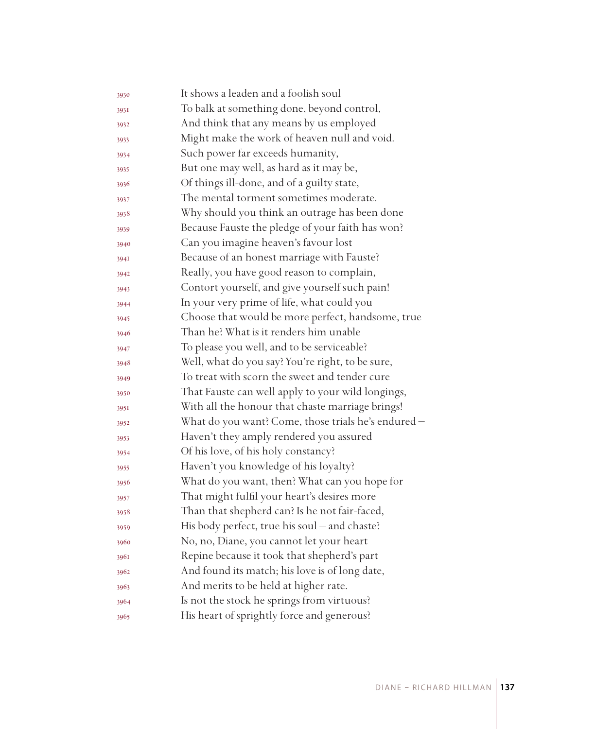| 3930 | It shows a leaden and a foolish soul                |
|------|-----------------------------------------------------|
| 393I | To balk at something done, beyond control,          |
| 3932 | And think that any means by us employed             |
| 3933 | Might make the work of heaven null and void.        |
| 3934 | Such power far exceeds humanity,                    |
| 3935 | But one may well, as hard as it may be,             |
| 3936 | Of things ill-done, and of a guilty state,          |
| 3937 | The mental torment sometimes moderate.              |
| 3938 | Why should you think an outrage has been done       |
| 3939 | Because Fauste the pledge of your faith has won?    |
| 3940 | Can you imagine heaven's favour lost                |
| 394I | Because of an honest marriage with Fauste?          |
| 3942 | Really, you have good reason to complain,           |
| 3943 | Contort yourself, and give yourself such pain!      |
| 3944 | In your very prime of life, what could you          |
| 3945 | Choose that would be more perfect, handsome, true   |
| 3946 | Than he? What is it renders him unable              |
| 3947 | To please you well, and to be serviceable?          |
| 3948 | Well, what do you say? You're right, to be sure,    |
| 3949 | To treat with scorn the sweet and tender cure       |
| 3950 | That Fauste can well apply to your wild longings,   |
| 3951 | With all the honour that chaste marriage brings!    |
| 3952 | What do you want? Come, those trials he's endured - |
| 3953 | Haven't they amply rendered you assured             |
| 3954 | Of his love, of his holy constancy?                 |
| 3955 | Haven't you knowledge of his loyalty?               |
| 3956 | What do you want, then? What can you hope for       |
| 3957 | That might fulfil your heart's desires more         |
| 3958 | Than that shepherd can? Is he not fair-faced,       |
| 3959 | His body perfect, true his soul – and chaste?       |
| 3960 | No, no, Diane, you cannot let your heart            |
| 3961 | Repine because it took that shepherd's part         |
| 3962 | And found its match; his love is of long date,      |
| 3963 | And merits to be held at higher rate.               |
| 3964 | Is not the stock he springs from virtuous?          |
| 3965 | His heart of sprightly force and generous?          |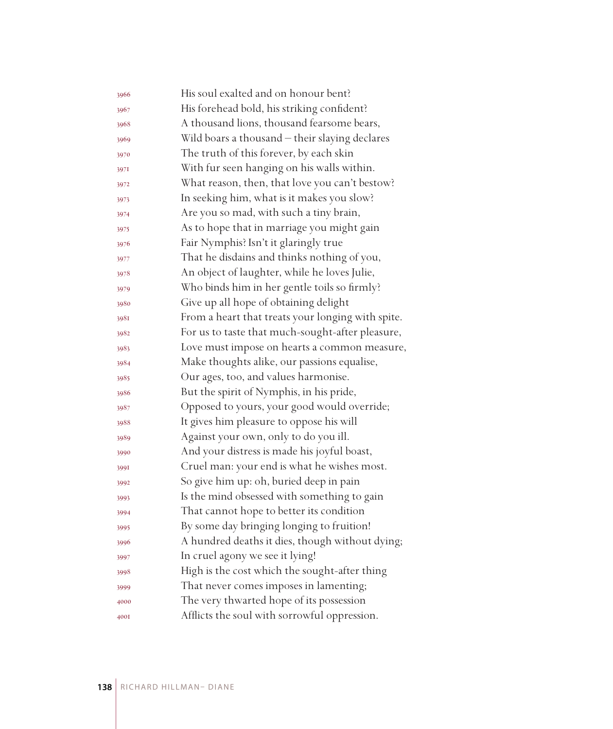| 3966 | His soul exalted and on honour bent?              |
|------|---------------------------------------------------|
| 3967 | His forehead bold, his striking confident?        |
| 3968 | A thousand lions, thousand fearsome bears,        |
| 3969 | Wild boars a thousand - their slaying declares    |
| 3970 | The truth of this forever, by each skin           |
| 3971 | With fur seen hanging on his walls within.        |
| 3972 | What reason, then, that love you can't bestow?    |
| 3973 | In seeking him, what is it makes you slow?        |
| 3974 | Are you so mad, with such a tiny brain,           |
| 3975 | As to hope that in marriage you might gain        |
| 3976 | Fair Nymphis? Isn't it glaringly true             |
| 3977 | That he disdains and thinks nothing of you,       |
| 3978 | An object of laughter, while he loves Julie,      |
| 3979 | Who binds him in her gentle toils so firmly?      |
| 3980 | Give up all hope of obtaining delight             |
| 3981 | From a heart that treats your longing with spite. |
| 3982 | For us to taste that much-sought-after pleasure,  |
| 3983 | Love must impose on hearts a common measure,      |
| 3984 | Make thoughts alike, our passions equalise,       |
| 3985 | Our ages, too, and values harmonise.              |
| 3986 | But the spirit of Nymphis, in his pride,          |
| 3987 | Opposed to yours, your good would override;       |
| 3988 | It gives him pleasure to oppose his will          |
| 3989 | Against your own, only to do you ill.             |
| 3990 | And your distress is made his joyful boast,       |
| 3991 | Cruel man: your end is what he wishes most.       |
| 3992 | So give him up: oh, buried deep in pain           |
| 3993 | Is the mind obsessed with something to gain       |
| 3994 | That cannot hope to better its condition          |
| 3995 | By some day bringing longing to fruition!         |
| 3996 | A hundred deaths it dies, though without dying;   |
| 3997 | In cruel agony we see it lying!                   |
| 3998 | High is the cost which the sought-after thing     |
| 3999 | That never comes imposes in lamenting;            |
| 4000 | The very thwarted hope of its possession          |
| 4001 | Afflicts the soul with sorrowful oppression.      |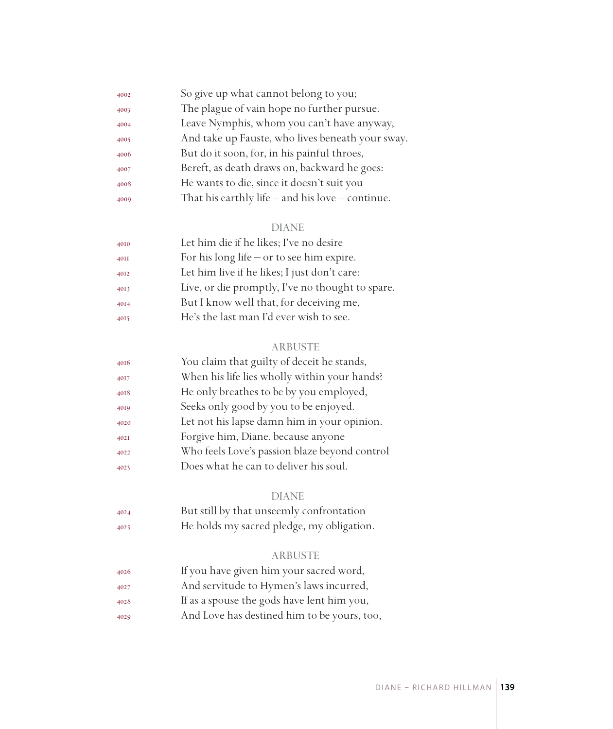| 4002 | So give up what cannot belong to you;                |
|------|------------------------------------------------------|
| 4003 | The plague of vain hope no further pursue.           |
| 4004 | Leave Nymphis, whom you can't have anyway,           |
| 4005 | And take up Fauste, who lives beneath your sway.     |
| 4006 | But do it soon, for, in his painful throes,          |
| 4007 | Bereft, as death draws on, backward he goes:         |
| 4008 | He wants to die, since it doesn't suit you           |
| 4009 | That his earthly life $-$ and his love $-$ continue. |
|      |                                                      |

| 4010 | Let him die if he likes; I've no desire          |
|------|--------------------------------------------------|
| 40II | For his long life $-$ or to see him expire.      |
| 4012 | Let him live if he likes; I just don't care:     |
| 4013 | Live, or die promptly, I've no thought to spare. |
| 4014 | But I know well that, for deceiving me,          |
| 4015 | He's the last man I'd ever wish to see.          |
|      |                                                  |

## ARBUSTE

| 4016 | You claim that guilty of deceit he stands,    |
|------|-----------------------------------------------|
| 4017 | When his life lies wholly within your hands?  |
| 4018 | He only breathes to be by you employed,       |
| 4019 | Seeks only good by you to be enjoyed.         |
| 4020 | Let not his lapse damn him in your opinion.   |
| 402I | Forgive him, Diane, because anyone            |
| 4022 | Who feels Love's passion blaze beyond control |
| 4023 | Does what he can to deliver his soul.         |
|      |                                               |

## DIANE

| 4024 | But still by that unseemly confrontation  |
|------|-------------------------------------------|
| 4025 | He holds my sacred pledge, my obligation. |

## ARBUSTE

| 4026 | If you have given him your sacred word,     |
|------|---------------------------------------------|
| 4027 | And servitude to Hymen's laws incurred,     |
| 4028 | If as a spouse the gods have lent him you,  |
| 4029 | And Love has destined him to be yours, too, |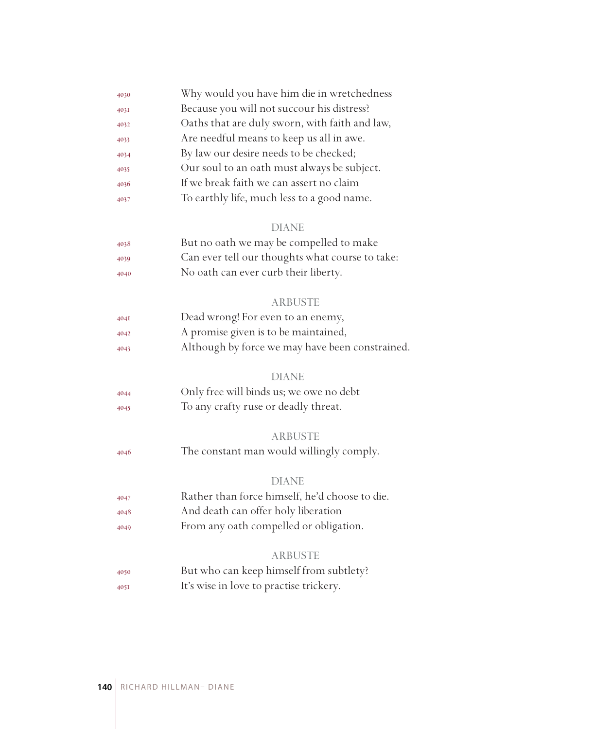| 4030 | Why would you have him die in wretchedness      |
|------|-------------------------------------------------|
| 4031 | Because you will not succour his distress?      |
| 4032 | Oaths that are duly sworn, with faith and law,  |
| 4033 | Are needful means to keep us all in awe.        |
| 4034 | By law our desire needs to be checked;          |
| 4035 | Our soul to an oath must always be subject.     |
| 4036 | If we break faith we can assert no claim        |
| 4037 | To earthly life, much less to a good name.      |
|      | <b>DIANE</b>                                    |
| 4038 | But no oath we may be compelled to make         |
| 4039 | Can ever tell our thoughts what course to take: |
| 4040 | No oath can ever curb their liberty.            |
|      | <b>ARBUSTE</b>                                  |
| 404I | Dead wrong! For even to an enemy,               |
| 4042 | A promise given is to be maintained,            |
| 4043 | Although by force we may have been constrained. |
|      | <b>DIANE</b>                                    |
| 4044 | Only free will binds us; we owe no debt         |
| 4045 | To any crafty ruse or deadly threat.            |
|      | <b>ARBUSTE</b>                                  |
| 4046 | The constant man would willingly comply.        |
|      | <b>DIANE</b>                                    |
| 4047 | Rather than force himself, he'd choose to die.  |
| 4048 | And death can offer holy liberation             |
| 4049 | From any oath compelled or obligation.          |
|      | <b>ARBUSTE</b>                                  |
| 4050 | But who can keep himself from subtlety?         |
| 4051 | It's wise in love to practise trickery.         |
|      |                                                 |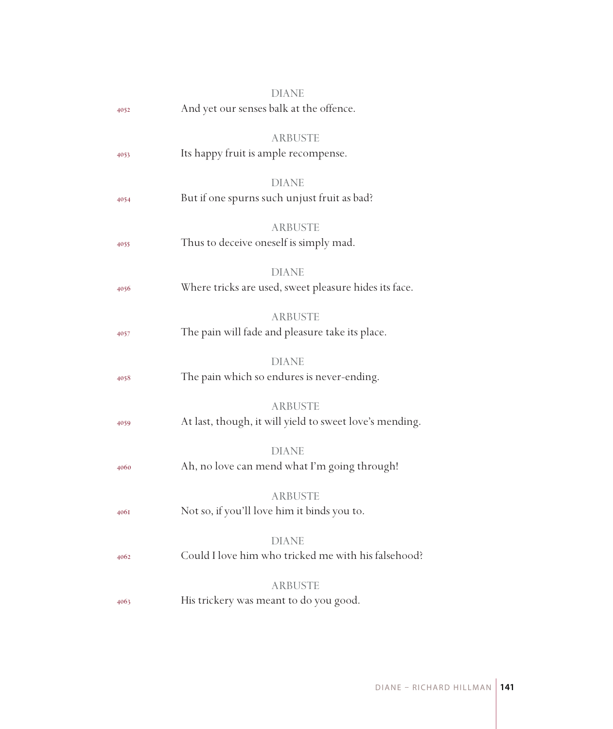| DIANE                                                    |
|----------------------------------------------------------|
| And yet our senses balk at the offence.                  |
|                                                          |
| ARBUSTE<br>Its happy fruit is ample recompense.          |
|                                                          |
| <b>DIANE</b>                                             |
| But if one spurns such unjust fruit as bad?              |
|                                                          |
| <b>ARBUSTE</b><br>Thus to deceive oneself is simply mad. |
|                                                          |
| <b>DIANE</b>                                             |
| Where tricks are used, sweet pleasure hides its face.    |
| <b>ARBUSTE</b>                                           |
| The pain will fade and pleasure take its place.          |
|                                                          |
| <b>DIANE</b>                                             |
| The pain which so endures is never-ending.               |
| <b>ARBUSTE</b>                                           |
| At last, though, it will yield to sweet love's mending.  |
|                                                          |
| <b>DIANE</b>                                             |
| Ah, no love can mend what I'm going through!             |
| <b>ARBUSTE</b>                                           |
| Not so, if you'll love him it binds you to.              |
|                                                          |
| <b>DIANE</b>                                             |
| Could I love him who tricked me with his falsehood?      |
| <b>ARBUSTE</b>                                           |
| His trickery was meant to do you good.                   |
|                                                          |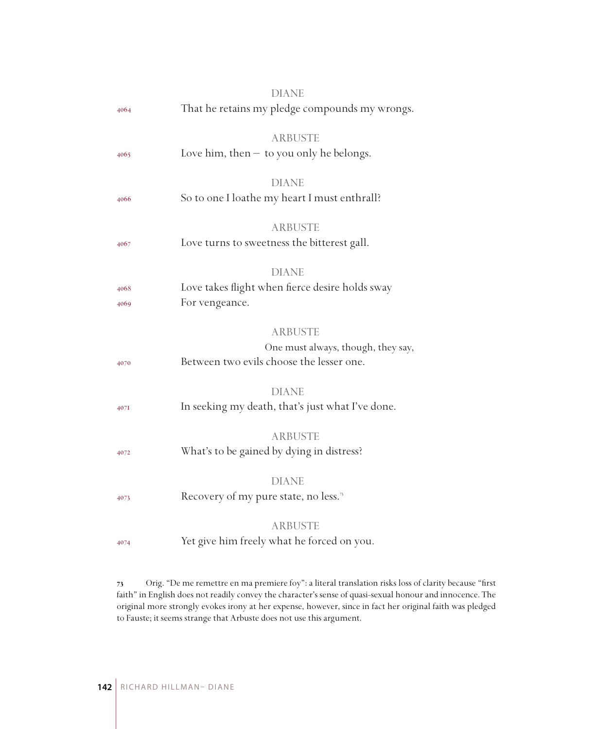|      | <b>DIANE</b>                                                 |
|------|--------------------------------------------------------------|
| 4064 | That he retains my pledge compounds my wrongs.               |
|      |                                                              |
|      | <b>ARBUSTE</b>                                               |
| 4065 | Love him, then $-$ to you only he belongs.                   |
|      |                                                              |
|      | <b>DIANE</b><br>So to one I loathe my heart I must enthrall? |
| 4066 |                                                              |
|      | <b>ARBUSTE</b>                                               |
| 4067 | Love turns to sweetness the bitterest gall.                  |
|      |                                                              |
|      | <b>DIANE</b>                                                 |
| 4068 | Love takes flight when fierce desire holds sway              |
| 4069 | For vengeance.                                               |
|      |                                                              |
|      | <b>ARBUSTE</b>                                               |
|      | One must always, though, they say,                           |
| 4070 | Between two evils choose the lesser one.                     |
|      | <b>DIANE</b>                                                 |
| 4071 | In seeking my death, that's just what I've done.             |
|      |                                                              |
|      | <b>ARBUSTE</b>                                               |
| 4072 | What's to be gained by dying in distress?                    |
|      |                                                              |
|      | <b>DIANE</b>                                                 |
| 4073 | Recovery of my pure state, no less. <sup>7</sup>             |
|      |                                                              |
|      | <b>ARBUSTE</b>                                               |
| 4074 | Yet give him freely what he forced on you.                   |
|      |                                                              |

 Orig. "De me remettre en ma premiere foy": a literal translation risks loss of clarity because "first faith" in English does not readily convey the character's sense of quasi-sexual honour and innocence. The original more strongly evokes irony at her expense, however, since in fact her original faith was pledged to Fauste; it seems strange that Arbuste does not use this argument.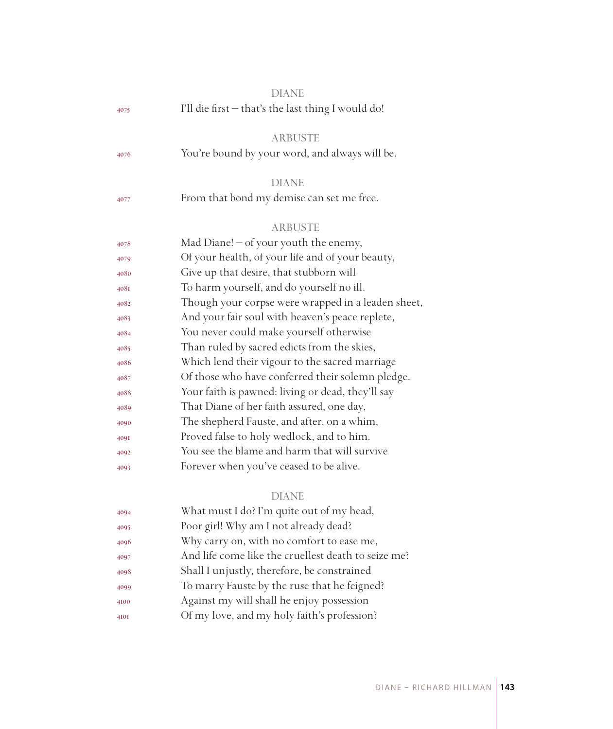|      | <b>DIANE</b>                                        |
|------|-----------------------------------------------------|
| 4075 | I'll die first - that's the last thing I would do!  |
|      | <b>ARBUSTE</b>                                      |
| 4076 | You're bound by your word, and always will be.      |
|      | <b>DIANE</b>                                        |
| 4077 | From that bond my demise can set me free.           |
|      | <b>ARBUSTE</b>                                      |
| 4078 | Mad Diane! $-$ of your youth the enemy,             |
| 4079 | Of your health, of your life and of your beauty,    |
| 4080 | Give up that desire, that stubborn will             |
| 408I | To harm yourself, and do yourself no ill.           |
| 4082 | Though your corpse were wrapped in a leaden sheet,  |
| 4083 | And your fair soul with heaven's peace replete,     |
| 4084 | You never could make yourself otherwise             |
| 4085 | Than ruled by sacred edicts from the skies,         |
| 4086 | Which lend their vigour to the sacred marriage      |
| 4087 | Of those who have conferred their solemn pledge.    |
| 4088 | Your faith is pawned: living or dead, they'll say   |
| 4089 | That Diane of her faith assured, one day,           |
| 4090 | The shepherd Fauste, and after, on a whim,          |
| 409I | Proved false to holy wedlock, and to him.           |
| 4092 | You see the blame and harm that will survive        |
| 4093 | Forever when you've ceased to be alive.             |
|      | <b>DIANE</b>                                        |
| 4094 | What must I do? I'm quite out of my head,           |
| 4095 | Poor girl! Why am I not already dead?               |
| 4096 | Why carry on, with no comfort to ease me,           |
| 4097 | And life come like the cruellest death to seize me? |
| 4098 | Shall I unjustly, therefore, be constrained         |
| 4099 | To marry Fauste by the ruse that he feigned?        |
| 4100 | Against my will shall he enjoy possession           |
| 4I0I | Of my love, and my holy faith's profession?         |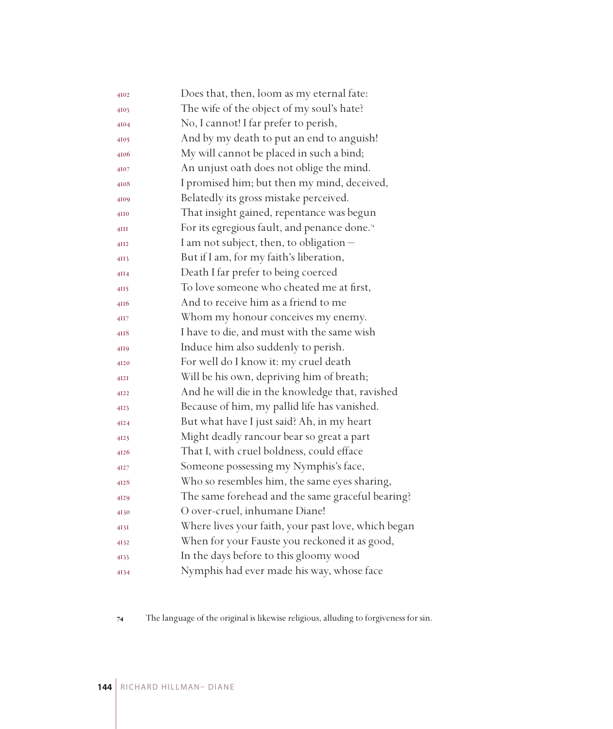| 4102 | Does that, then, loom as my eternal fate:                |
|------|----------------------------------------------------------|
| 4103 | The wife of the object of my soul's hate?                |
| 4104 | No, I cannot! I far prefer to perish,                    |
| 4105 | And by my death to put an end to anguish!                |
| 4106 | My will cannot be placed in such a bind;                 |
| 4107 | An unjust oath does not oblige the mind.                 |
| 4108 | I promised him; but then my mind, deceived,              |
| 4109 | Belatedly its gross mistake perceived.                   |
| 4110 | That insight gained, repentance was begun                |
| 4III | For its egregious fault, and penance done. <sup>74</sup> |
| 4II2 | I am not subject, then, to obligation -                  |
| 4II3 | But if I am, for my faith's liberation,                  |
| 4II4 | Death I far prefer to being coerced                      |
| 4II5 | To love someone who cheated me at first,                 |
| 4116 | And to receive him as a friend to me                     |
| 4II7 | Whom my honour conceives my enemy.                       |
| 4II8 | I have to die, and must with the same wish               |
| 4119 | Induce him also suddenly to perish.                      |
| 4120 | For well do I know it: my cruel death                    |
| 4I2I | Will be his own, depriving him of breath;                |
| 4122 | And he will die in the knowledge that, ravished          |
| 4123 | Because of him, my pallid life has vanished.             |
| 4124 | But what have I just said? Ah, in my heart               |
| 4125 | Might deadly rancour bear so great a part                |
| 4126 | That I, with cruel boldness, could efface                |
| 4127 | Someone possessing my Nymphis's face,                    |
| 4128 | Who so resembles him, the same eyes sharing,             |
| 4129 | The same forehead and the same graceful bearing?         |
| 4130 | O over-cruel, inhumane Diane!                            |
| 4I3I | Where lives your faith, your past love, which began      |
| 4132 | When for your Fauste you reckoned it as good,            |
| 4133 | In the days before to this gloomy wood                   |
| 4134 | Nymphis had ever made his way, whose face                |

The language of the original is likewise religious, alluding to forgiveness for sin.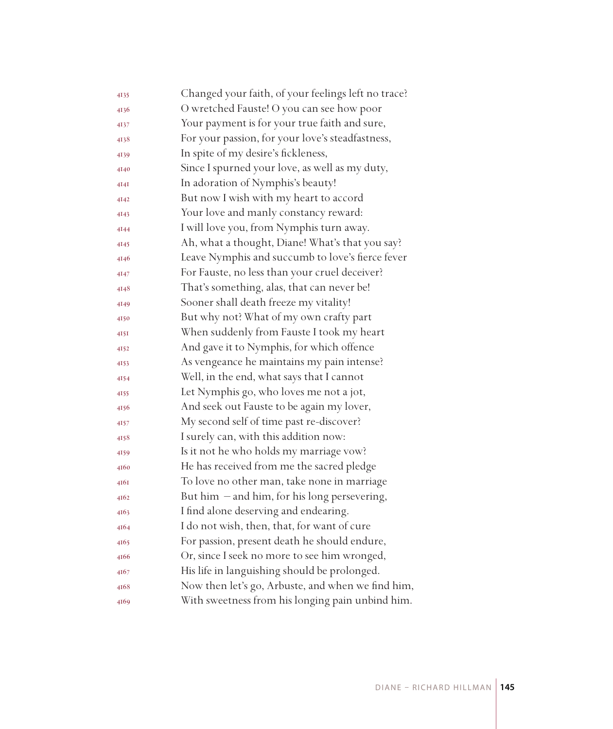| 4135 | Changed your faith, of your feelings left no trace? |
|------|-----------------------------------------------------|
| 4136 | O wretched Fauste! O you can see how poor           |
| 4137 | Your payment is for your true faith and sure,       |
| 4138 | For your passion, for your love's steadfastness,    |
| 4139 | In spite of my desire's fickleness,                 |
| 4140 | Since I spurned your love, as well as my duty,      |
| 4I4I | In adoration of Nymphis's beauty!                   |
| 4142 | But now I wish with my heart to accord              |
| 4143 | Your love and manly constancy reward:               |
| 4144 | I will love you, from Nymphis turn away.            |
| 4145 | Ah, what a thought, Diane! What's that you say?     |
| 4146 | Leave Nymphis and succumb to love's fierce fever    |
| 4147 | For Fauste, no less than your cruel deceiver?       |
| 4148 | That's something, alas, that can never be!          |
| 4149 | Sooner shall death freeze my vitality!              |
| 4150 | But why not? What of my own crafty part             |
| 4I5I | When suddenly from Fauste I took my heart           |
| 4152 | And gave it to Nymphis, for which offence           |
| 4153 | As vengeance he maintains my pain intense?          |
| 4154 | Well, in the end, what says that I cannot           |
| 4155 | Let Nymphis go, who loves me not a jot,             |
| 4156 | And seek out Fauste to be again my lover,           |
| 4157 | My second self of time past re-discover?            |
| 4158 | I surely can, with this addition now:               |
| 4159 | Is it not he who holds my marriage vow?             |
| 4160 | He has received from me the sacred pledge           |
| 4I6I | To love no other man, take none in marriage         |
| 4162 | But him - and him, for his long persevering,        |
| 4163 | I find alone deserving and endearing.               |
| 4164 | I do not wish, then, that, for want of cure         |
| 4165 | For passion, present death he should endure,        |
| 4166 | Or, since I seek no more to see him wronged,        |
| 4167 | His life in languishing should be prolonged.        |
| 4168 | Now then let's go, Arbuste, and when we find him,   |
| 4169 | With sweetness from his longing pain unbind him.    |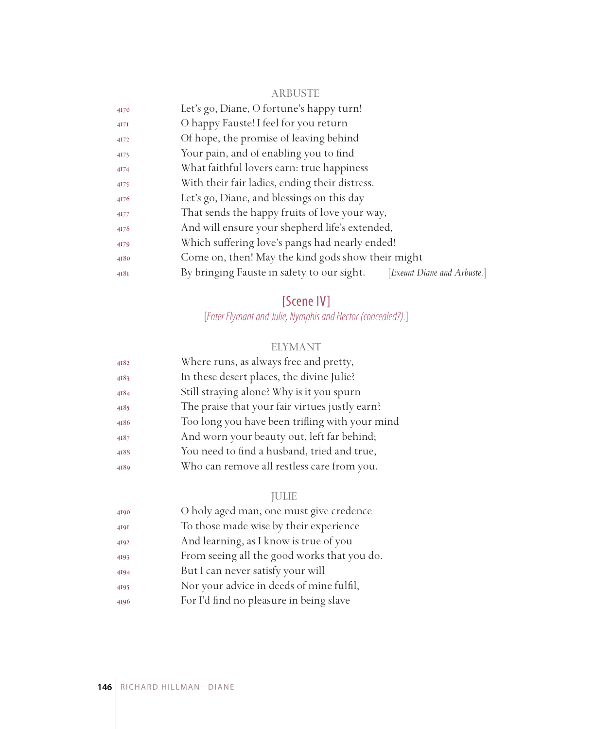#### ARBUSTE

| 4170                  | Let's go, Diane, O fortune's happy turn!                                       |
|-----------------------|--------------------------------------------------------------------------------|
| $4I$ <sup>7</sup> $I$ | O happy Fauste! I feel for you return                                          |
| 4172                  | Of hope, the promise of leaving behind                                         |
| 4173                  | Your pain, and of enabling you to find                                         |
| 4174                  | What faithful lovers earn: true happiness                                      |
| 4175                  | With their fair ladies, ending their distress.                                 |
| 4176                  | Let's go, Diane, and blessings on this day                                     |
| 4177                  | That sends the happy fruits of love your way,                                  |
| 4178                  | And will ensure your shepherd life's extended,                                 |
| 4179                  | Which suffering love's pangs had nearly ended!                                 |
| 4180                  | Come on, then! May the kind gods show their might                              |
| 4181                  | By bringing Fauste in safety to our sight.<br><i>Exeunt Diane and Arbuste.</i> |
|                       |                                                                                |

## [Scene IV]

[*Enter Elymant and Julie, Nymphis and Hector (concealed?).*]

#### ELYMANT

| 4182 | Where runs, as always free and pretty,         |
|------|------------------------------------------------|
| 4183 | In these desert places, the divine Julie?      |
| 4184 | Still straying alone? Why is it you spurn      |
| 4185 | The praise that your fair virtues justly earn? |
| 4186 | Too long you have been trifling with your mind |
| 4187 | And worn your beauty out, left far behind;     |
| 4188 | You need to find a husband, tried and true,    |
| 4189 | Who can remove all restless care from you.     |
|      |                                                |

## JULIE

| 4190 | O holy aged man, one must give credence     |
|------|---------------------------------------------|
| 4191 | To those made wise by their experience      |
| 4192 | And learning, as I know is true of you      |
| 4193 | From seeing all the good works that you do. |
| 4194 | But I can never satisfy your will           |
| 4195 | Nor your advice in deeds of mine fulfil,    |
| 4196 | For I'd find no pleasure in being slave     |
|      |                                             |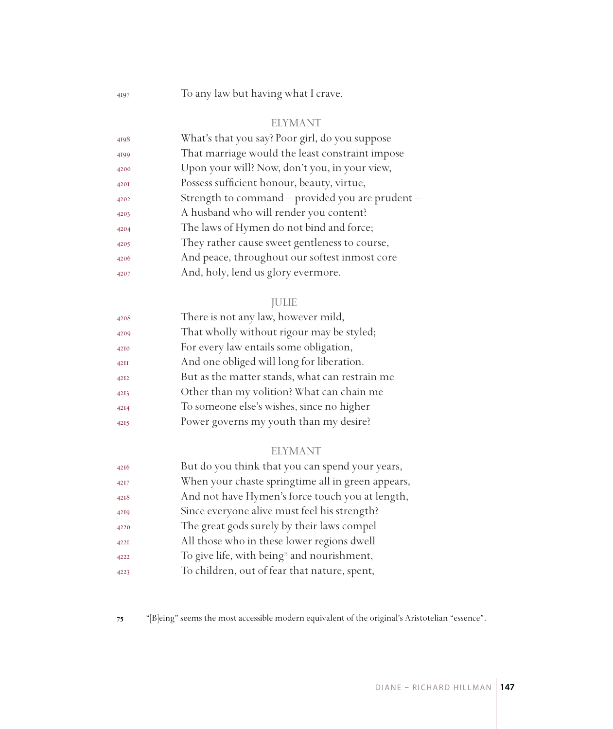To any law but having what I crave.

#### ELYMANT

| 4198 | What's that you say? Poor girl, do you suppose   |
|------|--------------------------------------------------|
| 4199 | That marriage would the least constraint impose  |
| 4200 | Upon your will? Now, don't you, in your view,    |
| 4201 | Possess sufficient honour, beauty, virtue,       |
| 4202 | Strength to command – provided you are prudent – |
| 4203 | A husband who will render you content?           |
| 4204 | The laws of Hymen do not bind and force;         |
| 4205 | They rather cause sweet gentleness to course,    |
| 4206 | And peace, throughout our softest inmost core    |
| 4207 | And, holy, lend us glory evermore.               |

#### JULIE

| 4208 | There is not any law, however mild,            |
|------|------------------------------------------------|
| 4209 | That wholly without rigour may be styled;      |
| 4210 | For every law entails some obligation,         |
| 42II | And one obliged will long for liberation.      |
| 4212 | But as the matter stands, what can restrain me |
| 4213 | Other than my volition? What can chain me      |
| 4214 | To someone else's wishes, since no higher      |
| 4215 | Power governs my youth than my desire?         |

#### ELYMANT

| 4216        | But do you think that you can spend your years,        |
|-------------|--------------------------------------------------------|
| 4217        | When your chaste springtime all in green appears,      |
| 4218        | And not have Hymen's force touch you at length,        |
| 4219        | Since everyone alive must feel his strength?           |
| 4220        | The great gods surely by their laws compel             |
| <b>422I</b> | All those who in these lower regions dwell             |
| 4222        | To give life, with being <sup>3</sup> and nourishment, |
| 4223        | To children, out of fear that nature, spent,           |

"[B]eing" seems the most accessible modern equivalent of the original's Aristotelian "essence".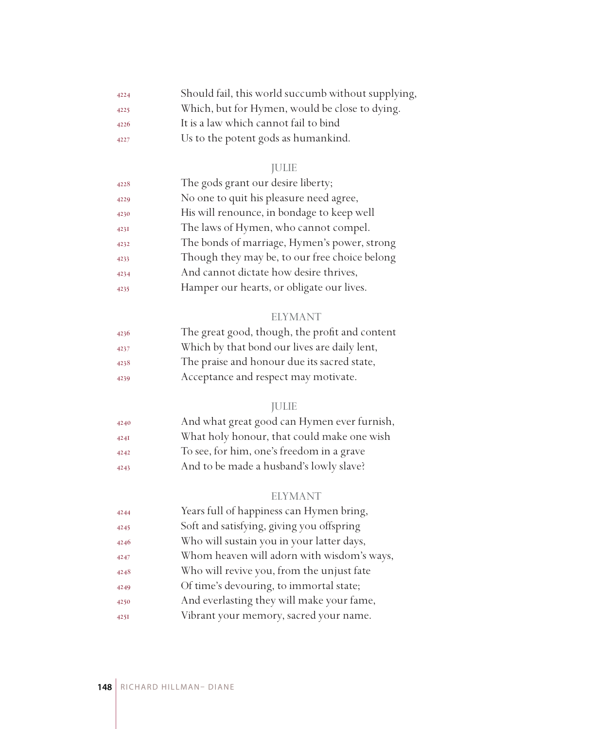| 4224 | Should fail, this world succumb without supplying, |
|------|----------------------------------------------------|
| 4225 | Which, but for Hymen, would be close to dying.     |
| 4226 | It is a law which cannot fail to bind              |
| 4227 | Us to the potent gods as humankind.                |

## JULIE

| 4228 | The gods grant our desire liberty;            |
|------|-----------------------------------------------|
| 4229 | No one to quit his pleasure need agree,       |
| 4230 | His will renounce, in bondage to keep well    |
| 4231 | The laws of Hymen, who cannot compel.         |
| 4232 | The bonds of marriage, Hymen's power, strong  |
| 4233 | Though they may be, to our free choice belong |
| 4234 | And cannot dictate how desire thrives,        |
| 4235 | Hamper our hearts, or obligate our lives.     |

## ELYMANT

| 4236 | The great good, though, the profit and content |
|------|------------------------------------------------|
| 4237 | Which by that bond our lives are daily lent,   |
| 4238 | The praise and honour due its sacred state,    |
| 4239 | Acceptance and respect may motivate.           |

## JULIE

| 4240 | And what great good can Hymen ever furnish, |
|------|---------------------------------------------|
| 424I | What holy honour, that could make one wish  |
| 4242 | To see, for him, one's freedom in a grave   |
| 4243 | And to be made a husband's lowly slave?     |
|      |                                             |

## ELYMANT

| 4244 | Years full of happiness can Hymen bring,   |
|------|--------------------------------------------|
| 4245 | Soft and satisfying, giving you offspring  |
| 4246 | Who will sustain you in your latter days,  |
| 4247 | Whom heaven will adorn with wisdom's ways, |
| 4248 | Who will revive you, from the unjust fate  |
| 4249 | Of time's devouring, to immortal state;    |
| 4250 | And everlasting they will make your fame,  |
| 425I | Vibrant your memory, sacred your name.     |
|      |                                            |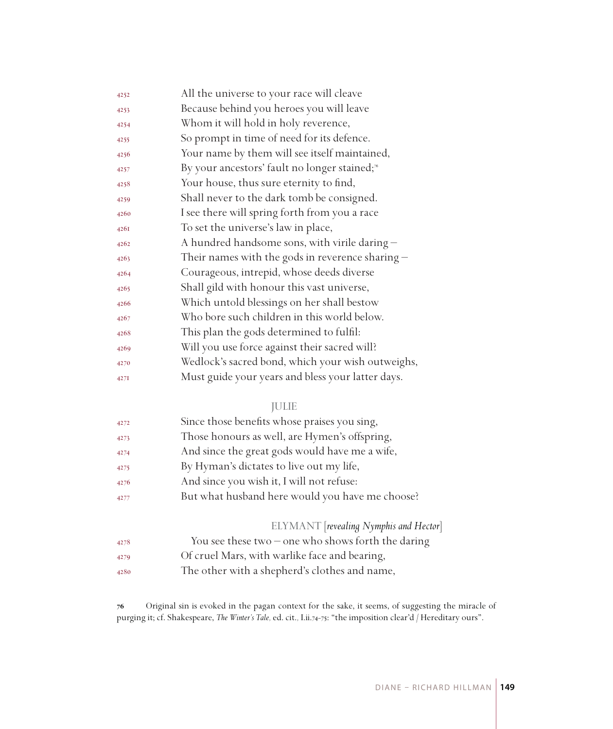| 4252 | All the universe to your race will cleave                 |
|------|-----------------------------------------------------------|
| 4253 | Because behind you heroes you will leave                  |
| 4254 | Whom it will hold in holy reverence,                      |
| 4255 | So prompt in time of need for its defence.                |
| 4256 | Your name by them will see itself maintained,             |
| 4257 | By your ancestors' fault no longer stained; <sup>56</sup> |
| 4258 | Your house, thus sure eternity to find,                   |
| 4259 | Shall never to the dark tomb be consigned.                |
| 4260 | I see there will spring forth from you a race             |
| 426I | To set the universe's law in place,                       |
| 4262 | A hundred handsome sons, with virile daring -             |
| 4263 | Their names with the gods in reverence sharing $-$        |
| 4264 | Courageous, intrepid, whose deeds diverse                 |
| 4265 | Shall gild with honour this vast universe,                |
| 4266 | Which untold blessings on her shall bestow                |
| 4267 | Who bore such children in this world below.               |
| 4268 | This plan the gods determined to fulfil:                  |
| 4269 | Will you use force against their sacred will?             |
| 4270 | Wedlock's sacred bond, which your wish outweighs,         |
| 427I | Must guide your years and bless your latter days.         |

#### JULIE

| 4272 | Since those benefits whose praises you sing,         |
|------|------------------------------------------------------|
| 4273 | Those honours as well, are Hymen's offspring,        |
| 4274 | And since the great gods would have me a wife,       |
| 4275 | By Hyman's dictates to live out my life,             |
| 4276 | And since you wish it, I will not refuse:            |
| 4277 | But what husband here would you have me choose?      |
|      | ELYMANT [revealing Nymphis and Hector]               |
| 4278 | You see these two $-$ one who shows forth the daring |
| 4279 | Of cruel Mars, with warlike face and bearing,        |

The other with a shepherd's clothes and name,

 Original sin is evoked in the pagan context for the sake, it seems, of suggesting the miracle of purging it; cf. Shakespeare, *The Winter's Tale,* ed. cit.*,* I.ii.74-75: "the imposition clear'd / Hereditary ours".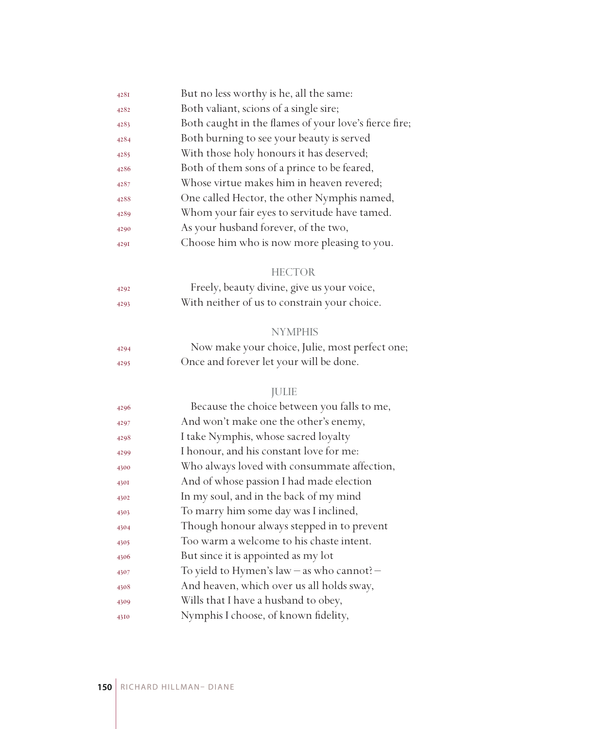| 428I | But no less worthy is he, all the same:               |
|------|-------------------------------------------------------|
| 4282 | Both valiant, scions of a single sire;                |
| 4283 | Both caught in the flames of your love's fierce fire; |
| 4284 | Both burning to see your beauty is served             |
| 4285 | With those holy honours it has deserved;              |
| 4286 | Both of them sons of a prince to be feared,           |
| 4287 | Whose virtue makes him in heaven revered;             |
| 4288 | One called Hector, the other Nymphis named,           |
| 4289 | Whom your fair eyes to servitude have tamed.          |
| 4290 | As your husband forever, of the two,                  |
| 429I | Choose him who is now more pleasing to you.           |
|      | <b>HECTOR</b>                                         |
| 4292 | Freely, beauty divine, give us your voice,            |
| 4293 | With neither of us to constrain your choice.          |
|      | <b>NYMPHIS</b>                                        |
| 4294 | Now make your choice, Julie, most perfect one;        |
| 4295 | Once and forever let your will be done.               |
|      | <b>JULIE</b>                                          |
| 4296 | Because the choice between you falls to me,           |
| 4297 | And won't make one the other's enemy,                 |
| 4298 | I take Nymphis, whose sacred loyalty                  |
| 4299 | I honour, and his constant love for me:               |
| 4300 | Who always loved with consummate affection,           |
| 4301 | And of whose passion I had made election              |
| 4302 | In my soul, and in the back of my mind                |
| 4303 | To marry him some day was I inclined,                 |
| 4304 | Though honour always stepped in to prevent            |
| 4305 | Too warm a welcome to his chaste intent.              |
| 4306 | But since it is appointed as my lot                   |
| 4307 | To yield to Hymen's law - as who cannot? -            |
| 4308 | And heaven, which over us all holds sway,             |
| 4309 | Wills that I have a husband to obey,                  |
| 4310 | Nymphis I choose, of known fidelity,                  |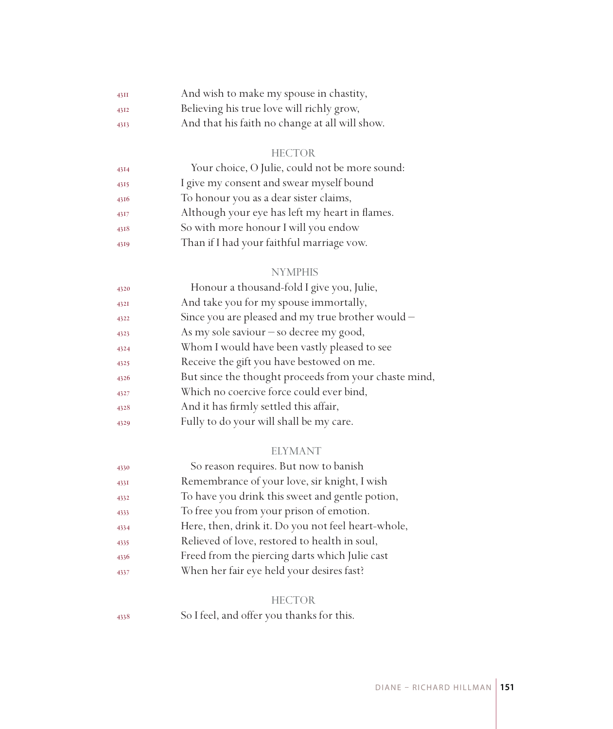| 43II | And wish to make my spouse in chastity,        |
|------|------------------------------------------------|
| 4312 | Believing his true love will richly grow,      |
| 4313 | And that his faith no change at all will show. |

#### HECTOR

| 4314 | Your choice, O Julie, could not be more sound: |
|------|------------------------------------------------|
| 4315 | I give my consent and swear myself bound       |
| 4316 | To honour you as a dear sister claims,         |
| 4317 | Although your eye has left my heart in flames. |
| 4318 | So with more honour I will you endow           |
| 4319 | Than if I had your faithful marriage vow.      |

#### NYMPHIS

| 4320 | Honour a thousand-fold I give you, Julie,             |
|------|-------------------------------------------------------|
| 432I | And take you for my spouse immortally,                |
| 4322 | Since you are pleased and my true brother would -     |
| 4323 | As my sole saviour $-$ so decree my good,             |
| 4324 | Whom I would have been vastly pleased to see          |
| 4325 | Receive the gift you have bestowed on me.             |
| 4326 | But since the thought proceeds from your chaste mind, |
| 4327 | Which no coercive force could ever bind,              |
| 4328 | And it has firmly settled this affair,                |
| 4329 | Fully to do your will shall be my care.               |
|      |                                                       |

#### ELYMANT

| 4330 | So reason requires. But now to banish              |
|------|----------------------------------------------------|
| 433I | Remembrance of your love, sir knight, I wish       |
| 4332 | To have you drink this sweet and gentle potion,    |
| 4333 | To free you from your prison of emotion.           |
| 4334 | Here, then, drink it. Do you not feel heart-whole, |
| 4335 | Relieved of love, restored to health in soul,      |
| 4336 | Freed from the piercing darts which Julie cast     |
| 4337 | When her fair eye held your desires fast?          |
|      |                                                    |

#### HECTOR

So I feel, and offer you thanks for this.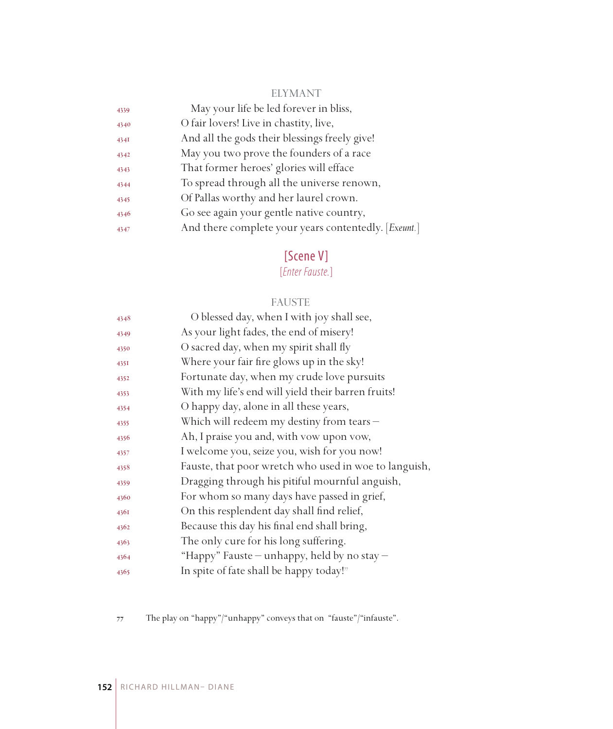#### ELYMANT

| 4339 | May your life be led forever in bliss,               |
|------|------------------------------------------------------|
| 4340 | O fair lovers! Live in chastity, live,               |
| 434I | And all the gods their blessings freely give!        |
| 4342 | May you two prove the founders of a race             |
| 4343 | That former heroes' glories will efface              |
| 4344 | To spread through all the universe renown,           |
| 4345 | Of Pallas worthy and her laurel crown.               |
| 4346 | Go see again your gentle native country,             |
| 4347 | And there complete your years contentedly. [Exeunt.] |
|      |                                                      |

## [Scene V]

[*Enter Fauste.*]

#### FAUSTE

| O blessed day, when I with joy shall see,             |
|-------------------------------------------------------|
| As your light fades, the end of misery!               |
| O sacred day, when my spirit shall fly                |
| Where your fair fire glows up in the sky!             |
| Fortunate day, when my crude love pursuits            |
| With my life's end will yield their barren fruits!    |
| O happy day, alone in all these years,                |
| Which will redeem my destiny from tears -             |
| Ah, I praise you and, with yow upon yow,              |
| I welcome you, seize you, wish for you now!           |
| Fauste, that poor wretch who used in woe to languish, |
| Dragging through his pitiful mournful anguish,        |
| For whom so many days have passed in grief,           |
| On this resplendent day shall find relief,            |
| Because this day his final end shall bring,           |
| The only cure for his long suffering.                 |
| "Happy" Fauste — unhappy, held by no stay —           |
| In spite of fate shall be happy today!"               |
|                                                       |

The play on "happy"/"unhappy" conveys that on "fauste"/"infauste".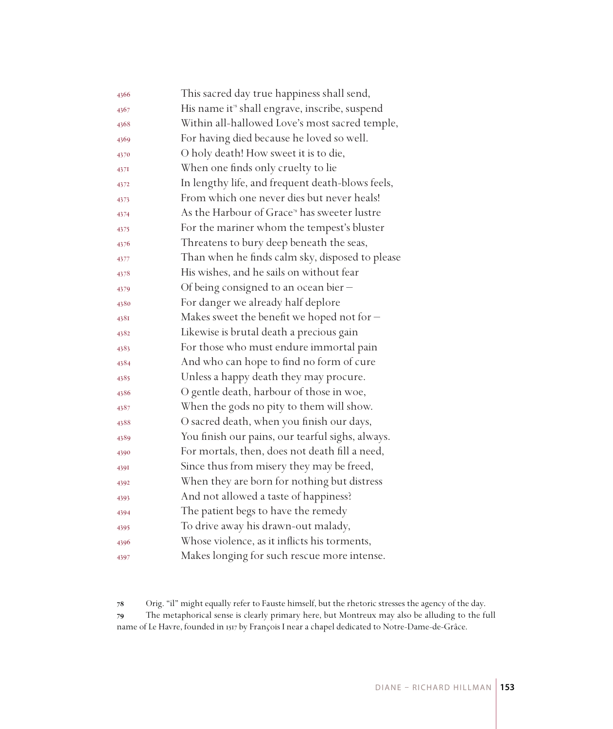| 4366 | This sacred day true happiness shall send,                 |
|------|------------------------------------------------------------|
| 4367 | His name it <sup>38</sup> shall engrave, inscribe, suspend |
| 4368 | Within all-hallowed Love's most sacred temple,             |
| 4369 | For having died because he loved so well.                  |
| 4370 | O holy death! How sweet it is to die,                      |
| 437I | When one finds only cruelty to lie                         |
| 4372 | In lengthy life, and frequent death-blows feels,           |
| 4373 | From which one never dies but never heals!                 |
| 4374 | As the Harbour of Grace <sup>79</sup> has sweeter lustre   |
| 4375 | For the mariner whom the tempest's bluster                 |
| 4376 | Threatens to bury deep beneath the seas,                   |
| 4377 | Than when he finds calm sky, disposed to please            |
| 4378 | His wishes, and he sails on without fear                   |
| 4379 | Of being consigned to an ocean bier -                      |
| 4380 | For danger we already half deplore                         |
| 4381 | Makes sweet the benefit we hoped not for $-$               |
| 4382 | Likewise is brutal death a precious gain                   |
| 4383 | For those who must endure immortal pain                    |
| 4384 | And who can hope to find no form of cure                   |
| 4385 | Unless a happy death they may procure.                     |
| 4386 | O gentle death, harbour of those in woe,                   |
| 4387 | When the gods no pity to them will show.                   |
| 4388 | O sacred death, when you finish our days,                  |
| 4389 | You finish our pains, our tearful sighs, always.           |
| 4390 | For mortals, then, does not death fill a need,             |
| 4391 | Since thus from misery they may be freed,                  |
| 4392 | When they are born for nothing but distress                |
| 4393 | And not allowed a taste of happiness?                      |
| 4394 | The patient begs to have the remedy                        |
| 4395 | To drive away his drawn-out malady,                        |
| 4396 | Whose violence, as it inflicts his torments,               |
| 4397 | Makes longing for such rescue more intense.                |

 Orig. "il" might equally refer to Fauste himself, but the rhetoric stresses the agency of the day. The metaphorical sense is clearly primary here, but Montreux may also be alluding to the full name of Le Havre, founded in 1517 by François I near a chapel dedicated to Notre-Dame-de-Grâce.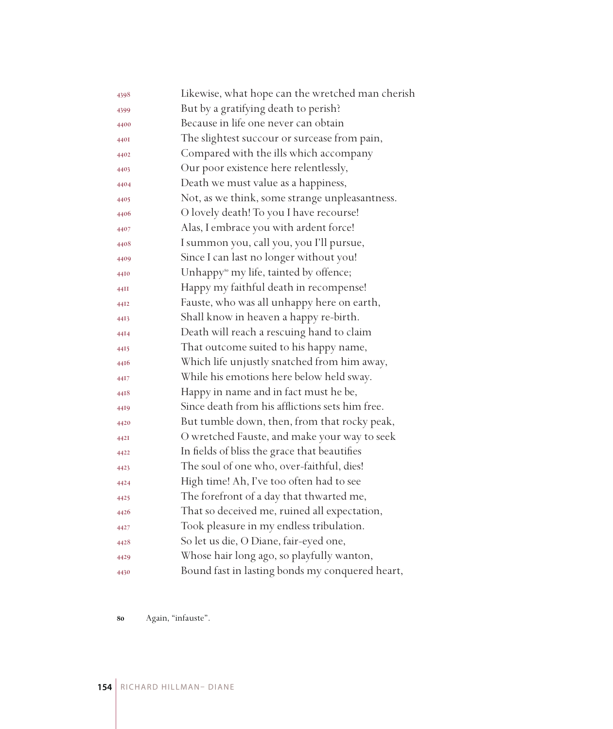| 4398 | Likewise, what hope can the wretched man cherish   |
|------|----------------------------------------------------|
| 4399 | But by a gratifying death to perish?               |
| 4400 | Because in life one never can obtain               |
| 440I | The slightest succour or surcease from pain,       |
| 4402 | Compared with the ills which accompany             |
| 4403 | Our poor existence here relentlessly,              |
| 4404 | Death we must value as a happiness,                |
| 4405 | Not, as we think, some strange unpleasantness.     |
| 4406 | O lovely death! To you I have recourse!            |
| 4407 | Alas, I embrace you with ardent force!             |
| 4408 | I summon you, call you, you I'll pursue,           |
| 4409 | Since I can last no longer without you!            |
| 4410 | Unhappy <sup>80</sup> my life, tainted by offence; |
| 44II | Happy my faithful death in recompense!             |
| 4412 | Fauste, who was all unhappy here on earth,         |
| 4413 | Shall know in heaven a happy re-birth.             |
| 4414 | Death will reach a rescuing hand to claim          |
| 4415 | That outcome suited to his happy name,             |
| 4416 | Which life unjustly snatched from him away,        |
| 44I7 | While his emotions here below held sway.           |
| 4418 | Happy in name and in fact must he be,              |
| 4419 | Since death from his afflictions sets him free.    |
| 4420 | But tumble down, then, from that rocky peak,       |
| 442I | O wretched Fauste, and make your way to seek       |
| 4422 | In fields of bliss the grace that beautifies       |
| 4423 | The soul of one who, over-faithful, dies!          |
| 4424 | High time! Ah, I've too often had to see           |
| 4425 | The forefront of a day that thwarted me,           |
| 4426 | That so deceived me, ruined all expectation,       |
| 4427 | Took pleasure in my endless tribulation.           |
| 4428 | So let us die, O Diane, fair-eyed one,             |
| 4429 | Whose hair long ago, so playfully wanton,          |
| 4430 | Bound fast in lasting bonds my conquered heart,    |

Again, "infauste".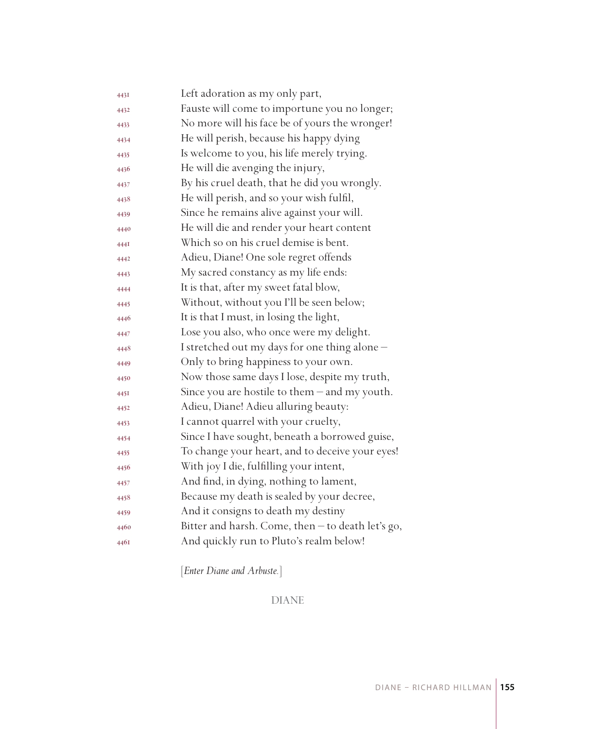| 443I | Left adoration as my only part,                   |
|------|---------------------------------------------------|
| 4432 | Fauste will come to importune you no longer;      |
| 4433 | No more will his face be of yours the wronger!    |
| 4434 | He will perish, because his happy dying           |
| 4435 | Is welcome to you, his life merely trying.        |
| 4436 | He will die avenging the injury,                  |
| 4437 | By his cruel death, that he did you wrongly.      |
| 4438 | He will perish, and so your wish fulfil,          |
| 4439 | Since he remains alive against your will.         |
| 4440 | He will die and render your heart content         |
| 444I | Which so on his cruel demise is bent.             |
| 4442 | Adieu, Diane! One sole regret offends             |
| 4443 | My sacred constancy as my life ends:              |
| 4444 | It is that, after my sweet fatal blow,            |
| 4445 | Without, without you I'll be seen below;          |
| 4446 | It is that I must, in losing the light,           |
| 4447 | Lose you also, who once were my delight.          |
| 4448 | I stretched out my days for one thing alone-      |
| 4449 | Only to bring happiness to your own.              |
| 4450 | Now those same days I lose, despite my truth,     |
| 4451 | Since you are hostile to them - and my youth.     |
| 4452 | Adieu, Diane! Adieu alluring beauty:              |
| 4453 | I cannot quarrel with your cruelty,               |
| 4454 | Since I have sought, beneath a borrowed guise,    |
| 4455 | To change your heart, and to deceive your eyes!   |
| 4456 | With joy I die, fulfilling your intent,           |
| 4457 | And find, in dying, nothing to lament,            |
| 4458 | Because my death is sealed by your decree,        |
| 4459 | And it consigns to death my destiny               |
| 4460 | Bitter and harsh. Come, then - to death let's go, |
| 4461 | And quickly run to Pluto's realm below!           |
|      |                                                   |

[*Enter Diane and Arbuste.*]

DIANE